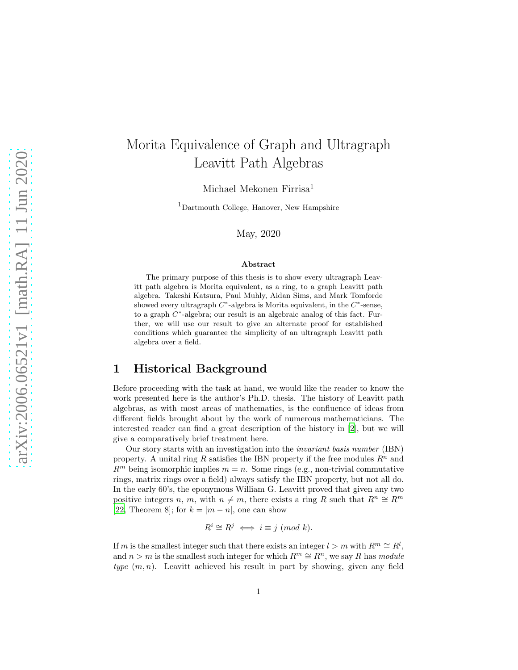# Morita Equivalence of Graph and Ultragraph Leavitt Path Algebras

Michael Mekonen Firrisa<sup>1</sup>

<sup>1</sup>Dartmouth College, Hanover, New Hampshire

May, 2020

#### Abstract

The primary purpose of this thesis is to show every ultragraph Leavitt path algebra is Morita equivalent, as a ring, to a graph Leavitt path algebra. Takeshi Katsura, Paul Muhly, Aidan Sims, and Mark Tomforde showed every ultragraph  $C^*$ -algebra is Morita equivalent, in the  $C^*$ -sense, to a graph  $C^*$ -algebra; our result is an algebraic analog of this fact. Further, we will use our result to give an alternate proof for established conditions which guarantee the simplicity of an ultragraph Leavitt path algebra over a field.

### 1 Historical Background

Before proceeding with the task at hand, we would like the reader to know the work presented here is the author's Ph.D. thesis. The history of Leavitt path algebras, as with most areas of mathematics, is the confluence of ideas from different fields brought about by the work of numerous mathematicians. The interested reader can find a great description of the history in [\[2\]](#page-89-0), but we will give a comparatively brief treatment here.

Our story starts with an investigation into the invariant basis number (IBN) property. A unital ring R satisfies the IBN property if the free modules  $R^n$  and  $R<sup>m</sup>$  being isomorphic implies  $m = n$ . Some rings (e.g., non-trivial commutative rings, matrix rings over a field) always satisfy the IBN property, but not all do. In the early 60's, the eponymous William G. Leavitt proved that given any two positive integers n, m, with  $n \neq m$ , there exists a ring R such that  $R^n \cong R^m$ [\[22,](#page-91-0) Theorem 8]; for  $k = |m - n|$ , one can show

$$
R^i \cong R^j \iff i \equiv j \ (mod \ k).
$$

If m is the smallest integer such that there exists an integer  $l > m$  with  $R^m \cong R^l$ , and  $n > m$  is the smallest such integer for which  $R^m \cong \overline{R}^n$ , we say R has module type  $(m, n)$ . Leavitt achieved his result in part by showing, given any field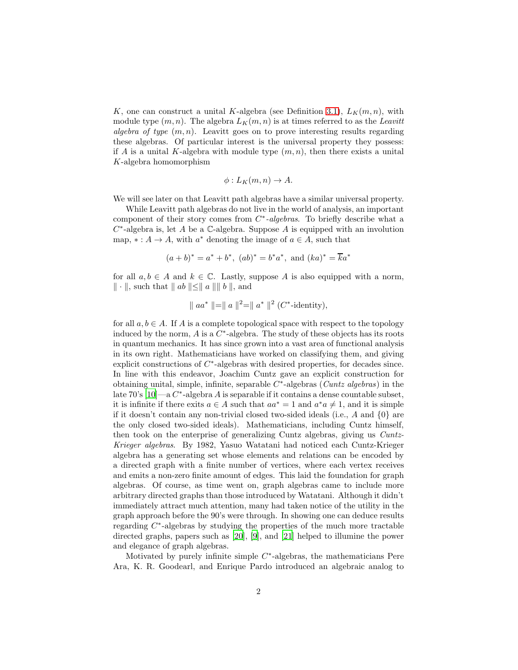K, one can construct a unital K-algebra (see Definition [3.1\)](#page-9-0),  $L_K(m, n)$ , with module type  $(m, n)$ . The algebra  $L_K(m, n)$  is at times referred to as the Leavitt algebra of type  $(m, n)$ . Leavitt goes on to prove interesting results regarding these algebras. Of particular interest is the universal property they possess: if A is a unital K-algebra with module type  $(m, n)$ , then there exists a unital K-algebra homomorphism

$$
\phi: L_K(m, n) \to A.
$$

We will see later on that Leavitt path algebras have a similar universal property.

While Leavitt path algebras do not live in the world of analysis, an important component of their story comes from  $C^*$ -algebras. To briefly describe what a  $C^*$ -algebra is, let A be a  $\mathbb C$ -algebra. Suppose A is equipped with an involution map,  $* : A \to A$ , with  $a^*$  denoting the image of  $a \in A$ , such that

$$
(a + b)^* = a^* + b^*
$$
,  $(ab)^* = b^*a^*$ , and  $(ka)^* = \overline{ka}^*$ 

for all  $a, b \in A$  and  $k \in \mathbb{C}$ . Lastly, suppose A is also equipped with a norm,  $\Vert \cdot \Vert$ , such that  $\Vert ab \Vert \le \Vert a \Vert \Vert b \Vert$ , and

$$
\parallel aa^* \parallel = \parallel a \parallel^2 = \parallel a^* \parallel^2 (C^* \text{-identity}),
$$

for all  $a, b \in A$ . If A is a complete topological space with respect to the topology induced by the norm,  $A$  is a  $C^*$ -algebra. The study of these objects has its roots in quantum mechanics. It has since grown into a vast area of functional analysis in its own right. Mathematicians have worked on classifying them, and giving explicit constructions of  $C^*$ -algebras with desired properties, for decades since. In line with this endeavor, Joachim Cuntz gave an explicit construction for obtaining unital, simple, infinite, separable  $C^*$ -algebras (*Cuntz algebras*) in the late 70's  $[10]$ —a  $C^*$ -algebra A is separable if it contains a dense countable subset, it is infinite if there exits  $a \in A$  such that  $aa^* = 1$  and  $a^*a \neq 1$ , and it is simple if it doesn't contain any non-trivial closed two-sided ideals (i.e., A and  $\{0\}$  are the only closed two-sided ideals). Mathematicians, including Cuntz himself, then took on the enterprise of generalizing Cuntz algebras, giving us Cuntz-Krieger algebras. By 1982, Yasuo Watatani had noticed each Cuntz-Krieger algebra has a generating set whose elements and relations can be encoded by a directed graph with a finite number of vertices, where each vertex receives and emits a non-zero finite amount of edges. This laid the foundation for graph algebras. Of course, as time went on, graph algebras came to include more arbitrary directed graphs than those introduced by Watatani. Although it didn't immediately attract much attention, many had taken notice of the utility in the graph approach before the 90's were through. In showing one can deduce results regarding  $C^*$ -algebras by studying the properties of the much more tractable directed graphs, papers such as [\[20](#page-90-1)], [\[9](#page-90-2)], and [\[21](#page-90-3)] helped to illumine the power and elegance of graph algebras.

Motivated by purely infinite simple  $C^*$ -algebras, the mathematicians Pere Ara, K. R. Goodearl, and Enrique Pardo introduced an algebraic analog to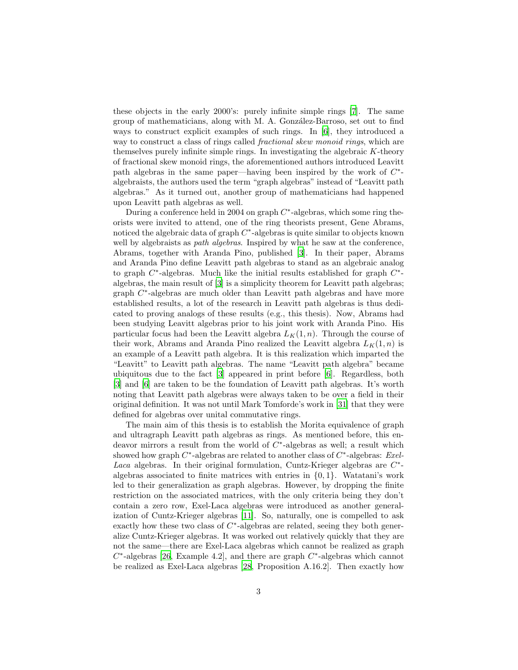these objects in the early 2000's: purely infinite simple rings [\[7\]](#page-90-4). The same group of mathematicians, along with M. A. González-Barroso, set out to find ways to construct explicit examples of such rings. In [\[6\]](#page-90-5), they introduced a way to construct a class of rings called *fractional skew monoid rings*, which are themselves purely infinite simple rings. In investigating the algebraic K-theory of fractional skew monoid rings, the aforementioned authors introduced Leavitt path algebras in the same paper—having been inspired by the work of  $C^*$ algebraists, the authors used the term "graph algebras" instead of "Leavitt path algebras." As it turned out, another group of mathematicians had happened upon Leavitt path algebras as well.

During a conference held in 2004 on graph  $C^*$ -algebras, which some ring theorists were invited to attend, one of the ring theorists present, Gene Abrams, noticed the algebraic data of graph  $C^*$ -algebras is quite similar to objects known well by algebraists as *path algebras*. Inspired by what he saw at the conference, Abrams, together with Aranda Pino, published [\[3\]](#page-89-1). In their paper, Abrams and Aranda Pino define Leavitt path algebras to stand as an algebraic analog to graph  $C^*$ -algebras. Much like the initial results established for graph  $C^*$ algebras, the main result of [\[3\]](#page-89-1) is a simplicity theorem for Leavitt path algebras; graph  $C^*$ -algebras are much older than Leavitt path algebras and have more established results, a lot of the research in Leavitt path algebras is thus dedicated to proving analogs of these results (e.g., this thesis). Now, Abrams had been studying Leavitt algebras prior to his joint work with Aranda Pino. His particular focus had been the Leavitt algebra  $L_K(1, n)$ . Through the course of their work, Abrams and Aranda Pino realized the Leavitt algebra  $L_K(1,n)$  is an example of a Leavitt path algebra. It is this realization which imparted the "Leavitt" to Leavitt path algebras. The name "Leavitt path algebra" became ubiquitous due to the fact [\[3](#page-89-1)] appeared in print before [\[6\]](#page-90-5). Regardless, both [\[3\]](#page-89-1) and [\[6](#page-90-5)] are taken to be the foundation of Leavitt path algebras. It's worth noting that Leavitt path algebras were always taken to be over a field in their original definition. It was not until Mark Tomforde's work in [\[31\]](#page-91-1) that they were defined for algebras over unital commutative rings.

The main aim of this thesis is to establish the Morita equivalence of graph and ultragraph Leavitt path algebras as rings. As mentioned before, this endeavor mirrors a result from the world of  $C^*$ -algebras as well; a result which showed how graph  $C^*$ -algebras are related to another class of  $C^*$ -algebras: Exel-Laca algebras. In their original formulation, Cuntz-Krieger algebras are  $C^*$ algebras associated to finite matrices with entries in  ${0, 1}$ . Watatani's work led to their generalization as graph algebras. However, by dropping the finite restriction on the associated matrices, with the only criteria being they don't contain a zero row, Exel-Laca algebras were introduced as another generalization of Cuntz-Krieger algebras [\[11\]](#page-90-6). So, naturally, one is compelled to ask exactly how these two class of  $C^*$ -algebras are related, seeing they both generalize Cuntz-Krieger algebras. It was worked out relatively quickly that they are not the same—there are Exel-Laca algebras which cannot be realized as graph  $C^*$ -algebras [\[26,](#page-91-2) Example 4.2], and there are graph  $C^*$ -algebras which cannot be realized as Exel-Laca algebras [\[28](#page-91-3), Proposition A.16.2]. Then exactly how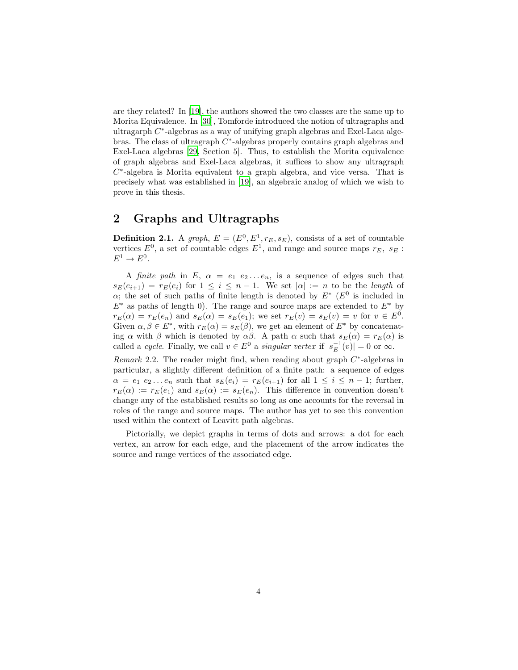are they related? In [\[19\]](#page-90-7), the authors showed the two classes are the same up to Morita Equivalence. In [\[30](#page-91-4)], Tomforde introduced the notion of ultragraphs and ultragarph C<sup>\*</sup>-algebras as a way of unifying graph algebras and Exel-Laca algebras. The class of ultragraph  $C^*$ -algebras properly contains graph algebras and Exel-Laca algebras [\[29](#page-91-5), Section 5]. Thus, to establish the Morita equivalence of graph algebras and Exel-Laca algebras, it suffices to show any ultragraph  $C^*$ -algebra is Morita equivalent to a graph algebra, and vice versa. That is precisely what was established in [\[19](#page-90-7)], an algebraic analog of which we wish to prove in this thesis.

### 2 Graphs and Ultragraphs

**Definition 2.1.** A graph,  $E = (E^0, E^1, r_E, s_E)$ , consists of a set of countable vertices  $E^0$ , a set of countable edges  $E^1$ , and range and source maps  $r_E$ ,  $s_E$ :  $E^1 \to E^0$ .

A finite path in E,  $\alpha = e_1 \, e_2 \ldots e_n$ , is a sequence of edges such that  $s_E(e_{i+1}) = r_E(e_i)$  for  $1 \leq i \leq n-1$ . We set  $|\alpha| := n$  to be the length of  $\alpha$ ; the set of such paths of finite length is denoted by  $E^*$  ( $E^0$  is included in  $E^*$  as paths of length 0). The range and source maps are extended to  $E^*$  by  $r_E(\alpha) = r_E(e_n)$  and  $s_E(\alpha) = s_E(e_1)$ ; we set  $r_E(v) = s_E(v) = v$  for  $v \in E^0$ . Given  $\alpha, \beta \in E^*$ , with  $r_E(\alpha) = s_E(\beta)$ , we get an element of  $E^*$  by concatenating  $\alpha$  with  $\beta$  which is denoted by  $\alpha\beta$ . A path  $\alpha$  such that  $s_E(\alpha) = r_E(\alpha)$  is called a cycle. Finally, we call  $v \in E^0$  a singular vertex if  $|s_E^{-1}(v)| = 0$  or  $\infty$ .

Remark 2.2. The reader might find, when reading about graph  $C^*$ -algebras in particular, a slightly different definition of a finite path: a sequence of edges  $\alpha = e_1 \, e_2 \ldots e_n$  such that  $s_E(e_i) = r_E(e_{i+1})$  for all  $1 \leq i \leq n-1$ ; further,  $r_E(\alpha) := r_E(e_1)$  and  $s_E(\alpha) := s_E(e_n)$ . This difference in convention doesn't change any of the established results so long as one accounts for the reversal in roles of the range and source maps. The author has yet to see this convention used within the context of Leavitt path algebras.

Pictorially, we depict graphs in terms of dots and arrows: a dot for each vertex, an arrow for each edge, and the placement of the arrow indicates the source and range vertices of the associated edge.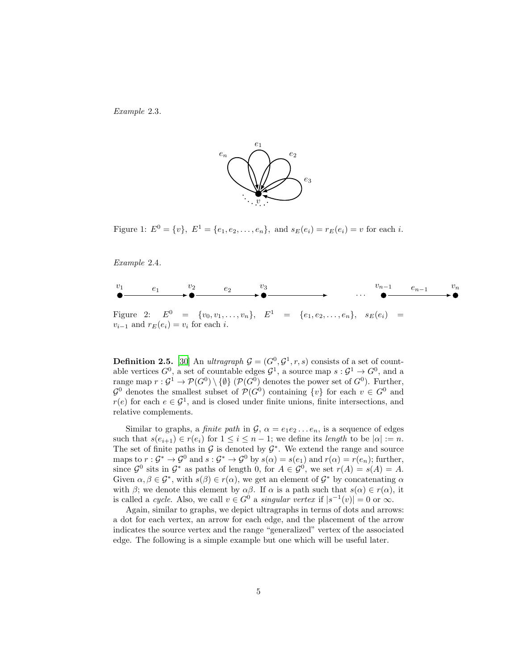<span id="page-4-0"></span>Example 2.3.



Figure 1:  $E^0 = \{v\}, E^1 = \{e_1, e_2, \dots, e_n\}, \text{ and } s_E(e_i) = r_E(e_i) = v \text{ for each } i.$ 

<span id="page-4-1"></span>Example 2.4.



**Definition 2.5.** [\[30](#page-91-4)] An *ultragraph*  $G = (G^0, G^1, r, s)$  consists of a set of countable vertices  $G^0$ , a set of countable edges  $G^1$ , a source map  $s: G^1 \to G^0$ , and a range map  $r: \mathcal{G}^1 \to \mathcal{P}(G^0) \setminus \{ \emptyset \}$  ( $\mathcal{P}(G^0)$ ) denotes the power set of  $G^0$ ). Further,  $\mathcal{G}^0$  denotes the smallest subset of  $\mathcal{P}(G^0)$  containing  $\{v\}$  for each  $v \in G^0$  and  $r(e)$  for each  $e \in \mathcal{G}^1$ , and is closed under finite unions, finite intersections, and relative complements.

Similar to graphs, a *finite path* in  $\mathcal{G}, \alpha = e_1 e_2 \dots e_n$ , is a sequence of edges such that  $s(e_{i+1}) \in r(e_i)$  for  $1 \leq i \leq n-1$ ; we define its length to be  $|\alpha| := n$ . The set of finite paths in  $\mathcal G$  is denoted by  $\mathcal G^*$ . We extend the range and source maps to  $r: \mathcal{G}^* \to \mathcal{G}^0$  and  $s: \mathcal{G}^* \to \mathcal{G}^0$  by  $s(\alpha) = s(e_1)$  and  $r(\alpha) = r(e_n)$ ; further, since  $\mathcal{G}^0$  sits in  $\mathcal{G}^*$  as paths of length 0, for  $A \in \mathcal{G}^0$ , we set  $r(A) = s(A) = A$ . Given  $\alpha, \beta \in \mathcal{G}^*$ , with  $s(\beta) \in r(\alpha)$ , we get an element of  $\mathcal{G}^*$  by concatenating  $\alpha$ with β; we denote this element by  $\alpha\beta$ . If  $\alpha$  is a path such that  $s(\alpha) \in r(\alpha)$ , it is called a cycle. Also, we call  $v \in G^0$  a singular vertex if  $|s^{-1}(v)| = 0$  or  $\infty$ .

Again, similar to graphs, we depict ultragraphs in terms of dots and arrows: a dot for each vertex, an arrow for each edge, and the placement of the arrow indicates the source vertex and the range "generalized" vertex of the associated edge. The following is a simple example but one which will be useful later.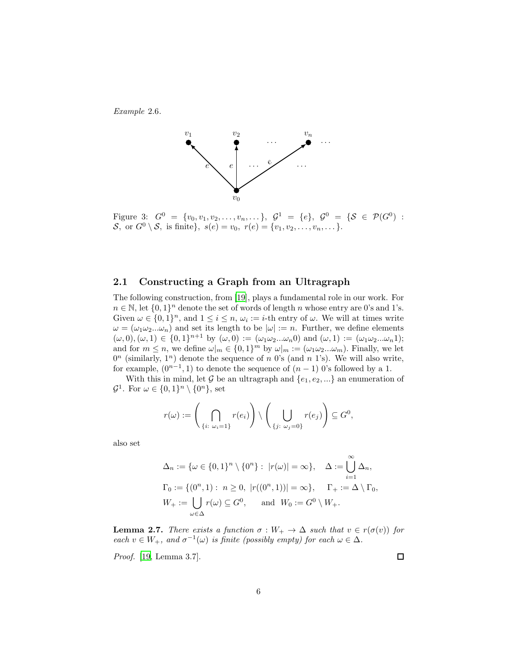<span id="page-5-1"></span>Example 2.6.



Figure 3:  $G^0 = \{v_0, v_1, v_2, \ldots, v_n, \ldots\}, \ G^1 = \{e\}, \ G^0 = \{S \in \mathcal{P}(G^0) :$ S, or  $G^0 \setminus S$ , is finite},  $s(e) = v_0, r(e) = \{v_1, v_2, \ldots, v_n, \ldots\}$ .

#### 2.1 Constructing a Graph from an Ultragraph

The following construction, from [\[19](#page-90-7)], plays a fundamental role in our work. For  $n \in \mathbb{N}$ , let  $\{0,1\}^n$  denote the set of words of length n whose entry are 0's and 1's. Given  $\omega \in \{0,1\}^n$ , and  $1 \leq i \leq n$ ,  $\omega_i := i$ -th entry of  $\omega$ . We will at times write  $\omega = (\omega_1 \omega_2 ... \omega_n)$  and set its length to be  $|\omega| := n$ . Further, we define elements  $(\omega, 0), (\omega, 1) \in \{0, 1\}^{n+1}$  by  $(\omega, 0) := (\omega_1 \omega_2 ... \omega_n 0)$  and  $(\omega, 1) := (\omega_1 \omega_2 ... \omega_n 1);$ and for  $m \leq n$ , we define  $\omega|_m \in \{0,1\}^m$  by  $\omega|_m := (\omega_1 \omega_2 ... \omega_m)$ . Finally, we let  $0<sup>n</sup>$  (similarly,  $1<sup>n</sup>$ ) denote the sequence of n 0's (and n 1's). We will also write, for example,  $(0^{n-1}, 1)$  to denote the sequence of  $(n-1)$  0's followed by a 1.

With this in mind, let G be an ultragraph and  $\{e_1, e_2, ...\}$  an enumeration of  $\mathcal{G}^1$ . For  $\omega \in \{0,1\}^n \setminus \{0^n\}$ , set

$$
r(\omega) := \left(\bigcap_{\{i:\ \omega_i=1\}} r(e_i)\right) \setminus \left(\bigcup_{\{j:\ \omega_j=0\}} r(e_j)\right) \subseteq G^0,
$$

also set

$$
\Delta_n := \{ \omega \in \{0,1\}^n \setminus \{0^n\} : |r(\omega)| = \infty \}, \quad \Delta := \bigcup_{i=1}^{\infty} \Delta_n,
$$
  

$$
\Gamma_0 := \{ (0^n, 1) : n \ge 0, |r((0^n, 1))| = \infty \}, \quad \Gamma_+ := \Delta \setminus \Gamma_0,
$$
  

$$
W_+ := \bigcup_{\omega \in \Delta} r(\omega) \subseteq G^0, \quad \text{and} \quad W_0 := G^0 \setminus W_+.
$$

<span id="page-5-0"></span>**Lemma 2.7.** There exists a function  $\sigma : W_+ \to \Delta$  such that  $v \in r(\sigma(v))$  for each  $v \in W_+$ , and  $\sigma^{-1}(\omega)$  is finite (possibly empty) for each  $\omega \in \Delta$ .

Proof. [\[19,](#page-90-7) Lemma 3.7].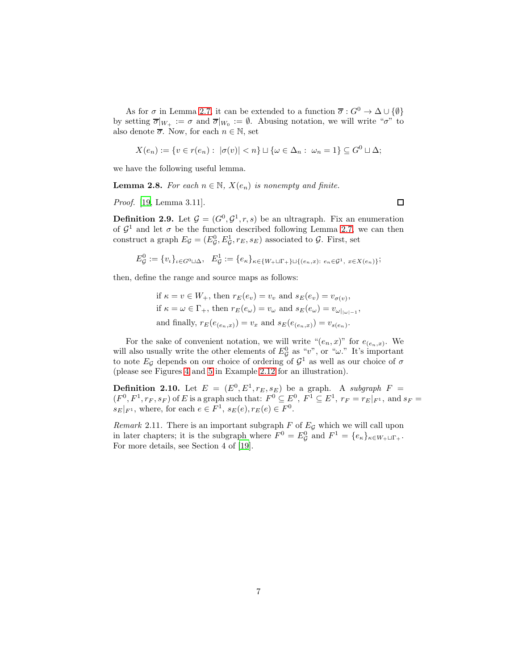As for  $\sigma$  in Lemma [2.7,](#page-5-0) it can be extended to a function  $\overline{\sigma}: G^0 \to \Delta \cup {\emptyset}$ by setting  $\overline{\sigma}|_{W_+} := \sigma$  and  $\overline{\sigma}|_{W_0} := \emptyset$ . Abusing notation, we will write " $\sigma$ " to also denote  $\overline{\sigma}$ . Now, for each  $n \in \mathbb{N}$ , set

$$
X(e_n) := \{ v \in r(e_n) : |\sigma(v)| < n \} \sqcup \{ \omega \in \Delta_n : \omega_n = 1 \} \subseteq G^0 \sqcup \Delta;
$$

we have the following useful lemma.

**Lemma 2.8.** For each  $n \in \mathbb{N}$ ,  $X(e_n)$  is nonempty and finite.

Proof. [\[19,](#page-90-7) Lemma 3.11].

 $\Box$ 

<span id="page-6-0"></span>**Definition 2.9.** Let  $\mathcal{G} = (G^0, \mathcal{G}^1, r, s)$  be an ultragraph. Fix an enumeration of  $\mathcal{G}^1$  and let  $\sigma$  be the function described following Lemma [2.7,](#page-5-0) we can then construct a graph  $E_{\mathcal{G}} = (E_{\mathcal{G}}^0, E_{\mathcal{G}}^1, r_E, s_E)$  associated to  $\mathcal{G}$ . First, set

$$
E_{\mathcal{G}}^{0} := \{v_{\iota}\}_{{\iota} \in G^{0} \sqcup \Delta}, \quad E_{\mathcal{G}}^{1} := \{e_{\kappa}\}_{{\kappa} \in \{W_{+} \sqcup \Gamma_{+}\} \sqcup \{(e_{n}, x): e_{n} \in \mathcal{G}^{1}, x \in X(e_{n})\}};
$$

then, define the range and source maps as follows:

if 
$$
\kappa = v \in W_+
$$
, then  $r_E(e_v) = v_v$  and  $s_E(e_v) = v_{\sigma(v)}$ ,  
if  $\kappa = \omega \in \Gamma_+$ , then  $r_E(e_\omega) = v_\omega$  and  $s_E(e_\omega) = v_{\omega|_{|\omega|-1}}$ ,  
and finally,  $r_E(e_{(e_n,x)}) = v_x$  and  $s_E(e_{(e_n,x)}) = v_{s(e_n)}$ .

For the sake of convenient notation, we will write " $(e_n, x)$ " for  $e_{(e_n, x)}$ . We will also usually write the other elements of  $E_{\mathcal{G}}^0$  as "v", or " $\omega$ ." It's important to note  $E_{\mathcal{G}}$  depends on our choice of ordering of  $\mathcal{G}^1$  as well as our choice of  $\sigma$ (please see Figures [4](#page-7-0) and [5](#page-8-0) in Example [2.12](#page-7-1) for an illustration).

**Definition 2.10.** Let  $E = (E^0, E^1, r_E, s_E)$  be a graph. A subgraph  $F =$  $(F^0, F^1, r_F, s_F)$  of E is a graph such that:  $F^0 \subseteq E^0$ ,  $F^1 \subseteq E^1$ ,  $r_F = r_E|_{F^1}$ , and  $s_F =$  $s_E|_{F^1}$ , where, for each  $e \in F^1$ ,  $s_E(e), r_E(e) \in F^0$ .

Remark 2.11. There is an important subgraph  $F$  of  $E<sub>G</sub>$  which we will call upon in later chapters; it is the subgraph where  $F^0 = E^0_{\mathcal{G}}$  and  $F^1 = \{e_{\kappa}\}_{{\kappa} \in W_+ \sqcup \Gamma_+}$ . For more details, see Section 4 of [\[19](#page-90-7)].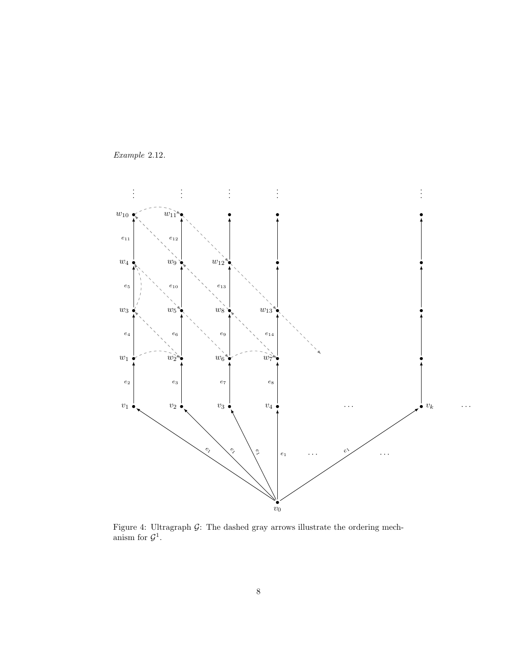

<span id="page-7-1"></span><span id="page-7-0"></span>Example 2.12.

Figure 4: Ultragraph  $G$ : The dashed gray arrows illustrate the ordering mechanism for  $\mathcal{G}^1$ .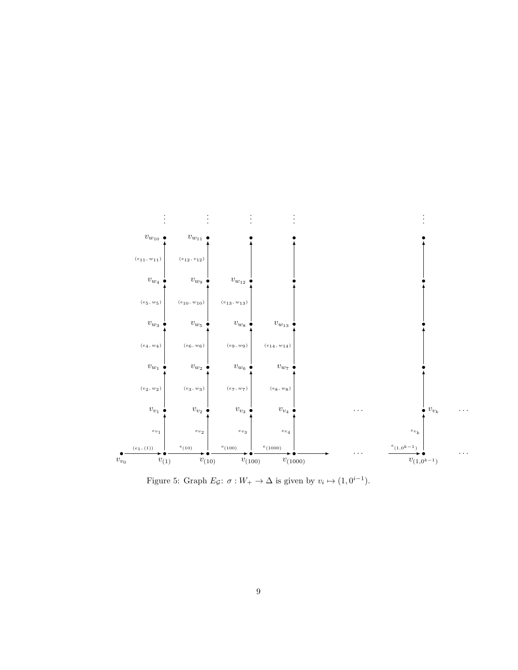<span id="page-8-0"></span>

Figure 5: Graph  $E_g: \sigma: W_+ \to \Delta$  is given by  $v_i \mapsto (1, 0^{i-1})$ .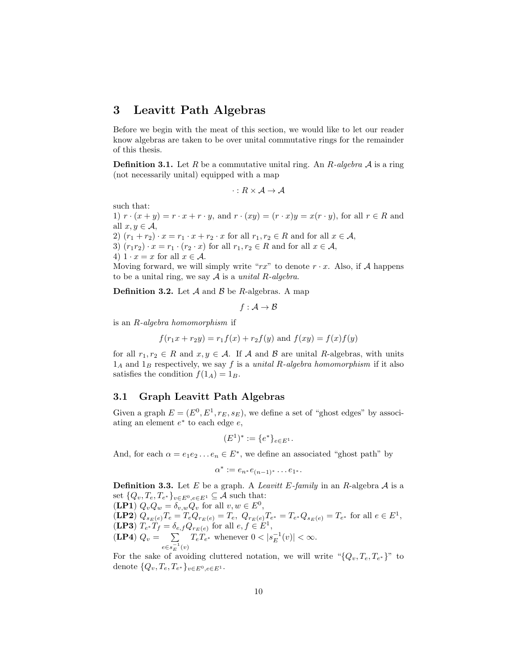### 3 Leavitt Path Algebras

Before we begin with the meat of this section, we would like to let our reader know algebras are taken to be over unital commutative rings for the remainder of this thesis.

<span id="page-9-0"></span>**Definition 3.1.** Let R be a commutative unital ring. An R-algebra  $\mathcal A$  is a ring (not necessarily unital) equipped with a map

$$
\cdot: R \times \mathcal{A} \to \mathcal{A}
$$

such that:

1)  $r \cdot (x + y) = r \cdot x + r \cdot y$ , and  $r \cdot (xy) = (r \cdot x)y = x(r \cdot y)$ , for all  $r \in R$  and all  $x, y \in \mathcal{A}$ , 2)  $(r_1 + r_2) \cdot x = r_1 \cdot x + r_2 \cdot x$  for all  $r_1, r_2 \in R$  and for all  $x \in A$ , 3)  $(r_1r_2) \cdot x = r_1 \cdot (r_2 \cdot x)$  for all  $r_1, r_2 \in R$  and for all  $x \in A$ ,

4)  $1 \cdot x = x$  for all  $x \in \mathcal{A}$ .

Moving forward, we will simply write " $rx$ " to denote  $r \cdot x$ . Also, if A happens to be a unital ring, we say  $A$  is a unital R-algebra.

**Definition 3.2.** Let  $\mathcal A$  and  $\mathcal B$  be R-algebras. A map

$$
f:\mathcal{A}\rightarrow \mathcal{B}
$$

is an R-algebra homomorphism if

$$
f(r_1x + r_2y) = r_1f(x) + r_2f(y)
$$
 and  $f(xy) = f(x)f(y)$ 

for all  $r_1, r_2 \in R$  and  $x, y \in A$ . If A and B are unital R-algebras, with units  $1_A$  and  $1_B$  respectively, we say f is a unital R-algebra homomorphism if it also satisfies the condition  $f(1_A) = 1_B$ .

#### 3.1 Graph Leavitt Path Algebras

Given a graph  $E = (E^0, E^1, r_E, s_E)$ , we define a set of "ghost edges" by associating an element  $e^*$  to each edge  $e$ ,

$$
(E^1)^* := \{e^*\}_{e \in E^1}.
$$

And, for each  $\alpha = e_1 e_2 \dots e_n \in E^*$ , we define an associated "ghost path" by

$$
\alpha^* := e_{n^*}e_{(n-1)^*}\dots e_{1^*}.
$$

**Definition 3.3.** Let E be a graph. A Leavitt E-family in an R-algebra  $A$  is a set  $\{Q_v, T_e, T_{e^*}\}_{v \in E^0, e \in E^1} \subseteq \mathcal{A}$  such that:

 $(\mathbf{L} \mathbf{P} \mathbf{1}) Q_v Q_w = \delta_{v,w} Q_v \text{ for all } v, w \in E^0,$  $(\mathbf{LP2}) \; Q_{s_E(e)} T_e = T_e Q_{r_E(e)} = T_e, \; Q_{r_E(e)} T_{e^*} = T_{e^*} Q_{s_E(e)} = T_{e^*} \text{ for all } e \in E^1,$ (**LP3**)  $T_{e^*}T_f = \delta_{e,f}Q_{r_E(e)}$  for all  $e, f \in E^1$ ,  $(LP4) Q_v = \sum$  $e \in s_E^{-1}(v)$  $T_e T_{e^*}$  whenever  $0 < |s_E^{-1}(v)| < \infty$ .

For the sake of avoiding cluttered notation, we will write  $\mathcal{L}_{v}$ ,  $T_{e}, T_{e^*}$ " to denote  $\{Q_v, T_e, T_{e^*}\}_{v \in E^0, e \in E^1}$ .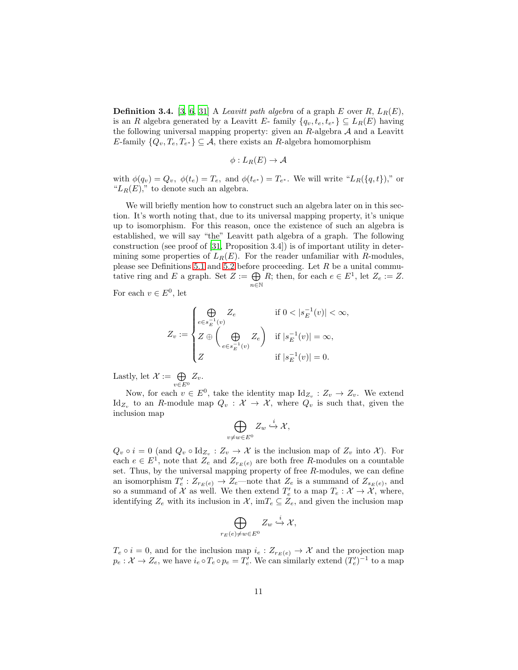<span id="page-10-0"></span>**Definition 3.4.** [\[3,](#page-89-1) [6](#page-90-5), [31](#page-91-1)] A *Leavitt path algebra* of a graph E over R,  $L_R(E)$ , is an R algebra generated by a Leavitt E- family  $\{q_v, t_e, t_{e^*}\} \subseteq L_R(E)$  having the following universal mapping property: given an  $R$ -algebra  $A$  and a Leavitt E-family  $\{Q_v, T_e, T_{e^*}\}\subseteq \mathcal{A}$ , there exists an R-algebra homomorphism

$$
\phi: L_R(E) \to \mathcal{A}
$$

with  $\phi(q_v) = Q_v$ ,  $\phi(t_e) = T_e$ , and  $\phi(t_{e^*}) = T_{e^*}$ . We will write " $L_R(\lbrace q, t \rbrace)$ ," or " $L_R(E)$ ," to denote such an algebra.

We will briefly mention how to construct such an algebra later on in this section. It's worth noting that, due to its universal mapping property, it's unique up to isomorphism. For this reason, once the existence of such an algebra is established, we will say "the" Leavitt path algebra of a graph. The following construction (see proof of [\[31,](#page-91-1) Proposition 3.4]) is of important utility in determining some properties of  $L_R(E)$ . For the reader unfamiliar with R-modules, please see Definitions [5.1](#page-24-0) and [5.2](#page-24-1) before proceeding. Let  $R$  be a unital commutative ring and E a graph. Set  $Z := \bigoplus$  $n\bar{\in}\mathbb{N}$ R; then, for each  $e \in E^1$ , let  $Z_e := Z$ .

For each  $v \in E^0$ , let

$$
Z_v := \begin{cases} \bigoplus_{e \in s_E^{-1}(v)} Z_e & \text{if } 0 < |s_E^{-1}(v)| < \infty, \\ Z \oplus \left( \bigoplus_{e \in s_E^{-1}(v)} Z_e \right) & \text{if } |s_E^{-1}(v)| = \infty, \\ Z & \text{if } |s_E^{-1}(v)| = 0. \end{cases}
$$

Lastly, let  $\mathcal{X} := \bigoplus$  $\bigoplus_{v\in E^0}Z_v.$ 

Now, for each  $v \in E^0$ , take the identity map  $\mathrm{Id}_{Z_v} : Z_v \to Z_v$ . We extend  $\mathrm{Id}_{Z_v}$  to an R-module map  $Q_v : \mathcal{X} \to \mathcal{X}$ , where  $Q_v$  is such that, given the inclusion map

$$
\bigoplus_{v\neq w\in E^0} Z_w \stackrel{i}{\hookrightarrow} \mathcal{X},
$$

 $Q_v \circ i = 0$  (and  $Q_v \circ \text{Id}_{Z_v} : Z_v \to \mathcal{X}$  is the inclusion map of  $Z_v$  into  $\mathcal{X}$ ). For each  $e \in E^1$ , note that  $Z_e$  and  $Z_{r_E(e)}$  are both free R-modules on a countable set. Thus, by the universal mapping property of free  $R$ -modules, we can define an isomorphism  $T'_e: Z_{r_E(e)} \to Z_e$ —note that  $Z_e$  is a summand of  $Z_{s_E(e)}$ , and so a summand of  $\mathcal X$  as well. We then extend  $T'_e$  to a map  $T_e : \mathcal X \to \mathcal X$ , where, identifying  $Z_e$  with its inclusion in  $\mathcal{X}$ , im $T_e \subseteq Z_e$ , and given the inclusion map

$$
\bigoplus_{r_E(e)\neq w\in E^0} Z_w \stackrel{i}{\hookrightarrow} \mathcal{X},
$$

 $T_e \circ i = 0$ , and for the inclusion map  $i_e : Z_{r_E(e)} \to \mathcal{X}$  and the projection map  $p_e: \mathcal{X} \to Z_e$ , we have  $i_e \circ T_e \circ p_e = T'_e$ . We can similarly extend  $(T'_e)^{-1}$  to a map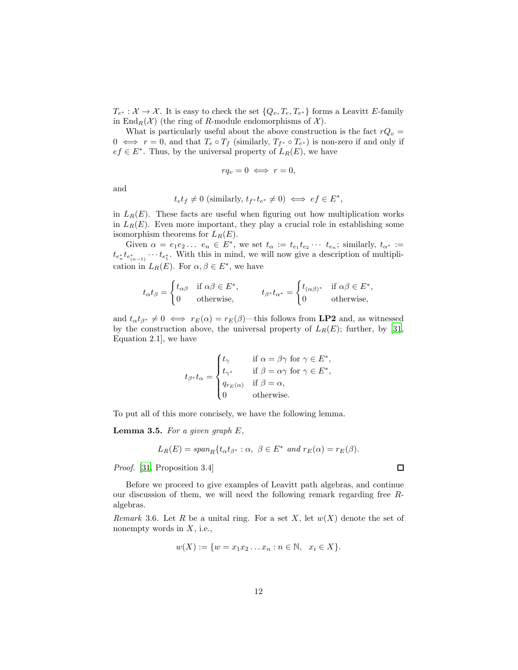$T_{e^*}: \mathcal{X} \to \mathcal{X}$ . It is easy to check the set  $\{Q_v, T_e, T_{e^*}\}\)$  forms a Leavitt E-family in End<sub>R</sub>( $\mathcal{X}$ ) (the ring of R-module endomorphisms of  $\mathcal{X}$ ).

What is particularly useful about the above construction is the fact  $rQ_v =$  $0 \iff r = 0$ , and that  $T_e \circ T_f$  (similarly,  $T_{f^*} \circ T_{e^*}$ ) is non-zero if and only if  $ef \in E^*$ . Thus, by the universal property of  $L_R(E)$ , we have

$$
rq_v = 0 \iff r = 0,
$$

and

$$
t_{e}t_{f} \neq 0
$$
 (similarly,  $t_{f^*}t_{e^*} \neq 0$ )  $\iff ef \in E^*$ ,

in  $L_R(E)$ . These facts are useful when figuring out how multiplication works in  $L_R(E)$ . Even more important, they play a crucial role in establishing some isomorphism theorems for  $L_R(E)$ .

Given  $\alpha = e_1 e_2 ... e_n \in E^*$ , we set  $t_\alpha := t_{e_1} t_{e_2} ... t_{e_n}$ ; similarly,  $t_{\alpha^*} :=$  $t_{e_n^*}t_{e_{(n-1)}^*}\cdots t_{e_1^*}$ . With this in mind, we will now give a description of multiplication in  $L_R(E)$ . For  $\alpha, \beta \in E^*$ , we have

$$
t_{\alpha}t_{\beta} = \begin{cases} t_{\alpha\beta} & \text{if } \alpha\beta \in E^*, \\ 0 & \text{otherwise,} \end{cases} \qquad t_{\beta^*}t_{\alpha^*} = \begin{cases} t_{(\alpha\beta)^*} & \text{if } \alpha\beta \in E^*, \\ 0 & \text{otherwise,} \end{cases}
$$

and  $t_{\alpha}t_{\beta^*} \neq 0 \iff r_E(\alpha) = r_E(\beta)$ —this follows from **LP2** and, as witnessed by the construction above, the universal property of  $L_R(E)$ ; further, by [\[31,](#page-91-1) Equation 2.1], we have

$$
t_{\beta^*}t_{\alpha} = \begin{cases} t_{\gamma} & \text{if } \alpha = \beta\gamma \text{ for } \gamma \in E^*, \\ t_{\gamma^*} & \text{if } \beta = \alpha\gamma \text{ for } \gamma \in E^*, \\ q_{r_E(\alpha)} & \text{if } \beta = \alpha, \\ 0 & \text{otherwise}. \end{cases}
$$

To put all of this more concisely, we have the following lemma.

<span id="page-11-1"></span>**Lemma 3.5.** For a given graph  $E$ ,

$$
L_R(E) = span_R \{ t_\alpha t_{\beta^*} : \alpha, \ \beta \in E^* \ \text{and} \ r_E(\alpha) = r_E(\beta).
$$

Proof. [\[31,](#page-91-1) Proposition 3.4]

Before we proceed to give examples of Leavitt path algebras, and continue our discussion of them, we will need the following remark regarding free Ralgebras.

<span id="page-11-0"></span>Remark 3.6. Let R be a unital ring. For a set X, let  $w(X)$  denote the set of nonempty words in  $X$ , i.e.,

$$
w(X) := \{ w = x_1 x_2 \dots x_n : n \in \mathbb{N}, \ x_i \in X \}.
$$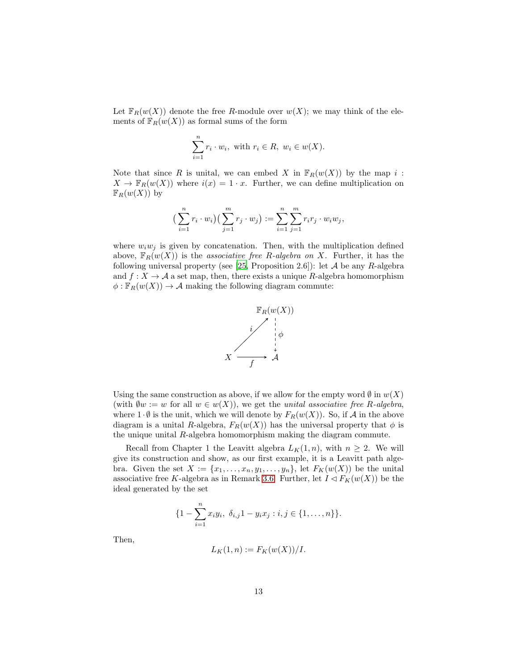Let  $\mathbb{F}_R(w(X))$  denote the free R-module over  $w(X)$ ; we may think of the elements of  $\mathbb{F}_R(w(X))$  as formal sums of the form

$$
\sum_{i=1}^{n} r_i \cdot w_i, \text{ with } r_i \in R, w_i \in w(X).
$$

Note that since R is unital, we can embed X in  $\mathbb{F}_R(w(X))$  by the map i:  $X \to \mathbb{F}_R(w(X))$  where  $i(x) = 1 \cdot x$ . Further, we can define multiplication on  $\mathbb{F}_R(w(X))$  by

$$
\left(\sum_{i=1}^n r_i \cdot w_i\right) \left(\sum_{j=1}^m r_j \cdot w_j\right) := \sum_{i=1}^n \sum_{j=1}^m r_i r_j \cdot w_i w_j,
$$

where  $w_iw_j$  is given by concatenation. Then, with the multiplication defined above,  $\mathbb{F}_R(w(X))$  is the associative free R-algebra on X. Further, it has the following universal property (see [\[25](#page-91-6), Proposition 2.6]): let  $A$  be any R-algebra and  $f: X \to \mathcal{A}$  a set map, then, there exists a unique R-algebra homomorphism  $\phi: \mathbb{F}_R(w(X)) \to \mathcal{A}$  making the following diagram commute:



Using the same construction as above, if we allow for the empty word  $\emptyset$  in  $w(X)$ (with  $\emptyset w := w$  for all  $w \in w(X)$ ), we get the *unital associative free R-algebra*, where  $1 \cdot \emptyset$  is the unit, which we will denote by  $F_R(w(X))$ . So, if A in the above diagram is a unital R-algebra,  $F_R(w(X))$  has the universal property that  $\phi$  is the unique unital R-algebra homomorphism making the diagram commute.

Recall from Chapter 1 the Leavitt algebra  $L_K(1,n)$ , with  $n \geq 2$ . We will give its construction and show, as our first example, it is a Leavitt path algebra. Given the set  $X := \{x_1, \ldots, x_n, y_1, \ldots, y_n\}$ , let  $F_K(w(X))$  be the unital associative free K-algebra as in Remark [3.6.](#page-11-0) Further, let  $I \lhd F_K(w(X))$  be the ideal generated by the set

$$
\{1-\sum_{i=1}^n x_iy_i, \ \delta_{i,j}1-y_ix_j : i,j\in\{1,\ldots,n\}\}.
$$

Then,

$$
L_K(1,n) := F_K(w(X))/I.
$$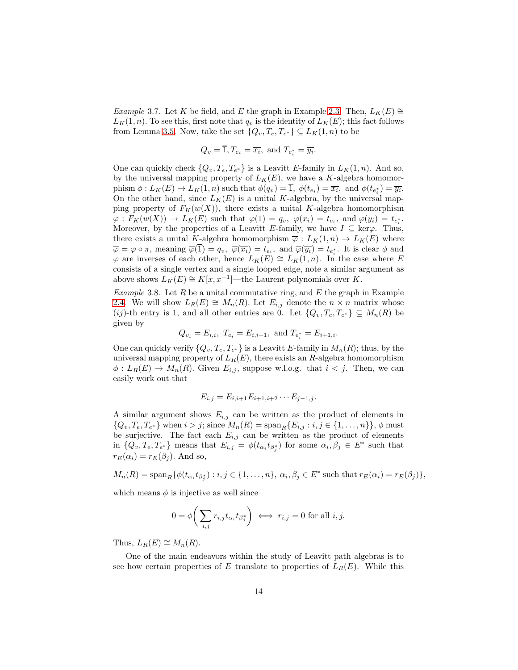Example 3.7. Let K be field, and E the graph in Example [2.3.](#page-4-0) Then,  $L_K(E) \cong$  $L_K(1,n)$ . To see this, first note that  $q_v$  is the identity of  $L_K(E)$ ; this fact follows from Lemma [3.5.](#page-11-1) Now, take the set  $\{Q_v, T_e, T_{e^*}\}\subseteq L_K(1,n)$  to be

$$
Q_v = \overline{1}, T_{e_i} = \overline{x_i}, \text{ and } T_{e_i^*} = \overline{y_i}
$$

.

One can quickly check  $\{Q_v, T_e, T_{e^*}\}\$ is a Leavitt E-family in  $L_K(1,n)$ . And so, by the universal mapping property of  $L_K(E)$ , we have a K-algebra homomorphism  $\phi: L_K(E) \to L_K(1,n)$  such that  $\phi(q_v) = \overline{1}, \ \phi(t_{e_i}) = \overline{x_i}, \text{ and } \phi(t_{e_i^*}) = \overline{y_i}.$ On the other hand, since  $L_K(E)$  is a unital K-algebra, by the universal mapping property of  $F_K(w(X))$ , there exists a unital K-algebra homomorphism  $\varphi: F_K(w(X)) \to L_K(E)$  such that  $\varphi(1) = q_v$ ,  $\varphi(x_i) = t_{e_i}$ , and  $\varphi(y_i) = t_{e_i^*}$ . Moreover, by the properties of a Leavitt E-family, we have  $I \subseteq \text{ker}\varphi$ . Thus, there exists a unital K-algebra homomorphism  $\overline{\varphi}: L_K(1,n) \to L_K(E)$  where  $\overline{\varphi} = \varphi \circ \pi$ , meaning  $\overline{\varphi}(1) = q_v$ ,  $\overline{\varphi}(\overline{x_i}) = t_{e_i}$ , and  $\overline{\varphi}(\overline{y_i}) = t_{e_i^*}$ . It is clear  $\phi$  and  $\varphi$  are inverses of each other, hence  $L_K(E) \cong L_K(1,n)$ . In the case where E consists of a single vertex and a single looped edge, note a similar argument as above shows  $L_K(E) \cong K[x, x^{-1}]$ —the Laurent polynomials over K.

<span id="page-13-0"></span>Example 3.8. Let R be a unital commutative ring, and  $E$  the graph in Example [2.4.](#page-4-1) We will show  $L_R(E) \cong M_n(R)$ . Let  $E_{i,j}$  denote the  $n \times n$  matrix whose (ij)-th entry is 1, and all other entries are 0. Let  $\{Q_v, T_e, T_{e^*}\}\subseteq M_n(R)$  be given by

$$
Q_{v_i} = E_{i,i}, T_{e_i} = E_{i,i+1}, \text{ and } T_{e_i^*} = E_{i+1,i}.
$$

One can quickly verify  $\{Q_v, T_e, T_{e^*}\}\$ is a Leavitt E-family in  $M_n(R)$ ; thus, by the universal mapping property of  $L_R(E)$ , there exists an R-algebra homomorphism  $\phi: L_R(E) \to M_n(R)$ . Given  $E_{i,j}$ , suppose w.l.o.g. that  $i < j$ . Then, we can easily work out that

$$
E_{i,j} = E_{i,i+1} E_{i+1,i+2} \cdots E_{j-1,j}.
$$

A similar argument shows  $E_{i,j}$  can be written as the product of elements in  $\{Q_v, T_e, T_{e^*}\}\$  when  $i > j$ ; since  $M_n(R) = \text{span}_R\{E_{i,j} : i, j \in \{1, ..., n\}\}\$ ,  $\phi$  must be surjective. The fact each  $E_{i,j}$  can be written as the product of elements in  $\{Q_v, T_e, T_{e^*}\}\$  means that  $E_{i,j} = \phi(t_{\alpha_i} t_{\beta_i^*})$  for some  $\alpha_i, \beta_j \in E^*$  such that  $r_E(\alpha_i) = r_E(\beta_i)$ . And so,

$$
M_n(R) = \operatorname{span}_R\{\phi(t_{\alpha_i}t_{\beta_j^*}): i, j \in \{1, \ldots, n\}, \alpha_i, \beta_j \in E^* \text{ such that } r_E(\alpha_i) = r_E(\beta_j)\},\
$$

which means  $\phi$  is injective as well since

$$
0 = \phi\bigg(\sum_{i,j} r_{i,j} t_{\alpha_i} t_{\beta_j^*}\bigg) \iff r_{i,j} = 0 \text{ for all } i, j.
$$

Thus,  $L_R(E) \cong M_n(R)$ .

One of the main endeavors within the study of Leavitt path algebras is to see how certain properties of E translate to properties of  $L_R(E)$ . While this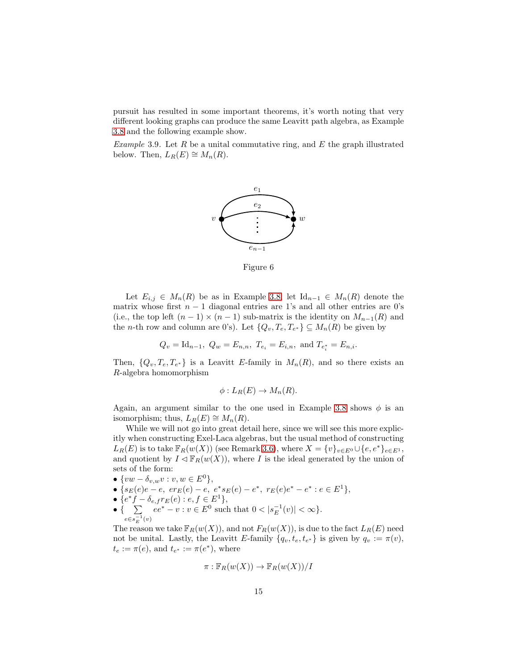pursuit has resulted in some important theorems, it's worth noting that very different looking graphs can produce the same Leavitt path algebra, as Example [3.8](#page-13-0) and the following example show.

Example 3.9. Let R be a unital commutative ring, and  $E$  the graph illustrated below. Then,  $L_R(E) \cong M_n(R)$ .



Figure 6

Let  $E_{i,j} \in M_n(R)$  be as in Example [3.8,](#page-13-0) let  $\mathrm{Id}_{n-1} \in M_n(R)$  denote the matrix whose first  $n - 1$  diagonal entries are 1's and all other entries are 0's (i.e., the top left  $(n-1) \times (n-1)$  sub-matrix is the identity on  $M_{n-1}(R)$  and the *n*-th row and column are 0's). Let  $\{Q_v, T_e, T_{e^*}\}\subseteq M_n(R)$  be given by

$$
Q_v = \text{Id}_{n-1}, Q_w = E_{n,n}, T_{e_i} = E_{i,n}, \text{ and } T_{e_i^*} = E_{n,i}.
$$

Then,  $\{Q_v, T_e, T_{e^*}\}\$ is a Leavitt E-family in  $M_n(R)$ , and so there exists an R-algebra homomorphism

$$
\phi: L_R(E) \to M_n(R).
$$

Again, an argument similar to the one used in Example [3.8](#page-13-0) shows  $\phi$  is an isomorphism; thus,  $L_R(E) \cong M_n(R)$ .

While we will not go into great detail here, since we will see this more explicitly when constructing Exel-Laca algebras, but the usual method of constructing  $L_R(E)$  is to take  $\mathbb{F}_R(w(X))$  (see Remark [3.6\)](#page-11-0), where  $X = \{v\}_{v \in E^0} \cup \{e, e^*\}_{e \in E^1}$ , and quotient by  $I \triangleleft \mathbb{F}_R(w(X))$ , where I is the ideal generated by the union of sets of the form:

- $\{vw \delta_{v,w}v : v, w \in E^0\},\$
- { $s_E(e)e e$ ,  $er_E(e) e$ ,  $e^*s_E(e) e^*$ ,  $r_E(e)e^* e^* : e \in E<sup>1</sup>$ },
- $\{e^*f \delta_{e,f}r_E(e) : e, f \in E^1\},\$
- { $\sum_{e \in e^{-1}(v)} ee^* v : v \in E^0$  such that  $0 < |s_E^{-1}(v)| < \infty$  }.  $e \in s_E^{-1}(v)$

The reason we take  $\mathbb{F}_R(w(X))$ , and not  $F_R(w(X))$ , is due to the fact  $L_R(E)$  need not be unital. Lastly, the Leavitt E-family  $\{q_v, t_e, t_{e^*}\}\$ is given by  $q_v := \pi(v)$ ,  $t_e := \pi(e)$ , and  $t_{e^*} := \pi(e^*)$ , where

$$
\pi: \mathbb{F}_R(w(X)) \to \mathbb{F}_R(w(X))/I
$$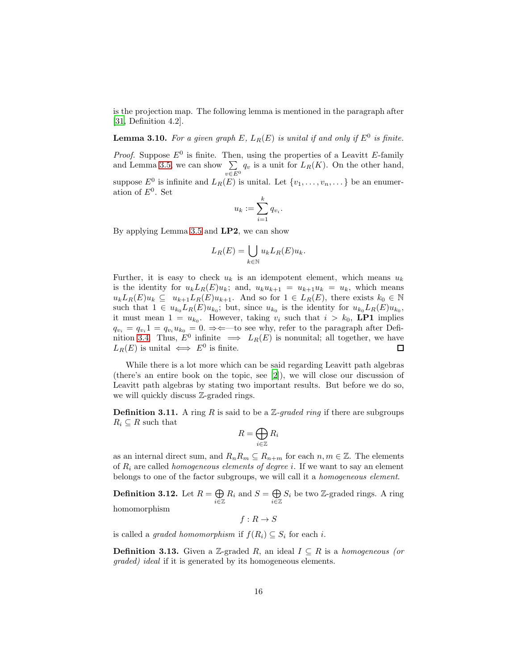is the projection map. The following lemma is mentioned in the paragraph after [\[31,](#page-91-1) Definition 4.2].

<span id="page-15-0"></span>**Lemma 3.10.** For a given graph E,  $L_R(E)$  is unital if and only if  $E^0$  is finite.

*Proof.* Suppose  $E^0$  is finite. Then, using the properties of a Leavitt E-family and Lemma [3.5,](#page-11-1) we can show  $\Sigma$  $\sum_{v \in E^0} q_v$  is a unit for  $L_R(K)$ . On the other hand, suppose  $E^0$  is infinite and  $L_R(E)$  is unital. Let  $\{v_1, \ldots, v_n, \ldots\}$  be an enumeration of  $E^0$ . Set

$$
u_k := \sum_{i=1}^k q_{v_i}.
$$

By applying Lemma [3.5](#page-11-1) and LP2, we can show

$$
L_R(E) = \bigcup_{k \in \mathbb{N}} u_k L_R(E) u_k.
$$

Further, it is easy to check  $u_k$  is an idempotent element, which means  $u_k$ is the identity for  $u_k L_R(E)u_k$ ; and,  $u_k u_{k+1} = u_{k+1}u_k = u_k$ , which means  $u_kL_R(E)u_k \subseteq u_{k+1}L_R(E)u_{k+1}$ . And so for  $1 \in L_R(E)$ , there exists  $k_0 \in \mathbb{N}$ such that  $1 \in u_{k_0} L_R(E) u_{k_0}$ ; but, since  $u_{k_0}$  is the identity for  $u_{k_0} L_R(E) u_{k_0}$ , it must mean  $1 = u_{k_0}$ . However, taking  $v_i$  such that  $i > k_0$ , LP1 implies  $q_{v_i} = q_{v_i} 1 = q_{v_i} u_{k_0} = 0. \Rightarrow \Leftarrow$  to see why, refer to the paragraph after Defi-nition [3.4.](#page-10-0) Thus,  $E^0$  infinite  $\implies L_R(E)$  is nonunital; all together, we have  $L_R(E)$  is unital  $\iff E^0$  is finite. 口

While there is a lot more which can be said regarding Leavitt path algebras (there's an entire book on the topic, see [\[2\]](#page-89-0)), we will close our discussion of Leavitt path algebras by stating two important results. But before we do so, we will quickly discuss Z-graded rings.

**Definition 3.11.** A ring R is said to be a  $\mathbb{Z}$ -graded ring if there are subgroups  $R_i \subseteq R$  such that

$$
R=\bigoplus_{i\in\mathbb{Z}}R_i
$$

as an internal direct sum, and  $R_nR_m \subseteq R_{n+m}$  for each  $n, m \in \mathbb{Z}$ . The elements of  $R_i$  are called *homogeneous elements of degree i*. If we want to say an element belongs to one of the factor subgroups, we will call it a homogeneous element.

Definition 3.12. Let  $R = \bigoplus$  $\bigoplus_{i\in\mathbb{Z}} R_i$  and  $S = \bigoplus_{i\in\mathbb{Z}} R_i$  $\bigoplus_{i\in\mathbb{Z}}S_i$  be two Z-graded rings. A ring

homomorphism

 $f: R \to S$ 

is called a *graded homomorphism* if  $f(R_i) \subseteq S_i$  for each *i*.

**Definition 3.13.** Given a Z-graded R, an ideal  $I \subseteq R$  is a homogeneous (or graded) ideal if it is generated by its homogeneous elements.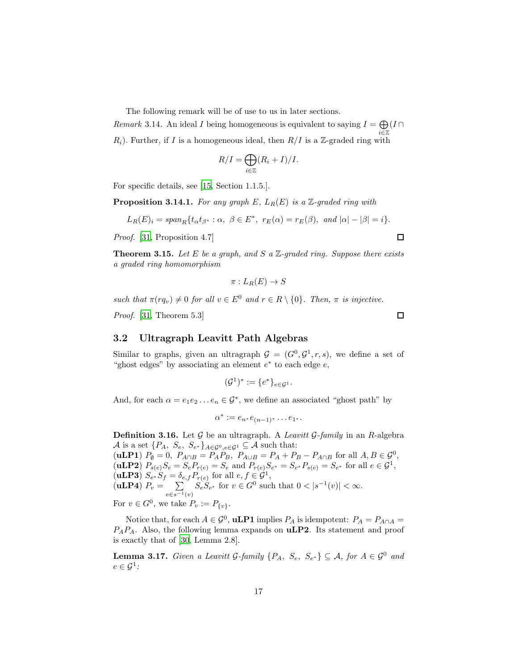The following remark will be of use to us in later sections.

Remark 3.14. An ideal I being homogeneous is equivalent to saying  $I = \bigoplus$ i∈Z  $(I \cap$  $R_i$ ). Further, if I is a homogeneous ideal, then  $R/I$  is a Z-graded ring with

$$
R/I = \bigoplus_{i \in \mathbb{Z}} (R_i + I)/I.
$$

For specific details, see [\[15,](#page-90-8) Section 1.1.5.].

<span id="page-16-1"></span>**Proposition 3.14.1.** For any graph E,  $L_R(E)$  is a Z-graded ring with

$$
L_R(E)_i=span_R\{t_\alpha t_{\beta^*}:\alpha,\ \beta\in E^*,\ r_E(\alpha)=r_E(\beta),\ \text{and}\ |\alpha|-|\beta|=i\}.
$$

Proof. [\[31,](#page-91-1) Proposition 4.7]

<span id="page-16-2"></span>**Theorem 3.15.** Let E be a graph, and S a  $\mathbb{Z}$ -graded ring. Suppose there exists a graded ring homomorphism

$$
\pi: L_R(E) \to S
$$

such that  $\pi(rq_v) \neq 0$  for all  $v \in E^0$  and  $r \in R \setminus \{0\}$ . Then,  $\pi$  is injective.

Proof. [\[31,](#page-91-1) Theorem 5.3]

#### 3.2 Ultragraph Leavitt Path Algebras

Similar to graphs, given an ultragraph  $\mathcal{G} = (G^0, \mathcal{G}^1, r, s)$ , we define a set of "ghost edges" by associating an element  $e^*$  to each edge  $e$ ,

$$
(\mathcal{G}^1)^* := \{e^*\}_{e \in \mathcal{G}^1}.
$$

And, for each  $\alpha = e_1 e_2 \dots e_n \in \mathcal{G}^*$ , we define an associated "ghost path" by

$$
\alpha^* := e_{n^*}e_{(n-1)^*}\dots e_{1^*}.
$$

**Definition 3.16.** Let  $\mathcal G$  be an ultragraph. A *Leavitt*  $\mathcal G$ -family in an R-algebra A is a set  $\{P_A, S_e, S_{e^*}\}_{A \in \mathcal{G}^0, e \in \mathcal{G}^1} \subseteq \mathcal{A}$  such that: (**uLP1**)  $P_{\emptyset} = 0$ ,  $P_{A \cap B} = P_A P_B$ ,  $P_{A \cup B} = P_A + P_B - P_{A \cap B}$  for all  $A, B \in \mathcal{G}^0$ ,

(**uLP2**)  $P_{s(e)}S_e = S_e P_{r(e)} = S_e$  and  $P_{r(e)}S_{e^*} = S_{e^*} P_{s(e)} = S_{e^*}$  for all  $e \in \mathcal{G}^1$ , (**uLP3**)  $S_{e^*}S_f = \delta_{e,f}P_{r(e)}$  for all  $e, f \in \mathcal{G}^1$ , (uLP4)  $P_v = \sum$  $e \in s^{-1}(v)$  $S_e S_{e^*}$  for  $v \in G^0$  such that  $0 < |s^{-1}(v)| < \infty$ . For  $v \in G^0$ , we take  $P_v := P_{\{v\}}$ .

Notice that, for each  $A \in \mathcal{G}^0$ , **uLP1** implies  $P_A$  is idempotent:  $P_A = P_{A \cap A}$  $P_A P_A$ . Also, the following lemma expands on  $\mathbf{uLP2}$ . Its statement and proof is exactly that of [\[30,](#page-91-4) Lemma 2.8].

<span id="page-16-0"></span>**Lemma 3.17.** Given a Leavitt G-family  $\{P_A, S_e, S_{e^*}\}\subseteq \mathcal{A}$ , for  $A \in \mathcal{G}^0$  and  $e\in \mathcal{G}^1$  :

 $\Box$ 

 $\Box$ 

17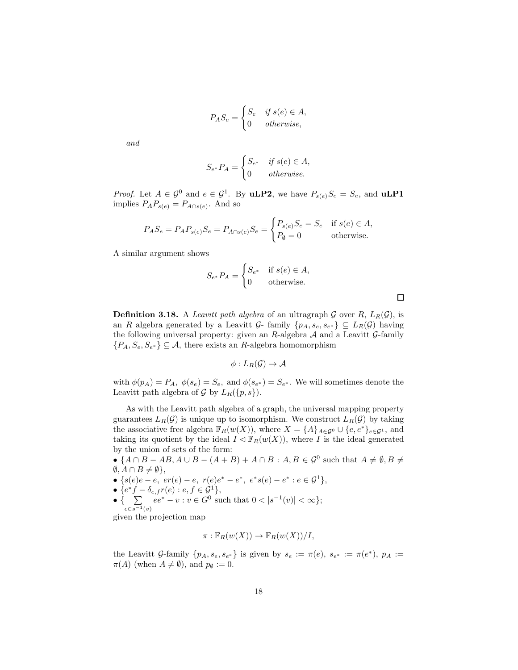$$
P_A S_e = \begin{cases} S_e & \text{if } s(e) \in A, \\ 0 & \text{otherwise,} \end{cases}
$$

and

$$
S_{e^*}P_A = \begin{cases} S_{e^*} & \text{if } s(e) \in A, \\ 0 & \text{otherwise.} \end{cases}
$$

*Proof.* Let  $A \in \mathcal{G}^0$  and  $e \in \mathcal{G}^1$ . By **uLP2**, we have  $P_{s(e)}S_e = S_e$ , and **uLP1** implies  $P_A P_{s(e)} = P_{A \cap s(e)}$ . And so

$$
P_A S_e = P_A P_{s(e)} S_e = P_{A \cap s(e)} S_e = \begin{cases} P_{s(e)} S_e = S_e & \text{if } s(e) \in A, \\ P_{\emptyset} = 0 & \text{otherwise.} \end{cases}
$$

A similar argument shows

$$
S_{e^*}P_A = \begin{cases} S_{e^*} & \text{if } s(e) \in A, \\ 0 & \text{otherwise.} \end{cases}
$$

 $\Box$ 

<span id="page-17-0"></span>**Definition 3.18.** A *Leavitt path algebra* of an ultragraph G over R,  $L_R(\mathcal{G})$ , is an R algebra generated by a Leavitt G- family  $\{p_A, s_e, s_{e^*}\} \subseteq L_R(G)$  having the following universal property: given an  $R$ -algebra  $A$  and a Leavitt  $G$ -family  $\{P_A, S_e, S_{e^*}\}\subseteq \mathcal{A}$ , there exists an R-algebra homomorphism

$$
\phi: L_R(\mathcal{G}) \to \mathcal{A}
$$

with  $\phi(p_A) = P_A$ ,  $\phi(s_e) = S_e$ , and  $\phi(s_{e^*}) = S_{e^*}$ . We will sometimes denote the Leavitt path algebra of  $G$  by  $L_R({p,s})$ .

As with the Leavitt path algebra of a graph, the universal mapping property guarantees  $L_R(\mathcal{G})$  is unique up to isomorphism. We construct  $L_R(\mathcal{G})$  by taking the associative free algebra  $\mathbb{F}_R(w(X))$ , where  $X = \{A\}_{A \in \mathcal{G}^0} \cup \{e, e^*\}_{e \in \mathcal{G}^1}$ , and taking its quotient by the ideal  $I \triangleleft \mathbb{F}_R(w(X))$ , where I is the ideal generated by the union of sets of the form:

•  ${A \cap B - AB, A \cup B - (A + B) + A \cap B : A, B \in \mathcal{G}^0 \text{ such that } A \neq \emptyset, B \neq$  $\emptyset, A \cap B \neq \emptyset$ ,

- { $s(e)e e$ ,  $er(e) e$ ,  $r(e)e^* e^*$ ,  $e^*s(e) e^* : e \in \mathcal{G}^1$ },
- $\{e^*f \delta_{e,f}r(e) : e, f \in \mathcal{G}^1\},\$
- $\bullet \{ \quad \sum$  $e \in s^{-1}(v)$  $ee^* - v : v \in G^0$  such that  $0 < |s^{-1}(v)| < \infty$ ;

given the projection map

$$
\pi: \mathbb{F}_R(w(X)) \to \mathbb{F}_R(w(X))/I,
$$

the Leavitt G-family  $\{p_A, s_e, s_{e^*}\}\$ is given by  $s_e := \pi(e), s_{e^*} := \pi(e^*)$ ,  $p_A :=$  $\pi(A)$  (when  $A \neq \emptyset$ ), and  $p_{\emptyset} := 0$ .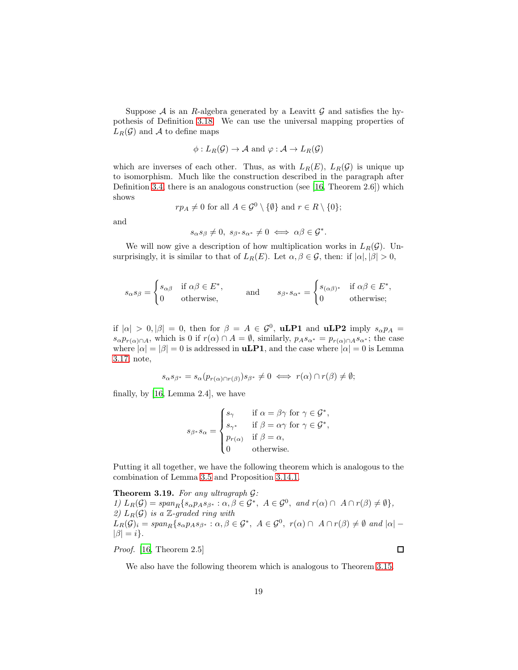Suppose  $A$  is an R-algebra generated by a Leavitt  $G$  and satisfies the hypothesis of Definition [3.18.](#page-17-0) We can use the universal mapping properties of  $L_R(\mathcal{G})$  and A to define maps

$$
\phi: L_R(\mathcal{G}) \to \mathcal{A}
$$
 and  $\varphi: \mathcal{A} \to L_R(\mathcal{G})$ 

which are inverses of each other. Thus, as with  $L_R(E)$ ,  $L_R(G)$  is unique up to isomorphism. Much like the construction described in the paragraph after Definition [3.4,](#page-10-0) there is an analogous construction (see [\[16](#page-90-9), Theorem 2.6]) which shows

$$
rp_A \neq 0
$$
 for all  $A \in \mathcal{G}^0 \setminus \{\emptyset\}$  and  $r \in R \setminus \{0\};$ 

and

$$
s_{\alpha}s_{\beta} \neq 0, \ s_{\beta^*} s_{\alpha^*} \neq 0 \iff \alpha\beta \in \mathcal{G}^*.
$$

We will now give a description of how multiplication works in  $L_R(\mathcal{G})$ . Unsurprisingly, it is similar to that of  $L_R(E)$ . Let  $\alpha, \beta \in \mathcal{G}$ , then: if  $|\alpha|, |\beta| > 0$ ,

$$
s_{\alpha}s_{\beta} = \begin{cases} s_{\alpha\beta} & \text{if } \alpha\beta \in E^*, \\ 0 & \text{otherwise,} \end{cases} \quad \text{and} \quad s_{\beta^*} s_{\alpha^*} = \begin{cases} s_{(\alpha\beta)^*} & \text{if } \alpha\beta \in E^*, \\ 0 & \text{otherwise}; \end{cases}
$$

if  $|\alpha| > 0, |\beta| = 0$ , then for  $\beta = A \in \mathcal{G}^0$ , **uLP1** and **uLP2** imply  $s_{\alpha}p_A =$  $s_{\alpha}p_{r(\alpha)\cap A}$ , which is 0 if  $r(\alpha)\cap A=\emptyset$ , similarly,  $p_As_{\alpha^*}=p_{r(\alpha)\cap A}s_{\alpha^*}$ ; the case where  $|\alpha| = |\beta| = 0$  is addressed in **uLP1**, and the case where  $|\alpha| = 0$  is Lemma [3.17;](#page-16-0) note,

$$
s_{\alpha}s_{\beta^*} = s_{\alpha}(p_{r(\alpha)\cap r(\beta)})s_{\beta^*} \neq 0 \iff r(\alpha)\cap r(\beta) \neq \emptyset;
$$

finally, by [\[16,](#page-90-9) Lemma 2.4], we have

$$
s_{\beta^*} s_\alpha = \begin{cases} s_\gamma & \text{if } \alpha = \beta \gamma \text{ for } \gamma \in \mathcal{G}^*, \\ s_{\gamma^*} & \text{if } \beta = \alpha \gamma \text{ for } \gamma \in \mathcal{G}^*, \\ p_{r(\alpha)} & \text{if } \beta = \alpha, \\ 0 & \text{otherwise.} \end{cases}
$$

Putting it all together, we have the following theorem which is analogous to the combination of Lemma [3.5](#page-11-1) and Proposition [3.14.1.](#page-16-1)

<span id="page-18-0"></span>**Theorem 3.19.** For any ultragraph  $\mathcal{G}$ : 1)  $L_R(\mathcal{G}) = span_R \{ s_{\alpha} p_A s_{\beta^*} : \alpha, \beta \in \mathcal{G}^*, \ A \in \mathcal{G}^0, \ \text{and} \ r(\alpha) \cap \ A \cap r(\beta) \neq \emptyset \},\$ 2)  $L_R(G)$  is a Z-graded ring with  $L_R(\mathcal{G})_i = \text{span}_R\{s_{\alpha}p_A s_{\beta^*} : \alpha, \beta \in \mathcal{G}^*, \ A \in \mathcal{G}^0, \ r(\alpha) \cap \ A \cap r(\beta) \neq \emptyset \ \text{and} \ |\alpha| |\beta| = i$ .

Proof. [\[16,](#page-90-9) Theorem 2.5]

We also have the following theorem which is analogous to Theorem [3.15.](#page-16-2)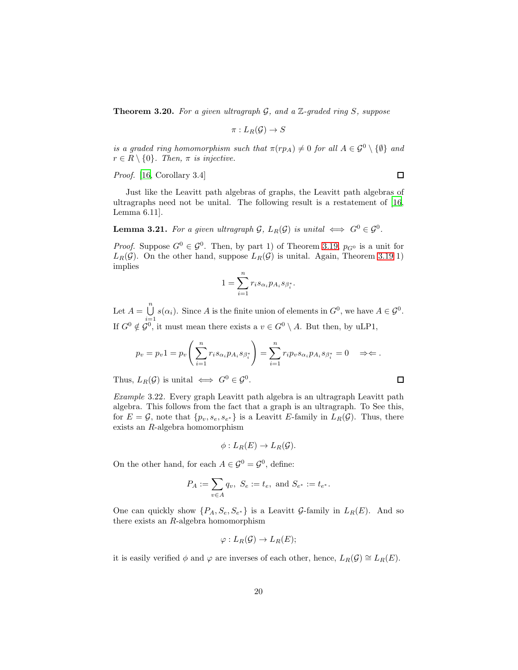<span id="page-19-0"></span>**Theorem 3.20.** For a given ultragraph  $G$ , and a  $\mathbb{Z}$ -graded ring  $S$ , suppose

$$
\pi:L_R(\mathcal{G})\to S
$$

is a graded ring homomorphism such that  $\pi(rp_A) \neq 0$  for all  $A \in \mathcal{G}^0 \setminus \{\emptyset\}$  and  $r \in R \setminus \{0\}$ . Then,  $\pi$  is injective.

Proof. [\[16,](#page-90-9) Corollary 3.4]

 $\Box$ 

Just like the Leavitt path algebras of graphs, the Leavitt path algebras of ultragraphs need not be unital. The following result is a restatement of [\[16,](#page-90-9) Lemma 6.11].

**Lemma 3.21.** For a given ultragraph  $\mathcal{G}$ ,  $L_R(\mathcal{G})$  is unital  $\iff G^0 \in \mathcal{G}^0$ .

*Proof.* Suppose  $G^0 \in \mathcal{G}^0$ . Then, by part 1) of Theorem [3.19,](#page-18-0)  $p_{G^0}$  is a unit for  $L_R(\mathcal{G})$ . On the other hand, suppose  $L_R(\mathcal{G})$  is unital. Again, Theorem [3.19](#page-18-0) 1) implies

$$
1 = \sum_{i=1}^n r_i s_{\alpha_i} p_{A_i} s_{\beta_i^*}.
$$

Let  $A = \bigcup^{n}$  $\bigcup_{i=1} s(\alpha_i)$ . Since A is the finite union of elements in  $G^0$ , we have  $A \in \mathcal{G}^0$ . If  $G^0 \notin \mathcal{G}^0$ , it must mean there exists a  $v \in G^0 \setminus A$ . But then, by uLP1,

$$
p_v = p_v 1 = p_v \left( \sum_{i=1}^n r_i s_{\alpha_i} p_{A_i} s_{\beta_i^*} \right) = \sum_{i=1}^n r_i p_v s_{\alpha_i} p_{A_i} s_{\beta_i^*} = 0 \quad \Rightarrow \Leftarrow.
$$

Thus,  $L_R(\mathcal{G})$  is unital  $\iff G^0 \in \mathcal{G}^0$ .

Example 3.22. Every graph Leavitt path algebra is an ultragraph Leavitt path algebra. This follows from the fact that a graph is an ultragraph. To See this, for  $E = \mathcal{G}$ , note that  $\{p_v, s_e, s_{e^*}\}\$ is a Leavitt E-family in  $L_R(\mathcal{G})$ . Thus, there exists an R-algebra homomorphism

$$
\phi: L_R(E) \to L_R(\mathcal{G}).
$$

On the other hand, for each  $A \in \mathcal{G}^0 = \mathcal{G}^0$ , define:

$$
P_A := \sum_{v \in A} q_v, \ S_e := t_e, \text{ and } S_{e^*} := t_{e^*}.
$$

One can quickly show  $\{P_A, S_e, S_{e^*}\}\$ is a Leavitt  $\mathcal{G}\text{-family in } L_R(E)$ . And so there exists an R-algebra homomorphism

$$
\varphi: L_R(\mathcal{G}) \to L_R(E);
$$

it is easily verified  $\phi$  and  $\varphi$  are inverses of each other, hence,  $L_R(\mathcal{G}) \cong L_R(E)$ .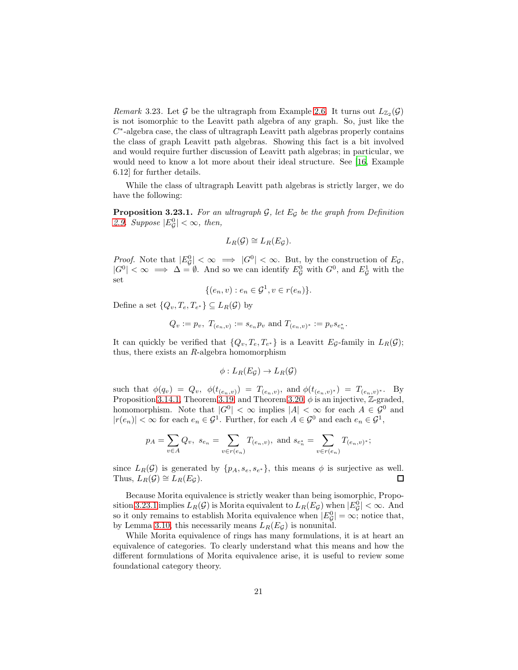*Remark* 3.23. Let  $\mathcal G$  be the ultragraph from Example [2.6.](#page-5-1) It turns out  $L_{\mathbb{Z}_2}(\mathcal G)$ is not isomorphic to the Leavitt path algebra of any graph. So, just like the  $C^*$ -algebra case, the class of ultragraph Leavitt path algebras properly contains the class of graph Leavitt path algebras. Showing this fact is a bit involved and would require further discussion of Leavitt path algebras; in particular, we would need to know a lot more about their ideal structure. See [\[16,](#page-90-9) Example 6.12] for further details.

While the class of ultragraph Leavitt path algebras is strictly larger, we do have the following:

<span id="page-20-0"></span>**Proposition 3.23.1.** For an ultragraph  $G$ , let  $E_G$  be the graph from Definition [2.9.](#page-6-0) Suppose  $|E_{\mathcal{G}}^0| < \infty$ , then,

$$
L_R(\mathcal{G}) \cong L_R(E_{\mathcal{G}}).
$$

*Proof.* Note that  $|E_{\mathcal{G}}^0| < \infty \implies |G^0| < \infty$ . But, by the construction of  $E_{\mathcal{G}}$ ,  $|G^0| < \infty \implies \Delta = \emptyset$ . And so we can identify  $E^0_{\mathcal{G}}$  with  $G^0$ , and  $E^1_{\mathcal{G}}$  with the set

$$
\{(e_n,v): e_n \in \mathcal{G}^1, v \in r(e_n)\}.
$$

Define a set  $\{Q_v, T_e, T_{e^*}\} \subseteq L_R(\mathcal{G})$  by

$$
Q_v := p_v
$$
,  $T_{(e_n,v)} := s_{e_n} p_v$  and  $T_{(e_n,v)^*} := p_v s_{e_n^*}$ .

It can quickly be verified that  $\{Q_v, T_e, T_{e^*}\}\$ is a Leavitt  $E_{\mathcal{G}}$ -family in  $L_R(\mathcal{G})$ ; thus, there exists an  $R$ -algebra homomorphism

$$
\phi: L_R(E_{\mathcal{G}}) \to L_R(\mathcal{G})
$$

such that  $\phi(q_v) = Q_v, \; \phi(t_{(e_n,v)}) = T_{(e_n,v)}, \; \text{and} \; \phi(t_{(e_n,v)^*}) = T_{(e_n,v)^*}.$  By Proposition [3.14.1,](#page-16-1) Theorem [3.19,](#page-18-0) and Theorem [3.20,](#page-19-0)  $\phi$  is an injective, Z-graded, homomorphism. Note that  $|G^0| < \infty$  implies  $|A| < \infty$  for each  $A \in \mathcal{G}^0$  and  $|r(e_n)| < \infty$  for each  $e_n \in \mathcal{G}^1$ . Further, for each  $A \in \mathcal{G}^0$  and each  $e_n \in \mathcal{G}^1$ ,

$$
p_A = \sum_{v \in A} Q_v
$$
,  $s_{e_n} = \sum_{v \in r(e_n)} T_{(e_n, v)}$ , and  $s_{e_n^*} = \sum_{v \in r(e_n)} T_{(e_n, v)^*}$ ;

since  $L_R(G)$  is generated by  $\{p_A, s_e, s_{e^*}\}\$ , this means  $\phi$  is surjective as well. Thus,  $L_R(\mathcal{G}) \cong L_R(E_{\mathcal{G}})$ .  $\Box$ 

Because Morita equivalence is strictly weaker than being isomorphic, Propo-sition [3.23.1](#page-20-0) implies  $L_R(G)$  is Morita equivalent to  $L_R(E_G)$  when  $|E_G^0| < \infty$ . And so it only remains to establish Morita equivalence when  $|E_{\mathcal{G}}^0| = \infty$ ; notice that, by Lemma [3.10,](#page-15-0) this necessarily means  $L_R(E_{\mathcal{G}})$  is nonunital.

While Morita equivalence of rings has many formulations, it is at heart an equivalence of categories. To clearly understand what this means and how the different formulations of Morita equivalence arise, it is useful to review some foundational category theory.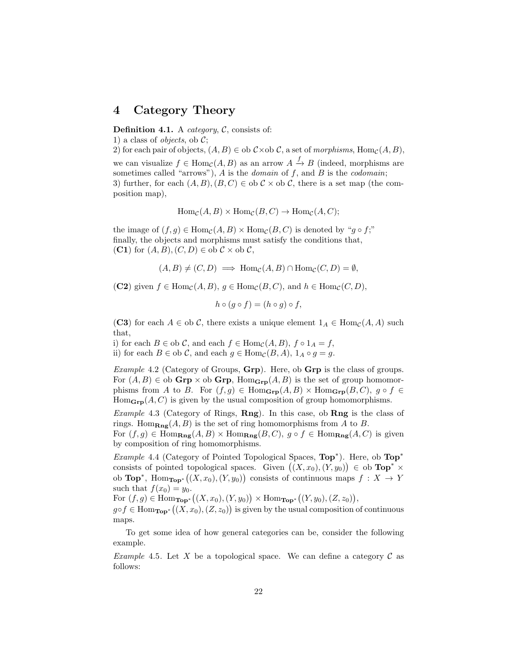### 4 Category Theory

**Definition 4.1.** A *category*,  $C$ , consists of:

1) a class of *objects*, ob  $\mathcal{C}$ ;

2) for each pair of objects,  $(A, B) \in$  ob  $C \times$  ob  $C$ , a set of morphisms,  $\text{Hom}_{\mathcal{C}}(A, B)$ , we can visualize  $f \in \text{Hom}_{\mathcal{C}}(A, B)$  as an arrow  $A \xrightarrow{f} B$  (indeed, morphisms are sometimes called "arrows"),  $\tilde{A}$  is the *domain* of  $f$ , and  $\tilde{B}$  is the *codomain*; 3) further, for each  $(A, B), (B, C) \in ob \mathcal{C} \times ob \mathcal{C}$ , there is a set map (the composition map),

 $\text{Hom}_{\mathcal{C}}(A, B) \times \text{Hom}_{\mathcal{C}}(B, C) \to \text{Hom}_{\mathcal{C}}(A, C);$ 

the image of  $(f, q) \in \text{Hom}_{\mathcal{C}}(A, B) \times \text{Hom}_{\mathcal{C}}(B, C)$  is denoted by "q  $\circ f$ ;" finally, the objects and morphisms must satisfy the conditions that, (C1) for  $(A, B), (C, D) \in ob \mathcal{C} \times ob \mathcal{C}$ ,

$$
(A, B) \neq (C, D) \implies \text{Hom}_{\mathcal{C}}(A, B) \cap \text{Hom}_{\mathcal{C}}(C, D) = \emptyset,
$$

(C2) given  $f \in \text{Hom}_{\mathcal{C}}(A, B)$ ,  $g \in \text{Hom}_{\mathcal{C}}(B, C)$ , and  $h \in \text{Hom}_{\mathcal{C}}(C, D)$ ,

$$
h \circ (g \circ f) = (h \circ g) \circ f,
$$

(C3) for each  $A \in ob \mathcal{C}$ , there exists a unique element  $1_A \in Hom_{\mathcal{C}}(A, A)$  such that,

i) for each  $B \in$  ob  $\mathcal{C}$ , and each  $f \in$  Hom $_{\mathcal{C}}(A, B)$ ,  $f \circ 1_A = f$ , ii) for each  $B \in$  ob  $\mathcal{C}$ , and each  $g \in$  Hom $_{\mathcal{C}}(B, A)$ ,  $1_A \circ g = g$ .

*Example 4.2* (Category of Groups,  $Grp$ ). Here, ob  $Grp$  is the class of groups. For  $(A, B) \in$  ob  $\mathbf{Grp} \times$  ob  $\mathbf{Grp}$ ,  $\text{Hom}_{\mathbf{Grp}}(A, B)$  is the set of group homomorphisms from A to B. For  $(f,g) \in \text{Hom}_{\text{Grp}}(A, B) \times \text{Hom}_{\text{Grp}}(B, C)$ ,  $g \circ f \in$  $Hom_{\mathbf{Grp}}(A, C)$  is given by the usual composition of group homomorphisms.

*Example 4.3* (Category of Rings,  $\mathbf{Rng}$ ). In this case, ob  $\mathbf{Rng}$  is the class of rings. Hom $_{\mathbf{Rng}}(A, B)$  is the set of ring homomorphisms from A to B.

For  $(f,g) \in \text{Hom}_{\textbf{Rng}}(A, B) \times \text{Hom}_{\textbf{Rng}}(B, C), g \circ f \in \text{Hom}_{\textbf{Rng}}(A, C)$  is given by composition of ring homomorphisms.

Example 4.4 (Category of Pointed Topological Spaces,  $Top^*$ ). Here, ob  $Top^*$ consists of pointed topological spaces. Given  $((X,x_0), (Y,y_0)) \in$  ob  $\text{Top}^* \times$ ob **Top**<sup>\*</sup>, Hom<sub>Top</sub><sup>\*</sup> $((X, x_0), (Y, y_0))$  consists of continuous maps  $f : X \to Y$ such that  $f(x_0) = y_0$ .

For  $(f, g) \in \text{Hom}_{\text{Top}^*}((X, x_0), (Y, y_0)) \times \text{Hom}_{\text{Top}^*}((Y, y_0), (Z, z_0)),$ 

 $g \circ f \in \text{Hom}_{\textbf{Top}^*}((X, x_0), (Z, z_0))$  is given by the usual composition of continuous maps.

To get some idea of how general categories can be, consider the following example.

Example 4.5. Let X be a topological space. We can define a category  $\mathcal C$  as follows: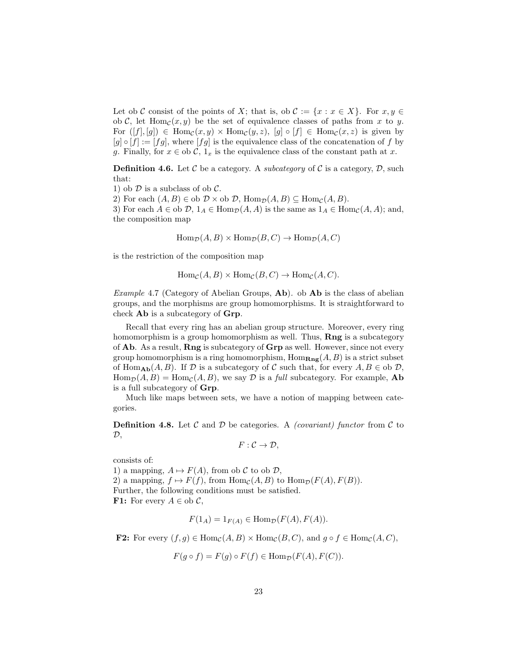Let ob C consist of the points of X; that is, ob  $\mathcal{C} := \{x : x \in X\}$ . For  $x, y \in$ ob C, let  $\text{Hom}_{\mathcal{C}}(x, y)$  be the set of equivalence classes of paths from x to y. For  $([f], [g]) \in \text{Hom}_{\mathcal{C}}(x, y) \times \text{Hom}_{\mathcal{C}}(y, z), [g] \circ [f] \in \text{Hom}_{\mathcal{C}}(x, z)$  is given by  $[g] \circ [f] := [fg]$ , where  $[fg]$  is the equivalence class of the concatenation of f by g. Finally, for  $x \in$  ob  $\mathcal{C}$ ,  $1_x$  is the equivalence class of the constant path at x.

**Definition 4.6.** Let C be a category. A *subcategory* of C is a category, D, such that:

1) ob  $\mathcal D$  is a subclass of ob  $\mathcal C$ .

2) For each  $(A, B) \in$  ob  $D \times$  ob  $D$ ,  $\text{Hom}_{\mathcal{D}}(A, B) \subseteq \text{Hom}_{\mathcal{C}}(A, B)$ .

3) For each  $A \in ob \mathcal{D}$ ,  $1_A \in Hom_{\mathcal{D}}(A, A)$  is the same as  $1_A \in Hom_{\mathcal{C}}(A, A)$ ; and, the composition map

 $\text{Hom}_{\mathcal{D}}(A, B) \times \text{Hom}_{\mathcal{D}}(B, C) \to \text{Hom}_{\mathcal{D}}(A, C)$ 

is the restriction of the composition map

 $\text{Hom}_{\mathcal{C}}(A, B) \times \text{Hom}_{\mathcal{C}}(B, C) \to \text{Hom}_{\mathcal{C}}(A, C).$ 

*Example* 4.7 (Category of Abelian Groups,  $\mathbf{Ab}$ ). ob  $\mathbf{Ab}$  is the class of abelian groups, and the morphisms are group homomorphisms. It is straightforward to check Ab is a subcategory of Grp.

Recall that every ring has an abelian group structure. Moreover, every ring homomorphism is a group homomorphism as well. Thus, **Rng** is a subcategory of Ab. As a result, Rng is subcategory of Grp as well. However, since not every group homomorphism is a ring homomorphism,  $\text{Hom}_{\textbf{Rng}}(A, B)$  is a strict subset of Hom<sub>Ab</sub> $(A, B)$ . If  $D$  is a subcategory of C such that, for every  $A, B \in$  ob  $D$ ,  $\text{Hom}_{\mathcal{D}}(A, B) = \text{Hom}_{\mathcal{C}}(A, B)$ , we say  $\mathcal D$  is a full subcategory. For example, **Ab** is a full subcategory of Grp.

Much like maps between sets, we have a notion of mapping between categories.

**Definition 4.8.** Let C and D be categories. A *(covariant)* functor from C to  $\mathcal{D},$ 

$$
F:\mathcal{C}\to\mathcal{D},
$$

consists of:

1) a mapping,  $A \mapsto F(A)$ , from ob C to ob D, 2) a mapping,  $f \mapsto F(f)$ , from  $\text{Hom}_{\mathcal{C}}(A, B)$  to  $\text{Hom}_{\mathcal{D}}(F(A), F(B)).$ Further, the following conditions must be satisfied. **F1:** For every  $A \in ob \mathcal{C}$ ,

$$
F(1_A) = 1_{F(A)} \in \text{Hom}_{\mathcal{D}}(F(A), F(A)).
$$

**F2:** For every  $(f, g) \in \text{Hom}_{\mathcal{C}}(A, B) \times \text{Hom}_{\mathcal{C}}(B, C)$ , and  $g \circ f \in \text{Hom}_{\mathcal{C}}(A, C)$ ,

$$
F(g \circ f) = F(g) \circ F(f) \in \text{Hom}_{\mathcal{D}}(F(A), F(C)).
$$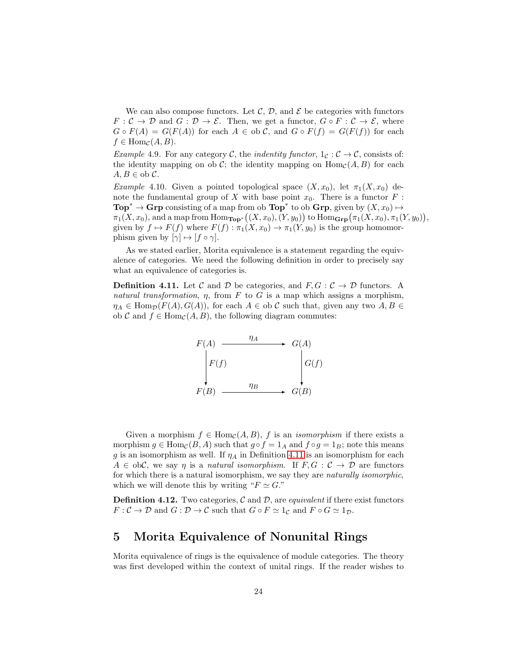We can also compose functors. Let C, D, and  $\mathcal E$  be categories with functors  $F: \mathcal{C} \to \mathcal{D}$  and  $G: \mathcal{D} \to \mathcal{E}$ . Then, we get a functor,  $G \circ F: \mathcal{C} \to \mathcal{E}$ , where  $G \circ F(A) = G(F(A))$  for each  $A \in ob \mathcal{C}$ , and  $G \circ F(f) = G(F(f))$  for each  $f \in \text{Hom}_{\mathcal{C}}(A, B).$ 

Example 4.9. For any category C, the indentity functor,  $1_c : \mathcal{C} \to \mathcal{C}$ , consists of: the identity mapping on ob C; the identity mapping on  $\text{Hom}_{\mathcal{C}}(A, B)$  for each  $A, B \in \text{ob } C.$ 

Example 4.10. Given a pointed topological space  $(X, x_0)$ , let  $\pi_1(X, x_0)$  denote the fundamental group of X with base point  $x_0$ . There is a functor  $F$ : **Top<sup>\*</sup>**  $\rightarrow$  **Grp** consisting of a map from ob **Top**<sup>\*</sup> to ob **Grp**, given by  $(X, x_0) \mapsto$  $\pi_1(X, x_0)$ , and a map from  $\mathrm{Hom}_{\mathbf{Top}^*}((X, x_0), (Y, y_0))$  to  $\mathrm{Hom}_{\mathbf{Grp}}(\pi_1(X, x_0), \pi_1(Y, y_0)),$ given by  $f \mapsto F(f)$  where  $F(f) : \pi_1(X, x_0) \to \pi_1(Y, y_0)$  is the group homomorphism given by  $[\gamma] \mapsto [f \circ \gamma]$ .

As we stated earlier, Morita equivalence is a statement regarding the equivalence of categories. We need the following definition in order to precisely say what an equivalence of categories is.

<span id="page-23-0"></span>**Definition 4.11.** Let C and D be categories, and  $F, G: \mathcal{C} \to \mathcal{D}$  functors. A natural transformation,  $\eta$ , from F to G is a map which assigns a morphism,  $\eta_A \in \text{Hom}_{\mathcal{D}}(F(A), G(A)),$  for each  $A \in$  ob C such that, given any two  $A, B \in$ ob C and  $f \in \text{Hom}_{\mathcal{C}}(A, B)$ , the following diagram commutes:



Given a morphism  $f \in \text{Hom}_{\mathcal{C}}(A, B)$ , f is an *isomorphism* if there exists a morphism  $g \in \text{Hom}_{\mathcal{C}}(B, A)$  such that  $g \circ f = 1_A$  and  $f \circ g = 1_B$ ; note this means g is an isomorphism as well. If  $\eta_A$  in Definition [4.11](#page-23-0) is an isomorphism for each  $A \in ob\mathcal{C}$ , we say  $\eta$  is a natural isomorphism. If  $F, G: \mathcal{C} \to \mathcal{D}$  are functors for which there is a natural isomorphism, we say they are naturally isomorphic, which we will denote this by writing " $F \simeq G$ ."

**Definition 4.12.** Two categories,  $\mathcal{C}$  and  $\mathcal{D}$ , are *equivalent* if there exist functors  $F: \mathcal{C} \to \mathcal{D}$  and  $G: \mathcal{D} \to \mathcal{C}$  such that  $G \circ F \simeq 1_{\mathcal{C}}$  and  $F \circ G \simeq 1_{\mathcal{D}}$ .

## 5 Morita Equivalence of Nonunital Rings

Morita equivalence of rings is the equivalence of module categories. The theory was first developed within the context of unital rings. If the reader wishes to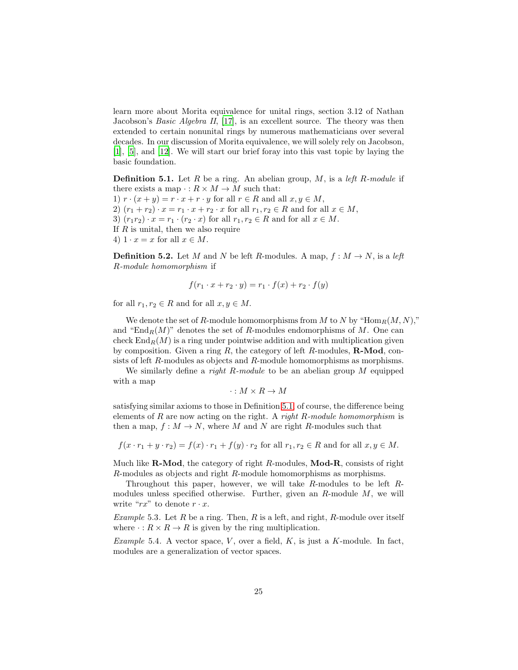learn more about Morita equivalence for unital rings, section 3.12 of Nathan Jacobson's Basic Algebra II, [\[17\]](#page-90-10), is an excellent source. The theory was then extended to certain nonunital rings by numerous mathematicians over several decades. In our discussion of Morita equivalence, we will solely rely on Jacobson, [\[1\]](#page-89-2), [\[5](#page-89-3)], and [\[12](#page-90-11)]. We will start our brief foray into this vast topic by laying the basic foundation.

<span id="page-24-0"></span>**Definition 5.1.** Let R be a ring. An abelian group, M, is a *left R-module* if there exists a map  $\cdot : R \times M \to M$  such that: 1)  $r \cdot (x + y) = r \cdot x + r \cdot y$  for all  $r \in R$  and all  $x, y \in M$ , 2)  $(r_1 + r_2) \cdot x = r_1 \cdot x + r_2 \cdot x$  for all  $r_1, r_2 \in R$  and for all  $x \in M$ , 3)  $(r_1r_2) \cdot x = r_1 \cdot (r_2 \cdot x)$  for all  $r_1, r_2 \in R$  and for all  $x \in M$ . If  $R$  is unital, then we also require 4)  $1 \cdot x = x$  for all  $x \in M$ .

<span id="page-24-1"></span>**Definition 5.2.** Let M and N be left R-modules. A map,  $f : M \to N$ , is a left R-module homomorphism if

$$
f(r_1 \cdot x + r_2 \cdot y) = r_1 \cdot f(x) + r_2 \cdot f(y)
$$

for all  $r_1, r_2 \in R$  and for all  $x, y \in M$ .

We denote the set of R-module homomorphisms from M to N by "Hom $_R(M, N)$ "," and "End<sub>R</sub> $(M)$ " denotes the set of R-modules endomorphisms of M. One can check  $\text{End}_R(M)$  is a ring under pointwise addition and with multiplication given by composition. Given a ring  $R$ , the category of left  $R$ -modules,  $\mathbf{R}\text{-}\mathbf{Mod}$ , consists of left R-modules as objects and R-module homomorphisms as morphisms.

We similarly define a *right R-module* to be an abelian group  $M$  equipped with a map

 $\cdot : M \times R \to M$ 

satisfying similar axioms to those in Definition [5.1,](#page-24-0) of course, the difference being elements of R are now acting on the right. A right R-module homomorphism is then a map,  $f: M \to N$ , where M and N are right R-modules such that

$$
f(x \cdot r_1 + y \cdot r_2) = f(x) \cdot r_1 + f(y) \cdot r_2 \text{ for all } r_1, r_2 \in R \text{ and for all } x, y \in M.
$$

Much like **R-Mod**, the category of right  $R$ -modules, **Mod-R**, consists of right R-modules as objects and right R-module homomorphisms as morphisms.

Throughout this paper, however, we will take R-modules to be left Rmodules unless specified otherwise. Further, given an  $R$ -module  $M$ , we will write " $rx$ " to denote  $r \cdot x$ .

*Example* 5.3. Let R be a ring. Then, R is a left, and right, R-module over itself where  $\cdot : R \times R \to R$  is given by the ring multiplication.

Example 5.4. A vector space,  $V$ , over a field,  $K$ , is just a  $K$ -module. In fact, modules are a generalization of vector spaces.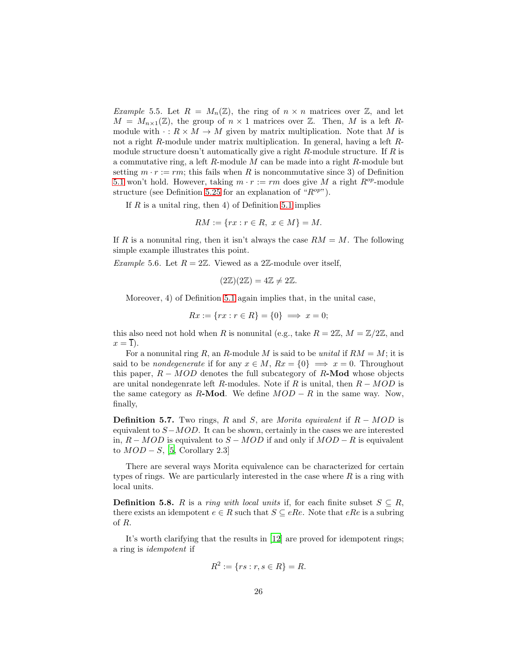*Example* 5.5. Let  $R = M_n(\mathbb{Z})$ , the ring of  $n \times n$  matrices over  $\mathbb{Z}$ , and let  $M = M_{n \times 1}(\mathbb{Z})$ , the group of  $n \times 1$  matrices over  $\mathbb{Z}$ . Then, M is a left Rmodule with  $\cdot : R \times M \to M$  given by matrix multiplication. Note that M is not a right R-module under matrix multiplication. In general, having a left Rmodule structure doesn't automatically give a right  $R$ -module structure. If  $R$  is a commutative ring, a left  $R$ -module  $M$  can be made into a right  $R$ -module but setting  $m \cdot r := rm$ ; this fails when R is noncommutative since 3) of Definition [5.1](#page-24-0) won't hold. However, taking  $m \cdot r := rm$  does give M a right  $R^{op}$ -module structure (see Definition [5.25](#page-32-0) for an explanation of " $R^{op}$ ").

If  $R$  is a unital ring, then 4) of Definition [5.1](#page-24-0) implies

$$
RM := \{ rx : r \in R, \ x \in M \} = M.
$$

If R is a nonunital ring, then it isn't always the case  $RM = M$ . The following simple example illustrates this point.

*Example* 5.6. Let  $R = 2\mathbb{Z}$ . Viewed as a 2 $\mathbb{Z}$ -module over itself,

$$
(2\mathbb{Z})(2\mathbb{Z}) = 4\mathbb{Z} \neq 2\mathbb{Z}.
$$

Moreover, 4) of Definition [5.1](#page-24-0) again implies that, in the unital case,

$$
Rx := \{ rx : r \in R \} = \{ 0 \} \implies x = 0;
$$

this also need not hold when R is nonunital (e.g., take  $R = 2\mathbb{Z}$ ,  $M = \mathbb{Z}/2\mathbb{Z}$ , and  $x = \overline{1}$ ).

For a nonunital ring R, an R-module M is said to be unital if  $RM = M$ ; it is said to be *nondegenerate* if for any  $x \in M$ ,  $Rx = \{0\} \implies x = 0$ . Throughout this paper,  $R - MOD$  denotes the full subcategory of R-Mod whose objects are unital nondegenrate left R-modules. Note if R is unital, then  $R - MOD$  is the same category as R-Mod. We define  $MOD - R$  in the same way. Now, finally,

**Definition 5.7.** Two rings, R and S, are Morita equivalent if  $R - MOD$  is equivalent to  $S-MOD$ . It can be shown, certainly in the cases we are interested in,  $R - MOD$  is equivalent to  $S - MOD$  if and only if  $MOD - R$  is equivalent to  $MOD - S$ , [\[5,](#page-89-3) Corollary 2.3]

There are several ways Morita equivalence can be characterized for certain types of rings. We are particularly interested in the case where  $R$  is a ring with local units.

**Definition 5.8.** R is a ring with local units if, for each finite subset  $S \subseteq R$ , there exists an idempotent  $e \in R$  such that  $S \subseteq eRe$ . Note that  $eRe$  is a subring of R.

It's worth clarifying that the results in [\[12\]](#page-90-11) are proved for idempotent rings; a ring is idempotent if

$$
R^2 := \{ rs : r, s \in R \} = R.
$$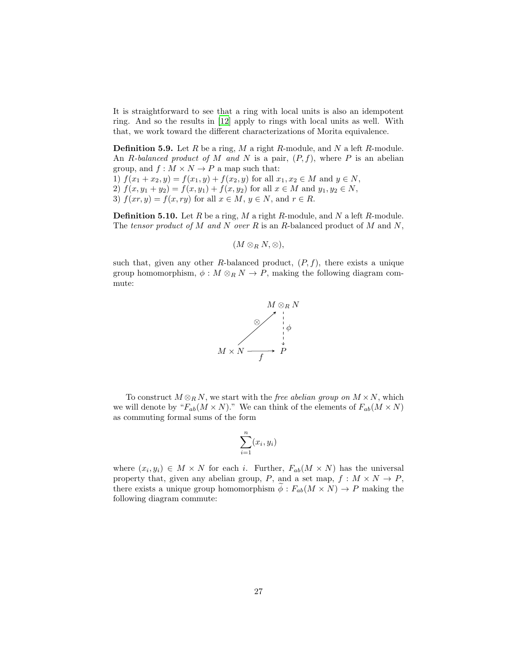It is straightforward to see that a ring with local units is also an idempotent ring. And so the results in [\[12\]](#page-90-11) apply to rings with local units as well. With that, we work toward the different characterizations of Morita equivalence.

**Definition 5.9.** Let  $R$  be a ring,  $M$  a right  $R$ -module, and  $N$  a left  $R$ -module. An R-balanced product of M and N is a pair,  $(P, f)$ , where P is an abelian group, and  $f : M \times N \to P$  a map such that:

1)  $f(x_1 + x_2, y) = f(x_1, y) + f(x_2, y)$  for all  $x_1, x_2 \in M$  and  $y \in N$ , 2)  $f(x, y_1 + y_2) = f(x, y_1) + f(x, y_2)$  for all  $x \in M$  and  $y_1, y_2 \in N$ , 3)  $f(xr, y) = f(x, ry)$  for all  $x \in M$ ,  $y \in N$ , and  $r \in R$ .

**Definition 5.10.** Let  $R$  be a ring,  $M$  a right  $R$ -module, and  $N$  a left  $R$ -module. The tensor product of M and N over R is an R-balanced product of M and N,

 $(M \otimes_R N, \otimes),$ 

such that, given any other R-balanced product,  $(P, f)$ , there exists a unique group homomorphism,  $\phi : M \otimes_R N \to P$ , making the following diagram commute:



To construct  $M \otimes_R N$ , we start with the *free abelian group on*  $M \times N$ , which we will denote by " $F_{ab}(M \times N)$ ." We can think of the elements of  $F_{ab}(M \times N)$ as commuting formal sums of the form

$$
\sum_{i=1}^{n} (x_i, y_i)
$$

where  $(x_i, y_i) \in M \times N$  for each i. Further,  $F_{ab}(M \times N)$  has the universal property that, given any abelian group, P, and a set map,  $f : M \times N \to P$ , there exists a unique group homomorphism  $\phi : F_{ab}(M \times N) \to P$  making the following diagram commute: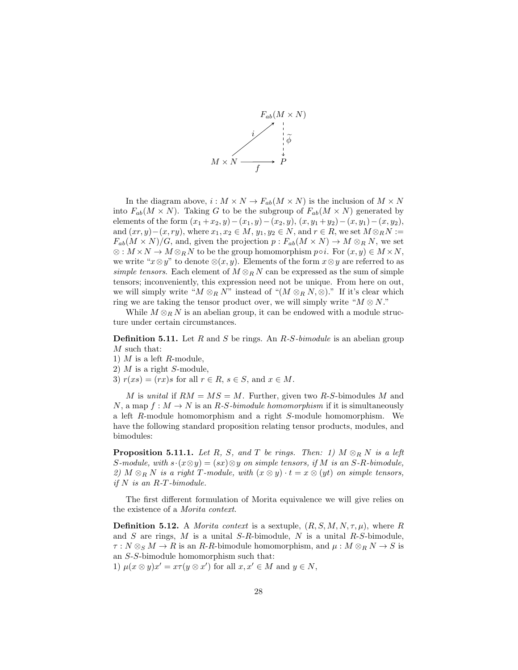

In the diagram above,  $i : M \times N \to F_{ab}(M \times N)$  is the inclusion of  $M \times N$ into  $F_{ab}(M \times N)$ . Taking G to be the subgroup of  $F_{ab}(M \times N)$  generated by elements of the form  $(x_1 + x_2, y) - (x_1, y) - (x_2, y), (x, y_1 + y_2) - (x, y_1) - (x, y_2),$ and  $(xr, y) - (x, ry)$ , where  $x_1, x_2 \in M$ ,  $y_1, y_2 \in N$ , and  $r \in R$ , we set  $M \otimes_R N :=$  $F_{ab}(M \times N)/G$ , and, given the projection  $p: F_{ab}(M \times N) \to M \otimes_R N$ , we set  $\otimes : M \times N \to M \otimes_R N$  to be the group homomorphism  $p \circ i$ . For  $(x, y) \in M \times N$ , we write " $x \otimes y$ " to denote  $\otimes (x, y)$ . Elements of the form  $x \otimes y$  are referred to as simple tensors. Each element of  $M \otimes_R N$  can be expressed as the sum of simple tensors; inconveniently, this expression need not be unique. From here on out, we will simply write " $M \otimes_R N$ " instead of " $(M \otimes_R N, \otimes)$ ." If it's clear which ring we are taking the tensor product over, we will simply write " $M \otimes N$ ."

While  $M \otimes_R N$  is an abelian group, it can be endowed with a module structure under certain circumstances.

**Definition 5.11.** Let R and S be rings. An  $R$ -S-bimodule is an abelian group M such that:

- 1)  $M$  is a left  $R$ -module,
- 2)  $M$  is a right  $S$ -module,
- 3)  $r(xs) = (rx)s$  for all  $r \in R$ ,  $s \in S$ , and  $x \in M$ .

M is unital if  $RM = MS = M$ . Further, given two R-S-bimodules M and N, a map  $f: M \to N$  is an R-S-bimodule homomorphism if it is simultaneously a left R-module homomorphism and a right S-module homomorphism. We have the following standard proposition relating tensor products, modules, and bimodules:

**Proposition 5.11.1.** Let R, S, and T be rings. Then: 1)  $M \otimes_R N$  is a left S-module, with  $s \cdot (x \otimes y) = (sx) \otimes y$  on simple tensors, if M is an S-R-bimodule, 2) M  $\otimes_R N$  is a right T-module, with  $(x \otimes y) \cdot t = x \otimes (yt)$  on simple tensors, if  $N$  is an  $R$ -T-bimodule.

The first different formulation of Morita equivalence we will give relies on the existence of a Morita context.

<span id="page-27-0"></span>**Definition 5.12.** A *Morita context* is a sextuple,  $(R, S, M, N, \tau, \mu)$ , where R and  $S$  are rings,  $M$  is a unital  $S-R$ -bimodule,  $N$  is a unital  $R-S$ -bimodule,  $\tau : N \otimes_S M \to R$  is an R-R-bimodule homomorphism, and  $\mu : M \otimes_R N \to S$  is an S-S-bimodule homomorphism such that:

1)  $\mu(x \otimes y)x' = x\tau(y \otimes x')$  for all  $x, x' \in M$  and  $y \in N$ ,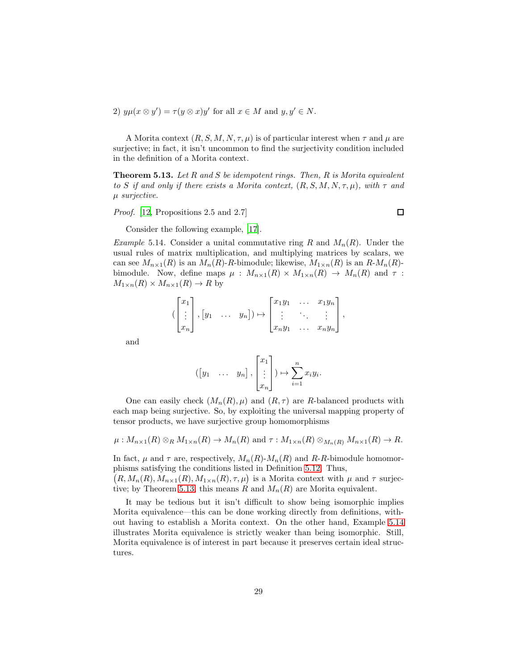2)  $y\mu(x\otimes y') = \tau(y\otimes x)y'$  for all  $x \in M$  and  $y, y' \in N$ .

A Morita context  $(R, S, M, N, \tau, \mu)$  is of particular interest when  $\tau$  and  $\mu$  are surjective; in fact, it isn't uncommon to find the surjectivity condition included in the definition of a Morita context.

<span id="page-28-0"></span>**Theorem 5.13.** Let  $R$  and  $S$  be idempotent rings. Then,  $R$  is Morita equivalent to S if and only if there exists a Morita context,  $(R, S, M, N, \tau, \mu)$ , with  $\tau$  and µ surjective.

Proof. [\[12,](#page-90-11) Propositions 2.5 and 2.7]

 $\Box$ 

Consider the following example, [\[17](#page-90-10)].

<span id="page-28-1"></span>*Example* 5.14. Consider a unital commutative ring R and  $M_n(R)$ . Under the usual rules of matrix multiplication, and multiplying matrices by scalars, we can see  $M_{n\times1}(R)$  is an  $M_n(R)$ -R-bimodule; likewise,  $M_{1\times n}(R)$  is an  $R$ - $M_n(R)$ bimodule. Now, define maps  $\mu$  :  $M_{n\times1}(R) \times M_{1\times n}(R) \to M_n(R)$  and  $\tau$  :  $M_{1\times n}(R) \times M_{n\times 1}(R) \to R$  by

$$
\left(\begin{bmatrix} x_1 \\ \vdots \\ x_n \end{bmatrix}, \begin{bmatrix} y_1 & \dots & y_n \end{bmatrix}\right) \mapsto \begin{bmatrix} x_1y_1 & \dots & x_1y_n \\ \vdots & \ddots & \vdots \\ x_ny_1 & \dots & x_ny_n \end{bmatrix},
$$

and

$$
([y_1 \quad \ldots \quad y_n], \begin{bmatrix} x_1 \\ \vdots \\ x_n \end{bmatrix}) \mapsto \sum_{i=1}^n x_i y_i.
$$

One can easily check  $(M_n(R), \mu)$  and  $(R, \tau)$  are R-balanced products with each map being surjective. So, by exploiting the universal mapping property of tensor products, we have surjective group homomorphisms

$$
\mu: M_{n\times 1}(R)\otimes_R M_{1\times n}(R) \to M_n(R)
$$
 and  $\tau: M_{1\times n}(R)\otimes_{M_n(R)} M_{n\times 1}(R) \to R$ .

In fact,  $\mu$  and  $\tau$  are, respectively,  $M_n(R)$ - $M_n(R)$  and  $R$ - $R$ -bimodule homomorphisms satisfying the conditions listed in Definition [5.12.](#page-27-0) Thus,

 $(R, M_n(R), M_{n \times 1}(R), M_{1 \times n}(R), \tau, \mu)$  is a Morita context with  $\mu$  and  $\tau$  surjec-tive; by Theorem [5.13,](#page-28-0) this means R and  $M_n(R)$  are Morita equivalent.

It may be tedious but it isn't difficult to show being isomorphic implies Morita equivalence—this can be done working directly from definitions, without having to establish a Morita context. On the other hand, Example [5.14](#page-28-1) illustrates Morita equivalence is strictly weaker than being isomorphic. Still, Morita equivalence is of interest in part because it preserves certain ideal structures.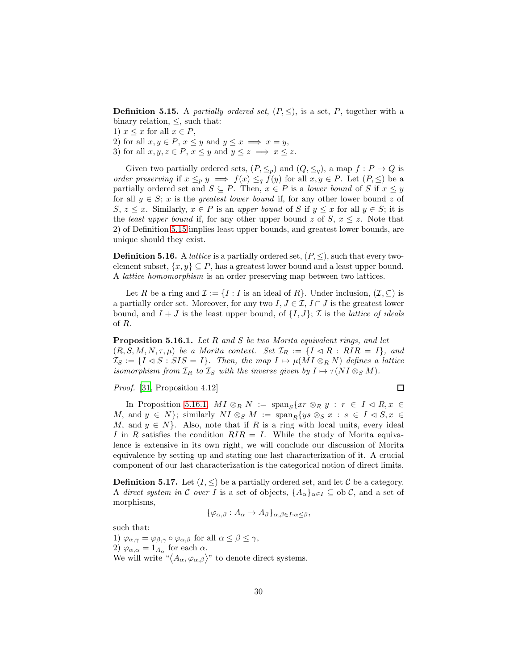<span id="page-29-0"></span>**Definition 5.15.** A partially ordered set,  $(P, \leq)$ , is a set, P, together with a binary relation,  $\leq$ , such that:

1)  $x \leq x$  for all  $x \in P$ ,

2) for all  $x, y \in P$ ,  $x \leq y$  and  $y \leq x \implies x = y$ ,

3) for all  $x, y, z \in P$ ,  $x \leq y$  and  $y \leq z \implies x \leq z$ .

Given two partially ordered sets,  $(P, \leq_p)$  and  $(Q, \leq_q)$ , a map  $f : P \to Q$  is order preserving if  $x \leq_p y \implies f(x) \leq_q f(y)$  for all  $x, y \in P$ . Let  $(P, \leq)$  be a partially ordered set and  $S \subseteq P$ . Then,  $x \in P$  is a *lower bound* of S if  $x \leq y$ for all  $y \in S$ ; x is the greatest lower bound if, for any other lower bound z of S,  $z \leq x$ . Similarly,  $x \in P$  is an upper bound of S if  $y \leq x$  for all  $y \in S$ ; it is the *least upper bound* if, for any other upper bound z of S,  $x \le z$ . Note that 2) of Definition [5.15](#page-29-0) implies least upper bounds, and greatest lower bounds, are unique should they exist.

**Definition 5.16.** A *lattice* is a partially ordered set,  $(P, \leq)$ , such that every twoelement subset,  $\{x, y\} \subseteq P$ , has a greatest lower bound and a least upper bound. A lattice homomorphism is an order preserving map between two lattices.

Let R be a ring and  $\mathcal{I} := \{I : I$  is an ideal of R $\}$ . Under inclusion,  $(\mathcal{I}, \subseteq)$  is a partially order set. Moreover, for any two  $I, J \in \mathcal{I}, I \cap J$  is the greatest lower bound, and  $I + J$  is the least upper bound, of  $\{I, J\}$ ;  $\mathcal I$  is the *lattice of ideals* of R.

<span id="page-29-1"></span>Proposition 5.16.1. Let R and S be two Morita equivalent rings, and let  $(R, S, M, N, \tau, \mu)$  be a Morita context. Set  $\mathcal{I}_R := \{I \lhd R : RIR = I\}$ , and  $\mathcal{I}_S := \{I \lhd S : SIS = I\}.$  Then, the map  $I \mapsto \mu(M I \otimes_R N)$  defines a lattice isomorphism from  $\mathcal{I}_R$  to  $\mathcal{I}_S$  with the inverse given by  $I \mapsto \tau(N I \otimes_S M)$ .

Proof. [\[31,](#page-91-1) Proposition 4.12]

 $\Box$ 

In Proposition [5.16.1,](#page-29-1)  $MI \otimes_R N := \text{span}_S\{xr \otimes_R y : r \in I \triangleleft R, x \in$ M, and  $y \in N$ ; similarly  $NI \otimes_S M := \text{span}_B \{ys \otimes_S x : s \in I \triangleleft S, x \in$ M, and  $y \in N$ . Also, note that if R is a ring with local units, every ideal I in R satisfies the condition  $RIR = I$ . While the study of Morita equivalence is extensive in its own right, we will conclude our discussion of Morita equivalence by setting up and stating one last characterization of it. A crucial component of our last characterization is the categorical notion of direct limits.

**Definition 5.17.** Let  $(I, \leq)$  be a partially ordered set, and let C be a category. A direct system in C over I is a set of objects,  $\{A_{\alpha}\}_{{\alpha}\in I} \subseteq$  ob C, and a set of morphisms,

$$
\{\varphi_{\alpha,\beta}:A_{\alpha}\to A_{\beta}\}_{\alpha,\beta\in I:\alpha\leq\beta},
$$

such that:

1)  $\varphi_{\alpha,\gamma} = \varphi_{\beta,\gamma} \circ \varphi_{\alpha,\beta}$  for all  $\alpha \leq \beta \leq \gamma$ , 2)  $\varphi_{\alpha,\alpha} = 1_{A_{\alpha}}$  for each  $\alpha$ . We will write " $\langle A_{\alpha}, \varphi_{\alpha, \beta} \rangle$ " to denote direct systems.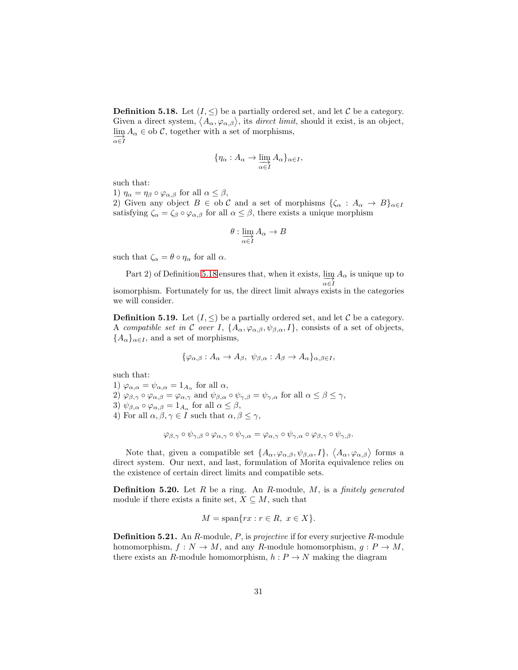<span id="page-30-0"></span>**Definition 5.18.** Let  $(I, \leq)$  be a partially ordered set, and let C be a category. Given a direct system,  $\langle A_{\alpha}, \varphi_{\alpha, \beta} \rangle$ , its *direct limit*, should it exist, is an object,  $\lim_{\alpha} A_{\alpha} \in$  ob C, together with a set of morphisms,  $\alpha \in I$ 

$$
\{\eta_\alpha: A_\alpha \to \varinjlim_{\alpha \in I} A_\alpha\}_{\alpha \in I},
$$

such that:

1)  $\eta_{\alpha} = \eta_{\beta} \circ \varphi_{\alpha,\beta}$  for all  $\alpha \leq \beta$ ,

2) Given any object  $B \in$  ob C and a set of morphisms  $\{\zeta_\alpha : A_\alpha \to B\}_{\alpha \in I}$ satisfying  $\zeta_{\alpha} = \zeta_{\beta} \circ \varphi_{\alpha,\beta}$  for all  $\alpha \leq \beta$ , there exists a unique morphism

$$
\theta: \varinjlim_{\alpha \in I} A_\alpha \to B
$$

such that  $\zeta_{\alpha} = \theta \circ \eta_{\alpha}$  for all  $\alpha$ .

Part 2) of Definition [5.18](#page-30-0) ensures that, when it exists,  $\varinjlim_{\alpha \in I} A_{\alpha}$  is unique up to isomorphism. Fortunately for us, the direct limit always exists in the categories we will consider.

**Definition 5.19.** Let  $(I, \leq)$  be a partially ordered set, and let C be a category. A compatible set in C over I,  $\{A_{\alpha}, \varphi_{\alpha,\beta}, \psi_{\beta,\alpha}, I\}$ , consists of a set of objects,  ${A_{\alpha}}_{\alpha\in I}$ , and a set of morphisms,

$$
\{\varphi_{\alpha,\beta}:A_{\alpha}\to A_{\beta},\ \psi_{\beta,\alpha}:A_{\beta}\to A_{\alpha}\}_{\alpha,\beta\in I},
$$

such that:

1)  $\varphi_{\alpha,\alpha} = \psi_{\alpha,\alpha} = 1_{A_\alpha}$  for all  $\alpha$ , 2)  $\varphi_{\beta,\gamma} \circ \varphi_{\alpha,\beta} = \varphi_{\alpha,\gamma}$  and  $\psi_{\beta,\alpha} \circ \psi_{\gamma,\beta} = \psi_{\gamma,\alpha}$  for all  $\alpha \leq \beta \leq \gamma$ , 3)  $\psi_{\beta,\alpha} \circ \varphi_{\alpha,\beta} = 1_{A_{\alpha}}$  for all  $\alpha \leq \beta$ , 4) For all  $\alpha, \beta, \gamma \in I$  such that  $\alpha, \beta \leq \gamma$ ,

$$
\varphi_{\beta,\gamma} \circ \psi_{\gamma,\beta} \circ \varphi_{\alpha,\gamma} \circ \psi_{\gamma,\alpha} = \varphi_{\alpha,\gamma} \circ \psi_{\gamma,\alpha} \circ \varphi_{\beta,\gamma} \circ \psi_{\gamma,\beta}.
$$

Note that, given a compatible set  $\{A_\alpha, \varphi_{\alpha,\beta}, \psi_{\beta,\alpha}, I\}, \langle A_\alpha, \varphi_{\alpha,\beta} \rangle$  forms a direct system. Our next, and last, formulation of Morita equivalence relies on the existence of certain direct limits and compatible sets.

**Definition 5.20.** Let  $R$  be a ring. An  $R$ -module,  $M$ , is a finitely generated module if there exists a finite set,  $X \subseteq M$ , such that

$$
M = \text{span}\{rx : r \in R, \ x \in X\}.
$$

**Definition 5.21.** An  $R$ -module,  $P$ , is projective if for every surjective  $R$ -module homomorphism,  $f: N \to M$ , and any R-module homomorphism,  $q: P \to M$ , there exists an R-module homomorphism,  $h : P \to N$  making the diagram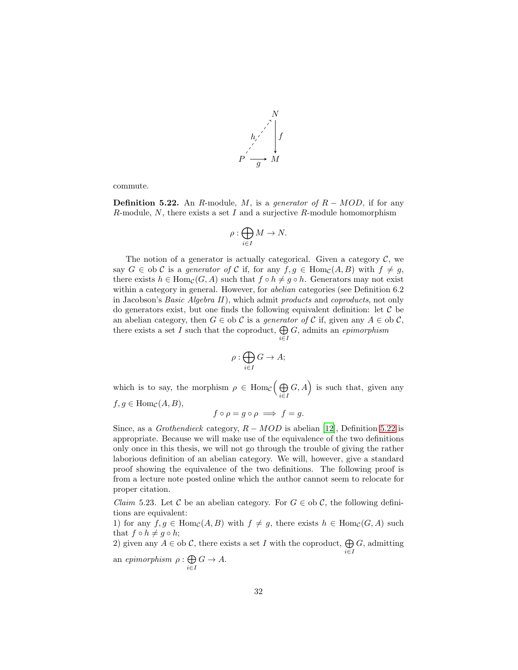

commute.

<span id="page-31-0"></span>**Definition 5.22.** An R-module, M, is a generator of  $R - MOD$ , if for any  $R$ -module,  $N$ , there exists a set  $I$  and a surjective  $R$ -module homomorphism

$$
\rho:\bigoplus_{i\in I}M\to N.
$$

The notion of a generator is actually categorical. Given a category  $\mathcal{C}$ , we say  $G \in$  ob C is a generator of C if, for any  $f, g \in \text{Hom}_{\mathcal{C}}(A, B)$  with  $f \neq g$ , there exists  $h \in \text{Hom}_{\mathcal{C}}(G, A)$  such that  $f \circ h \neq g \circ h$ . Generators may not exist within a category in general. However, for *abelian* categories (see Definition 6.2) in Jacobson's Basic Algebra II), which admit products and coproducts, not only do generators exist, but one finds the following equivalent definition: let  $\mathcal C$  be an abelian category, then  $G \in ob \mathcal{C}$  is a *generator of*  $\mathcal{C}$  if, given any  $A \in ob \mathcal{C}$ , there exists a set I such that the coproduct,  $\bigoplus$ i∈I G, admits an epimorphism

$$
\rho: \bigoplus_{i \in I} G \to A;
$$

which is to say, the morphism  $\rho \in \text{Hom}_{\mathcal{C}}(\bigoplus$ i∈I  $(G, A)$  is such that, given any  $f, g \in \text{Hom}_{\mathcal{C}}(A, B),$ 

$$
f \circ \rho = g \circ \rho \implies f = g.
$$

Since, as a Grothendieck category,  $R - MOD$  is abelian [\[12](#page-90-11)], Definition [5.22](#page-31-0) is appropriate. Because we will make use of the equivalence of the two definitions only once in this thesis, we will not go through the trouble of giving the rather laborious definition of an abelian category. We will, however, give a standard proof showing the equivalence of the two definitions. The following proof is from a lecture note posted online which the author cannot seem to relocate for proper citation.

*Claim* 5.23. Let C be an abelian category. For  $G \in ob \mathcal{C}$ , the following definitions are equivalent:

1) for any  $f, g \in \text{Hom}_{\mathcal{C}}(A, B)$  with  $f \neq g$ , there exists  $h \in \text{Hom}_{\mathcal{C}}(G, A)$  such that  $f \circ h \neq g \circ h$ ;

2) given any  $A \in$  ob C, there exists a set I with the coproduct,  $\bigoplus$ i∈I  $G$ , admitting

an epimorphism  $\rho : \bigoplus$ i∈I  $G \rightarrow A$ .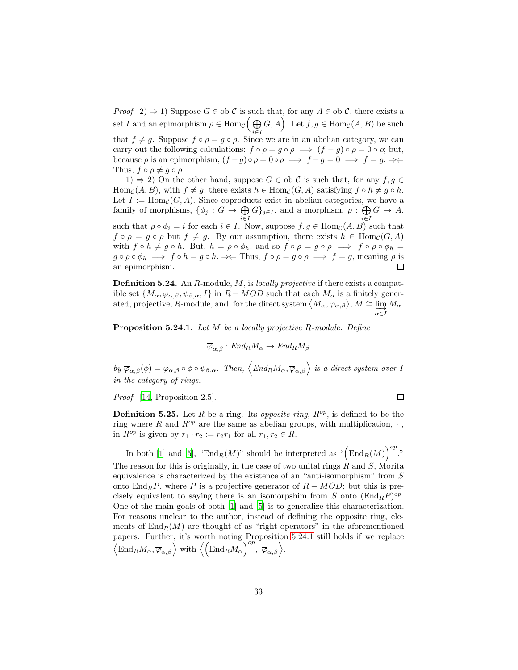*Proof.* 2)  $\Rightarrow$  1) Suppose  $G \in$  ob C is such that, for any  $A \in$  ob C, there exists a set I and an epimorphism  $\rho \in \text{Hom}_{\mathcal{C}}(\overline{\bigoplus})$ i∈I  $G, A$ . Let  $f, g \in \text{Hom}_{\mathcal{C}}(A, B)$  be such that  $f \neq g$ . Suppose  $f \circ \rho = g \circ \rho$ . Since we are in an abelian category, we can carry out the following calculations:  $f \circ \rho = g \circ \rho \implies (f - g) \circ \rho = 0 \circ \rho$ ; but, because  $\rho$  is an epimorphism,  $(f - g) \circ \rho = 0 \circ \rho \implies f - g = 0 \implies f = g. \implies$ Thus,  $f \circ \rho \neq q \circ \rho$ .

1)  $\Rightarrow$  2) On the other hand, suppose  $G \in$  ob C is such that, for any  $f, g \in$ Hom<sub>C</sub>(A, B), with  $f \neq g$ , there exists  $h \in \text{Hom}_{\mathcal{C}}(G, A)$  satisfying  $f \circ h \neq g \circ h$ . Let  $I := \text{Hom}_{\mathcal{C}}(G, A)$ . Since coproducts exist in abelian categories, we have a family of morphisms,  $\{\phi_j: G \to \bigoplus$  $\bigoplus_{i\in I} G\}_{j\in I}$ , and a morphism,  $\rho : \bigoplus_{i\in I}$  $G \rightarrow A,$ i∈I such that  $\rho \circ \phi_i = i$  for each  $i \in I$ . Now, suppose  $f, g \in \text{Hom}_{\mathcal{C}}(A, B)$  such that  $f \circ \rho = g \circ \rho$  but  $f \neq g$ . By our assumption, there exists  $h \in \text{Hom}_{\mathcal{C}}(G, A)$ with  $f \circ h \neq g \circ h$ . But,  $h = \rho \circ \phi_h$ , and so  $f \circ \rho = g \circ \rho \implies f \circ \rho \circ \phi_h =$  $g \circ \rho \circ \phi_h \implies f \circ h = g \circ h. \implies \text{Thus, } f \circ \rho = g \circ \rho \implies f = g$ , meaning  $\rho$  is an epimorphism. 口

**Definition 5.24.** An  $R$ -module,  $M$ , is locally projective if there exists a compatible set  $\{M_{\alpha}, \varphi_{\alpha,\beta}, \psi_{\beta,\alpha}, I\}$  in  $R - MOD$  such that each  $M_{\alpha}$  is a finitely generated, projective, R-module, and, for the direct system  $\langle M_{\alpha}, \varphi_{\alpha,\beta} \rangle$ ,  $M \cong \varinjlim_{\alpha \in I} M_{\alpha}$ .

<span id="page-32-1"></span>Proposition 5.24.1. Let M be a locally projective R-module. Define

$$
\overline{\varphi}_{\alpha,\beta}:End_R M_\alpha\to End_R M_\beta
$$

by  $\overline{\varphi}_{\alpha,\beta}(\phi) = \varphi_{\alpha,\beta} \circ \phi \circ \psi_{\beta,\alpha}$ . Then,  $\langle End_R M_\alpha, \overline{\varphi}_{\alpha,\beta} \rangle$  is a direct system over I in the category of rings.

Proof. [\[14,](#page-90-12) Proposition 2.5].

<span id="page-32-0"></span>**Definition 5.25.** Let R be a ring. Its *opposite ring*,  $R^{op}$ , is defined to be the ring where R and  $R^{op}$  are the same as abelian groups, with multiplication,  $\cdot$ , in  $R^{op}$  is given by  $r_1 \cdot r_2 := r_2 r_1$  for all  $r_1, r_2 \in R$ .

In both [\[1\]](#page-89-2) and [\[5\]](#page-89-3), " $\text{End}_R(M)$ " should be interpreted as " $(\text{End}_R(M))^{op}$ ." The reason for this is originally, in the case of two unital rings  $R$  and  $S$ , Morita equivalence is characterized by the existence of an "anti-isomorphism" from S onto End<sub>R</sub>P, where P is a projective generator of  $R - MOD$ ; but this is precisely equivalent to saying there is an isomorpshim from S onto  $(\text{End}_R P)^{op}$ . One of the main goals of both [\[1](#page-89-2)] and [\[5\]](#page-89-3) is to generalize this characterization. For reasons unclear to the author, instead of defining the opposite ring, elements of  $\text{End}_R(M)$  are thought of as "right operators" in the aforementioned papers. Further, it's worth noting Proposition [5.24.1](#page-32-1) still holds if we replace  $\left\langle \text{End}_{R} M_{\alpha}, \overline{\varphi}_{\alpha,\beta} \right\rangle$  with  $\left\langle \left( \text{End}_{R} M_{\alpha} \right)^{op}, \overline{\varphi}_{\alpha,\beta} \right\rangle$ .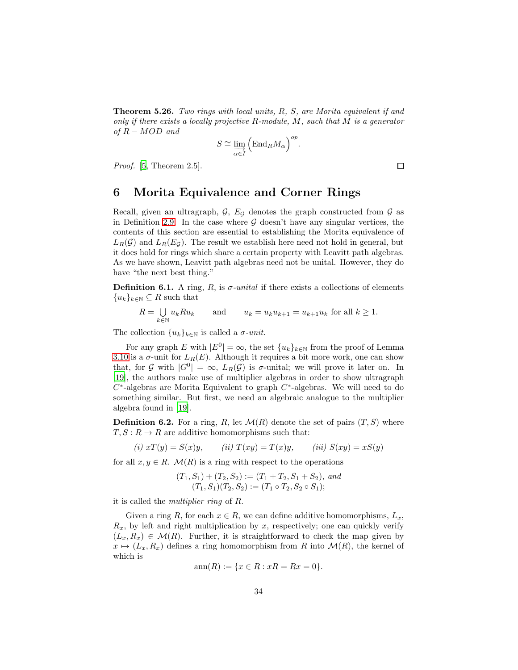Theorem 5.26. Two rings with local units, R, S, are Morita equivalent if and only if there exists a locally projective  $R$ -module,  $M$ , such that  $M$  is a generator of  $R - MOD$  and

$$
S \cong \varinjlim_{\alpha \in I} \left( \mathrm{End}_{R} M_{\alpha} \right)^{op}.
$$

*Proof.* [\[5,](#page-89-3) Theorem  $2.5$ ].

### 6 Morita Equivalence and Corner Rings

Recall, given an ultragraph,  $G$ ,  $E_G$  denotes the graph constructed from  $G$  as in Definition [2.9.](#page-6-0) In the case where  $\mathcal G$  doesn't have any singular vertices, the contents of this section are essential to establishing the Morita equivalence of  $L_R(\mathcal{G})$  and  $L_R(E_{\mathcal{G}})$ . The result we establish here need not hold in general, but it does hold for rings which share a certain property with Leavitt path algebras. As we have shown, Leavitt path algebras need not be unital. However, they do have "the next best thing."

**Definition 6.1.** A ring, R, is  $\sigma$ -unital if there exists a collections of elements  ${u_k}_{k\in\mathbb{N}} \subseteq R$  such that

$$
R = \bigcup_{k \in \mathbb{N}} u_k R u_k \qquad \text{and} \qquad u_k = u_k u_{k+1} = u_{k+1} u_k \text{ for all } k \ge 1.
$$

The collection  $\{u_k\}_{k\in\mathbb{N}}$  is called a  $\sigma$ -unit.

For any graph E with  $|E^0| = \infty$ , the set  $\{u_k\}_{k \in \mathbb{N}}$  from the proof of Lemma [3.10](#page-15-0) is a  $\sigma$ -unit for  $L_R(E)$ . Although it requires a bit more work, one can show that, for G with  $|G^0| = \infty$ ,  $L_R(G)$  is  $\sigma$ -unital; we will prove it later on. In [\[19\]](#page-90-7), the authors make use of multiplier algebras in order to show ultragraph  $C^*$ -algebras are Morita Equivalent to graph  $C^*$ -algebras. We will need to do something similar. But first, we need an algebraic analogue to the multiplier algebra found in [\[19\]](#page-90-7).

**Definition 6.2.** For a ring, R, let  $\mathcal{M}(R)$  denote the set of pairs  $(T, S)$  where  $T, S: R \to R$  are additive homomorphisms such that:

(i) 
$$
xT(y) = S(x)y
$$
, (ii)  $T(xy) = T(x)y$ , (iii)  $S(xy) = xS(y)$ 

for all  $x, y \in R$ .  $\mathcal{M}(R)$  is a ring with respect to the operations

$$
(T_1, S_1) + (T_2, S_2) := (T_1 + T_2, S_1 + S_2), and (T_1, S_1)(T_2, S_2) := (T_1 \circ T_2, S_2 \circ S_1);
$$

it is called the multiplier ring of R.

Given a ring R, for each  $x \in R$ , we can define additive homomorphisms,  $L_x$ ,  $R_x$ , by left and right multiplication by x, respectively; one can quickly verify  $(L_x, R_x) \in \mathcal{M}(R)$ . Further, it is straightforward to check the map given by  $x \mapsto (L_x, R_x)$  defines a ring homomorphism from R into  $\mathcal{M}(R)$ , the kernel of which is

$$
ann(R) := \{ x \in R : xR = Rx = 0 \}.
$$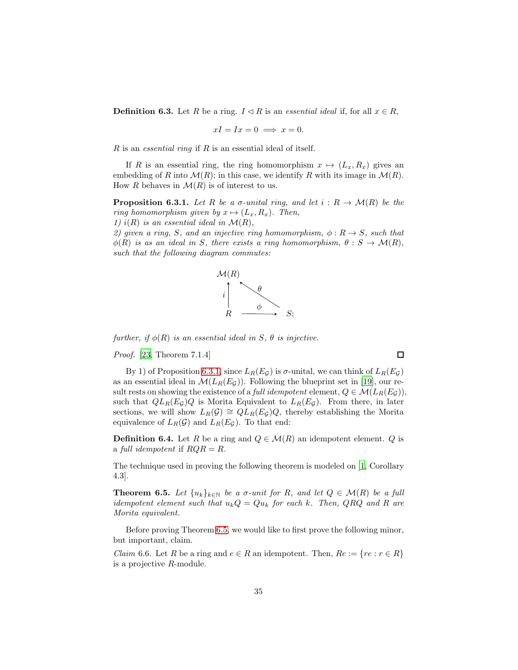**Definition 6.3.** Let R be a ring.  $I \triangleleft R$  is an essential ideal if, for all  $x \in R$ ,

$$
xI = Ix = 0 \implies x = 0.
$$

 $R$  is an *essential ring* if  $R$  is an essential ideal of itself.

If R is an essential ring, the ring homomorphism  $x \mapsto (L_x, R_x)$  gives an embedding of R into  $\mathcal{M}(R)$ ; in this case, we identify R with its image in  $\mathcal{M}(R)$ . How R behaves in  $\mathcal{M}(R)$  is of interest to us.

<span id="page-34-0"></span>**Proposition 6.3.1.** Let R be a  $\sigma$ -unital ring, and let  $i : R \to \mathcal{M}(R)$  be the ring homomorphism given by  $x \mapsto (L_x, R_x)$ . Then,

1)  $i(R)$  is an essential ideal in  $\mathcal{M}(R)$ ,

2) given a ring, S, and an injective ring homomorphism,  $\phi: R \to S$ , such that  $\phi(R)$  is as an ideal in S, there exists a ring homomorphism,  $\theta : S \to \mathcal{M}(R)$ , such that the following diagram commutes:



further, if  $\phi(R)$  is an essential ideal in S,  $\theta$  is injective.

Proof. [\[23,](#page-91-7) Theorem 7.1.4]

By 1) of Proposition [6.3.1,](#page-34-0) since  $L_R(E_{\mathcal{G}})$  is  $\sigma$ -unital, we can think of  $L_R(E_{\mathcal{G}})$ as an essential ideal in  $\mathcal{M}(L_R(E_G))$ . Following the blueprint set in [\[19\]](#page-90-7), our result rests on showing the existence of a *full idempotent* element,  $Q \in \mathcal{M}(L_R(E_{\mathcal{G}}))$ , such that  $QL_R(E_{\mathcal{G}})Q$  is Morita Equivalent to  $L_R(E_{\mathcal{G}})$ . From there, in later sections, we will show  $L_R(\mathcal{G}) \cong QL_R(E_{\mathcal{G}})Q$ , thereby establishing the Morita equivalence of  $L_R(\mathcal{G})$  and  $L_R(E_{\mathcal{G}})$ . To that end:

**Definition 6.4.** Let R be a ring and  $Q \in \mathcal{M}(R)$  an idempotent element. Q is a full idempotent if  $RQR = R$ .

The technique used in proving the following theorem is modeled on [\[1](#page-89-2), Corollary 4.3].

<span id="page-34-1"></span>**Theorem 6.5.** Let  $\{u_k\}_{k\in\mathbb{N}}$  be a  $\sigma$ -unit for R, and let  $Q \in \mathcal{M}(R)$  be a full idempotent element such that  $u_kQ = Qu_k$  for each k. Then, QRQ and R are Morita equivalent.

Before proving Theorem [6.5,](#page-34-1) we would like to first prove the following minor, but important, claim.

<span id="page-34-2"></span>*Claim* 6.6. Let R be a ring and  $e \in R$  an idempotent. Then,  $Re := \{re : r \in R\}$ is a projective R-module.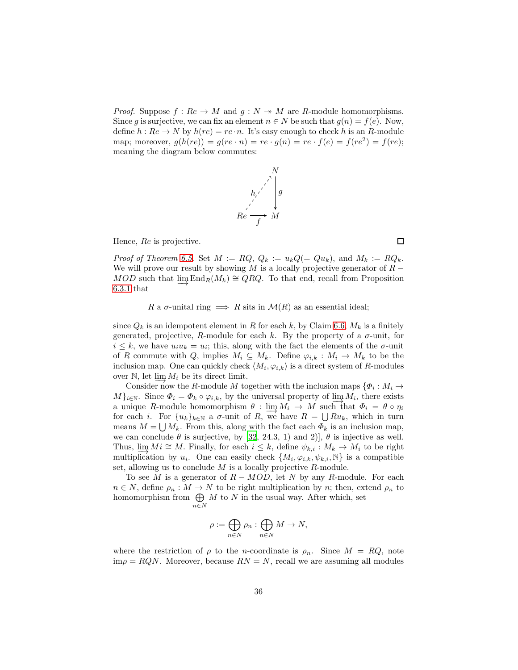*Proof.* Suppose  $f: Re \to M$  and  $g: N \to M$  are R-module homomorphisms. Since g is surjective, we can fix an element  $n \in N$  be such that  $g(n) = f(e)$ . Now, define  $h : Re \to N$  by  $h(re) = re \cdot n$ . It's easy enough to check h is an R-module map; moreover,  $g(h(re)) = g(re \cdot n) = re \cdot g(n) = re \cdot f(e) = f(re^2) = f(re);$ meaning the diagram below commutes:



Hence, Re is projective.

Proof of Theorem [6.5.](#page-34-1) Set  $M := RQ$ ,  $Q_k := u_k Q (= Q u_k)$ , and  $M_k := R Q_k$ . We will prove our result by showing M is a locally projective generator of  $R MOD$  such that  $\underline{\lim}$  End<sub>R</sub>( $M_k$ ) ≅ QRQ. To that end, recall from Proposition [6.3.1](#page-34-0) that

R a  $\sigma$ -unital ring  $\implies$  R sits in  $\mathcal{M}(R)$  as an essential ideal;

since  $Q_k$  is an idempotent element in R for each k, by Claim [6.6,](#page-34-2)  $M_k$  is a finitely generated, projective, R-module for each k. By the property of a  $\sigma$ -unit, for  $i \leq k$ , we have  $u_i u_k = u_i$ ; this, along with the fact the elements of the  $\sigma$ -unit of R commute with Q, implies  $M_i \subseteq M_k$ . Define  $\varphi_{i,k} : M_i \to M_k$  to be the inclusion map. One can quickly check  $\langle M_i, \varphi_{i,k} \rangle$  is a direct system of R-modules over  $\mathbb{N}$ , let  $\varinjlim M_i$  be its direct limit.

Consider now the R-module M together with the inclusion maps  $\{\Phi_i: M_i \to \Phi_i\}$  $M\}_{i\in\mathbb{N}}$ . Since  $\Phi_i = \Phi_k \circ \varphi_{i,k}$ , by the universal property of  $\lim_{n\to\infty} M_i$ , there exists a unique R-module homomorphism  $\theta$ :  $\lim_{n \to \infty} M_i \to M$  such that  $\Phi_i = \theta \circ \eta_i$ for each i. For  $\{u_k\}_{k\in\mathbb{N}}$  a  $\sigma$ -unit of R, we have  $R = \bigcup Ru_k$ , which in turn means  $M = \bigcup M_k$ . From this, along with the fact each  $\Phi_k$  is an inclusion map, we can conclude  $\theta$  is surjective, by [\[32,](#page-91-8) 24.3, 1) and 2],  $\theta$  is injective as well. Thus,  $\lim_{k \to \infty} Mi \cong M$ . Finally, for each  $i \leq k$ , define  $\psi_{k,i} : M_k \to M_i$  to be right multiplication by  $u_i$ . One can easily check  $\{M_i, \varphi_{i,k}, \psi_{k,i}, \mathbb{N}\}\$ is a compatible set, allowing us to conclude  $M$  is a locally projective  $R$ -module.

To see M is a generator of  $R - MOD$ , let N by any R-module. For each  $n \in N$ , define  $\rho_n : M \to N$  to be right multiplication by n; then, extend  $\rho_n$  to homomorphism from  $\bigoplus$ n∈N  $M$  to  $N$  in the usual way. After which, set

$$
\rho := \bigoplus_{n \in N} \rho_n : \bigoplus_{n \in N} M \to N,
$$

where the restriction of  $\rho$  to the *n*-coordinate is  $\rho_n$ . Since  $M = RQ$ , note  $\lim_{\rho} \rho = RQN$ . Moreover, because  $RN = N$ , recall we are assuming all modules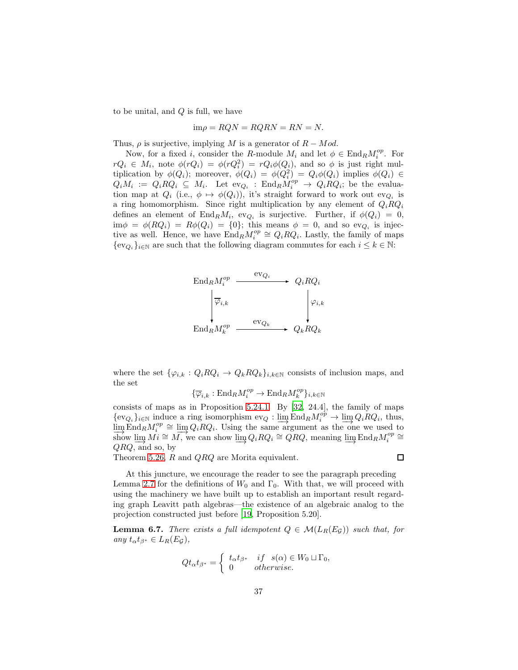to be unital, and  $Q$  is full, we have

$$
\text{im}\rho = RQN = RQRN = RN = N.
$$

Thus,  $\rho$  is surjective, implying M is a generator of  $R - Mod$ .

Now, for a fixed i, consider the R-module  $M_i$  and let  $\phi \in \text{End}_R M_i^{op}$ . For  $rQ_i \in M_i$ , note  $\phi(rQ_i) = \phi(rQ_i^2) = rQ_i\phi(Q_i)$ , and so  $\phi$  is just right multiplication by  $\phi(Q_i)$ ; moreover,  $\phi(Q_i) = \phi(Q_i^2) = Q_i \phi(Q_i)$  implies  $\phi(Q_i) \in$  $Q_iM_i := Q_iRQ_i \subseteq M_i$ . Let  $ev_{Q_i}$ :  $End_RM_i^{op} \longrightarrow Q_iRQ_i$ ; be the evaluation map at  $Q_i$  (i.e.,  $\phi \mapsto \phi(Q_i)$ ), it's straight forward to work out ev<sub>Q<sub>i</sub></sub> is a ring homomorphism. Since right multiplication by any element of  $Q_i R Q_i$ defines an element of  $\text{End}_R M_i$ , ev<sub>Qi</sub> is surjective. Further, if  $\phi(Q_i) = 0$ ,  $\lim \phi = \phi(RQ_i) = R\phi(Q_i) = \{0\};$  this means  $\phi = 0$ , and so ev<sub>Q<sub>i</sub></sub> is injective as well. Hence, we have  $\text{End}_R M_i^{op} \cong Q_i R Q_i$ . Lastly, the family of maps  $\{\mathrm{ev}_{Q_i}\}_{i\in\mathbb{N}}$  are such that the following diagram commutes for each  $i\leq k\in\mathbb{N}$ :



where the set  $\{\varphi_{i,k}: Q_i R Q_i \to Q_k R Q_k\}_{i,k \in \mathbb{N}}$  consists of inclusion maps, and the set

$$
\{\overline{\varphi}_{i,k}:\mathrm{End}_RM_i^{op}\to \mathrm{End}_RM_k^{op}\}_{i,k\in\mathbb{N}}
$$

consists of maps as in Proposition [5.24.1.](#page-32-0) By [\[32](#page-91-0), 24.4], the family of maps  $\{\text{ev}_{Q_i}\}_{i\in\mathbb{N}}$  induce a ring isomorphism  $\text{ev}_Q : \varinjlim \text{End}_R M_i^{op} \to \varinjlim Q_i R Q_i$ , thus,  $\lim_{i \to \infty} \text{End}_{R} M_i^{op} \cong \lim_{i \to \infty} Q_i R Q_i$ . Using the same argument as the one we used to show  $\lim_{i \to \infty} M_i \cong M$ , we can show  $\lim_{i \to \infty} Q_i R Q_i \cong QRQ$ , meaning  $\lim_{i \to \infty} \text{End}_R M_i^{op} \cong Q RQ$  $QRQ$ , and so, by

Theorem [5.26,](#page-33-0) R and QRQ are Morita equivalent.

At this juncture, we encourage the reader to see the paragraph preceding Lemma [2.7](#page-5-0) for the definitions of  $W_0$  and  $\Gamma_0$ . With that, we will proceed with using the machinery we have built up to establish an important result regarding graph Leavitt path algebras—the existence of an algebraic analog to the projection constructed just before [\[19](#page-90-0), Proposition 5.20].

<span id="page-36-0"></span>**Lemma 6.7.** There exists a full idempotent  $Q \in \mathcal{M}(L_R(E_{\mathcal{G}}))$  such that, for any  $t_{\alpha}t_{\beta^*} \in L_R(E_{\mathcal{G}})$ ,

$$
Qt_{\alpha}t_{\beta^*} = \begin{cases} t_{\alpha}t_{\beta^*} & if \quad s(\alpha) \in W_0 \sqcup \Gamma_0, \\ 0 & otherwise. \end{cases}
$$

口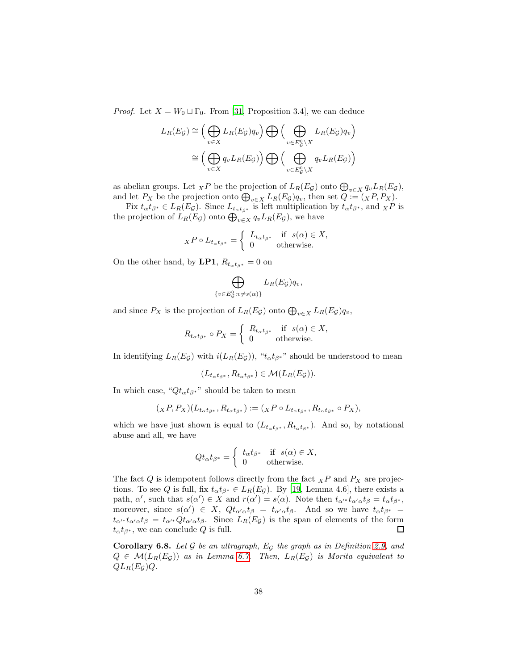*Proof.* Let  $X = W_0 \sqcup \Gamma_0$ . From [\[31,](#page-91-1) Proposition 3.4], we can deduce

$$
L_R(E_{\mathcal{G}}) \cong \left(\bigoplus_{v \in X} L_R(E_{\mathcal{G}})q_v\right) \bigoplus \left(\bigoplus_{v \in E_{\mathcal{G}}^0 \setminus X} L_R(E_{\mathcal{G}})q_v\right)
$$

$$
\cong \left(\bigoplus_{v \in X} q_v L_R(E_{\mathcal{G}})\right) \bigoplus \left(\bigoplus_{v \in E_{\mathcal{G}}^0 \setminus X} q_v L_R(E_{\mathcal{G}})\right)
$$

as abelian groups. Let  $_X P$  be the projection of  $L_R(E_G)$  onto  $\bigoplus_{v \in X} q_v L_R(E_G)$ , and let  $P_X$  be the projection onto  $\bigoplus_{v\in X} L_R(E_{\mathcal{G}})q_v$ , then set  $\tilde{Q} := (X P, P_X)$ .

Fix  $t_{\alpha}t_{\beta^*} \in L_R(E_{\mathcal{G}})$ . Since  $L_{t_{\alpha}t_{\beta^*}}$  is left multiplication by  $t_{\alpha}t_{\beta^*}$ , and  $\chi P$  is the projection of  $L_R(E_{\mathcal{G}})$  onto  $\bigoplus_{v\in X} q_v L_R(E_{\mathcal{G}})$ , we have

$$
{}_{X}P\circ L_{t_{\alpha}t_{\beta^*}} = \begin{cases} L_{t_{\alpha}t_{\beta^*}} & \text{if } s(\alpha) \in X, \\ 0 & \text{otherwise.} \end{cases}
$$

On the other hand, by LP1,  $R_{t_{\alpha}t_{\beta*}} = 0$  on

$$
\bigoplus_{\{v \in E_{\mathcal{G}}^0 : v \neq s(\alpha)\}} L_R(E_{\mathcal{G}}) q_v,
$$

and since  $P_X$  is the projection of  $L_R(E_{\mathcal{G}})$  onto  $\bigoplus_{v \in X} L_R(E_{\mathcal{G}}) q_v$ ,

$$
R_{t_{\alpha}t_{\beta^*}} \circ P_X = \begin{cases} R_{t_{\alpha}t_{\beta^*}} & \text{if } s(\alpha) \in X, \\ 0 & \text{otherwise.} \end{cases}
$$

In identifying  $L_R(E_{\mathcal{G}})$  with  $i(L_R(E_{\mathcal{G}}))$ , " $t_{\alpha}t_{\beta^*}$ " should be understood to mean

$$
(L_{t_{\alpha}t_{\beta^*}}, R_{t_{\alpha}t_{\beta^*}}) \in \mathcal{M}(L_R(E_{\mathcal{G}})).
$$

In which case, " $Qt_{\alpha}t_{\beta}$ <sup>\*</sup>" should be taken to mean

$$
({}_XP,P_X)(L_{t_\alpha t_{\beta^*}},R_{t_\alpha t_{\beta^*}}):=({}_XP\circ L_{t_\alpha t_{\beta^*}},R_{t_\alpha t_{\beta^*}}\circ P_X),
$$

which we have just shown is equal to  $(L_{t_{\alpha}t_{\beta*}}, R_{t_{\alpha}t_{\beta*}})$ . And so, by notational abuse and all, we have

$$
Qt_{\alpha}t_{\beta^*} = \begin{cases} t_{\alpha}t_{\beta^*} & \text{if } s(\alpha) \in X, \\ 0 & \text{otherwise.} \end{cases}
$$

The fact  $Q$  is idempotent follows directly from the fact  $_XP$  and  $P_X$  are projections. To see Q is full, fix  $t_{\alpha}t_{\beta^*} \in L_R(E_{\mathcal{G}})$ . By [\[19](#page-90-0), Lemma 4.6], there exists a path,  $\alpha'$ , such that  $s(\alpha') \in X$  and  $r(\alpha') = s(\alpha)$ . Note then  $t_{\alpha'} * t_{\alpha'} \alpha t_{\beta} = t_{\alpha} t_{\beta^*}$ , moreover, since  $s(\alpha') \in X$ ,  $Qt_{\alpha'\alpha}t_{\beta} = t_{\alpha'\alpha}t_{\beta}$ . And so we have  $t_{\alpha}t_{\beta^*} =$  $t_{\alpha'\ast}t_{\alpha'\alpha}t_{\beta} = t_{\alpha'\ast}Qt_{\alpha'\alpha}t_{\beta}$ . Since  $L_R(E_{\mathcal{G}})$  is the span of elements of the form  $t_{\alpha}t_{\beta^*}$ , we can conclude Q is full.  $\Box$ 

<span id="page-37-0"></span>**Corollary 6.8.** Let  $\mathcal G$  be an ultragraph,  $E_{\mathcal G}$  the graph as in Definition [2.9,](#page-6-0) and  $Q \in \mathcal{M}(L_R(E_{\mathcal{G}}))$  as in Lemma [6.7.](#page-36-0) Then,  $L_R(E_{\mathcal{G}})$  is Morita equivalent to  $QL_R(E_{\mathcal{G}})Q.$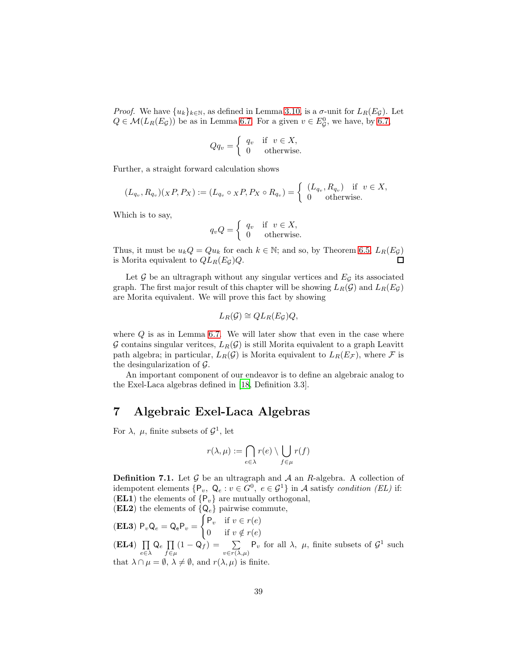*Proof.* We have  $\{u_k\}_{k\in\mathbb{N}}$ , as defined in Lemma [3.10,](#page-15-0) is a  $\sigma$ -unit for  $L_R(E_{\mathcal{G}})$ . Let  $Q \in \mathcal{M}(L_R(E_{\mathcal{G}}))$  be as in Lemma [6.7.](#page-36-0) For a given  $v \in E_{\mathcal{G}}^0$ , we have, by [6.7,](#page-36-0)

$$
Qq_v = \begin{cases} q_v & \text{if } v \in X, \\ 0 & \text{otherwise.} \end{cases}
$$

Further, a straight forward calculation shows

$$
(L_{q_v}, R_{q_v})(\chi P, P_X) := (L_{q_v} \circ \chi P, P_X \circ R_{q_v}) = \begin{cases} (L_{q_v}, R_{q_v}) & \text{if } v \in X, \\ 0 & \text{otherwise.} \end{cases}
$$

Which is to say,

$$
q_v Q = \begin{cases} q_v & \text{if } v \in X, \\ 0 & \text{otherwise.} \end{cases}
$$

Thus, it must be  $u_kQ = Qu_k$  for each  $k \in \mathbb{N}$ ; and so, by Theorem [6.5,](#page-34-0)  $L_R(E_{\mathcal{G}})$ is Morita equivalent to  $QL_R(E_G)Q$ . П

Let  $G$  be an ultragraph without any singular vertices and  $E_G$  its associated graph. The first major result of this chapter will be showing  $L_R(\mathcal{G})$  and  $L_R(E_{\mathcal{G}})$ are Morita equivalent. We will prove this fact by showing

$$
L_R(\mathcal{G}) \cong QL_R(E_{\mathcal{G}})Q,
$$

where  $Q$  is as in Lemma [6.7.](#page-36-0) We will later show that even in the case where G contains singular veritces,  $L_R(G)$  is still Morita equivalent to a graph Leavitt path algebra; in particular,  $L_R(\mathcal{G})$  is Morita equivalent to  $L_R(E_{\mathcal{F}})$ , where  $\mathcal F$  is the desingularization of G.

An important component of our endeavor is to define an algebraic analog to the Exel-Laca algebras defined in [\[18,](#page-90-1) Definition 3.3].

### 7 Algebraic Exel-Laca Algebras

For  $\lambda$ ,  $\mu$ , finite subsets of  $\mathcal{G}^1$ , let

$$
r(\lambda, \mu) := \bigcap_{e \in \lambda} r(e) \setminus \bigcup_{f \in \mu} r(f)
$$

<span id="page-38-0"></span>**Definition 7.1.** Let  $\mathcal G$  be an ultragraph and  $\mathcal A$  an  $R$ -algebra. A collection of idempotent elements  $\{P_v, Q_e : v \in G^0, e \in \mathcal{G}^1\}$  in A satisfy condition (EL) if: (EL1) the elements of  ${P_v}$  are mutually orthogonal,

(EL2) the elements of  $\{Q_e\}$  pairwise commute,

(EL3) 
$$
P_v Q_e = Q_e P_v = \begin{cases} P_v & \text{if } v \in r(e) \\ 0 & \text{if } v \notin r(e) \end{cases}
$$

 $(EL4)$   $\Pi$  $\prod_{e \in \lambda} \mathsf{Q}_e \prod_{f \in \mu}$  $\prod_{f \in \mu} (1 - Q_f) = \sum_{v \in r(\lambda, \mu)} P_v$  for all  $\lambda$ ,  $\mu$ , finite subsets of  $\mathcal{G}^1$  such that  $\lambda \cap \mu = \emptyset$ ,  $\lambda \neq \emptyset$ , and  $r(\lambda, \mu)$  is finite.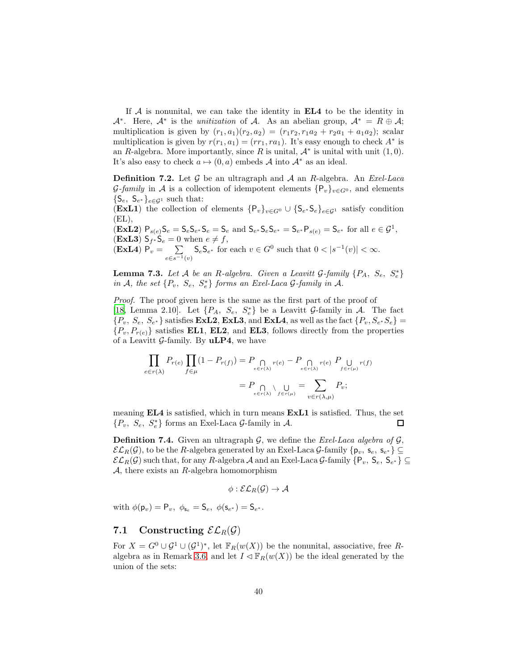If  $A$  is nonunital, we can take the identity in  $EL4$  to be the identity in  $\mathcal{A}^*$ . Here,  $\mathcal{A}^*$  is the *unitization* of  $\mathcal{A}$ . As an abelian group,  $\mathcal{A}^* = R \oplus \mathcal{A}$ ; multiplication is given by  $(r_1, a_1)(r_2, a_2) = (r_1r_2, r_1a_2 + r_2a_1 + a_1a_2);$  scalar multiplication is given by  $r(r_1, a_1) = (rr_1, ra_1)$ . It's easy enough to check  $A^*$  is an R-algebra. More importantly, since R is unital,  $\mathcal{A}^*$  is unital with unit  $(1,0)$ . It's also easy to check  $a \mapsto (0, a)$  embeds A into  $A^*$  as an ideal.

**Definition 7.2.** Let  $G$  be an ultragraph and  $A$  an  $R$ -algebra. An *Exel-Laca*  $\mathcal{G}$ -family in A is a collection of idempotent elements  $\{P_v\}_{v\in G^0}$ , and elements  $\{\mathsf S_e,\ \mathsf S_{e^*}\}_{e\in\mathcal{G}^1}$  such that: (ExL1) the collection of elements  $\{P_v\}_{v \in G^0} \cup \{S_{e^*}S_{e}\}_{e \in G^1}$  satisfy condition

 $(EL),$  $(\textbf{ExL2}) \; \mathsf{P}_{s(e)} \mathsf{S}_e = \mathsf{S}_e \mathsf{S}_{e^*} \mathsf{S}_e = \mathsf{S}_e \text{ and } \mathsf{S}_{e^*} \mathsf{S}_e \mathsf{S}_{e^*} = \mathsf{S}_{e^*} \mathsf{P}_{s(e)} = \mathsf{S}_{e^*} \text{ for all } e \in \mathcal{G}^1,$  $(\mathbf{ExL3})$   $\mathsf{S}_{f^*}\mathsf{S}_e = 0$  when  $e \neq f$ ,  $(ExL4) P_v = \sum$  $e \in s^{-1}(v)$  $\mathsf{S}_e \mathsf{S}_{e^*}$  for each  $v \in G^0$  such that  $0 < |s^{-1}(v)| < \infty$ .

<span id="page-39-1"></span>**Lemma 7.3.** Let A be an R-algebra. Given a Leavitt G-family  $\{P_A, S_e, S_e^*\}$ in A, the set  $\{P_v, S_e, S_e^*\}$  forms an Exel-Laca G-family in A.

Proof. The proof given here is the same as the first part of the proof of [\[18,](#page-90-1) Lemma 2.10]. Let  $\{P_A, S_e, S_e^*\}$  be a Leavitt G-family in A. The fact  $\{P_v, S_e, S_{e^*}\}\$  satisfies **ExL2**, **ExL3**, and **ExL4**, as well as the fact  $\{P_v, S_{e^*}S_e\}$  =  ${P_v, P_{r(e)}}$  satisfies **EL1**, **EL2**, and **EL3**, follows directly from the properties of a Leavitt G-family. By  $uLP4$ , we have

$$
\prod_{e \in r(\lambda)} P_{r(e)} \prod_{f \in \mu} (1 - P_{r(f)}) = P \underset{e \in r(\lambda)}{\bigcap} r(e) - P \underset{e \in r(\lambda)}{\bigcap} r(e) P \underset{f \in r(\mu)}{\bigcup} r(f)
$$
\n
$$
= P \underset{e \in r(\lambda)}{\bigcap} \bigvee_{f \in r(\mu)} \bigcup_{e \in r(\lambda, \mu)} = \sum_{v \in r(\lambda, \mu)} P_v;
$$

meaning EL4 is satisfied, which in turn means ExL1 is satisfied. Thus, the set  $\{P_v, S_e, S_e^*\}$  forms an Exel-Laca  $\mathcal{G}$ -family in  $\mathcal{A}$ .  $\Box$ 

<span id="page-39-0"></span>**Definition 7.4.** Given an ultragraph  $\mathcal{G}$ , we define the *Exel-Laca algebra of*  $\mathcal{G}$ ,  $\mathcal{EL}_R(\mathcal{G})$ , to be the R-algebra generated by an Exel-Laca  $\mathcal{G}$ -family  $\{\mathsf{p}_v,\,\mathsf{s}_e,\,\mathsf{s}_{e^*}\}\subseteq$  $\mathcal{EL}_R(\mathcal{G})$  such that, for any  $R$ -algebra  $\mathcal{A}$  and an Exel-Laca  $\mathcal{G}$ -family  $\{\mathsf{P}_v,\;\mathsf{S}_e,\;\mathsf{S}_{e^*}\}\subseteq$  $A$ , there exists an R-algebra homomorphism

$$
\phi:\mathcal{EL}_R(\mathcal{G})\to \mathcal{A}
$$

with  $\phi(\mathsf{p}_v) = \mathsf{P}_v, \ \phi_{\mathsf{s}_e} = \mathsf{S}_e, \ \phi(\mathsf{s}_{e^*}) = \mathsf{S}_{e^*}.$ 

#### 7.1 Constructing  $\mathcal{EL}_R(\mathcal{G})$

For  $X = G^0 \cup G^1 \cup (G^1)^*$ , let  $\mathbb{F}_R(w(X))$  be the nonunital, associative, free R-algebra as in Remark [3.6,](#page-11-0) and let  $I \lhd \mathbb{F}_R(w(X))$  be the ideal generated by the union of the sets: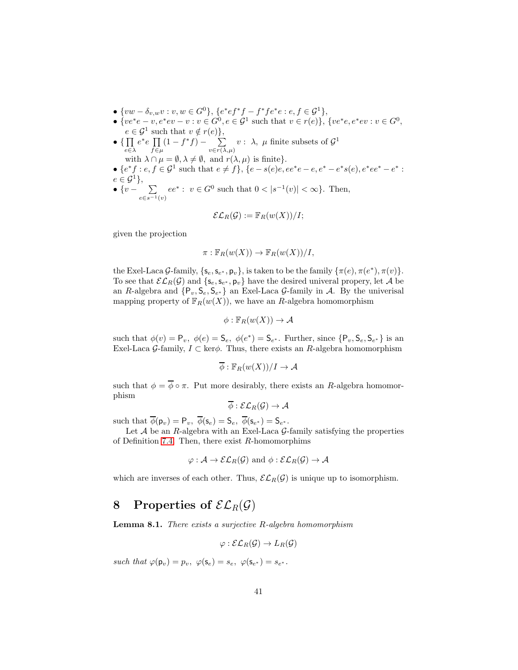- $\{vw \delta_{v,w}v : v, w \in G^0\}, \{e^*ef^*f f^*fe^*e : e, f \in \mathcal{G}^1\},\$
- { $ve^*e v, e^*ev v : v \in G^0, e \in \mathcal{G}^1$  such that  $v \in r(e)$ }, { $ve^*e, e^*ev : v \in G^0$ ,  $e \in \mathcal{G}^1$  such that  $v \notin r(e)$ ,
- $\bullet$  {  $\prod$ e∈λ  $e^*e \prod$  $f\!\in\!\mu$  $(1-f^*f)$  –  $\sum$  $v \in r(\lambda, \mu)$  $v: \lambda, \mu$  finite subsets of  $\mathcal{G}^1$ with  $\lambda \cap \mu = \emptyset, \lambda \neq \emptyset$ , and  $r(\lambda, \mu)$  is finite}. •  ${e^*f : e, f \in \mathcal{G}^1 \text{ such that } e \neq f}, {e - s(e)e, ee^*e - e, e^* - e^*s(e), e^*ee^* - e^* :}$
- $e \in \mathcal{G}^1$ ,  $\bullet$  {v -  $\sum$  $e \in s^{-1}(v)$  $ee^* : v \in G^0$  such that  $0 < |s^{-1}(v)| < \infty$ . Then,

$$
\mathcal{EL}_R(\mathcal{G}) := \mathbb{F}_R(w(X))/I;
$$

given the projection

$$
\pi: \mathbb{F}_R(w(X)) \to \mathbb{F}_R(w(X))/I,
$$

the Exel-Laca G-family,  $\{s_e, s_{e^*}, p_v\}$ , is taken to be the family  $\{\pi(e), \pi(e^*), \pi(v)\}.$ To see that  $\mathcal{EL}_R(\mathcal{G})$  and  $\{s_e, s_{e^*}, p_v\}$  have the desired univeral propery, let A be an R-algebra and  $\{P_v, S_e, S_{e^*}\}\$ an Exel-Laca G-family in A. By the univerisal mapping property of  $\mathbb{F}_R(w(X))$ , we have an R-algebra homomorphism

$$
\phi: \mathbb{F}_R(w(X)) \to \mathcal{A}
$$

such that  $\phi(v) = \mathsf{P}_v, \ \phi(e) = \mathsf{S}_e, \ \phi(e^*) = \mathsf{S}_{e^*}.$  Further, since  $\{\mathsf{P}_v, \mathsf{S}_e, \mathsf{S}_{e^*}\}\$  is an Exel-Laca G-family,  $I \subset \text{ker}\phi$ . Thus, there exists an R-algebra homomorphism

$$
\overline{\phi}:\mathbb{F}_R(w(X))/I\to \mathcal{A}
$$

such that  $\phi = \overline{\phi} \circ \pi$ . Put more desirably, there exists an R-algebra homomorphism

$$
\overline{\phi}: \mathcal{EL}_R(\mathcal{G}) \to \mathcal{A}
$$

such that  $\phi(\mathsf{p}_v) = \mathsf{P}_v$ ,  $\phi(\mathsf{s}_e) = \mathsf{S}_e$ ,  $\phi(\mathsf{s}_{e^*}) = \mathsf{S}_{e^*}$ .

Let  $A$  be an  $R$ -algebra with an Exel-Laca  $G$ -family satisfying the properties of Definition [7.4.](#page-39-0) Then, there exist  $R$ -homomorphims

$$
\varphi: \mathcal{A} \to \mathcal{EL}_R(\mathcal{G})
$$
 and  $\phi: \mathcal{EL}_R(\mathcal{G}) \to \mathcal{A}$ 

which are inverses of each other. Thus,  $\mathcal{EL}_R(\mathcal{G})$  is unique up to isomorphism.

## 8 Properties of  $\mathcal{EL}_R(\mathcal{G})$

<span id="page-40-0"></span>Lemma 8.1. There exists a surjective R-algebra homomorphism

$$
\varphi : \mathcal{EL}_R(\mathcal{G}) \to L_R(\mathcal{G})
$$

such that  $\varphi(\mathsf{p}_v) = p_v, \ \varphi(\mathsf{s}_e) = s_e, \ \varphi(\mathsf{s}_{e^*}) = s_{e^*}.$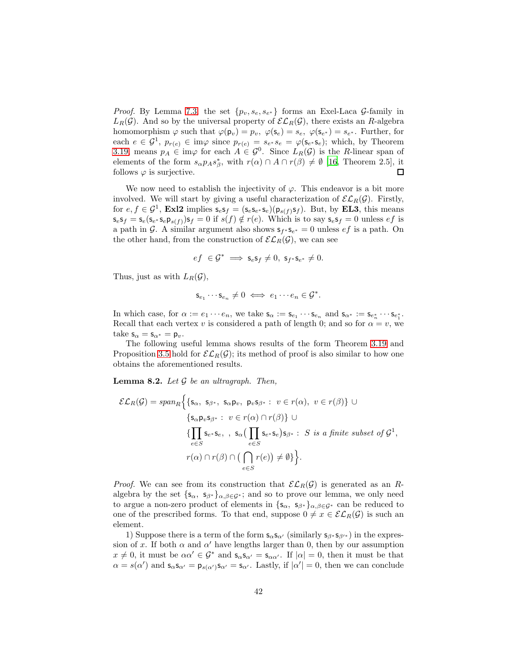*Proof.* By Lemma [7.3,](#page-39-1) the set  $\{p_v, s_e, s_{e^*}\}\)$  forms an Exel-Laca G-family in  $L_R(G)$ . And so by the universal property of  $\mathcal{EL}_R(G)$ , there exists an R-algebra homomorphism  $\varphi$  such that  $\varphi(\mathsf{p}_v) = p_v$ ,  $\varphi(\mathsf{s}_e) = s_e$ ,  $\varphi(\mathsf{s}_{e^*}) = s_{e^*}$ . Further, for each  $e \in \mathcal{G}^1$ ,  $p_{r(e)} \in \text{im}\varphi$  since  $p_{r(e)} = s_{e^*} s_e = \varphi(\mathbf{s}_{e^*} \mathbf{s}_e)$ ; which, by Theorem [3.19,](#page-18-0) means  $p_A \in \text{im}\varphi$  for each  $A \in \mathcal{G}^0$ . Since  $L_R(\mathcal{G})$  is the R-linear span of elements of the form  $s_{\alpha}p_A s_{\beta}^*$ , with  $r(\alpha) \cap A \cap r(\beta) \neq \emptyset$  [\[16,](#page-90-2) Theorem 2.5], it follows  $\varphi$  is surjective.  $\Box$ 

We now need to establish the injectivity of  $\varphi$ . This endeavor is a bit more involved. We will start by giving a useful characterization of  $\mathcal{EL}_R(\mathcal{G})$ . Firstly, for  $e, f \in \mathcal{G}^1$ , **Exl2** implies  $\mathsf{s}_e \mathsf{s}_f = (\mathsf{s}_e \mathsf{s}_{e^*} \mathsf{s}_e)(\mathsf{p}_{s(f)} \mathsf{s}_f)$ . But, by **EL3**, this means  $\mathsf{s}_e\mathsf{s}_f = \mathsf{s}_e(\mathsf{s}_{e^*}\mathsf{s}_e\mathsf{p}_{s(f)})\mathsf{s}_f = 0$  if  $s(f) \notin r(e)$ . Which is to say  $\mathsf{s}_e\mathsf{s}_f = 0$  unless  $ef$  is a path in G. A similar argument also shows  $s_{f^*} s_{e^*} = 0$  unless  $e f$  is a path. On the other hand, from the construction of  $\mathcal{EL}_R(\mathcal{G})$ , we can see

$$
ef \in \mathcal{G}^* \implies \mathsf{s}_e \mathsf{s}_f \neq 0, \ \mathsf{s}_{f^*} \mathsf{s}_{e^*} \neq 0.
$$

Thus, just as with  $L_R(\mathcal{G})$ ,

$$
\mathsf{s}_{e_1}\cdots \mathsf{s}_{e_n}\neq 0\iff e_1\cdots e_n\in \mathcal{G}^*
$$

.

In which case, for  $\alpha := e_1 \cdots e_n$ , we take  $\mathsf{s}_{\alpha} := \mathsf{s}_{e_1} \cdots \mathsf{s}_{e_n}$  and  $\mathsf{s}_{\alpha^*} := \mathsf{s}_{e_n^*} \cdots \mathsf{s}_{e_1^*}$ . Recall that each vertex v is considered a path of length 0; and so for  $\alpha = v$ , we take  $s_{\alpha} = s_{\alpha^*} = p_v$ .

The following useful lemma shows results of the form Theorem [3.19](#page-18-0) and Proposition [3.5](#page-11-1) hold for  $\mathcal{EL}_R(\mathcal{G})$ ; its method of proof is also similar to how one obtains the aforementioned results.

<span id="page-41-0"></span>**Lemma 8.2.** Let  $\mathcal G$  be an ultragraph. Then,

$$
\mathcal{EL}_R(\mathcal{G}) = span_R \Big\{ \{ \mathsf{s}_{\alpha}, \ \mathsf{s}_{\beta^*}, \ \mathsf{s}_{\alpha} \mathsf{p}_{v}, \ \mathsf{p}_{v} \mathsf{s}_{\beta^*} : \ v \in r(\alpha), \ v \in r(\beta) \} \cup \Big\{ \mathsf{s}_{\alpha} \mathsf{p}_{v} \mathsf{s}_{\beta^*} : \ v \in r(\alpha) \cap r(\beta) \} \cup \Big\{ \prod_{e \in S} \mathsf{s}_{e^*} \mathsf{s}_{e}, \ , \ \mathsf{s}_{\alpha} \big( \prod_{e \in S} \mathsf{s}_{e^*} \mathsf{s}_{e} \big) \mathsf{s}_{\beta^*} : \ S \ \text{is a finite subset of } \mathcal{G}^1, \\ r(\alpha) \cap r(\beta) \cap \big( \bigcap_{e \in S} r(e) \big) \neq \emptyset \Big\} \Big\}.
$$

*Proof.* We can see from its construction that  $\mathcal{EL}_R(\mathcal{G})$  is generated as an Ralgebra by the set  ${s_{\alpha}, s_{\beta^*}}_{\alpha,\beta \in \mathcal{G}^*}$ ; and so to prove our lemma, we only need to argue a non-zero product of elements in  $\{s_{\alpha}, s_{\beta^*}\}_{\alpha,\beta \in \mathcal{G}^*}$  can be reduced to one of the prescribed forms. To that end, suppose  $0 \neq x \in \mathcal{EL}_R(\mathcal{G})$  is such an element.

1) Suppose there is a term of the form  $s_{\alpha}s_{\alpha'}$  (similarly  $s_{\beta'}s_{\beta'}$ ) in the expression of x. If both  $\alpha$  and  $\alpha'$  have lengths larger than 0, then by our assumption  $x \neq 0$ , it must be  $\alpha \alpha' \in \mathcal{G}^*$  and  $\mathsf{s}_{\alpha} \mathsf{s}_{\alpha'} = \mathsf{s}_{\alpha \alpha'}$ . If  $|\alpha| = 0$ , then it must be that  $\alpha = s(\alpha')$  and  $\mathsf{s}_{\alpha}\mathsf{s}_{\alpha'} = \mathsf{p}_{s(\alpha')}\mathsf{s}_{\alpha'} = \mathsf{s}_{\alpha'}$ . Lastly, if  $|\alpha'| = 0$ , then we can conclude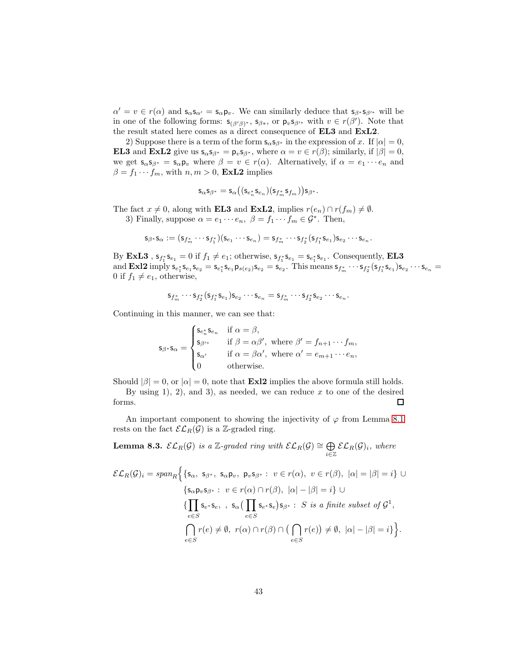$\alpha' = v \in r(\alpha)$  and  $s_{\alpha}s_{\alpha'} = s_{\alpha}p_v$ . We can similarly deduce that  $s_{\beta'}s_{\beta'}$  will be in one of the following forms:  $s_{(\beta'\beta)^*}$ ,  $s_{\beta*}$ , or  $p_v s_{\beta'^*}$  with  $v \in r(\beta')$ . Note that the result stated here comes as a direct consequence of EL3 and ExL2.

2) Suppose there is a term of the form  $s_{\alpha}s_{\beta*}$  in the expression of x. If  $|\alpha|=0$ , **EL3** and **ExL2** give us  $\mathbf{s}_{\alpha} \mathbf{s}_{\beta^*} = \mathbf{p}_v \mathbf{s}_{\beta^*}$ , where  $\alpha = v \in r(\beta)$ ; similarly, if  $|\beta| = 0$ , we get  $\mathsf{s}_{\alpha}\mathsf{s}_{\beta^*} = \mathsf{s}_{\alpha}\mathsf{p}_v$  where  $\beta = v \in r(\alpha)$ . Alternatively, if  $\alpha = e_1 \cdots e_n$  and  $\beta = f_1 \cdots f_m$ , with  $n, m > 0$ , **ExL2** implies

$$
\mathsf{s}_{\alpha}\mathsf{s}_{\beta^*}=\mathsf{s}_{\alpha}\big((\mathsf{s}_{e_n^*}\mathsf{s}_{e_n})(\mathsf{s}_{f_m^*}\mathsf{s}_{f_m})\big)\mathsf{s}_{\beta^*}.
$$

The fact  $x \neq 0$ , along with **EL3** and **ExL2**, implies  $r(e_n) \cap r(f_m) \neq \emptyset$ .

3) Finally, suppose  $\alpha = e_1 \cdots e_n$ ,  $\beta = f_1 \cdots f_m \in \mathcal{G}^*$ . Then,

$$
\mathsf{s}_{\beta^*}\mathsf{s}_{\alpha}:=(\mathsf{s}_{f_m^*}\cdots \mathsf{s}_{f_1^*})(\mathsf{s}_{e_1}\cdots \mathsf{s}_{e_n})=\mathsf{s}_{f_m^*}\cdots \mathsf{s}_{f_2^*}(\mathsf{s}_{f_1^*}\mathsf{s}_{e_1})\mathsf{s}_{e_2}\cdots \mathsf{s}_{e_n}.
$$

By **ExL3**,  $s_{f_1^*} s_{e_1} = 0$  if  $f_1 \neq e_1$ ; otherwise,  $s_{f_1^*} s_{e_1} = s_{e_1^*} s_{e_1}$ . Consequently, **EL3** and **Exl2** imply  $s_{e_1^*} s_{e_1} s_{e_2} = s_{e_1^*} s_{e_1} p_{s(e_2)} s_{e_2} = s_{e_2}$ . This means  $s_{f_m^*} \cdots s_{f_2^*} (s_{f_1^*} s_{e_1}) s_{e_2} \cdots s_{e_n} =$ 0 if  $f_1 \neq e_1$ , otherwise,

$$
\mathsf s_{f_m^*}\cdots \mathsf s_{f_2^*}(\mathsf s_{f_1^*}\mathsf s_{e_1})\mathsf s_{e_2}\cdots \mathsf s_{e_n}=\mathsf s_{f_m^*}\cdots \mathsf s_{f_2^*}\mathsf s_{e_2}\cdots \mathsf s_{e_n}.
$$

Continuing in this manner, we can see that:

$$
\mathbf{s}_{\beta^*} \mathbf{s}_{\alpha} = \begin{cases} \mathbf{s}_{e_n^*} \mathbf{s}_{e_n} & \text{if } \alpha = \beta, \\ \mathbf{s}_{\beta'^*} & \text{if } \beta = \alpha \beta', \text{ where } \beta' = f_{n+1} \cdots f_m, \\ \mathbf{s}_{\alpha'} & \text{if } \alpha = \beta \alpha', \text{ where } \alpha' = e_{m+1} \cdots e_n, \\ 0 & \text{otherwise.} \end{cases}
$$

Should  $|\beta| = 0$ , or  $|\alpha| = 0$ , note that **Exl2** implies the above formula still holds. By using 1), 2), and 3), as needed, we can reduce  $x$  to one of the desired forms.  $\Box$ 

An important component to showing the injectivity of  $\varphi$  from Lemma [8.1](#page-40-0) rests on the fact  $\mathcal{EL}_R(\mathcal{G})$  is a Z-graded ring.

<span id="page-42-0"></span>**Lemma 8.3.**  $\mathcal{EL}_R(\mathcal{G})$  is a  $\mathbb{Z}\text{-graded ring with } \mathcal{EL}_R(\mathcal{G}) \cong \bigoplus$  $\bigoplus_{i\in\mathbb{Z}}\mathcal{EL}_{R}(\mathcal{G})_i$ , where

$$
\mathcal{EL}_R(\mathcal{G})_i = span_R \Big\{ \{ \mathsf{s}_{\alpha}, \ \mathsf{s}_{\beta^*}, \ \mathsf{s}_{\alpha} \mathsf{p}_{v}, \ \mathsf{p}_{v} \mathsf{s}_{\beta^*} : \ v \in r(\alpha), \ v \in r(\beta), \ |\alpha| = |\beta| = i \} \cup \{ \mathsf{s}_{\alpha} \mathsf{p}_{v} \mathsf{s}_{\beta^*} : \ v \in r(\alpha) \cap r(\beta), \ |\alpha| - |\beta| = i \} \cup \{ \prod_{e \in S} \mathsf{s}_{e^*} \mathsf{s}_{e}, \ , \ \mathsf{s}_{\alpha} \big( \prod_{e \in S} \mathsf{s}_{e^*} \mathsf{s}_{e} \big) \mathsf{s}_{\beta^*} : \ S \ \text{is a finite subset of } \mathcal{G}^1, \ \bigcap_{e \in S} r(e) \neq \emptyset, \ r(\alpha) \cap r(\beta) \cap \big( \bigcap_{e \in S} r(e) \big) \neq \emptyset, \ |\alpha| - |\beta| = i \} \Big\}.
$$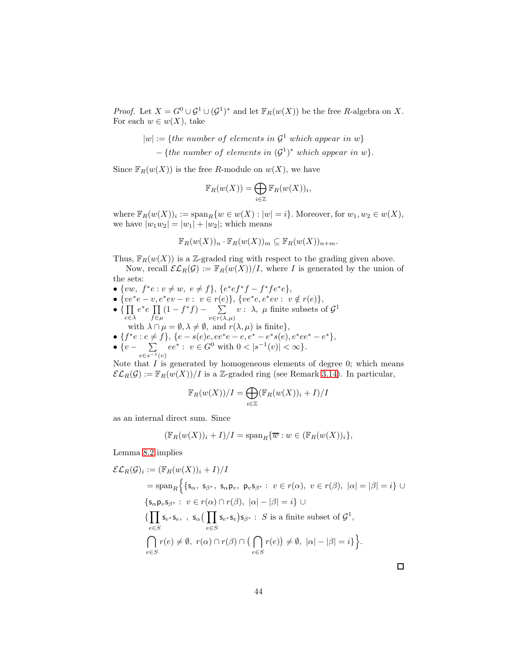*Proof.* Let  $X = G^0 \cup G^1 \cup (G^1)^*$  and let  $\mathbb{F}_R(w(X))$  be the free R-algebra on X. For each  $w \in w(X)$ , take

 $|w| := \{the \ number \ of \ elements \ in \ \mathcal{G}^1 \ which \ appear \ in \ w\}$ 

 $-$  {the number of elements in  $(G<sup>1</sup>)^*$  which appear in w}.

Since  $\mathbb{F}_R(w(X))$  is the free R-module on  $w(X)$ , we have

$$
\mathbb{F}_R(w(X)) = \bigoplus_{i \in \mathbb{Z}} \mathbb{F}_R(w(X))_i,
$$

where  $\mathbb{F}_R(w(X))_i := \text{span}_R\{w \in w(X) : |w| = i\}$ . Moreover, for  $w_1, w_2 \in w(X)$ , we have  $|w_1w_2| = |w_1| + |w_2|$ ; which means

$$
\mathbb{F}_R(w(X))_n \cdot \mathbb{F}_R(w(X))_m \subseteq \mathbb{F}_R(w(X))_{n+m}.
$$

Thus,  $\mathbb{F}_R(w(X))$  is a Z-graded ring with respect to the grading given above.

Now, recall  $\mathcal{EL}_R(\mathcal{G}) := \mathbb{F}_R(w(X))/I$ , where I is generated by the union of the sets:

- $\{vw, f^*e : v \neq w, e \neq f\}, \{e^*ef^*f f^*fe^*e\},\$
- $\{ve^*e-v,e^*ev-v: v \in r(e)\},\, \{ve^*e,e^*ev: v \notin r(e)\},\,$
- $\bullet$  {  $\Pi$ e∈λ  $e^*e \prod$  $f\!\in\!\mu$  $(1-f^*f)$  –  $\sum$  $v \in r(\lambda, \mu)$  $v: \lambda, \mu$  finite subsets of  $\mathcal{G}^1$
- with  $\lambda \cap \mu = \emptyset, \lambda \neq \emptyset$ , and  $r(\lambda, \mu)$  is finite}, • { $f^*e : e \neq f$ }, { $e - s(e)e, ee^*e - e, e^* - e^*s(e), e^*ee^* - e^*$ },
- $\bullet\ \{v \quad \sum$  $e \in s^{-1}(v)$  $ee^* : v \in G^0$  with  $0 < |s^{-1}(v)| < \infty$ .

Note that  $I$  is generated by homogeneous elements of degree 0; which means  $\mathcal{EL}_R(\mathcal{G}) := \mathbb{F}_R(w(X))/I$  is a Z-graded ring (see Remark [3.14\)](#page-16-0). In particular,

$$
\mathbb{F}_R(w(X))/I = \bigoplus_{i \in \mathbb{Z}} (\mathbb{F}_R(w(X))_i + I)/I
$$

as an internal direct sum. Since

$$
(\mathbb{F}_R(w(X))_i + I)/I = \mathrm{span}_R\{\overline{w} : w \in (\mathbb{F}_R(w(X))_i\},\
$$

Lemma [8.2](#page-41-0) implies

$$
\mathcal{EL}_R(\mathcal{G})_i := (\mathbb{F}_R(w(X))_i + I) / I
$$
  
\n
$$
= \text{span}_R \Big\{ \{s_\alpha, s_{\beta^*}, s_\alpha p_v, p_v s_{\beta^*} : v \in r(\alpha), v \in r(\beta), |\alpha| = |\beta| = i \} \cup
$$
  
\n
$$
\{s_\alpha p_v s_{\beta^*} : v \in r(\alpha) \cap r(\beta), |\alpha| - |\beta| = i \} \cup
$$
  
\n
$$
\{\prod_{e \in S} s_{e^*} s_e, s_\alpha (\prod_{e \in S} s_{e^*} s_e) s_{\beta^*} : S \text{ is a finite subset of } \mathcal{G}^1,
$$
  
\n
$$
\bigcap_{e \in S} r(e) \neq \emptyset, r(\alpha) \cap r(\beta) \cap (\bigcap_{e \in S} r(e)) \neq \emptyset, |\alpha| - |\beta| = i \} \Big\}.
$$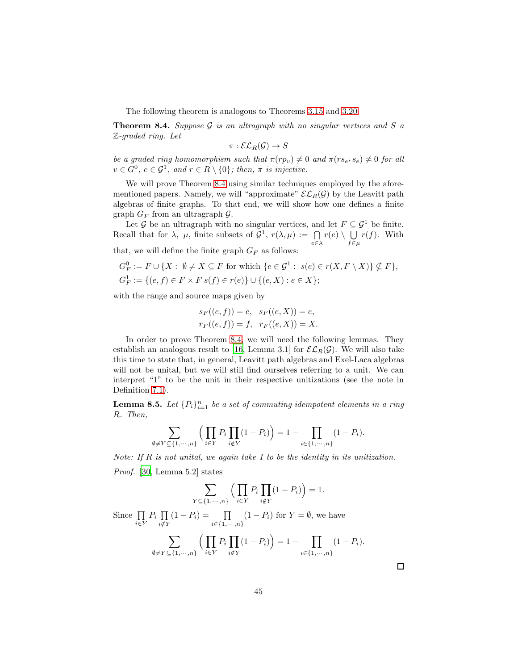The following theorem is analogous to Theorems [3.15](#page-16-1) and [3.20.](#page-19-0)

<span id="page-44-0"></span>**Theorem 8.4.** Suppose  $\mathcal G$  is an ultragraph with no singular vertices and  $S$  a Z-graded ring. Let

$$
\pi:\mathcal{EL}_R(\mathcal{G})\rightarrow S
$$

be a graded ring homomorphism such that  $\pi (rp_v) \neq 0$  and  $\pi (rs_{e^*} s_e) \neq 0$  for all  $v \in G^0$ ,  $e \in \mathcal{G}^1$ , and  $r \in R \setminus \{0\}$ ; then,  $\pi$  is injective.

We will prove Theorem [8.4](#page-44-0) using similar techniques employed by the aforementioned papers. Namely, we will "approximate"  $\mathcal{EL}_R(\mathcal{G})$  by the Leavitt path algebras of finite graphs. To that end, we will show how one defines a finite graph  $G_F$  from an ultragraph  $\mathcal G$ .

Let G be an ultragraph with no singular vertices, and let  $F \subseteq \mathcal{G}^1$  be finite. Recall that for  $\lambda$ ,  $\mu$ , finite subsets of  $\mathcal{G}^1$ ,  $r(\lambda, \mu) := \bigcap$  $e \in \lambda$  $r(e) \setminus \bigcup$  $f \in \mu$  $r(f)$ . With that, we will define the finite graph  ${\cal G}_F$  as follows:

 $G_F^0 := F \cup \{X : \emptyset \neq X \subseteq F \text{ for which } \{e \in \mathcal{G}^1 : s(e) \in r(X, F \setminus X)\} \nsubseteq F\},\$  $G_F^1 := \{(e, f) \in F \times F \ s(f) \in r(e)\} \cup \{(e, X) : e \in X\};$ 

with the range and source maps given by

$$
s_F((e, f)) = e, \quad s_F((e, X)) = e,
$$
  

$$
r_F((e, f)) = f, \quad r_F((e, X)) = X.
$$

In order to prove Theorem [8.4,](#page-44-0) we will need the following lemmas. They establish an analogous result to [\[16](#page-90-2), Lemma 3.1] for  $\mathcal{EL}_R(\mathcal{G})$ . We will also take this time to state that, in general, Leavitt path algebras and Exel-Laca algebras will not be unital, but we will still find ourselves referring to a unit. We can interpret "1" to be the unit in their respective unitizations (see the note in Definition [7.1\)](#page-38-0).

<span id="page-44-1"></span>**Lemma 8.5.** Let  $\{P_i\}_{i=1}^n$  be a set of commuting idempotent elements in a ring R. Then,

$$
\sum_{\emptyset \neq Y \subseteq \{1, \cdots, n\}} \left( \prod_{i \in Y} P_i \prod_{i \notin Y} (1 - P_i) \right) = 1 - \prod_{i \in \{1, \cdots, n\}} (1 - P_i).
$$

Note: If  $R$  is not unital, we again take 1 to be the identity in its unitization.

Proof. [\[30,](#page-91-2) Lemma 5.2] states

$$
\sum_{Y \subseteq \{1,\dots,n\}} \left( \prod_{i \in Y} P_i \prod_{i \notin Y} (1 - P_i) \right) = 1.
$$

Since  $\prod$  $\prod_{i\in Y} P_i \prod_{i\notin Y}$  $i{\notin}Y$  $(1 - P_i) = \prod$  $i \in \{1, \cdots, n\}$  $(1 - P_i)$  for  $Y = \emptyset$ , we have

$$
\sum_{\emptyset \neq Y \subseteq \{1, \cdots, n\}} \left( \prod_{i \in Y} P_i \prod_{i \notin Y} (1 - P_i) \right) = 1 - \prod_{i \in \{1, \cdots, n\}} (1 - P_i).
$$

 $\Box$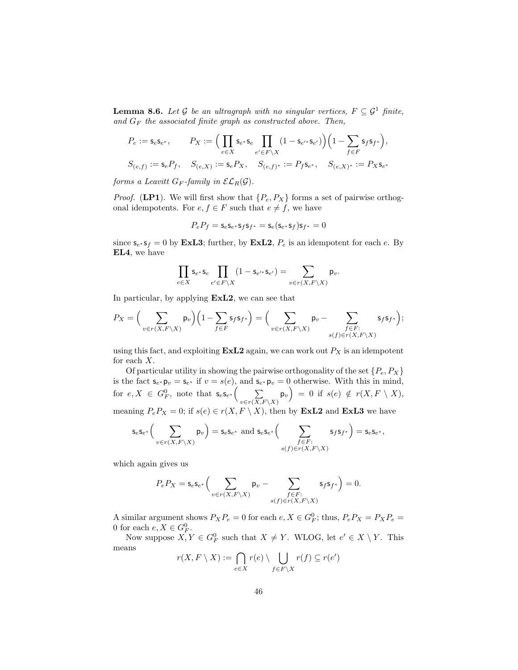<span id="page-45-0"></span>**Lemma 8.6.** Let G be an ultragraph with no singular vertices,  $F \subseteq \mathcal{G}^1$  finite, and  $G_F$  the associated finite graph as constructed above. Then,

$$
\begin{aligned} P_e&:=\mathsf{s}_e\mathsf{s}_{e^*},\qquad P_X:=\Big(\prod_{e\in X}\mathsf{s}_{e^*}\mathsf{s}_e\prod_{e'\in F\backslash X}(1-\mathsf{s}_{e'^*}\mathsf{s}_{e'})\Big)\Big(1-\sum_{f\in F}\mathsf{s}_f\mathsf{s}_{f^*}\Big),\\ S_{(e,f)}&:=\mathsf{s}_eP_f,\quad S_{(e,X)}:=\mathsf{s}_eP_X,\quad S_{(e,f)^*}:=P_f\mathsf{s}_{e^*},\quad S_{(e,X)^*}:=P_X\mathsf{s}_{e^*} \end{aligned}
$$

forms a Leavitt  $G_F$ -family in  $\mathcal{EL}_R(\mathcal{G})$ .

*Proof.* (LP1). We will first show that  $\{P_e, P_X\}$  forms a set of pairwise orthogonal idempotents. For  $e, f \in F$  such that  $e \neq f$ , we have

$$
P_eP_f=\mathsf{s}_e\mathsf{s}_{e^*}\mathsf{s}_f\mathsf{s}_{f^*}=\mathsf{s}_e(\mathsf{s}_{e^*}\mathsf{s}_f)\mathsf{s}_{f^*}=0
$$

since  $\mathbf{s}_{e^*}\mathbf{s}_f = 0$  by **ExL3**; further, by **ExL2**,  $P_e$  is an idempotent for each e. By EL4, we have

$$
\prod_{e\in X} \mathsf{s}_{e^*}\mathsf{s}_e \prod_{e'\in F\backslash X} (1-\mathsf{s}_{e'^*}\mathsf{s}_{e'})=\sum_{v\in r(X,F\backslash X)} \mathsf{p}_v.
$$

In particular, by applying ExL2, we can see that

$$
P_X = \Big(\sum_{v \in r(X,F \setminus X)} \mathsf{p}_v\Big) \Big(1 - \sum_{f \in F} \mathsf{s}_f \mathsf{s}_f \ast\Big) = \Big(\sum_{v \in r(X,F \setminus X)} \mathsf{p}_v - \sum_{\substack{f \in F: \\ s(f) \in r(X,F \setminus X)}} \mathsf{s}_f \mathsf{s}_f \ast\Big);
$$

using this fact, and exploiting  $\textbf{ExL2}$  again, we can work out  $P_X$  is an idempotent for each X.

Of particular utility in showing the pairwise orthogonality of the set  $\{P_e, P_X\}$ is the fact  $\mathsf{s}_{e^*} \mathsf{p}_v = \mathsf{s}_{e^*}$  if  $v = s(e)$ , and  $\mathsf{s}_{e^*} \mathsf{p}_v = 0$  otherwise. With this in mind, for  $e, X \in G_F^0$ , note that  $\mathsf{s}_e \mathsf{s}_{e^*}$   $\Big( \sum_{\sum_{i=1}^n}$  $\sum_{v \in r(X,F \setminus X)} \mathsf{p}_v = 0$  if  $s(e) \notin r(X, F \setminus X),$ meaning  $P_eP_X = 0$ ; if  $s(e) \in r(X, F \setminus X)$ , then by **ExL2** and **ExL3** we have

$$
\mathsf{s}_e \mathsf{s}_{e^*} \Big(\sum_{v \in r(X,F \backslash X)} \mathsf{p}_v\Big) = \mathsf{s}_e \mathsf{s}_{e^*} \text{ and } \mathsf{s}_e \mathsf{s}_{e^*} \Big(\sum_{\substack{f \in F:\\ s(f) \in r(X,F \backslash X)}} \mathsf{s}_f \mathsf{s}_{f^*} \Big) = \mathsf{s}_e \mathsf{s}_{e^*},
$$

which again gives us

$$
P_e P_X = \mathsf{s}_e \mathsf{s}_{e^*} \Big( \sum_{v \in r(X, F \backslash X)} \mathsf{p}_v - \sum_{\substack{f \in F: \\ s(f) \in r(X, F \backslash X)}} \mathsf{s}_f \mathsf{s}_{f^*} \Big) = 0.
$$

A similar argument shows  $P_X P_e = 0$  for each  $e, X \in G_F^0$ ; thus,  $P_e P_X = P_X P_e =$ 0 for each  $e, X \in G_F^0$ .

Now suppose  $X, Y \in G_F^0$  such that  $X \neq Y$ . WLOG, let  $e' \in X \setminus Y$ . This means

$$
r(X,F\setminus X):=\bigcap_{e\in X}r(e)\setminus\bigcup_{f\in F\setminus X}r(f)\subseteq r(e')
$$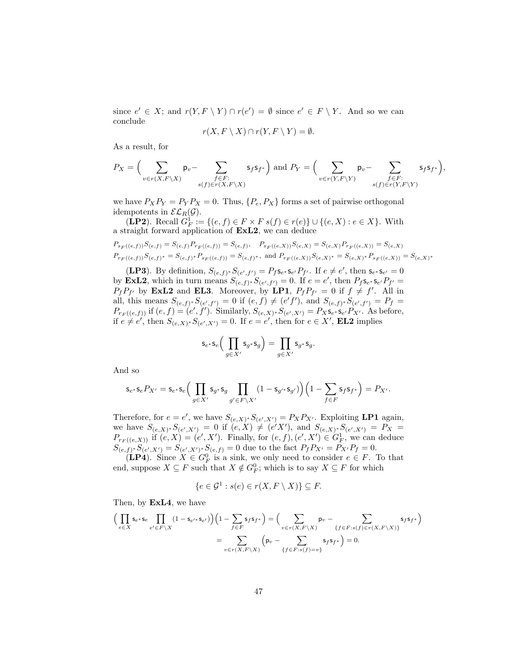since  $e' \in X$ ; and  $r(Y, F \setminus Y) \cap r(e') = \emptyset$  since  $e' \in F \setminus Y$ . And so we can conclude

$$
r(X, F \setminus X) \cap r(Y, F \setminus Y) = \emptyset.
$$

As a result, for

$$
P_X = \Big(\sum_{v \in r(X, F \setminus X)} \mathsf{p}_v - \sum_{\substack{f \in F: \\ s(f) \in r(X, F \setminus X)}} \mathsf{s}_f \mathsf{s}_{f^*}\Big) \text{ and } P_Y = \Big(\sum_{v \in r(Y, F \setminus Y)} \mathsf{p}_v - \sum_{\substack{f \in F: \\ s(f) \in r(Y, F \setminus Y)}} \mathsf{s}_f \mathsf{s}_{f^*}\Big),
$$

we have  $P_X P_Y = P_Y P_X = 0$ . Thus,  $\{P_e, P_X\}$  forms a set of pairwise orthogonal idempotents in  $\mathcal{EL}_R(\mathcal{G})$ .

(**LP2**). Recall  $G_F^1 := \{(e, f) \in F \times F \ s(f) \in r(e)\} \cup \{(e, X) : e \in X\}$ . With a straight forward application of ExL2, we can deduce

$$
\begin{aligned} &P_{s_F((e,f))}S_{(e,f)}=S_{(e,f)}P_{r_F((e,f))}=S_{(e,f)}, \quad P_{s_F((e,X))}S_{(e,X)}=S_{(e,X)}P_{r_F((e,X))}=S_{(e,X)}\\ &P_{r_F((e,f))}S_{(e,f)^*}=S_{(e,f)^*}P_{s_F((e,f))}=S_{(e,f)^*}, \text{ and } P_{r_F((e,X))}S_{(e,X)^*}=S_{(e,X)^*}P_{s_F((e,X))}=S_{(e,X)^*} \end{aligned}
$$

(LP3). By definition,  $S_{(e,f)^*}S_{(e',f')} = P_f s_{e^*} s_{e'} P_{f'}$ . If  $e \neq e'$ , then  $s_{e^*} s_{e'} = 0$ by **ExL2**, which in turn means  $S_{(e,f)} * S_{(e',f')} = 0$ . If  $e = e'$ , then  $P_f s_{e^*} s_{e'} P_{f'} =$  $P_f P_{f'}$  by **ExL2** and **EL3**. Moreover, by LP1,  $P_f P_{f'} = 0$  if  $f \neq f'$ . All in all, this means  $S_{(e,f)^*}S_{(e',f')}=0$  if  $(e,f) \neq (e'f')$ , and  $S_{(e,f)^*}S_{(e',f')}=P_f=$  $P_{r_F((e,f))}$  if  $(e,f) = (e',f')$ . Similarly,  $S_{(e,X)^*}S_{(e',X')} = P_X s_{e'} s_{e'} P_{X'}$ . As before, if  $e \neq e'$ , then  $S_{(e,X)^*}S_{(e',X')}=0$ . If  $e=e'$ , then for  $e \in X'$ , **EL2** implies

$$
\mathsf{s}_{e^*}\mathsf{s}_e\Big(\prod_{g\in X'}\mathsf{s}_{g^*}\mathsf{s}_g\Big)=\prod_{g\in X'}\mathsf{s}_{g^*}\mathsf{s}_g.
$$

And so

$$
\mathsf s_{e^*} \mathsf s_e P_{X'} = \mathsf s_{e^*} \mathsf s_e \Big(\prod_{g \in X'} \mathsf s_{g^*} \mathsf s_g \prod_{g' \in F \backslash X'} (1-\mathsf s_{g'^*} \mathsf s_{g'}) \Big) \Big(1-\sum_{f \in F} \mathsf s_f \mathsf s_f*\Big) = P_{X'}.
$$

Therefore, for  $e = e'$ , we have  $S_{(e,X)^*}S_{(e',X')} = P_X P_{X'}$ . Exploiting LP1 again, we have  $S_{(e,X)^*}S_{(e',X')}=0$  if  $(e,X) \neq (e'X')$ , and  $S_{(e,X)^*}S_{(e',X')}=P_X=$  $P_{r_F((e,X))}$  if  $(e, X) = (e', X')$ . Finally, for  $(e, f), (e', X') \in G_F^1$ , we can deduce  $S_{(e,f)^*}S_{(e',X')}=S_{(e',X')^*}S_{(e,f)}=0$  due to the fact  $P_fP_{X'}=P_{X'}P_f=0$ .

**(LP4).** Since  $X \in G_F^0$  is a sink, we only need to consider  $e \in F$ . To that end, suppose  $X \subseteq F$  such that  $X \notin G_F^0$ ; which is to say  $X \subseteq F$  for which

$$
\{e \in \mathcal{G}^1 : s(e) \in r(X, F \setminus X)\} \subseteq F.
$$

Then, by ExL4, we have

$$
\Big(\prod_{e \in X} \mathsf{s}_{e^*} \mathsf{s}_{e} \prod_{e' \in F \backslash X} (1 - \mathsf{s}_{e'^*} \mathsf{s}_{e'})\Big) \Big(1 - \sum_{f \in F} \mathsf{s}_f \mathsf{s}_f*\Big) = \Big(\sum_{v \in r(X, F \backslash X)} \mathsf{p}_v - \sum_{\{f \in F : s(f) \in r(X, F \backslash X)\}} \mathsf{s}_f \mathsf{s}_f*\Big) = \sum_{v \in r(X, F \backslash X)} \Big(\mathsf{p}_v - \sum_{\{f \in F : s(f) = v\}} \mathsf{s}_f \mathsf{s}_f*\Big) = 0.
$$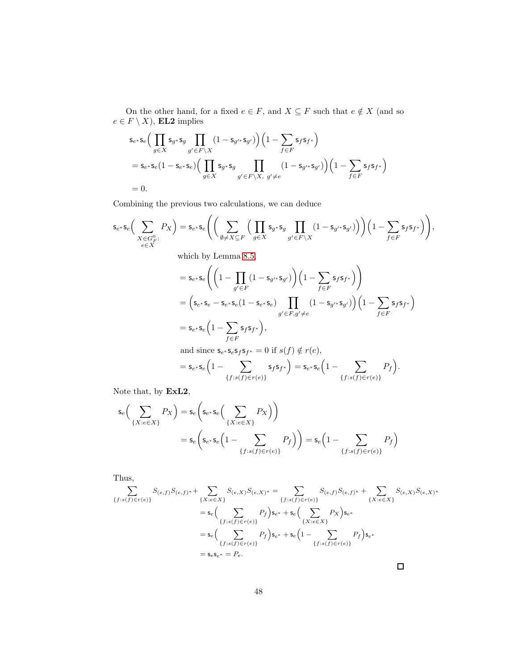On the other hand, for a fixed  $e \in F,$  and  $X \subseteq F$  such that  $e \notin X$  (and so  $e \in F \setminus X$ , **EL2** implies

$$
\begin{aligned} &\mathsf{s}_{e^*}\mathsf{s}_e\Big(\prod_{g\in X}\mathsf{s}_{g^*}\mathsf{s}_g\prod_{g'\in F\backslash X}(1-\mathsf{s}_{g'^*\mathsf{s}_{g'}})\Big)\Big(1-\sum_{f\in F}\mathsf{s}_f\mathsf{s}_f*\Big)\\ &=\mathsf{s}_{e^*}\mathsf{s}_e\big(1-\mathsf{s}_{e^*}\mathsf{s}_e\big)\Big(\prod_{g\in X}\mathsf{s}_{g^*\mathsf{s}_{g}}\prod_{g'\in F\backslash X,\ g'\neq e}\big(1-\mathsf{s}_{g'^*\mathsf{s}_{g'}}\big)\Big)\Big(1-\sum_{f\in F}\mathsf{s}_f\mathsf{s}_f*\Big)\\ &=0. \end{aligned}
$$

Combining the previous two calculations, we can deduce

$$
\mathsf{s}_{e^*}\mathsf{s}_e\Big(\sum_{X\in G_F^0:}\n P_X\Big) = \mathsf{s}_{e^*}\mathsf{s}_e\Bigg(\Big(\sum_{\emptyset\neq X\subseteq F}\Big(\prod_{g\in X}\mathsf{s}_{g^*}\mathsf{s}_g\prod_{g'\in F\setminus X}(1-\mathsf{s}_{g'^*}\mathsf{s}_{g'})\Big)\Big)\Big(1-\sum_{f\in F}\mathsf{s}_f\mathsf{s}_f*\Big)\Bigg),
$$
\nwhich by Lemma 8.5,  
\n
$$
= \mathsf{s}_{e^*}\mathsf{s}_e\Bigg(\Big(1-\prod_{g'\in F}(1-\mathsf{s}_{g'^*}\mathsf{s}_{g'})\Big)\Big(1-\sum_{f\in F}\mathsf{s}_f\mathsf{s}_f*\Big)\Bigg)
$$
\n
$$
= \Big(\mathsf{s}_{e^*}\mathsf{s}_e - \mathsf{s}_{e^*}\mathsf{s}_e(1-\mathsf{s}_{e^*}\mathsf{s}_e)\prod_{g'\in F,g'\neq e}(1-\mathsf{s}_{g'^*}\mathsf{s}_{g'})\Big)\Big(1-\sum_{f\in F}\mathsf{s}_f\mathsf{s}_f*\Big)
$$
\n
$$
= \mathsf{s}_{e^*}\mathsf{s}_e\Big(1-\sum_{f\in F}\mathsf{s}_f\mathsf{s}_f*\Big),
$$
\nand since  $\mathsf{s}_{e^*}\mathsf{s}_e\mathsf{s}_f\mathsf{s}_f\mathsf{s}_f=0$  if  $s(f)\notin r(e),$   
\n
$$
= \mathsf{s}_{e^*}\mathsf{s}_e\Big(1-\sum_{\{f:s(f)\in r(e)\}}\mathsf{s}_f\mathsf{s}_f*\Big) = \mathsf{s}_{e^*}\mathsf{s}_e\Big(1-\sum_{\{f:s(f)\in r(e)\}}P_f\Big).
$$

Note that, by ExL2,

$$
s_e\left(\sum_{\{X:e\in X\}} P_X\right) = s_e\left(s_{e^*} s_e\left(\sum_{\{X:e\in X\}} P_X\right)\right)
$$
  
= 
$$
s_e\left(s_{e^*} s_e\left(1-\sum_{\{f:s(f)\in r(e)\}} P_f\right)\right) = s_e\left(1-\sum_{\{f:s(f)\in r(e)\}} P_f\right)
$$

Thus,

$$
\sum_{\{f:s(f)\in r(e)\}} S_{(e,f)}S_{(e,f)} + \sum_{\{X:e\in X\}} S_{(e,X)}S_{(e,X)^*} = \sum_{\{f:s(f)\in r(e)\}} S_{(e,f)}S_{(e,f)^*} + \sum_{\{X:e\in X\}} S_{(e,X)}S_{(e,X)^*}
$$
\n
$$
= s_e \Big(\sum_{\{f:s(f)\in r(e)\}} P_f\Big)s_e + s_e \Big(\sum_{\{X:e\in X\}} P_X\Big)s_e*
$$
\n
$$
= s_e \Big(\sum_{\{f:s(f)\in r(e)\}} P_f\Big)s_e + s_e \Big(1 - \sum_{\{f:s(f)\in r(e)\}} P_f\Big)s_e*
$$
\n
$$
= s_e s_e + P_e.
$$

 $\Box$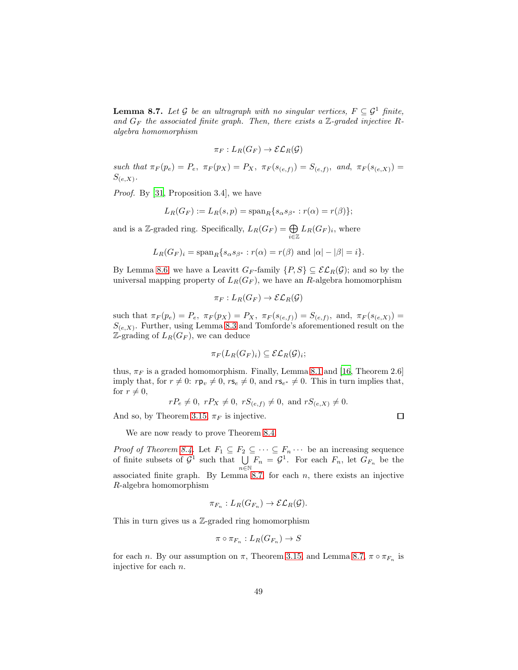<span id="page-48-0"></span>**Lemma 8.7.** Let G be an ultragraph with no singular vertices,  $F \subseteq \mathcal{G}^1$  finite, and  $G_F$  the associated finite graph. Then, there exists a  $\mathbb{Z}$ -graded injective Ralgebra homomorphism

$$
\pi_F: L_R(G_F) \to \mathcal{EL}_R(\mathcal{G})
$$

such that  $\pi_F(p_e) = P_e$ ,  $\pi_F(p_X) = P_X$ ,  $\pi_F(s_{(e,f)}) = S_{(e,f)}$ , and,  $\pi_F(s_{(e,X)}) =$  $S_{(e,X)}$ .

Proof. By [\[31](#page-91-1), Proposition 3.4], we have

$$
L_R(G_F) := L_R(s,p) = \mathrm{span}_R\{s_\alpha s_{\beta^*} : r(\alpha) = r(\beta)\};
$$

and is a Z-graded ring. Specifically,  $L_R(G_F) = \bigoplus_{i \in \mathbb{Z}} L_R(G_F)_i$ , where

$$
L_R(G_F)_i = \mathrm{span}_R\{s_\alpha s_{\beta^*} : r(\alpha) = r(\beta) \text{ and } |\alpha| - |\beta| = i\}.
$$

By Lemma [8.6,](#page-45-0) we have a Leavitt  $G_F$ -family  $\{P, S\} \subseteq \mathcal{EL}_R(\mathcal{G})$ ; and so by the universal mapping property of  $L_R(G_F)$ , we have an R-algebra homomorphism

$$
\pi_F: L_R(G_F) \to \mathcal{EL}_R(\mathcal{G})
$$

such that  $\pi_F(p_e) = P_e$ ,  $\pi_F(p_X) = P_X$ ,  $\pi_F(s_{(e,f)}) = S_{(e,f)}$ , and,  $\pi_F(s_{(e,X)}) =$  $S_{(e,X)}$ . Further, using Lemma [8.3](#page-42-0) and Tomforde's aforementioned result on the  $\mathbb{Z}\text{-}\mathrm{grading}$  of  $L_R(G_F)$ , we can deduce

$$
\pi_F(L_R(G_F)_i) \subseteq \mathcal{EL}_R(\mathcal{G})_i;
$$

thus,  $\pi_F$  is a graded homomorphism. Finally, Lemma [8.1](#page-40-0) and [\[16,](#page-90-2) Theorem 2.6] imply that, for  $r \neq 0$ :  $r\mathsf{p}_v \neq 0$ ,  $r\mathsf{s}_e \neq 0$ , and  $r\mathsf{s}_{e^*} \neq 0$ . This in turn implies that, for  $r \neq 0$ ,

$$
rP_e \neq 0
$$
,  $rP_X \neq 0$ ,  $rS_{(e,f)} \neq 0$ , and  $rS_{(e,X)} \neq 0$ .

And so, by Theorem [3.15,](#page-16-1)  $\pi_F$  is injective.

We are now ready to prove Theorem [8.4.](#page-44-0)

*Proof of Theorem [8.4.](#page-44-0)* Let  $F_1 \subseteq F_2 \subseteq \cdots \subseteq F_n \cdots$  be an increasing sequence of finite subsets of  $\mathcal{G}^1$  such that  $\bigcup$  $\bigcup_{n\in\mathbb{N}} F_n = \mathcal{G}^1$ . For each  $F_n$ , let  $G_{F_n}$  be the associated finite graph. By Lemma [8.7,](#page-48-0) for each  $n$ , there exists an injective R-algebra homomorphism

$$
\pi_{F_n}: L_R(G_{F_n}) \to \mathcal{EL}_R(\mathcal{G}).
$$

This in turn gives us a Z-graded ring homomorphism

$$
\pi \circ \pi_{F_n}: L_R(G_{F_n}) \to S
$$

for each *n*. By our assumption on  $\pi$ , Theorem [3.15,](#page-16-1) and Lemma [8.7,](#page-48-0)  $\pi \circ \pi_{F_n}$  is injective for each n.

 $\Box$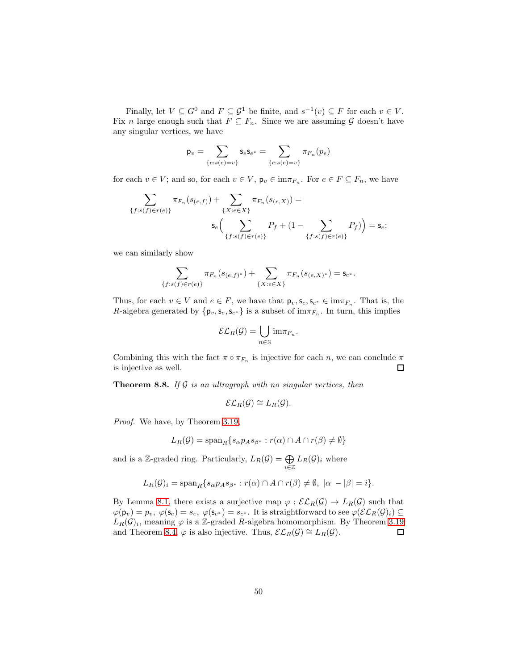Finally, let  $V \subseteq G^0$  and  $F \subseteq \mathcal{G}^1$  be finite, and  $s^{-1}(v) \subseteq F$  for each  $v \in V$ . Fix n large enough such that  $F \subseteq F_n$ . Since we are assuming G doesn't have any singular vertices, we have

$$
\mathsf{p}_v = \sum_{\{e: s(e) = v\}} \mathsf{s}_e \mathsf{s}_{e^*} = \sum_{\{e: s(e) = v\}} \pi_{F_n}(p_e)
$$

for each  $v \in V$ ; and so, for each  $v \in V$ ,  $\mathsf{p}_v \in \text{im}\pi_{F_n}$ . For  $e \in F \subseteq F_n$ , we have

$$
\sum_{\{f:s(f)\in r(e)\}} \pi_{F_n}(s_{(e,f)}) + \sum_{\{X:e\in X\}} \pi_{F_n}(s_{(e,X)}) =
$$

$$
\mathsf{s}_e\Big(\sum_{\{f:s(f)\in r(e)\}} P_f + (1 - \sum_{\{f:s(f)\in r(e)\}} P_f)\Big) = \mathsf{s}_e;
$$

we can similarly show

$$
\sum_{\{f: s(f) \in r(e)\}} \pi_{F_n}(s_{(e,f)^*}) + \sum_{\{X: e \in X\}} \pi_{F_n}(s_{(e,X)^*}) = \mathsf{s}_{e^*}.
$$

Thus, for each  $v \in V$  and  $e \in F$ , we have that  $p_v, s_e, s_{e^*} \in \text{im} \pi_{F_n}$ . That is, the R-algebra generated by  $\{p_v, s_e, s_{e^*}\}\$ is a subset of im $\pi_{F_n}$ . In turn, this implies

$$
\mathcal{EL}_R(\mathcal{G}) = \bigcup_{n \in \mathbb{N}} \operatorname{im} \pi_{F_n}.
$$

Combining this with the fact  $\pi \circ \pi_{F_n}$  is injective for each n, we can conclude  $\pi$ is injective as well.  $\Box$ 

<span id="page-49-0"></span>**Theorem 8.8.** If  $G$  is an ultragraph with no singular vertices, then

$$
\mathcal{EL}_R(\mathcal{G}) \cong L_R(\mathcal{G}).
$$

Proof. We have, by Theorem [3.19,](#page-18-0)

$$
L_R(\mathcal{G}) = \text{span}_R \{ s_\alpha p_A s_{\beta^*} : r(\alpha) \cap A \cap r(\beta) \neq \emptyset \}
$$

and is a Z-graded ring. Particularly,  $L_R(G) = \bigoplus_{i \in \mathbb{Z}} L_R(G)_i$  where

$$
L_R(\mathcal{G})_i = \operatorname{span}_R \{ s_\alpha p_A s_{\beta^*} : r(\alpha) \cap A \cap r(\beta) \neq \emptyset, \ |\alpha| - |\beta| = i \}.
$$

By Lemma [8.1,](#page-40-0) there exists a surjective map  $\varphi : \mathcal{EL}_R(\mathcal{G}) \to L_R(\mathcal{G})$  such that  $\varphi(\mathsf{p}_v) = p_v, \ \varphi(\mathsf{s}_e) = s_e, \ \varphi(\mathsf{s}_{e^*}) = s_{e^*}.$  It is straightforward to see  $\varphi(\mathcal{EL}_R(\mathcal{G})_i) \subseteq$  $L_R(\mathcal{G})_i$ , meaning  $\varphi$  is a Z-graded R-algebra homomorphism. By Theorem [3.19](#page-18-0) and Theorem [8.4,](#page-44-0)  $\varphi$  is also injective. Thus,  $\mathcal{EL}_R(\mathcal{G}) \cong L_R(\mathcal{G})$ .  $\Box$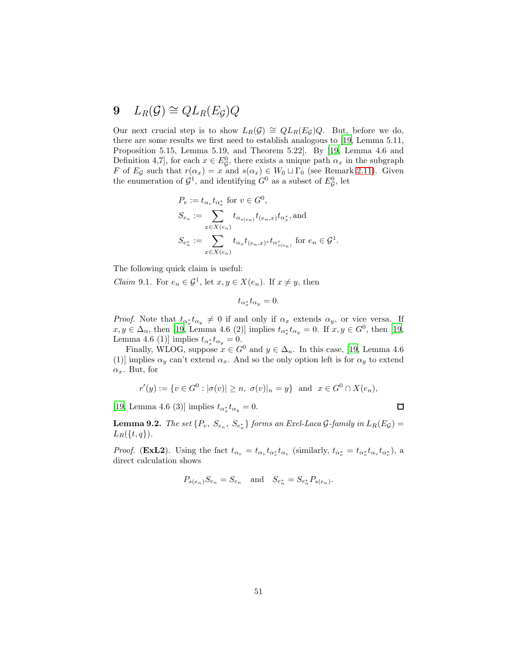# 9  $L_R(\mathcal{G}) \cong QL_R(E_{\mathcal{G}})Q$

Our next crucial step is to show  $L_R(\mathcal{G}) \cong QL_R(E_{\mathcal{G}})Q$ . But, before we do, there are some results we first need to establish analogous to [\[19](#page-90-0), Lemma 5.11, Proposition 5.15, Lemma 5.19, and Theorem 5.22]. By [\[19](#page-90-0), Lemma 4.6 and Definition 4,7, for each  $x \in E_{\mathcal{G}}^0$ , there exists a unique path  $\alpha_x$  in the subgraph F of E<sub>G</sub> such that  $r(\alpha_x) = x$  and  $s(\alpha_x) \in W_0 \sqcup \Gamma_0$  (see Remark [2.11\)](#page-6-1). Given the enumeration of  $\mathcal{G}^1$ , and identifying  $G^0$  as a subset of  $E^0_{\mathcal{G}}$ , let

$$
P_v := t_{\alpha_v} t_{\alpha_v^*} \text{ for } v \in G^0,
$$
  
\n
$$
S_{e_n} := \sum_{x \in X(e_n)} t_{\alpha_{s(e_n)}} t_{(e_n, x)} t_{\alpha_x^*}
$$
, and  
\n
$$
S_{e_n^*} := \sum_{x \in X(e_n)} t_{\alpha_x} t_{(e_n, x)^*} t_{\alpha_{s(e_n)}^*} \text{ for } e_n \in G^1
$$

.

 $\Box$ 

The following quick claim is useful:

<span id="page-50-0"></span>*Claim* 9.1. For  $e_n \in \mathcal{G}^1$ , let  $x, y \in X(e_n)$ . If  $x \neq y$ , then

$$
t_{\alpha_x^*} t_{\alpha_y} = 0.
$$

*Proof.* Note that  $t_{\alpha_x^*} t_{\alpha_y} \neq 0$  if and only if  $\alpha_x$  extends  $\alpha_y$ , or vice versa. If  $x, y \in \Delta_n$ , then [\[19,](#page-90-0) Lemma 4.6 (2)] implies  $t_{\alpha^*_x} t_{\alpha_y} = 0$ . If  $x, y \in G^0$ , then [19, Lemma 4.6 (1)] implies  $t_{\alpha_x^*} t_{\alpha_y} = 0$ .

Finally, WLOG, suppose  $x \in G^0$  and  $y \in \Delta_n$ . In this case, [\[19,](#page-90-0) Lemma 4.6] (1)] implies  $\alpha_y$  can't extend  $\alpha_x$ . And so the only option left is for  $\alpha_y$  to extend  $\alpha_x$ . But, for

$$
r'(y) := \{v \in G^0 : |\sigma(v)| \ge n, \ \sigma(v)|_n = y\}
$$
 and  $x \in G^0 \cap X(e_n)$ ,

[\[19,](#page-90-0) Lemma 4.6 (3)] implies  $t_{\alpha^*_x} t_{\alpha_y} = 0$ .

<span id="page-50-1"></span>**Lemma 9.2.** The set  $\{P_v, S_{e_n}, S_{e_n^*}\}$  forms an Exel-Laca  $\mathcal{G}$ -family in  $L_R(E_{\mathcal{G}})$  =  $L_R({t, q})$ .

*Proof.* (**ExL2**). Using the fact  $t_{\alpha_v} = t_{\alpha_v} t_{\alpha_v^*} t_{\alpha_v}$  (similarly,  $t_{\alpha_v^*} = t_{\alpha_v^*} t_{\alpha_v} t_{\alpha_v^*}$ ), a direct calculation shows

$$
P_{s(e_n)}S_{e_n} = S_{e_n}
$$
 and  $S_{e_n^*} = S_{e_n^*}P_{s(e_n)}$ .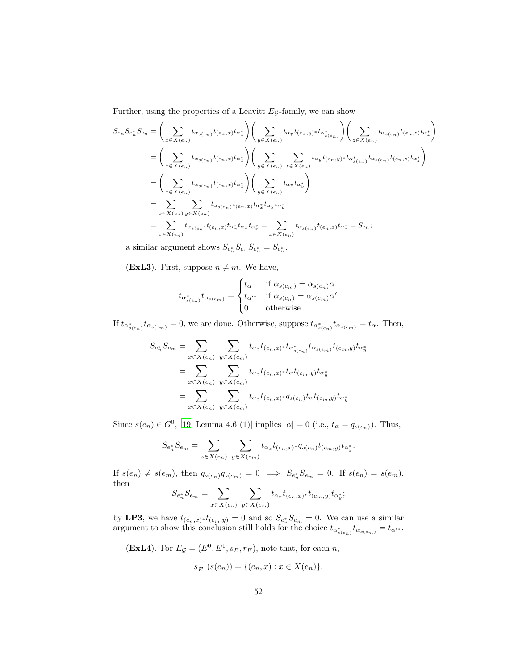Further, using the properties of a Leavitt  $E_{\mathcal{G}}$ -family, we can show

$$
S_{e_n} S_{e_n} S_{e_n} = \left(\sum_{x \in X(e_n)} t_{\alpha_{s(e_n)}} t_{(e_n, x)} t_{\alpha_x^*}\right) \left(\sum_{y \in X(e_n)} t_{\alpha_y} t_{(e_n, y)^*} t_{\alpha_{s(e_n)}^*}\right) \left(\sum_{z \in X(e_n)} t_{\alpha_{s(e_n)}} t_{(e_n, z)} t_{\alpha_x^*}\right)
$$
  
\n
$$
= \left(\sum_{x \in X(e_n)} t_{\alpha_{s(e_n)}} t_{(e_n, x)} t_{\alpha_x^*}\right) \left(\sum_{y \in X(e_n)} \sum_{z \in X(e_n)} t_{\alpha_y} t_{(e_n, y)^*} t_{\alpha_{s(e_n)}} t_{\alpha_{s(e_n)}} t_{(e_n, z)} t_{\alpha_x^*}\right)
$$
  
\n
$$
= \left(\sum_{x \in X(e_n)} t_{\alpha_{s(e_n)}} t_{(e_n, x)} t_{\alpha_x^*}\right) \left(\sum_{y \in X(e_n)} t_{\alpha_y} t_{\alpha_y^*}\right)
$$
  
\n
$$
= \sum_{x \in X(e_n)} \sum_{y \in X(e_n)} t_{\alpha_{s(e_n)}} t_{(e_n, x)} t_{\alpha_x^*} t_{\alpha_y} t_{\alpha_y^*}
$$
  
\n
$$
= \sum_{x \in X(e_n)} t_{\alpha_{s(e_n)}} t_{(e_n, x)} t_{\alpha_x^*} t_{\alpha_x} t_{\alpha_x^*} = \sum_{x \in X(e_n)} t_{\alpha_{s(e_n)}} t_{(e_n, x)} t_{\alpha_x^*} = S_{e_n};
$$

a similar argument shows  $S_{e_n^*} S_{e_n} S_{e_n^*} = S_{e_n^*}$ .

(ExL3). First, suppose  $n \neq m$ . We have,

$$
t_{\alpha_{s(e_n)}^*}t_{\alpha_{s(e_m)}} = \begin{cases} t_{\alpha} & \text{if } \alpha_{s(e_m)} = \alpha_{s(e_n)}\alpha\\ t_{\alpha'^*} & \text{if } \alpha_{s(e_n)} = \alpha_{s(e_m)}\alpha'\\ 0 & \text{otherwise.} \end{cases}
$$

If  $t_{\alpha_{s(e_n)}^*}t_{\alpha_{s(e_m)}}=0$ , we are done. Otherwise, suppose  $t_{\alpha_{s(e_n)}^*}t_{\alpha_{s(e_m)}}=t_\alpha$ . Then,

$$
S_{e_n^*} S_{e_m} = \sum_{x \in X(e_n)} \sum_{y \in X(e_m)} t_{\alpha_x} t_{(e_n, x)^*} t_{\alpha_{s(e_n)}^*} t_{\alpha_{s(e_m)}} t_{(e_m, y)} t_{\alpha_y^*}
$$
  
= 
$$
\sum_{x \in X(e_n)} \sum_{y \in X(e_m)} t_{\alpha_x} t_{(e_n, x)^*} t_{\alpha} t_{(e_m, y)} t_{\alpha_y^*}
$$
  
= 
$$
\sum_{x \in X(e_n)} \sum_{y \in X(e_m)} t_{\alpha_x} t_{(e_n, x)^*} q_{s(e_n)} t_{\alpha} t_{(e_m, y)} t_{\alpha_y^*}.
$$

Since  $s(e_n) \in G^0$ , [\[19,](#page-90-0) Lemma 4.6 (1)] implies  $|\alpha| = 0$  (i.e.,  $t_{\alpha} = q_{s(e_n)}$ ). Thus,

$$
S_{e_n^*} S_{e_m} = \sum_{x \in X(e_n)} \sum_{y \in X(e_m)} t_{\alpha_x} t_{(e_n, x)^*} q_{s(e_n)} t_{(e_m, y)} t_{\alpha_y^*}.
$$

If  $s(e_n) \neq s(e_m)$ , then  $q_{s(e_n)}q_{s(e_m)} = 0 \implies S_{e_n^*}S_{e_m} = 0$ . If  $s(e_n) = s(e_m)$ , then

$$
S_{e_n^*} S_{e_m} = \sum_{x \in X(e_n)} \sum_{y \in X(e_m)} t_{\alpha_x} t_{(e_n, x)^*} t_{(e_m, y)} t_{\alpha_y^*};
$$

by LP3, we have  $t_{(e_n,x)} * t_{(e_m,y)} = 0$  and so  $S_{e_n^*} S_{e_m} = 0$ . We can use a similar argument to show this conclusion still holds for the choice  $t_{\alpha_{s(e_n)}^*}t_{\alpha_{s(e_m)}}=t_{\alpha'^*}.$ 

(ExL4). For  $E_{\mathcal{G}} = (E^0, E^1, s_E, r_E)$ , note that, for each n,

$$
s_E^{-1}(s(e_n)) = \{(e_n, x) : x \in X(e_n)\}.
$$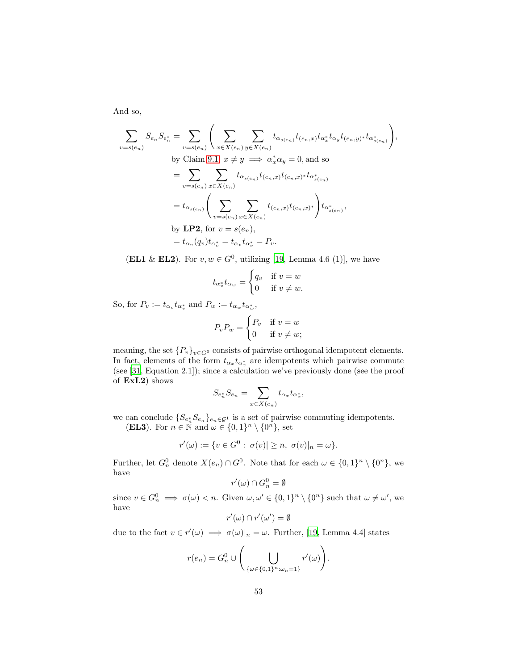And so,

$$
\sum_{v=s(e_n)} S_{e_n} S_{e_n^*} = \sum_{v=s(e_n)} \left( \sum_{x \in X(e_n)} \sum_{y \in X(e_n)} t_{\alpha_{s(e_n)}} t_{(e_n,x)} t_{\alpha_x^*} t_{\alpha_y} t_{(e_n,y)^*} t_{\alpha_{s(e_n)}} \right),
$$
  
by Claim 9.1,  $x \neq y \implies \alpha_x^* \alpha_y = 0$ , and so  

$$
= \sum_{v=s(e_n)} \sum_{x \in X(e_n)} t_{\alpha_{s(e_n)}} t_{(e_n,x)} t_{(e_n,x)^*} t_{\alpha_{s(e_n)}^*}
$$

$$
= t_{\alpha_{s(e_n)}} \left( \sum_{v=s(e_n)} \sum_{x \in X(e_n)} t_{(e_n,x)} t_{(e_n,x)^*} \right) t_{\alpha_{s(e_n)}^*},
$$
by **LP2**, for  $v = s(e_n)$ ,  

$$
= t_{\alpha_v}(q_v) t_{\alpha_v^*} = t_{\alpha_v} t_{\alpha_v^*} = P_v.
$$

(EL1 & EL2). For  $v, w \in G^0$ , utilizing [\[19](#page-90-0), Lemma 4.6 (1)], we have

$$
t_{\alpha_v^*} t_{\alpha_w} = \begin{cases} q_v & \text{if } v = w \\ 0 & \text{if } v \neq w. \end{cases}
$$

So, for  $P_v := t_{\alpha_v} t_{\alpha_v^*}$  and  $P_w := t_{\alpha_w} t_{\alpha_w^*}$ ,

$$
P_v P_w = \begin{cases} P_v & \text{if } v = w \\ 0 & \text{if } v \neq w; \end{cases}
$$

meaning, the set  $\{P_v\}_{v\in G^0}$  consists of pairwise orthogonal idempotent elements. In fact, elements of the form  $t_{\alpha_x} t_{\alpha_x^*}$  are idempotents which pairwise commute (see [\[31](#page-91-1), Equation 2.1]); since a calculation we've previously done (see the proof of ExL2) shows

$$
S_{e_n^*} S_{e_n} = \sum_{x \in X(e_n)} t_{\alpha_x} t_{\alpha_x^*},
$$

we can conclude  $\{S_{e_n^*}S_{e_n}\}_{e_n\in\mathcal{G}^1}$  is a set of pairwise commuting idempotents. (EL3). For  $n \in \mathbb{N}$  and  $\omega \in \{0,1\}^n \setminus \{0^n\}$ , set

$$
r'(\omega) := \{ v \in G^0 : |\sigma(v)| \ge n, \ \sigma(v)|_n = \omega \}.
$$

Further, let  $G_n^0$  denote  $X(e_n) \cap G^0$ . Note that for each  $\omega \in \{0,1\}^n \setminus \{0^n\}$ , we have

$$
r'(\omega) \cap G_n^0 = \emptyset
$$

since  $v \in G_n^0 \implies \sigma(\omega) < n$ . Given  $\omega, \omega' \in \{0,1\}^n \setminus \{0^n\}$  such that  $\omega \neq \omega'$ , we have

$$
r'(\omega) \cap r'(\omega') = \emptyset
$$

due to the fact  $v \in r'(\omega) \implies \sigma(\omega)|_n = \omega$ . Further, [\[19](#page-90-0), Lemma 4.4] states

$$
r(e_n) = G_n^0 \cup \left( \bigcup_{\{\omega \in \{0,1\}^n : \omega_n = 1\}} r'(\omega) \right).
$$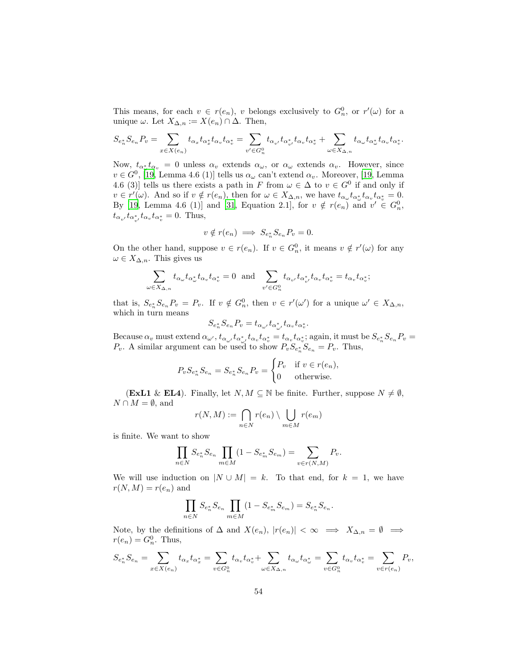This means, for each  $v \in r(e_n)$ , v belongs exclusively to  $G_n^0$ , or  $r'(\omega)$  for a unique  $\omega$ . Let  $X_{\Delta,n} := X(e_n) \cap \Delta$ . Then,

$$
S_{e_n^*}S_{e_n}P_v=\sum_{x\in X(e_n)}t_{\alpha_x}t_{\alpha_x^*}t_{\alpha_v}t_{\alpha_v^*}=\sum_{v'\in G_n^0}t_{\alpha_{v'}}t_{\alpha_{v'}^*}t_{\alpha_{v}}t_{\alpha_v^*}+\sum_{\omega\in X_{\Delta,n}}t_{\alpha_{\omega}}t_{\alpha_{\omega}^*}t_{\alpha_{v}}t_{\alpha_v^*}.
$$

Now,  $t_{\alpha^*_{\omega}}t_{\alpha_v}=0$  unless  $\alpha_v$  extends  $\alpha_{\omega}$ , or  $\alpha_{\omega}$  extends  $\alpha_v$ . However, since  $v \in G^0$ , [\[19](#page-90-0), Lemma 4.6 (1)] tells us  $\alpha_\omega$  can't extend  $\alpha_v$ . Moreover, [\[19,](#page-90-0) Lemma 4.6 (3)] tells us there exists a path in F from  $\omega \in \Delta$  to  $v \in G^0$  if and only if  $v \in r'(\omega)$ . And so if  $v \notin r(e_n)$ , then for  $\omega \in X_{\Delta,n}$ , we have  $t_{\alpha_\omega} t_{\alpha_\omega^*} t_{\alpha_v} t_{\alpha_v^*} = 0$ . By [\[19](#page-90-0), Lemma 4.6 (1)] and [\[31,](#page-91-1) Equation 2.1], for  $v \notin r(e_n)$  and  $v' \in G_n^0$ ,  $t_{\alpha_{v'}} t_{\alpha_{v'}^*} t_{\alpha_v} t_{\alpha_v^*} = 0$ . Thus,

$$
v \notin r(e_n) \implies S_{e_n^*} S_{e_n} P_v = 0.
$$

On the other hand, suppose  $v \in r(e_n)$ . If  $v \in G_n^0$ , it means  $v \notin r'(\omega)$  for any  $\omega \in X_{\Delta,n}$ . This gives us

$$
\sum_{\omega \in X_{\Delta,n}} t_{\alpha_{\omega}} t_{\alpha_{\omega}^*} t_{\alpha_v} t_{\alpha_v^*} = 0 \text{ and } \sum_{v' \in G_n^0} t_{\alpha_{v'}} t_{\alpha_{v'}} t_{\alpha_v} t_{\alpha_v^*} = t_{\alpha_v} t_{\alpha_v^*};
$$

that is,  $S_{e_n^*} S_{e_n} P_v = P_v$ . If  $v \notin G_n^0$ , then  $v \in r'(\omega')$  for a unique  $\omega' \in X_{\Delta,n}$ , which in turn means

$$
S_{e_n^*} S_{e_n} P_v = t_{\alpha_{\omega'}} t_{\alpha_{\omega'}} t_{\alpha_v} t_{\alpha_v^*}.
$$

Because  $\alpha_v$  must extend  $\alpha_{\omega'}$ ,  $t_{\alpha_{\omega'}}t_{\alpha_{\omega'}^*}t_{\alpha_v}t_{\alpha_v^*} = t_{\alpha_v}t_{\alpha_v^*}$ ; again, it must be  $S_{e_n^*}S_{e_n}P_v =$  $P_v$ . A similar argument can be used to show  $P_v S_{e_n} S_{e_n} = P_v$ . Thus,

$$
P_v S_{e_n^*} S_{e_n} = S_{e_n^*} S_{e_n} P_v = \begin{cases} P_v & \text{if } v \in r(e_n), \\ 0 & \text{otherwise.} \end{cases}
$$

(ExL1 & EL4). Finally, let  $N, M \subseteq \mathbb{N}$  be finite. Further, suppose  $N \neq \emptyset$ ,  $N \cap M = \emptyset$ , and

$$
r(N, M) := \bigcap_{n \in N} r(e_n) \setminus \bigcup_{m \in M} r(e_m)
$$

is finite. We want to show

$$
\prod_{n \in N} S_{e_n^*} S_{e_n} \prod_{m \in M} (1 - S_{e_m^*} S_{e_m}) = \sum_{v \in r(N,M)} P_v.
$$

We will use induction on  $|N \cup M| = k$ . To that end, for  $k = 1$ , we have  $r(N, M) = r(e_n)$  and

$$
\prod_{n \in N} S_{e_n^*} S_{e_n} \prod_{m \in M} (1 - S_{e_m^*} S_{e_m}) = S_{e_n^*} S_{e_n}.
$$

Note, by the definitions of  $\Delta$  and  $X(e_n)$ ,  $|r(e_n)| < \infty \implies X_{\Delta,n} = \emptyset \implies$  $r(e_n) = G_n^0$ . Thus,

$$
S_{e_n^*}S_{e_n}=\sum_{x\in X(e_n)}t_{\alpha_x}t_{\alpha_x^*}=\sum_{v\in G_n^0}t_{\alpha_v}t_{\alpha_v^*}+\sum_{\omega\in X_{\Delta,n}}t_{\alpha_\omega}t_{\alpha_\omega^*}=\sum_{v\in G_n^0}t_{\alpha_v}t_{\alpha_v^*}=\sum_{v\in r(e_n)}P_v,
$$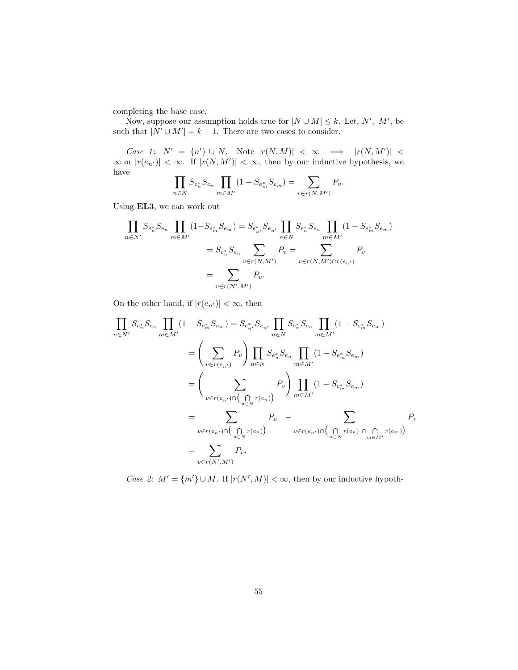completing the base case.

Now, suppose our assumption holds true for  $|N \cup M| \leq k$ . Let, N', M', be such that  $|N' \cup M'| = k + 1$ . There are two cases to consider.

Case 1:  $N' = \{n'\} \cup N$ . Note  $|r(N,M)| < \infty \implies |r(N,M')| <$  $\infty$  or  $|r(e_{n'})| < \infty$ . If  $|r(N, M')| < \infty$ , then by our inductive hypothesis, we have

$$
\prod_{n \in N} S_{e_n^*} S_{e_n} \prod_{m \in M'} (1 - S_{e_m^*} S_{e_m}) = \sum_{v \in r(N,M')} P_v.
$$

Using EL3, we can work out

$$
\prod_{n \in N'} S_{e_n^*} S_{e_n} \prod_{m \in M'} (1 - S_{e_m^*} S_{e_m}) = S_{e_{n'}^*} S_{e_{n'}} \prod_{n \in N} S_{e_n^*} S_{e_n} \prod_{m \in M'} (1 - S_{e_m^*} S_{e_m})
$$
\n
$$
= S_{e_n^*} S_{e_n} \sum_{v \in r(N, M')} P_v = \sum_{v \in r(N, M') \cap r(e_{n'})} P_v
$$
\n
$$
= \sum_{v \in r(N', M')} P_v.
$$

On the other hand, if  $|r(e_{n'})| < \infty$ , then

$$
\prod_{n \in N'} S_{e_n^*} S_{e_n} \prod_{m \in M'} (1 - S_{e_m^*} S_{e_m}) = S_{e_{n'}^*} S_{e_{n'}} \prod_{n \in N} S_{e_n^*} S_{e_n} \prod_{m \in M'} (1 - S_{e_m^*} S_{e_m})
$$
\n
$$
= \left( \sum_{v \in r(e_{n'})} P_v \right) \prod_{n \in N} S_{e_n^*} S_{e_n} \prod_{m \in M'} (1 - S_{e_m^*} S_{e_m})
$$
\n
$$
= \left( \sum_{v \in r(e_{n'})} \sum_{n \in N} P_v \right) \prod_{m \in M'} (1 - S_{e_m^*} S_{e_m})
$$
\n
$$
= \sum_{v \in r(e_{n'})} \sum_{n \in N} P_v - \sum_{v \in r(e_{n'})} \sum_{n \in N} P_v
$$
\n
$$
= \sum_{v \in r(N',M')} P_v.
$$
\n
$$
P_v
$$

Case 2:  $M' = \{m'\} \cup M$ . If  $|r(N', M)| < \infty$ , then by our inductive hypoth-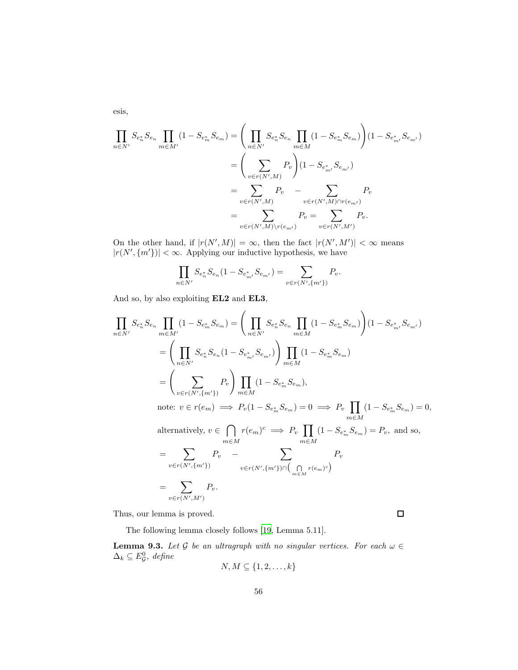esis,

$$
\prod_{n \in N'} S_{e_n^*} S_{e_n} \prod_{m \in M'} (1 - S_{e_m^*} S_{e_m}) = \left( \prod_{n \in N'} S_{e_n^*} S_{e_n} \prod_{m \in M} (1 - S_{e_m^*} S_{e_m}) \right) (1 - S_{e_{m'}^*} S_{e_{m'}})
$$
\n
$$
= \left( \sum_{v \in r(N',M)} P_v \right) (1 - S_{e_{m'}^*} S_{e_{m'}})
$$
\n
$$
= \sum_{v \in r(N',M)} P_v \quad - \sum_{v \in r(N',M) \cap r(e_{m'})} P_v
$$
\n
$$
= \sum_{v \in r(N',M) \setminus r(e_{m'})} P_v = \sum_{v \in r(N',M')} P_v.
$$

On the other hand, if  $|r(N',M)| = \infty$ , then the fact  $|r(N',M')| < \infty$  means  $|r(N', \{m'\})| < \infty$ . Applying our inductive hypothesis, we have

$$
\prod_{n \in N'} S_{e_n^*} S_{e_n} (1 - S_{e_{m'}^*} S_{e_{m'}}) = \sum_{v \in r(N', \{m'\})} P_v.
$$

And so, by also exploiting EL2 and EL3,

$$
\prod_{n \in N'} S_{e_n^*} S_{e_n} \prod_{m \in M'} (1 - S_{e_m^*} S_{e_m}) = \left( \prod_{n \in N'} S_{e_n^*} S_{e_n} \prod_{m \in M} (1 - S_{e_m^*} S_{e_m}) \right) (1 - S_{e_m^*} S_{e_{m'}})
$$
\n
$$
= \left( \prod_{n \in N'} S_{e_n^*} S_{e_n} (1 - S_{e_m^*} S_{e_{m'}}) \right) \prod_{m \in M} (1 - S_{e_m^*} S_{e_m})
$$
\n
$$
= \left( \sum_{v \in r(N', \{m'\})} P_v \right) \prod_{m \in M} (1 - S_{e_m^*} S_{e_m}),
$$
\nnote:  $v \in r(e_m) \implies P_v (1 - S_{e_m^*} S_{e_m}) = 0 \implies P_v \prod_{m \in M} (1 - S_{e_m^*} S_{e_m}) = 0,$ \nalternatively,  $v \in \bigcap_{m \in M} r(e_m)^c \implies P_v \prod_{m \in M} (1 - S_{e_m^*} S_{e_m}) = P_v$ , and so,\n
$$
= \sum_{v \in r(N', \{m'\})} P_v \qquad \sum_{v \in r(N', \{m'\}) \cap \bigcap_{m \in M} r(e_m)^c}
$$

$$
=\sum_{v\in r(N',M')}P_v.
$$

Thus, our lemma is proved.

 $\Box$ 

The following lemma closely follows [\[19,](#page-90-0) Lemma 5.11].

<span id="page-55-0"></span>**Lemma 9.3.** Let G be an ultragraph with no singular vertices. For each  $\omega \in$  $\Delta_k \subseteq E_{\mathcal{G}}^0$ , define

$$
N, M \subseteq \{1, 2, \ldots, k\}
$$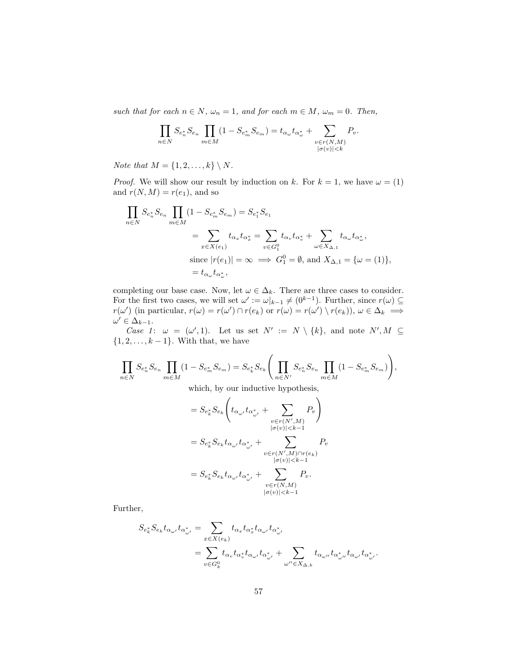such that for each  $n \in N$ ,  $\omega_n = 1$ , and for each  $m \in M$ ,  $\omega_m = 0$ . Then,

$$
\prod_{n\in N} S_{e_n^*} S_{e_n} \prod_{m\in M} (1 - S_{e_m^*} S_{e_m}) = t_{\alpha_\omega} t_{\alpha_\omega^*} + \sum_{\substack{v \in r(N,M) \\ |\sigma(v)| < k}} P_v.
$$

Note that  $M = \{1, 2, \ldots, k\} \setminus N$ .

*Proof.* We will show our result by induction on k. For  $k = 1$ , we have  $\omega = (1)$ and  $r(N, M) = r(e_1)$ , and so

$$
\prod_{n\in N} S_{e_n^*} S_{e_n} \prod_{m\in M} (1 - S_{e_m^*} S_{e_m}) = S_{e_1^*} S_{e_1}
$$
\n
$$
= \sum_{x \in X(e_1)} t_{\alpha_x} t_{\alpha_x^*} = \sum_{v \in G_1^0} t_{\alpha_v} t_{\alpha_v^*} + \sum_{\omega \in X_{\Delta,1}} t_{\alpha_\omega} t_{\alpha_\omega^*},
$$
\nsince  $|r(e_1)| = \infty \implies G_1^0 = \emptyset$ , and  $X_{\Delta,1} = \{\omega = (1)\},$ \n
$$
= t_{\alpha_\omega} t_{\alpha_\omega^*},
$$

completing our base case. Now, let  $\omega \in \Delta_k$ . There are three cases to consider. For the first two cases, we will set  $\omega' := \omega|_{k-1} \neq (0^{k-1})$ . Further, since  $r(\omega) \subseteq$  $r(\omega')$  (in particular,  $r(\omega) = r(\omega') \cap r(e_k)$  or  $r(\omega) = r(\omega') \setminus r(e_k)$ ),  $\omega \in \Delta_k \implies$  $\omega' \in \Delta_{k-1}.$ 

Case 1:  $\omega = (\omega', 1)$ . Let us set  $N' := N \setminus \{k\}$ , and note  $N', M \subseteq$  $\{1, 2, \ldots, k-1\}$ . With that, we have

$$
\prod_{n\in N}S_{e_n^*}S_{e_n}\prod_{m\in M}(1-S_{e_m^*}S_{e_m})=S_{e_k^*}S_{e_k}\Bigg(\prod_{n\in N'}S_{e_n^*}S_{e_n}\prod_{m\in M}(1-S_{e_m^*}S_{e_m})\Bigg),
$$

which, by our inductive hypothesis,

$$
= S_{e_k^*} S_{e_k} \left( t_{\alpha_{\omega'}} t_{\alpha_{\omega'}^*} + \sum_{\substack{v \in r(N',M) \\ |\sigma(v)| < k-1}} P_v \right)
$$
  

$$
= S_{e_k^*} S_{e_k} t_{\alpha_{\omega'}} t_{\alpha_{\omega'}^*} + \sum_{\substack{v \in r(N',M) \cap r(e_k) \\ |\sigma(v)| < k-1}} P_v
$$
  

$$
= S_{e_k^*} S_{e_k} t_{\alpha_{\omega'}} t_{\alpha_{\omega'}^*} + \sum_{\substack{v \in r(N,M) \\ |\sigma(v)| < k-1}} P_v.
$$

Further,

$$
\begin{split} S_{e_k^*}S_{e_k}t_{\alpha_{\omega'}}t_{\alpha_{\omega'}^*}&=\sum_{x\in X(e_k)}t_{\alpha_x}t_{\alpha_x^*}t_{\alpha_{\omega'}}t_{\alpha_{\omega'}^*}\\ &=\sum_{v\in G_k^0}t_{\alpha_v}t_{\alpha_v^*}t_{\alpha_{\omega'}}t_{\alpha_{\omega'}^*}+\sum_{\omega''\in X_{\Delta,k}}t_{\alpha_{\omega''}}t_{\alpha_{\omega'}^*}t_{\alpha_{\omega'}}t_{\alpha_{\omega'}^*}. \end{split}
$$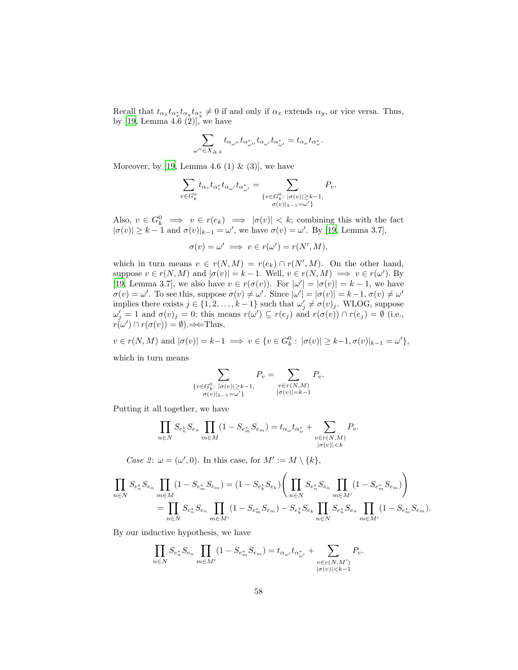Recall that  $t_{\alpha_x}t_{\alpha_y^*}t_{\alpha_y^*}\neq 0$  if and only if  $\alpha_x$  extends  $\alpha_y$ , or vice versa. Thus, by [\[19](#page-90-0), Lemma 4.6  $(2)$ ], we have

$$
\sum_{\omega''\in X_{\Delta,k}}t_{\alpha_{\omega''}}t_{\alpha_{\omega''}^*}t_{\alpha_{\omega'}}t_{\alpha_{\omega'}^*}=t_{\alpha_{\omega}}t_{\alpha_{\omega}^*}.
$$

Moreover, by [\[19,](#page-90-0) Lemma 4.6 (1)  $\&$  (3)], we have

$$
\sum_{v \in G_k^0} t_{\alpha_v} t_{\alpha_{\omega'}^*} t_{\alpha_{\omega'}'} t_{\alpha_{\omega'}^*} = \sum_{\substack{\{v \in G_k^0 : \ |\sigma(v)| \ge k-1, \\ \sigma(v)|_{k-1} = \omega'\}}} P_v.
$$

Also,  $v \in G_k^0 \implies v \in r(e_k) \implies |\sigma(v)| < k$ ; combining this with the fact  $|\sigma(v)| \geq k-1$  and  $\sigma(v)|_{k-1} = \omega'$ , we have  $\sigma(v) = \omega'$ . By [\[19](#page-90-0), Lemma 3.7],

$$
\sigma(v) = \omega' \implies v \in r(\omega') = r(N', M),
$$

which in turn means  $v \in r(N,M) = r(e_k) \cap r(N',M)$ . On the other hand, suppose  $v \in r(N, M)$  and  $|\sigma(v)| = k - 1$ . Well,  $v \in r(N, M) \implies v \in r(\omega')$ . By [\[19,](#page-90-0) Lemma 3.7], we also have  $v \in r(\sigma(v))$ . For  $|\omega'| = |\sigma(v)| = k - 1$ , we have  $\sigma(v) = \omega'$ . To see this, suppose  $\sigma(v) \neq \omega'$ . Since  $|\omega'| = |\sigma(v)| = k - 1$ ,  $\sigma(v) \neq \omega'$ implies there exists  $j \in \{1, 2, ..., k-1\}$  such that  $\omega'_j \neq \sigma(v)_j$ . WLOG, suppose  $\omega'_j = 1$  and  $\sigma(v)_j = 0$ ; this means  $r(\omega') \subseteq r(e_j)$  and  $r(\sigma(v)) \cap r(e_j) = \emptyset$  (i.e.,  $r(\omega') \cap r(\sigma(v)) = \emptyset$ ). $\Rightarrow$ Thus,

$$
v \in r(N,M) \text{ and } |\sigma(v)| = k-1 \implies v \in \{v \in G_k^0 : |\sigma(v)| \ge k-1, \sigma(v)|_{k-1} = \omega'\},
$$

which in turn means

$$
\sum_{\substack{\{v \in G_k^0: \ |\sigma(v)| \ge k-1, \\ \sigma(v)|_{k-1} = \omega'\}}} P_v = \sum_{\substack{v \in r(N,M) \\ |\sigma(v)| = k-1}} P_v.
$$

Putting it all together, we have

$$
\prod_{n\in N} S_{e_n^*} S_{e_n} \prod_{m\in M} (1 - S_{e_m^*} S_{e_m}) = t_{\alpha_\omega} t_{\alpha_\omega^*} + \sum_{\substack{v \in r(N,M) \\ |\sigma(v)| < k}} P_v.
$$

Case 2:  $\omega = (\omega', 0)$ . In this case, for  $M' := M \setminus \{k\},\$ 

$$
\prod_{n\in N} S_{e_n^*} S_{e_n} \prod_{m\in M} (1 - S_{e_m^*} S_{e_m}) = (1 - S_{e_k^*} S_{e_k}) \left( \prod_{n\in N} S_{e_n^*} S_{e_n} \prod_{m\in M'} (1 - S_{e_m^*} S_{e_m}) \right)
$$
\n
$$
= \prod_{n\in N} S_{e_n^*} S_{e_n} \prod_{m\in M'} (1 - S_{e_m^*} S_{e_m}) - S_{e_k^*} S_{e_k} \prod_{n\in N} S_{e_n^*} S_{e_n} \prod_{m\in M'} (1 - S_{e_m^*} S_{e_m}).
$$

By our inductive hypothesis, we have

$$
\prod_{n \in N} S_{e_n^*} S_{e_n} \prod_{m \in M'} (1 - S_{e_m^*} S_{e_m}) = t_{\alpha_{\omega'}} t_{\alpha_{\omega'}^*} + \sum_{\substack{v \in r(N,M') \\ |\sigma(v)| < k-1}} P_v.
$$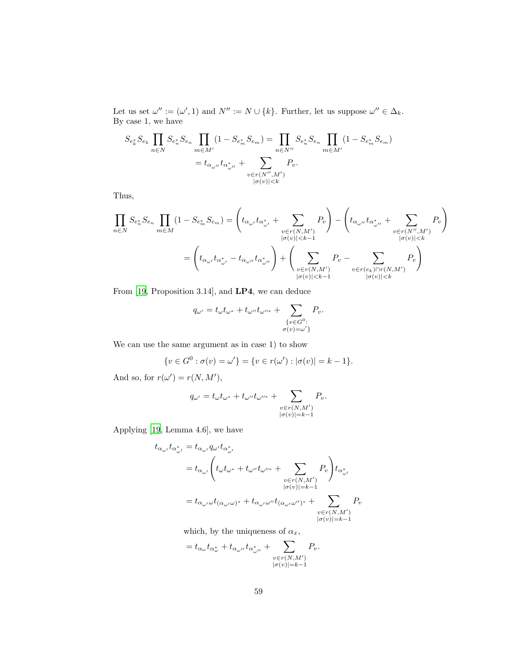Let us set  $\omega'':=(\omega',1)$  and  $N'':=N\cup\{k\}$ . Further, let us suppose  $\omega''\in\Delta_k$ . By case 1, we have

$$
S_{e_k^*} S_{e_k} \prod_{n \in N} S_{e_n^*} S_{e_n} \prod_{m \in M'} (1 - S_{e_m^*} S_{e_m}) = \prod_{n \in N''} S_{e_n^*} S_{e_n} \prod_{m \in M'} (1 - S_{e_m^*} S_{e_m})
$$
  
=  $t_{\alpha_{\omega''}} t_{\alpha_{\omega''}^*} + \sum_{\substack{v \in r(N'',M') \\ |\sigma(v)| < k}} P_v.$ 

Thus,

$$
\prod_{n\in N}S_{e_n^*}S_{e_n}\prod_{m\in M}(1-S_{e_m^*}S_{e_m})=\left(t_{\alpha_{\omega'}}t_{\alpha_{\omega'}^*}+\sum_{\substack{v\in r(N,M')\\|\sigma(v)|
$$

From [\[19,](#page-90-0) Proposition 3.14], and LP4, we can deduce

$$
q_{\omega'} = t_{\omega}t_{\omega^*} + t_{\omega''}t_{\omega''^*} + \sum_{\substack{\{v \in G^0:\\ \sigma(v) = \omega'\}}} P_v.
$$

We can use the same argument as in case 1) to show

$$
\{v \in G^0 : \sigma(v) = \omega'\} = \{v \in r(\omega') : |\sigma(v)| = k - 1\}.
$$

And so, for  $r(\omega') = r(N, M'),$ 

$$
q_{\omega'} = t_{\omega}t_{\omega^*} + t_{\omega''}t_{\omega''^*} + \sum_{\substack{v \in r(N,M') \\ |\sigma(v)| = k-1}} P_v.
$$

Applying [\[19,](#page-90-0) Lemma 4.6], we have

 $=$ 

$$
\begin{aligned} t_{\alpha_{\omega'}}t_{\alpha_{\omega'}^*}&=t_{\alpha_{\omega'}}q_{\omega'}t_{\alpha_{\omega'}^*}\\ &=t_{\alpha_{\omega'}}\bigg(t_{\omega}t_{\omega^*}+t_{\omega''}t_{\omega''^*}+\sum_{\substack{v\in r(N,M')\\|\sigma(v)|=k-1}}P_v\bigg)t_{\alpha_{\omega'}^*}\\ &=t_{\alpha_{\omega'}\omega}t_{(\alpha_{\omega'}\omega)^*}+t_{\alpha_{\omega'}\omega''}t_{(\alpha_{\omega'}\omega'')^*}+\sum_{\substack{v\in r(N,M')\\|\sigma(v)|=k-1}}P_v \end{aligned}
$$

which, by the uniqueness of  $\alpha_x$ ,

$$
t_{\alpha_{\omega}}t_{\alpha_{\omega}^*} + t_{\alpha_{\omega''}}t_{\alpha_{\omega''}^*} + \sum_{\substack{v \in r(N,M')\\|\sigma(v)|=k-1}} P_v.
$$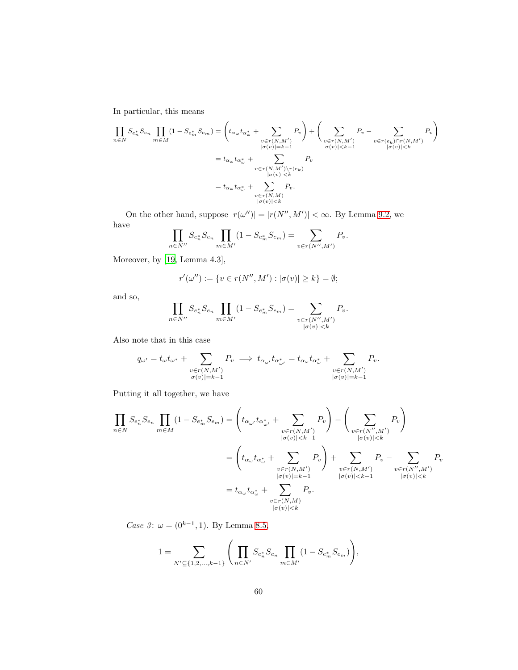In particular, this means

$$
\prod_{n\in N} S_{e_n^*} S_{e_n} \prod_{m\in M} (1 - S_{e_m^*} S_{e_m}) = \left( t_{\alpha_\omega} t_{\alpha_\omega^*} + \sum_{\substack{v \in r(N,M') \\ |\sigma(v)| = k-1}} P_v \right) + \left( \sum_{\substack{v \in r(N,M') \\ |\sigma(v)| \le k-1 \\ |\sigma(v)| < k-1}} P_v - \sum_{\substack{v \in r(e_k) \cap r(N,M') \\ |\sigma(v)| < k}} P_v \right)
$$
\n
$$
= t_{\alpha_\omega} t_{\alpha_\omega^*} + \sum_{\substack{|\sigma(v)| \le k \\ |\sigma(v)| \le k}} P_v
$$
\n
$$
= t_{\alpha_\omega} t_{\alpha_\omega^*} + \sum_{\substack{v \in r(N,M') \\ |\sigma(v)| \le k}} P_v.
$$

On the other hand, suppose  $|r(\omega'')| = |r(N'', M')| < \infty$ . By Lemma [9.2,](#page-50-1) we have

$$
\prod_{n \in N''} S_{e_n^*} S_{e_n} \prod_{m \in M'} (1 - S_{e_m^*} S_{e_m}) = \sum_{v \in r(N'',M')} P_v.
$$

Moreover, by [\[19,](#page-90-0) Lemma 4.3],

$$
r'(\omega'') := \{ v \in r(N'',M') : |\sigma(v)| \ge k \} = \emptyset;
$$

and so,

$$
\prod_{n \in N''} S_{e_n^*} S_{e_n} \prod_{m \in M'} (1 - S_{e_m^*} S_{e_m}) = \sum_{\substack{v \in r(N'',M') \\ |\sigma(v)| < k}} P_v.
$$

Also note that in this case

$$
q_{\omega'} = t_{\omega} t_{\omega^*} + \sum_{\substack{v \in r(N,M') \\ |\sigma(v)| = k - 1}} P_v \implies t_{\alpha_{\omega'}} t_{\alpha_{\omega'}^*} = t_{\alpha_{\omega}} t_{\alpha_{\omega}^*} + \sum_{\substack{v \in r(N,M') \\ |\sigma(v)| = k - 1}} P_v.
$$

Putting it all together, we have

$$
\prod_{n\in N} S_{e_n^*} S_{e_n} \prod_{m\in M} (1 - S_{e_m^*} S_{e_m}) = \left( t_{\alpha_{\omega'}} t_{\alpha_{\omega'}^*} + \sum_{\substack{v\in r(N,M')\\|\sigma(v)| < k-1}} P_v \right) - \left( \sum_{\substack{v\in r(N',M')\\|\sigma(v)| < k}} P_v \right)
$$
\n
$$
= \left( t_{\alpha_{\omega}} t_{\alpha_{\omega}^*} + \sum_{\substack{v\in r(N,M')\\|\sigma(v)| = k-1}} P_v \right) + \sum_{\substack{v\in r(N,M')\\|\sigma(v)| < k-1}} P_v - \sum_{\substack{v\in r(N',M')\\|\sigma(v)| < k}} P_v
$$
\n
$$
= t_{\alpha_{\omega}} t_{\alpha_{\omega}^*} + \sum_{\substack{v\in r(N,M)\\|\sigma(v)| < k}} P_v.
$$

Case 3:  $\omega = (0^{k-1}, 1)$ . By Lemma [8.5,](#page-44-1)

$$
1 = \sum_{N' \subseteq \{1, 2, \dots, k-1\}} \Bigg( \prod_{n \in N'} S_{e_n^*} S_{e_n} \prod_{m \in M'} (1 - S_{e_m^*} S_{e_m}) \Bigg),
$$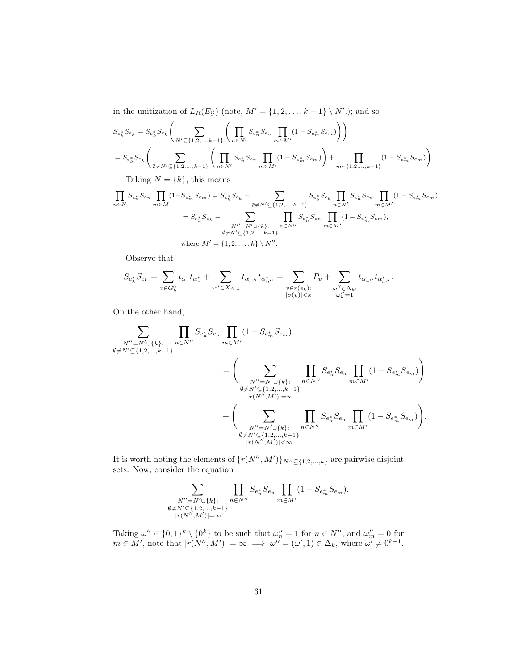in the unitization of  $L_R(E_{\mathcal{G}})$  (note,  $M' = \{1, 2, \ldots, k-1\} \setminus N'$ .); and so

$$
S_{e_k^*} S_{e_k} = S_{e_k^*} S_{e_k} \left( \sum_{N' \subseteq \{1, 2, ..., k-1\}} \left( \prod_{n \in N'} S_{e_n^*} S_{e_n} \prod_{m \in M'} (1 - S_{e_m^*} S_{e_m}) \right) \right)
$$
  
= 
$$
S_{e_k^*} S_{e_k} \left( \sum_{\emptyset \neq N' \subseteq \{1, 2, ..., k-1\}} \left( \prod_{n \in N'} S_{e_n^*} S_{e_n} \prod_{m \in M'} (1 - S_{e_m^*} S_{e_m}) \right) + \prod_{m \in \{1, 2, ..., k-1\}} (1 - S_{e_m^*} S_{e_m}) \right).
$$

Taking  $N = \{k\}$ , this means

$$
\prod_{n\in N} S_{e_n^*} S_{e_n} \prod_{m\in M} (1 - S_{e_m^*} S_{e_m}) = S_{e_k^*} S_{e_k} - \sum_{\emptyset \neq N' \subseteq \{1, 2, ..., k-1\}} S_{e_k^*} S_{e_k} \prod_{n\in N'} S_{e_n^*} S_{e_n} \prod_{m\in M'} (1 - S_{e_m^*} S_{e_m})
$$
\n
$$
= S_{e_k^*} S_{e_k} - \sum_{\substack{N''=N' \cup \{k\}:\\ \emptyset \neq N' \subseteq \{1, 2, ..., k-1\}}} \prod_{n\in N''} S_{e_n^*} S_{e_n} \prod_{m\in M'} (1 - S_{e_m^*} S_{e_m}),
$$
\nwhere  $M' = \{1, 2, ..., k\} \setminus N''$ .

Observe that

$$
S_{e_k^*}S_{e_k}=\sum_{v\in G_k^0}t_{\alpha_v}t_{\alpha_v^*}+\sum_{\omega''\in X_{\Delta,k}}t_{\alpha_{\omega''}}t_{\alpha_{\omega''}^*}=\sum_{\substack{v\in r(e_k):\\|\sigma(v)|
$$

On the other hand,

$$
\sum_{\substack{N''=N'\cup\{k\}:\\ \emptyset\neq N'\subseteq\{1,2,\ldots,k-1\}}} \prod_{n\in N''} S_{e_n^*} S_{e_n} \prod_{m\in M'} (1 - S_{e_m^*} S_{e_m})
$$
\n
$$
= \left( \sum_{\substack{N''=N'\cup\{k\}:\\ \emptyset\neq N'\subseteq\{1,2,\ldots,k-1\}\\ |r(N'',M')|=\infty}} \prod_{n\in N''} S_{e_n^*} S_{e_n} \prod_{m\in M'} (1 - S_{e_m^*} S_{e_m}) \right)
$$
\n
$$
+ \left( \sum_{\substack{N''=N'\cup\{k\}:\\ \emptyset\neq N'\subseteq\{1,2,\ldots,k-1\}\\ |r(N'',M')|<\infty}} \prod_{n\in N''} S_{e_n^*} S_{e_n} \prod_{m\in M'} (1 - S_{e_m^*} S_{e_m}) \right).
$$

It is worth noting the elements of  $\{r(N'', M')\}_{N'' \subseteq \{1, 2, ..., k\}}$  are pairwise disjoint sets. Now, consider the equation

$$
\sum_{\substack{N''=N'\cup\{k\}:\\ \emptyset\neq N'\subseteq\{1,2,\ldots,k-1\}\\ |r(N'',M')|=\infty}} \prod_{n\in N''} S_{e_n^*} S_{e_n} \prod_{m\in M'} (1-S_{e_m^*} S_{e_m}).
$$

Taking  $\omega'' \in \{0,1\}^k \setminus \{0^k\}$  to be such that  $\omega''_n = 1$  for  $n \in \mathbb{N}''$ , and  $\omega''_m = 0$  for  $m \in M'$ , note that  $|r(N'', M')| = \infty \implies \omega'' = (\omega', 1) \in \Delta_k$ , where  $\omega' \neq 0^{k-1}$ .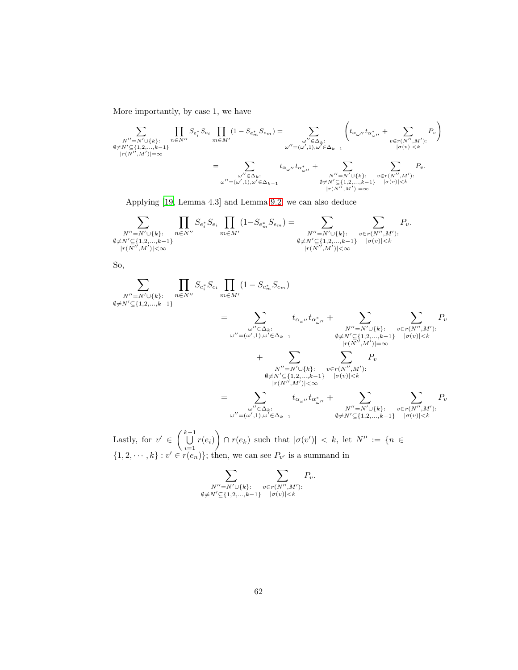More importantly, by case 1, we have

$$
\sum_{\substack{N''=N'\cup\{k\}:\\ |\tau(N'',M')|=\infty}}\prod_{n\in N''}S_{e_i^*}S_{e_i}\prod_{m\in M'}(1-S_{e_m^*}S_{e_m})=\sum_{\substack{\omega''\in\Delta_k:\\ |\omega''|=(\omega',1),\omega'\in\Delta_{k-1}\\ |\sigma(v)|
$$

Applying [\[19,](#page-90-0) Lemma 4.3] and Lemma [9.2,](#page-50-1) we can also deduce

$$
\sum_{\substack{N''=N'\cup\{k\}:\\ \emptyset\neq N'\subseteq\{1,2,\ldots,k-1\}\\ |r(N'',M')|<\infty}}\prod_{n\in N''}S_{e_i^*}S_{e_i}\prod_{m\in M'}(1-S_{e_m^*}S_{e_m})=\sum_{\substack{N''=N'\cup\{k\}:\\ \emptyset\neq N'\subseteq\{1,2,\ldots,k-1\}\\ |r(N'',M')|<\infty}}\sum_{v\in r(N'',M'):}P_v.
$$

So,

$$
\sum_{\substack{N''=N'\cup\{k\}:\\ \emptyset\neq N'\subseteq\{1,2,\ldots,k-1\}}} \prod_{n\in N''} S_{e_i^*} S_{e_i} \prod_{m\in M'} (1 - S_{e_m^*} S_{e_m})
$$
\n
$$
= \sum_{\substack{\omega''\in\Delta_k:\\ \omega''=(\omega',1),\omega'\in\Delta_{k-1}}} t_{\alpha_{\omega''}} t_{\alpha_{\omega''}^*} + \sum_{\substack{N''=N'\cup\{k\}:\\ \emptyset\neq N'\subseteq\{1,2,\ldots,k-1\}\\ |r(N'',M')|=\infty}} \sum_{\substack{|\sigma(v)|\n
$$
+ \sum_{\substack{N''=N'\cup\{k\}:\\ \emptyset\neq N'\subseteq\{1,2,\ldots,k-1\}\\ |r(N'',M')|<\infty}} P_v
$$
\n
$$
= \sum_{\substack{\omega''\in\Delta_k:\\ \omega''=(\omega',1),\omega'\in\Delta_{k-1}}} t_{\alpha_{\omega''}} t_{\alpha_{\omega''}^*} + \sum_{\substack{N''=N'\cup\{k\}:\\ \emptyset\neq N'\subseteq\{1,2,\ldots,k-1\}\\ \emptyset\neq N'\subseteq\{1,2,\ldots,k-1\}}} P_v
$$
$$

Lastly, for  $v' \in \left(\bigcup^{k-1} \mathcal{L} \right)$  $\bigcup_{i=1} r(e_i)$  $\setminus$  $\cap$   $r(e_k)$  such that  $|\sigma(v')| < k$ , let  $N'' := \{n \in$  $\{1, 2, \dots, k\} : v' \in r(e_n)\};$  then, we can see  $P_{v'}$  is a summand in

$$
\sum_{\substack{N''=N'\cup\{k\}:\\ \emptyset\neq N'\subseteq\{1,2,\ldots,k-1\}}}\sum_{\substack{v\in r(N'',M'):\\ |\sigma(v)|
$$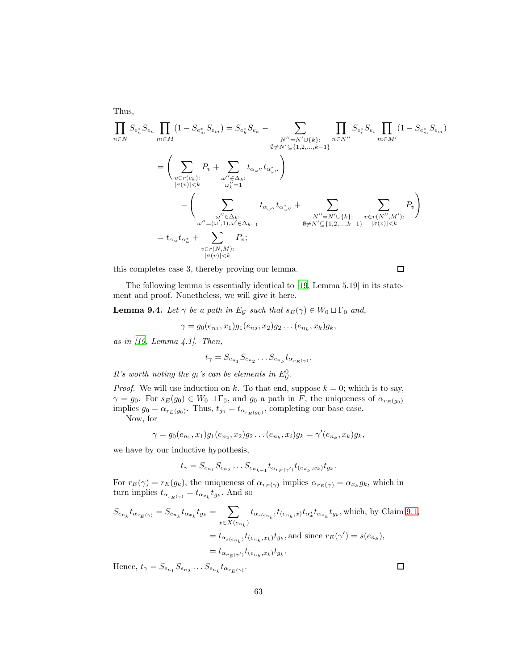$$
\prod_{n\in N} S_{e_n^*} S_{e_n} \prod_{m\in M} (1 - S_{e_m^*} S_{e_m}) = S_{e_k^*} S_{e_k} - \sum_{\substack{N''=N'\cup\{k\}:\\ \emptyset\neq N'\subseteq\{1,2,\ldots,k-1\}}} \prod_{n\in N''} S_{e_i^*} S_{e_i} \prod_{m\in M'} (1 - S_{e_m^*} S_{e_m})
$$
\n
$$
= \left( \sum_{\substack{v\in r(e_k):\\ |\sigma(v)|\n
$$
- \left( \sum_{\substack{\omega''\in\Delta_k:\\\ \omega''=(\omega',1),\omega'\in\Delta_{k-1}}} t_{\alpha_{\omega''}} t_{\alpha_{\omega''}^*} + \sum_{\substack{N''=N'\cup\{k\}:\\ \emptyset\neq N'\subseteq\{1,2,\ldots,k-1\}}} \sum_{\substack{v\in r(N'',M'):\\\ |\sigma(v)|\n
$$
= t_{\alpha_{\omega}} t_{\alpha_{\omega}^*} + \sum_{\substack{v\in r(N,M):\\\ |\sigma(v)|
$$
$$
$$

this completes case 3, thereby proving our lemma.

 $\Box$ 

The following lemma is essentially identical to [\[19,](#page-90-0) Lemma 5.19] in its statement and proof. Nonetheless, we will give it here.

<span id="page-62-0"></span>**Lemma 9.4.** Let  $\gamma$  be a path in E<sub>G</sub> such that  $s_E(\gamma) \in W_0 \sqcup \Gamma_0$  and,

$$
\gamma = g_0(e_{n_1}, x_1)g_1(e_{n_2}, x_2)g_2 \dots (e_{n_k}, x_k)g_k,
$$

as in  $(19, \text{ Lemma } 4.1).$  Then,

$$
t_{\gamma} = S_{e_{n_1}} S_{e_{n_2}} \dots S_{e_{n_k}} t_{\alpha_{r_E(\gamma)}}.
$$

It's worth noting the  $g_i$ 's can be elements in  $E^0_{\mathcal{G}}$ .

*Proof.* We will use induction on k. To that end, suppose  $k = 0$ ; which is to say,  $\gamma = g_0$ . For  $s_E(g_0) \in W_0 \sqcup \Gamma_0$ , and  $g_0$  a path in F, the uniqueness of  $\alpha_{r_E(g_0)}$ implies  $g_0 = \alpha_{r_E(g_0)}$ . Thus,  $t_{g_0} = t_{\alpha_{r_E(g_0)}}$ , completing our base case. Now, for

Thus,

$$
\gamma = g_0(e_{n_1}, x_1)g_1(e_{n_2}, x_2)g_2 \dots (e_{n_k}, x_i)g_k = \gamma'(e_{n_k}, x_k)g_k,
$$

we have by our inductive hypothesis,

$$
t_{\gamma} = S_{e_{n_1}} S_{e_{n_2}} \dots S_{e_{n_{k-1}}} t_{\alpha_{r_E(\gamma')}} t_{(e_{n_k}, x_k)} t_{g_k}.
$$

For  $r_E(\gamma) = r_E(g_k)$ , the uniqueness of  $\alpha_{r_E(\gamma)}$  implies  $\alpha_{r_E(\gamma)} = \alpha_{x_k} g_k$ , which in turn implies  $t_{\alpha_{r_E(\gamma)}} = t_{\alpha_{x_k}} t_{g_k}$ . And so

$$
S_{e_{n_k}} t_{\alpha_{r_E(\gamma)}} = S_{e_{n_k}} t_{\alpha_{x_k}} t_{g_k} = \sum_{x \in X(e_{n_k})} t_{\alpha_{s(e_{n_k})}} t_{(e_{n_k},x)} t_{\alpha_x^*} t_{\alpha_{x_k}} t_{g_k}
$$
, which, by Claim 9.1,  

$$
= t_{\alpha_{s(e_{n_k})}} t_{(e_{n_k},x_k)} t_{g_k}
$$
, and since  $r_E(\gamma') = s(e_{n_k})$ ,  

$$
= t_{\alpha_{r_E(\gamma')}} t_{(e_{n_k},x_k)} t_{g_k}.
$$

Hence,  $t_{\gamma} = S_{e_{n_1}} S_{e_{n_2}} \dots S_{e_{n_k}} t_{\alpha_{r_E(\gamma)}}$ .

 $\Box$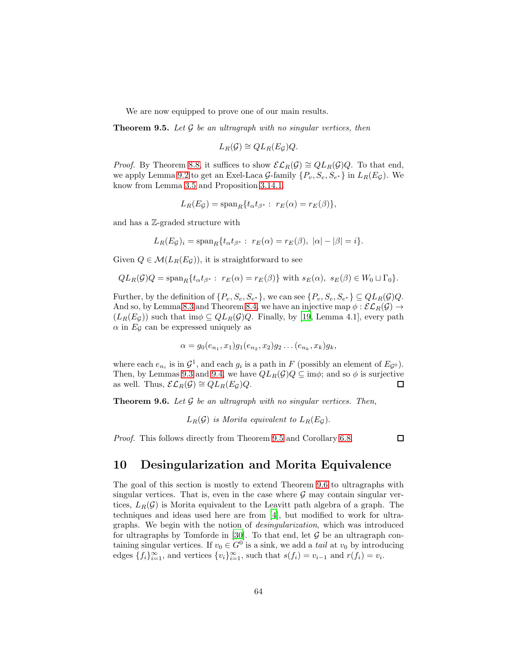We are now equipped to prove one of our main results.

<span id="page-63-0"></span>**Theorem 9.5.** Let  $\mathcal G$  be an ultragraph with no singular vertices, then

$$
L_R(\mathcal{G}) \cong QL_R(E_{\mathcal{G}})Q.
$$

*Proof.* By Theorem [8.8,](#page-49-0) it suffices to show  $\mathcal{EL}_R(\mathcal{G}) \cong QL_R(\mathcal{G})Q$ . To that end, we apply Lemma [9.2](#page-50-1) to get an Exel-Laca  $\mathcal{G}\text{-family } \{P_v, S_e, S_{e^*}\}\$ in  $L_R(E_\mathcal{G})$ . We know from Lemma [3.5](#page-11-1) and Proposition [3.14.1.](#page-16-2)

$$
L_R(E_{\mathcal{G}}) = \mathrm{span}_R\{t_{\alpha}t_{\beta^*}:\ r_E(\alpha) = r_E(\beta)\},\
$$

and has a Z-graded structure with

$$
L_R(E_{\mathcal{G}})_i = \operatorname{span}_R\{t_\alpha t_{\beta^*}:\ r_E(\alpha) = r_E(\beta), \ |\alpha| - |\beta| = i\}.
$$

Given  $Q \in \mathcal{M}(L_R(E_G))$ , it is straightforward to see

$$
QL_R(\mathcal{G})Q = \text{span}_R\{t_\alpha t_{\beta^*}: r_E(\alpha) = r_E(\beta)\}\
$$
 with  $s_E(\alpha), s_E(\beta) \in W_0 \sqcup \Gamma_0\}.$ 

Further, by the definition of  $\{P_v, S_e, S_{e^*}\}\$ , we can see  $\{P_v, S_e, S_{e^*}\}\subseteq QL_R(\mathcal{G})Q$ . And so, by Lemma [8.3](#page-42-0) and Theorem [8.4,](#page-44-0) we have an injective map  $\phi : \mathcal{EL}_R(\mathcal{G}) \to$  $(L_R(E_{\mathcal{G}}))$  such that im $\phi \subseteq QL_R(\mathcal{G})Q$ . Finally, by [\[19,](#page-90-0) Lemma 4.1], every path  $\alpha$  in  $E_{\mathcal{G}}$  can be expressed uniquely as

$$
\alpha = g_0(e_{n_1}, x_1)g_1(e_{n_2}, x_2)g_2 \dots (e_{n_k}, x_k)g_k,
$$

where each  $e_{n_i}$  is in  $\mathcal{G}^1$ , and each  $g_i$  is a path in F (possibly an element of  $E_{\mathcal{G}^0}$ ). Then, by Lemmas [9.3](#page-55-0) and [9.4,](#page-62-0) we have  $QL_R(\mathcal{G})Q \subseteq \text{im}\phi$ ; and so  $\phi$  is surjective as well. Thus,  $\mathcal{EL}_R(\mathcal{G}) \cong QL_R(E_{\mathcal{G}})Q$ .  $\Box$ 

<span id="page-63-1"></span>**Theorem 9.6.** Let  $\mathcal G$  be an ultragraph with no singular vertices. Then,

 $L_R(\mathcal{G})$  is Morita equivalent to  $L_R(E_G)$ .

Proof. This follows directly from Theorem [9.5](#page-63-0) and Corollary [6.8.](#page-37-0)

 $\Box$ 

## 10 Desingularization and Morita Equivalence

The goal of this section is mostly to extend Theorem [9.6](#page-63-1) to ultragraphs with singular vertices. That is, even in the case where  $\mathcal G$  may contain singular vertices,  $L_R(\mathcal{G})$  is Morita equivalent to the Leavitt path algebra of a graph. The techniques and ideas used here are from [\[4\]](#page-89-0), but modified to work for ultragraphs. We begin with the notion of desingularization, which was introduced for ultragraphs by Tomforde in  $[30]$ . To that end, let  $G$  be an ultragraph containing singular vertices. If  $v_0 \in G^0$  is a sink, we add a *tail* at  $v_0$  by introducing edges  $\{f_i\}_{i=1}^{\infty}$ , and vertices  $\{v_i\}_{i=1}^{\infty}$ , such that  $s(f_i) = v_{i-1}$  and  $r(f_i) = v_i$ .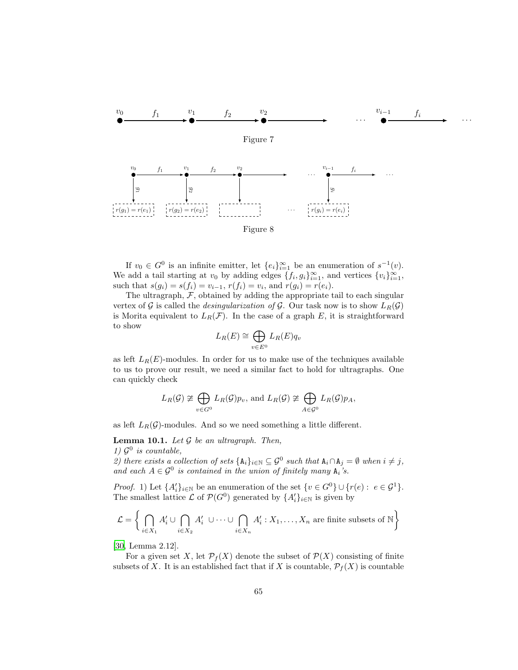

If  $v_0 \in G^0$  is an infinite emitter, let  $\{e_i\}_{i=1}^{\infty}$  be an enumeration of  $s^{-1}(v)$ . We add a tail starting at  $v_0$  by adding edges  $\{f_i, g_i\}_{i=1}^{\infty}$ , and vertices  $\{v_i\}_{i=1}^{\infty}$ , such that  $s(g_i) = s(f_i) = v_{i-1}, r(f_i) = v_i$ , and  $r(g_i) = r(e_i)$ .

The ultragraph,  $F$ , obtained by adding the appropriate tail to each singular vertex of G is called the *desingularization of* G. Our task now is to show  $L_R(\mathcal{G})$ is Morita equivalent to  $L_R(\mathcal{F})$ . In the case of a graph E, it is straightforward to show

$$
L_R(E) \cong \bigoplus_{v \in E^0} L_R(E) q_v
$$

as left  $L_R(E)$ -modules. In order for us to make use of the techniques available to us to prove our result, we need a similar fact to hold for ultragraphs. One can quickly check

$$
L_R(G) \ncong \bigoplus_{v \in G^0} L_R(G) p_v
$$
, and  $L_R(G) \ncong \bigoplus_{A \in G^0} L_R(G) p_A$ ,

as left  $L_R(\mathcal{G})$ -modules. And so we need something a little different.

<span id="page-64-0"></span>**Lemma 10.1.** Let  $\mathcal G$  be an ultragraph. Then, 1)  $\mathcal{G}^0$  is countable,

2) there exists a collection of sets  $\{A_i\}_{i\in\mathbb{N}}\subseteq \mathcal{G}^0$  such that  $A_i\cap A_j=\emptyset$  when  $i\neq j$ , and each  $A \in \mathcal{G}^0$  is contained in the union of finitely many  $A_i$ 's.

*Proof.* 1) Let  $\{A'_i\}_{i\in\mathbb{N}}$  be an enumeration of the set  $\{v \in G^0\} \cup \{r(e): e \in \mathcal{G}^1\}.$ The smallest lattice  $\mathcal L$  of  $\mathcal P(G^0)$  generated by  $\{A'_i\}_{i\in\mathbb N}$  is given by

$$
\mathcal{L} = \left\{ \bigcap_{i \in X_1} A'_i \cup \bigcap_{i \in X_2} A'_i \cup \cdots \cup \bigcap_{i \in X_n} A'_i : X_1, \dots, X_n \text{ are finite subsets of } \mathbb{N} \right\}
$$

[\[30,](#page-91-2) Lemma 2.12].

For a given set X, let  $\mathcal{P}_f(X)$  denote the subset of  $\mathcal{P}(X)$  consisting of finite subsets of X. It is an established fact that if X is countable,  $\mathcal{P}_f(X)$  is countable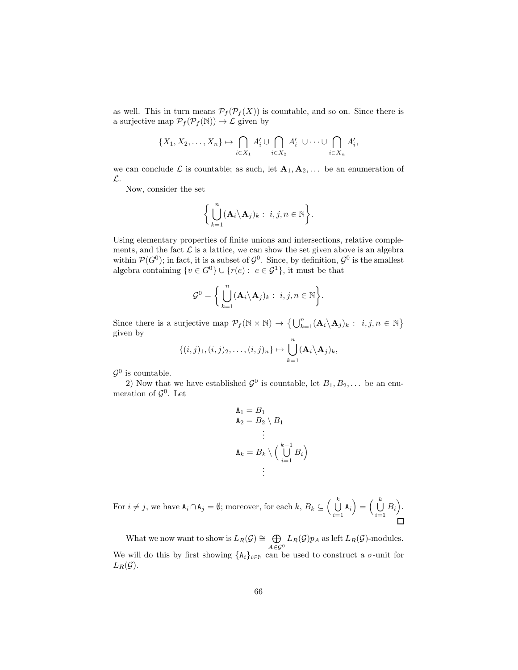as well. This in turn means  $\mathcal{P}_f(\mathcal{P}_f(X))$  is countable, and so on. Since there is a surjective map  $\mathcal{P}_f(\mathcal{P}_f(\mathbb{N})) \to \mathcal{L}$  given by

$$
\{X_1, X_2, \ldots, X_n\} \mapsto \bigcap_{i \in X_1} A'_i \cup \bigcap_{i \in X_2} A'_i \cup \cdots \cup \bigcap_{i \in X_n} A'_i,
$$

we can conclude  $\mathcal L$  is countable; as such, let  $\mathbf A_1, \mathbf A_2, \ldots$  be an enumeration of L.

Now, consider the set

$$
\bigg\{\bigcup_{k=1}^n (\mathbf{A}_i \backslash \mathbf{A}_j)_k: i,j,n \in \mathbb{N}\bigg\}.
$$

Using elementary properties of finite unions and intersections, relative complements, and the fact  $\mathcal L$  is a lattice, we can show the set given above is an algebra within  $\mathcal{P}(G^0)$ ; in fact, it is a subset of  $\mathcal{G}^0$ . Since, by definition,  $\mathcal{G}^0$  is the smallest algebra containing  $\{v \in G^0\} \cup \{r(e) : e \in \mathcal{G}^1\}$ , it must be that

$$
\mathcal{G}^0 = \bigg\{\bigcup_{k=1}^n (\mathbf{A}_i \backslash \mathbf{A}_j)_k: i, j, n \in \mathbb{N}\bigg\}.
$$

Since there is a surjective map  $\mathcal{P}_f(\mathbb{N} \times \mathbb{N}) \to \{\bigcup_{k=1}^n (\mathbf{A}_i \setminus \mathbf{A}_j)_k : i, j, n \in \mathbb{N}\}\$ given by

$$
\{(i,j)_1,(i,j)_2,\ldots,(i,j)_n\}\mapsto \bigcup_{k=1}^n (\mathbf{A}_i\backslash \mathbf{A}_j)_k,
$$

 $\mathcal{G}^0$  is countable.

2) Now that we have established  $\mathcal{G}^0$  is countable, let  $B_1, B_2, \ldots$  be an enumeration of  $\mathcal{G}^0$ . Let

$$
A_1 = B_1
$$
  
\n
$$
A_2 = B_2 \setminus B_1
$$
  
\n
$$
\vdots
$$
  
\n
$$
A_k = B_k \setminus \left(\bigcup_{i=1}^{k-1} B_i\right)
$$
  
\n
$$
\vdots
$$

For  $i \neq j$ , we have  $A_i \cap A_j = \emptyset$ ; moreover, for each  $k, B_k \subseteq \left(\bigcup_{i=1}^k A_i\right)$  $\bigcup_{i=1}^k \mathbf{A}_i \Big) = \Big(\bigcup_{i=1}^k$  $\bigcup_{i=1}^k B_i$ .

What we now want to show is  $L_R(\mathcal{G}) \cong \bigoplus$  $\bigoplus_{A \in \mathcal{G}^0} L_R(\mathcal{G}) p_A$  as left  $L_R(\mathcal{G})$ -modules. We will do this by first showing  $\{\mathbf{A}_i\}_{i\in\mathbb{N}}$  can be used to construct a  $\sigma$ -unit for  $L_R(\mathcal{G})$ .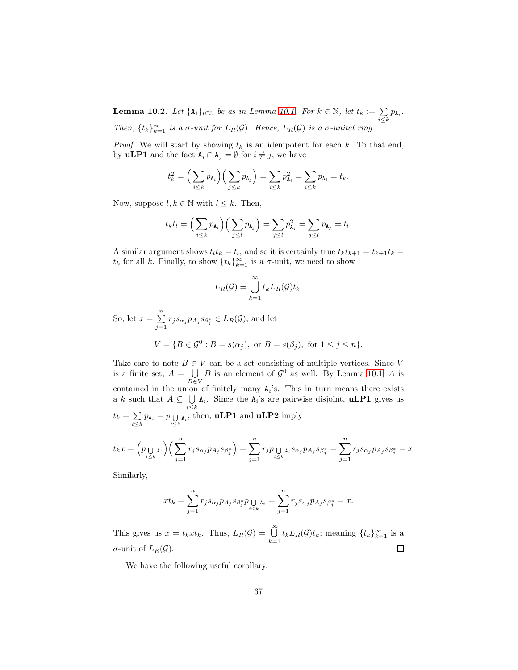<span id="page-66-0"></span>**Lemma 10.2.** Let  $\{A_i\}_{i\in\mathbb{N}}$  be as in Lemma [10.1.](#page-64-0) For  $k \in \mathbb{N}$ , let  $t_k := \sum_{i\leq k} p_{A_i}$ . Then,  $\{t_k\}_{k=1}^{\infty}$  is a  $\sigma$ -unit for  $L_R(G)$ . Hence,  $L_R(G)$  is a  $\sigma$ -unital ring.

*Proof.* We will start by showing  $t_k$  is an idempotent for each k. To that end, by **uLP1** and the fact  $A_i \cap A_j = \emptyset$  for  $i \neq j$ , we have

$$
t_k^2 = \Big(\sum_{i \leq k} p_{\mathbf{A}_i}\Big) \Big(\sum_{j \leq k} p_{\mathbf{A}_j}\Big) = \sum_{i \leq k} p_{\mathbf{A}_i}^2 = \sum_{i \leq k} p_{\mathbf{A}_i} = t_k.
$$

Now, suppose  $l, k \in \mathbb{N}$  with  $l \leq k$ . Then,

$$
t_kt_l = \Big(\sum_{i\leq k}p_{\mathbf{A}_i}\Big)\Big(\sum_{j\leq l}p_{\mathbf{A}_j}\Big) = \sum_{j\leq l}p_{\mathbf{A}_j}^2 = \sum_{j\leq l}p_{\mathbf{A}_j} = t_l.
$$

A similar argument shows  $t_l t_k = t_l$ ; and so it is certainly true  $t_k t_{k+1} = t_{k+1} t_k =$  $t_k$  for all k. Finally, to show  $\{t_k\}_{k=1}^{\infty}$  is a  $\sigma$ -unit, we need to show

$$
L_R(\mathcal{G}) = \bigcup_{k=1}^{\infty} t_k L_R(\mathcal{G}) t_k.
$$

So, let  $x = \sum^{n}$  $\sum_{j=1} r_j s_{\alpha_j} p_{A_j} s_{\beta_j^*} \in L_R(\mathcal{G})$ , and let

$$
V = \{ B \in \mathcal{G}^0 : B = s(\alpha_j), \text{ or } B = s(\beta_j), \text{ for } 1 \le j \le n \}.
$$

Take care to note  $B \in V$  can be a set consisting of multiple vertices. Since V is a finite set,  $A = \bigcup$ B∈V B is an element of  $\mathcal{G}^0$  as well. By Lemma [10.1,](#page-64-0) A is contained in the union of finitely many  $A_i$ 's. This in turn means there exists a k such that  $A \subseteq \bigcup$  $\bigcup_{i\leq k} A_i$ . Since the  $A_i$ 's are pairwise disjoint, **uLP1** gives us  $t_k = \sum$  $\sum_{i\leq k} p_{\mathbf{A}_i} = p_{\bigcup_{i\leq k} \mathbf{A}_i}$ ; then, **uLP1** and **uLP2** imply

$$
t_kx=\Big(p_{\bigcup\limits_{i\leq k}\mathbf{A}_i}\Big)\Big(\sum_{j=1}^nr_js_{\alpha_j}p_{A_j}s_{\beta_j^*}\Big)=\sum_{j=1}^nr_jp_{\bigcup\limits_{i\leq k}\mathbf{A}_i}s_{\alpha_j}p_{A_j}s_{\beta_j^*}=\sum_{j=1}^nr_js_{\alpha_j}p_{A_j}s_{\beta_j^*}=x.
$$

Similarly,

$$
xt_k=\sum_{j=1}^nr_js_{\alpha_j}p_{A_j}s_{\beta_j^*}p\underset{i\leq k}{\cup}\mathbf{a}_i=\sum_{j=1}^nr_js_{\alpha_j}p_{A_j}s_{\beta_j^*}=x.
$$

This gives us  $x = t_k x t_k$ . Thus,  $L_R(\mathcal{G}) = \bigcup_{k=1}^{\infty} t_k L_R(\mathcal{G}) t_k$ ; meaning  $\{t_k\}_{k=1}^{\infty}$  is a  $\sigma$ -unit of  $L_R(\mathcal{G})$ .  $\Box$ 

We have the following useful corollary.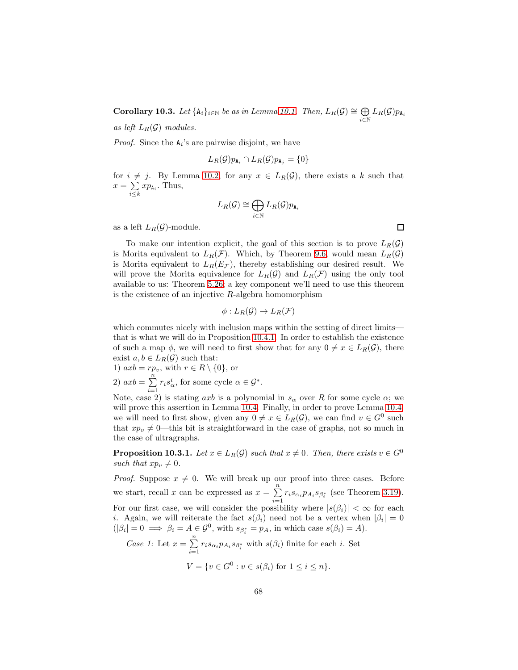Corollary 10.3. Let  ${A_i}_{i\in\mathbb{N}}$  be as in Lemma [10.1.](#page-64-0) Then,  $L_R(G) \cong \bigoplus$  $\bigoplus_{i\in\mathbb{N}}L_R(\mathcal{G})p_{\mathtt{A}_i}$ as left  $L_B(\mathcal{G})$  modules.

*Proof.* Since the  $A_i$ 's are pairwise disjoint, we have

$$
L_R(\mathcal{G})p_{\mathbf{A}_i} \cap L_R(\mathcal{G})p_{\mathbf{A}_j} = \{0\}
$$

for  $i \neq j$ . By Lemma [10.2,](#page-66-0) for any  $x \in L_R(G)$ , there exists a k such that  $x = \sum$  $\sum_{i\leq k} x p_{\mathbf{A}_i}$ . Thus,

$$
L_R(\mathcal{G}) \cong \bigoplus_{i \in \mathbb{N}} L_R(\mathcal{G}) p_{\mathtt{A}_i}
$$

as a left  $L_R(\mathcal{G})$ -module.

To make our intention explicit, the goal of this section is to prove  $L_R(\mathcal{G})$ is Morita equivalent to  $L_R(\mathcal{F})$ . Which, by Theorem [9.6,](#page-63-1) would mean  $L_R(\mathcal{G})$ is Morita equivalent to  $L_R(E_{\mathcal{F}})$ , thereby establishing our desired result. We will prove the Morita equivalence for  $L_R(\mathcal{G})$  and  $L_R(\mathcal{F})$  using the only tool available to us: Theorem [5.26;](#page-33-0) a key component we'll need to use this theorem is the existence of an injective  $R$ -algebra homomorphism

$$
\phi: L_R(\mathcal{G}) \to L_R(\mathcal{F})
$$

which commutes nicely with inclusion maps within the setting of direct limits that is what we will do in Proposition [10.4.1.](#page-74-0) In order to establish the existence of such a map  $\phi$ , we will need to first show that for any  $0 \neq x \in L_R(G)$ , there exist  $a, b \in L_R(\mathcal{G})$  such that:

1) 
$$
axb = rp_v
$$
, with  $r \in R \setminus \{0\}$ , or

2)  $axb = \sum_{n=1}^{n}$  $\sum_{i=1} r_i s_\alpha^i$ , for some cycle  $\alpha \in \mathcal{G}^*$ .

Note, case 2) is stating  $axb$  is a polynomial in  $s_\alpha$  over R for some cycle  $\alpha$ ; we will prove this assertion in Lemma [10.4.](#page-69-0) Finally, in order to prove Lemma [10.4,](#page-69-0) we will need to first show, given any  $0 \neq x \in L_R(G)$ , we can find  $v \in G^0$  such that  $xp_v \neq 0$ —this bit is straightforward in the case of graphs, not so much in the case of ultragraphs.

<span id="page-67-0"></span>**Proposition 10.3.1.** Let  $x \in L_R(G)$  such that  $x \neq 0$ . Then, there exists  $v \in G^0$ such that  $xp_v \neq 0$ .

*Proof.* Suppose  $x \neq 0$ . We will break up our proof into three cases. Before we start, recall x can be expressed as  $x = \sum_{n=1}^{\infty}$  $\sum_{i=1} r_i s_{\alpha_i} p_{A_i} s_{\beta_i^*}$  (see Theorem [3.19\)](#page-18-0). For our first case, we will consider the possibility where  $|s(\beta_i)| < \infty$  for each *i*. Again, we will reiterate the fact  $s(\beta_i)$  need not be a vertex when  $|\beta_i| = 0$  $(|\beta_i| = 0 \implies \beta_i = A \in \mathcal{G}^0$ , with  $s_{\beta_i^*} = p_A$ , in which case  $s(\beta_i) = A$ ). Case 1: Let  $x = \sum_{i=1}^{n} r_i s_{\alpha_i} p_{A_i} s_{\beta_i^*}$  with  $s(\beta_i)$  finite for each i. Set

Case 1: Let 
$$
x = \sum_{i=1} r_i s_{\alpha_i} p_{A_i} s_{\beta_i^*}
$$
 with  $s(\beta_i)$  finite for each *i*. Set  

$$
V = \{ v \in G^0 : v \in s(\beta_i) \text{ for } 1 \le i \le n \}.
$$

 $\Box$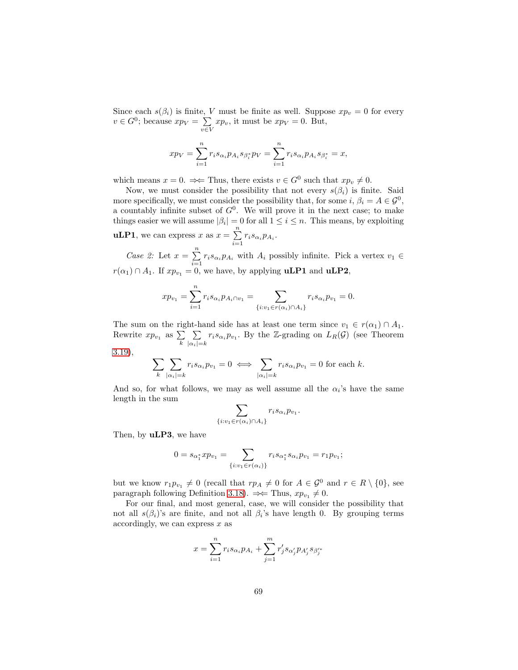Since each  $s(\beta_i)$  is finite, V must be finite as well. Suppose  $xp_v = 0$  for every  $v \in G^0$ ; because  $xp_V = \sum$  $\sum_{v \in V} x p_v$ , it must be  $x p_V = 0$ . But,

$$
xp_V = \sum_{i=1}^n r_i s_{\alpha_i} p_{A_i} s_{\beta_i^*} p_V = \sum_{i=1}^n r_i s_{\alpha_i} p_{A_i} s_{\beta_i^*} = x,
$$

which means  $x = 0$ .  $\Rightarrow$  Thus, there exists  $v \in G^0$  such that  $xp_v \neq 0$ .

Now, we must consider the possibility that not every  $s(\beta_i)$  is finite. Said more specifically, we must consider the possibility that, for some  $i, \beta_i = A \in \mathcal{G}^0$ , a countably infinite subset of  $G^0$ . We will prove it in the next case; to make things easier we will assume  $|\beta_i| = 0$  for all  $1 \le i \le n$ . This means, by exploiting **uLP1**, we can express x as  $x = \sum^{n}$  $\sum_{i=1} r_i s_{\alpha_i} p_{A_i}.$ 

Case 2: Let  $x = \sum_{n=1}^{\infty}$  $\sum_{i=1} r_i s_{\alpha_i} p_{A_i}$  with  $A_i$  possibly infinite. Pick a vertex  $v_1 \in$  $r(\alpha_1) \cap A_1$ . If  $xp_{v_1} = 0$ , we have, by applying **uLP1** and **uLP2**,

$$
xp_{v_1} = \sum_{i=1}^n r_i s_{\alpha_i} p_{A_i \cap v_1} = \sum_{\{i : v_1 \in r(\alpha_i) \cap A_i\}} r_i s_{\alpha_i} p_{v_1} = 0.
$$

The sum on the right-hand side has at least one term since  $v_1 \in r(\alpha_1) \cap A_1$ . Rewrite  $xp_{v_1}$  as  $\sum_k$  $\sum$  $\sum_{|\alpha_i|=k} r_i s_{\alpha_i} p_{v_1}$ . By the Z-grading on  $L_R(\mathcal{G})$  (see Theorem

[3.19\)](#page-18-0),

$$
\sum_{k} \sum_{|\alpha_i|=k} r_i s_{\alpha_i} p_{v_1} = 0 \iff \sum_{|\alpha_i|=k} r_i s_{\alpha_i} p_{v_1} = 0 \text{ for each } k.
$$

And so, for what follows, we may as well assume all the  $\alpha_i$ 's have the same length in the sum

$$
\sum_{:v_1 \in r(\alpha_i) \cap A_i} r_i s_{\alpha_i} p_{v_1}
$$

.

 $\{i$ 

Then, by **uLP3**, we have

$$
0 = s_{\alpha_1^*} x p_{v_1} = \sum_{\{i : v_1 \in r(\alpha_i)\}} r_i s_{\alpha_1^*} s_{\alpha_i} p_{v_1} = r_1 p_{v_1};
$$

but we know  $r_1p_{v_1} \neq 0$  (recall that  $rp_A \neq 0$  for  $A \in \mathcal{G}^0$  and  $r \in R \setminus \{0\}$ , see paragraph following Definition [3.18\)](#page-17-0).  $\Rightarrow$  Thus,  $xp_{v_1} \neq 0$ .

For our final, and most general, case, we will consider the possibility that not all  $s(\beta_i)$ 's are finite, and not all  $\beta_i$ 's have length 0. By grouping terms accordingly, we can express  $x$  as

$$
x = \sum_{i=1}^n r_i s_{\alpha_i} p_{A_i} + \sum_{j=1}^m r'_j s_{\alpha'_j} p_{A'_j} s_{\beta'_j}
$$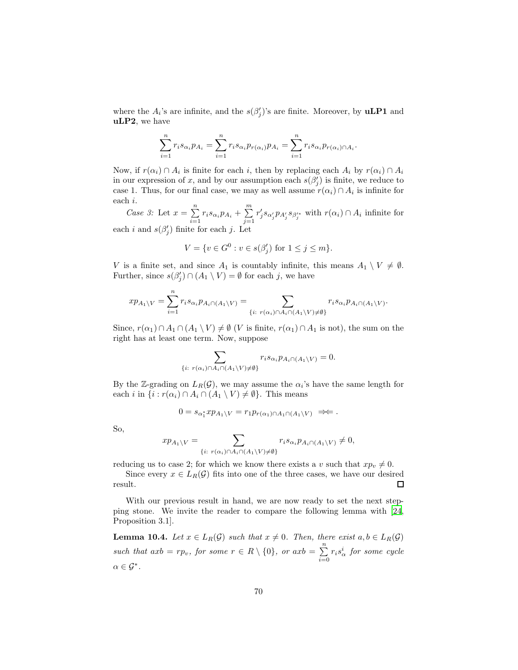where the  $A_i$ 's are infinite, and the  $s(\beta'_j)$ 's are finite. Moreover, by **uLP1** and uLP2, we have

$$
\sum_{i=1}^n r_i s_{\alpha_i} p_{A_i} = \sum_{i=1}^n r_i s_{\alpha_i} p_{r(\alpha_i)} p_{A_i} = \sum_{i=1}^n r_i s_{\alpha_i} p_{r(\alpha_i)} \cap A_i.
$$

Now, if  $r(\alpha_i) \cap A_i$  is finite for each i, then by replacing each  $A_i$  by  $r(\alpha_i) \cap A_i$ in our expression of x, and by our assumption each  $s(\beta_j')$  is finite, we reduce to case 1. Thus, for our final case, we may as well assume  $r(\alpha_i) \cap A_i$  is infinite for each i.

Case 3: Let  $x = \sum_{n=1}^{\infty}$  $\sum_{i=1}^{n} r_i s_{\alpha_i} p_{A_i} + \sum_{j=1}^{m}$  $j=1$  $r'_j s_{\alpha'_j} p_{A'_j} s_{\beta'^*_j}$  with  $r(\alpha_i) \cap A_i$  infinite for each *i* and  $s(\beta'_j)$  finite for each *j*. Let

$$
V = \{ v \in G^0 : v \in s(\beta'_j) \text{ for } 1 \le j \le m \}.
$$

V is a finite set, and since  $A_1$  is countably infinite, this means  $A_1 \setminus V \neq \emptyset$ . Further, since  $s(\beta'_j) \cap (A_1 \setminus V) = \emptyset$  for each j, we have

$$
xp_{A_1\backslash V}=\sum_{i=1}^nr_is_{\alpha_i}p_{A_i\cap (A_1\backslash V)}=\sum_{\{i:\ r(\alpha_i)\cap A_i\cap (A_1\backslash V)\neq\emptyset\}}r_is_{\alpha_i}p_{A_i\cap (A_1\backslash V)}.
$$

Since,  $r(\alpha_1) \cap A_1 \cap (A_1 \setminus V) \neq \emptyset$  (V is finite,  $r(\alpha_1) \cap A_1$  is not), the sum on the right has at least one term. Now, suppose

$$
\sum_{\{i: r(\alpha_i) \cap A_i \cap (A_1 \setminus V) \neq \emptyset\}} r_i s_{\alpha_i} p_{A_i \cap (A_1 \setminus V)} = 0.
$$

By the Z-grading on  $L_R(\mathcal{G})$ , we may assume the  $\alpha_i$ 's have the same length for each i in  $\{i : r(\alpha_i) \cap A_i \cap (A_1 \setminus V) \neq \emptyset\}$ . This means

$$
0 = s_{\alpha_1^*} x p_{A_1 \setminus V} = r_1 p_{r(\alpha_1) \cap A_1 \cap (A_1 \setminus V)} \implies.
$$

So,

$$
xp_{A_1\setminus V} = \sum_{\{i: \ r(\alpha_i)\cap A_i\cap (A_1\setminus V)\neq \emptyset\}} r_i s_{\alpha_i} p_{A_i\cap (A_1\setminus V)} \neq 0,
$$

reducing us to case 2; for which we know there exists a v such that  $xp_v \neq 0$ .

Since every  $x \in L_R(\mathcal{G})$  fits into one of the three cases, we have our desired  $\Box$ result.

With our previous result in hand, we are now ready to set the next stepping stone. We invite the reader to compare the following lemma with [\[24,](#page-91-3) Proposition 3.1].

<span id="page-69-0"></span>**Lemma 10.4.** Let  $x \in L_R(\mathcal{G})$  such that  $x \neq 0$ . Then, there exist  $a, b \in L_R(\mathcal{G})$ such that  $axb = rp_v$ , for some  $r \in R \setminus \{0\}$ , or  $axb = \sum_{n=1}^{n}$  $\sum_{i=0} r_i s_\alpha^i$  for some cycle  $\alpha\in{\mathcal G}^*.$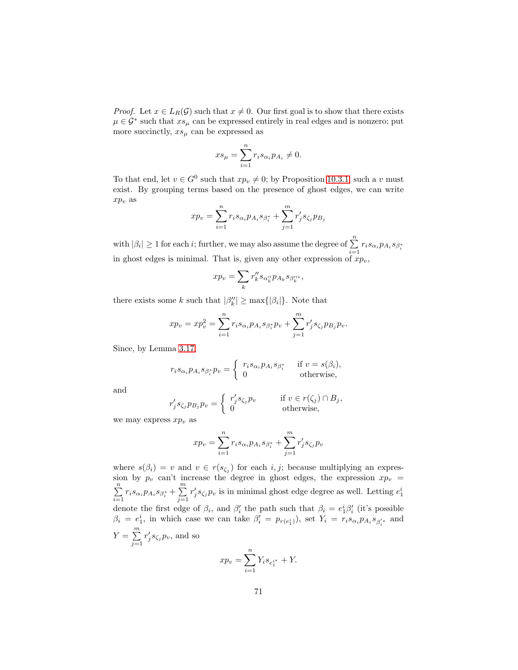*Proof.* Let  $x \in L_R(G)$  such that  $x \neq 0$ . Our first goal is to show that there exists  $\mu \in \mathcal{G}^*$  such that  $xs_\mu$  can be expressed entirely in real edges and is nonzero; put more succinctly,  $xs_{\mu}$  can be expressed as

$$
xs_{\mu} = \sum_{i=1}^{n} r_i s_{\alpha_i} p_{A_i} \neq 0.
$$

To that end, let  $v \in G^0$  such that  $xp_v \neq 0$ ; by Proposition [10.3.1,](#page-67-0) such a v must exist. By grouping terms based on the presence of ghost edges, we can write  $xp_v$  as

$$
xp_v = \sum_{i=1}^n r_i s_{\alpha_i} p_{A_i} s_{\beta_i^*} + \sum_{j=1}^m r'_j s_{\zeta_j} p_{B_j}
$$

with  $|\beta_i|\geq 1$  for each *i*; further, we may also assume the degree of  $\sum_{n=1}^{n}$  $\sum_{i=1} r_i s_{\alpha_i} p_{A_i} s_{\beta_i^*}$ in ghost edges is minimal. That is, given any other expression of  $xp_v$ ,

$$
xp_v = \sum_k r_k'' s_{\alpha_k''} p_{A_k} s_{\beta_k''^*},
$$

there exists some k such that  $|\beta_k''| \ge \max{\{|\beta_i|\}}$ . Note that

$$
xp_v = xp_v^2 = \sum_{i=1}^n r_i s_{\alpha_i} p_{A_i} s_{\beta_i^*} p_v + \sum_{j=1}^m r'_j s_{\zeta_j} p_{B_j} p_v.
$$

Since, by Lemma [3.17,](#page-16-3)

$$
r_i s_{\alpha_i} p_{A_i} s_{\beta_i^*} p_v = \begin{cases} r_i s_{\alpha_i} p_{A_i} s_{\beta_i^*} & \text{if } v = s(\beta_i), \\ 0 & \text{otherwise,} \end{cases}
$$

and

$$
r'_{j} s_{\zeta_{j}} p_{B_{j}} p_{v} = \begin{cases} r'_{j} s_{\zeta_{j}} p_{v} & \text{if } v \in r(\zeta_{j}) \cap B_{j}, \\ 0 & \text{otherwise,} \end{cases}
$$

we may express  $xp_v$  as

$$
xp_v = \sum_{i=1}^n r_i s_{\alpha_i} p_{A_i} s_{\beta_i^*} + \sum_{j=1}^m r'_j s_{\zeta_j} p_v
$$

where  $s(\beta_i) = v$  and  $v \in r(s_{\zeta_i})$  for each i, j; because multiplying an expression by  $p_v$  can't increase the degree in ghost edges, the expression  $xp_v =$  $\sum_{n=1}^{\infty}$  $\sum_{i=1}^{n} r_i s_{\alpha_i} p_{A_i} s_{\beta_i^*} + \sum_{j=1}^{m}$  $j=1$  $r'_j s_{\zeta_j} p_v$  is in minimal ghost edge degree as well. Letting  $e_1^i$ denote the first edge of  $\beta_i$ , and  $\beta'_i$  the path such that  $\beta_i = e_1^i \beta'_i$  (it's possible  $\beta_i = e_1^i$ , in which case we can take  $\beta'_i = p_{r(e_1^i)}$ , set  $Y_i = r_i s_{\alpha_i} p_{A_i} s_{\beta'_i}$  and  $Y = \sum_{i=1}^{m}$  $j=1$  $r'_j s_{\zeta_j} p_v$ , and so  $\overline{n}$ 

$$
xp_v = \sum_{i=1}^{n} Y_i s_{e_1^{i*}} + Y.
$$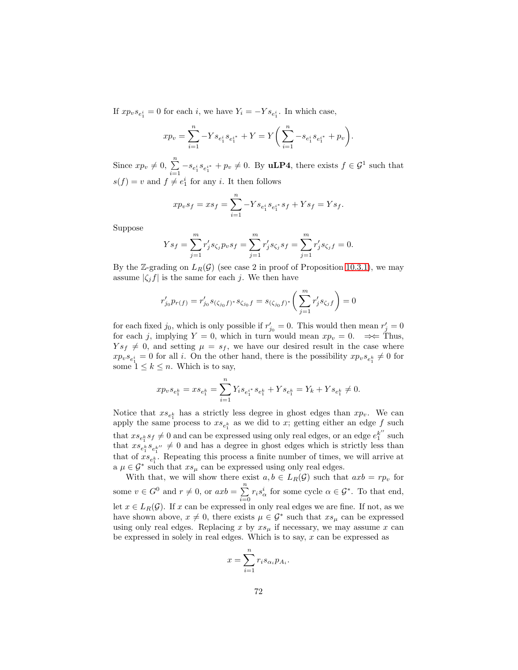If  $xp_{v}s_{e_1^i} = 0$  for each *i*, we have  $Y_i = -Ys_{e_1^i}$ . In which case,

$$
xp_v = \sum_{i=1}^n -Y s_{e_1^i} s_{e_1^{i*}} + Y = Y \left( \sum_{i=1}^n -s_{e_1^i} s_{e_1^{i*}} + p_v \right).
$$

Since  $xp_v \neq 0$ ,  $\sum_{i=1}^n -s_{e_1^i} s_{e_1^{i*}} + p_v \neq 0$ . By **uLP4**, there exists  $f \in \mathcal{G}^1$  such that  $s(f) = v$  and  $f \neq e_1^i$  for any *i*. It then follows

$$
xp_{v}s_{f} = xs_{f} = \sum_{i=1}^{n} -Y s_{e_{1}^{i}} s_{e_{1}^{i}} s_{f} + Y s_{f} = Y s_{f}.
$$

Suppose

$$
Ys_f = \sum_{j=1}^m r'_j s_{\zeta_j} p_v s_f = \sum_{j=1}^m r'_j s_{\zeta_j} s_f = \sum_{j=1}^m r'_j s_{\zeta_j} f = 0.
$$

By the Z-grading on  $L_R(\mathcal{G})$  (see case 2 in proof of Proposition [10.3.1\)](#page-67-0), we may assume  $|\zeta_i f|$  is the same for each j. We then have

$$
r'_{j_0}p_{r(f)}=r'_{j_0}s_{(\zeta_{j_0}f)^*}s_{\zeta_{j_0}f}=s_{(\zeta_{j_0}f)^*}\bigg(\sum_{j=1}^mr'_js_{\zeta_jf}\bigg)=0
$$

for each fixed  $j_0$ , which is only possible if  $r'_{j_0} = 0$ . This would then mean  $r'_j = 0$ for each j, implying  $Y = 0$ , which in turn would mean  $xp_v = 0$ .  $\Rightarrow$  Thus,  $Ys_f \neq 0$ , and setting  $\mu = s_f$ , we have our desired result in the case where  $x p_v s_{e_1^k} = 0$  for all *i*. On the other hand, there is the possibility  $x p_v s_{e_1^k} \neq 0$  for some  $1 \leq k \leq n$ . Which is to say,

$$
x p_v s_{e^k_1} = x s_{e^k_1} = \sum_{i=1}^n Y_i s_{e^{i*}_1} s_{e^k_1} + Y s_{e^k_1} = Y_k + Y s_{e^k_1} \neq 0.
$$

Notice that  $xs_{e_1^k}$  has a strictly less degree in ghost edges than  $xp_v$ . We can apply the same process to  $xs_{e_1^k}$  as we did to x; getting either an edge f such that  $xs_{e_1^k} s_f \neq 0$  and can be expressed using only real edges, or an edge  $e_1^{k''}$  such that  $xs_{e_1^k}^{e_1} s_{e_1^{k''}} \neq 0$  and has a degree in ghost edges which is strictly less than that of  $xs_{e_1^k}$ . Repeating this process a finite number of times, we will arrive at a  $\mu \in \mathcal{G}^*$  such that  $xs_{\mu}$  can be expressed using only real edges.

With that, we will show there exist  $a, b \in L_R(G)$  such that  $axb = rp_v$  for some  $v \in G^0$  and  $r \neq 0$ , or  $axb = \sum_{r=0}^{n}$  $\sum_{i=0} r_i s_\alpha^i$  for some cycle  $\alpha \in \mathcal{G}^*$ . To that end, let  $x \in L_R(G)$ . If x can be expressed in only real edges we are fine. If not, as we have shown above,  $x \neq 0$ , there exists  $\mu \in \mathcal{G}^*$  such that  $xs_{\mu}$  can be expressed using only real edges. Replacing x by  $xs_\mu$  if necessary, we may assume x can be expressed in solely in real edges. Which is to say,  $x$  can be expressed as

$$
x = \sum_{i=1}^{n} r_i s_{\alpha_i} p_{A_i}
$$

.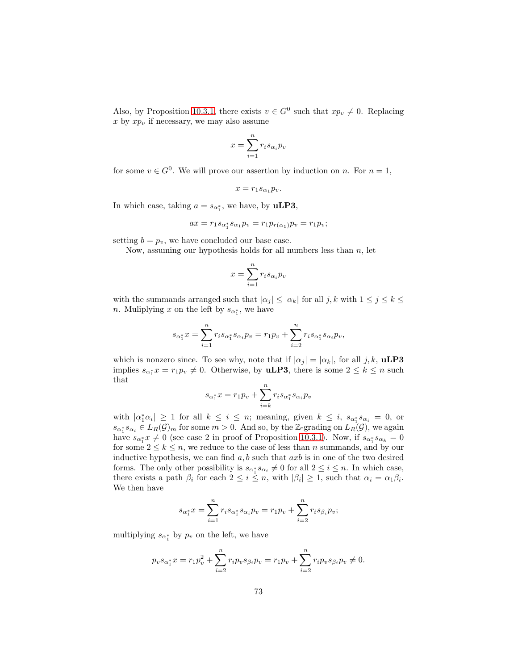Also, by Proposition [10.3.1,](#page-67-0) there exists  $v \in G^0$  such that  $xp_v \neq 0$ . Replacing  $x$  by  $xp_v$  if necessary, we may also assume

$$
x = \sum_{i=1}^{n} r_i s_{\alpha_i} p_v
$$

for some  $v \in G^0$ . We will prove our assertion by induction on n. For  $n = 1$ ,

$$
x=r_1s_{\alpha_1}p_v.
$$

In which case, taking  $a = s_{\alpha_1^*}$ , we have, by **uLP3**,

$$
ax = r_1 s_{\alpha_1^*} s_{\alpha_1} p_v = r_1 p_{r(\alpha_1)} p_v = r_1 p_v;
$$

setting  $b = p_v$ , we have concluded our base case.

Now, assuming our hypothesis holds for all numbers less than  $n$ , let

$$
x = \sum_{i=1}^{n} r_i s_{\alpha_i} p_v
$$

with the summands arranged such that  $|\alpha_j| \leq |\alpha_k|$  for all  $j, k$  with  $1 \leq j \leq k \leq$ *n*. Muliplying x on the left by  $s_{\alpha_1^*}$ , we have

$$
s_{\alpha_1^*} x = \sum_{i=1}^n r_i s_{\alpha_1^*} s_{\alpha_i} p_v = r_1 p_v + \sum_{i=2}^n r_i s_{\alpha_1^*} s_{\alpha_i} p_v,
$$

which is nonzero since. To see why, note that if  $|\alpha_j| = |\alpha_k|$ , for all j, k, **uLP3** implies  $s_{\alpha_1^*}x = r_1p_v \neq 0$ . Otherwise, by **uLP3**, there is some  $2 \leq k \leq n$  such that

$$
s_{\alpha_1^*}x = r_1p_v + \sum_{i=k}^n r_i s_{\alpha_1^*} s_{\alpha_i} p_v
$$

with  $|\alpha_1^*\alpha_i| \ge 1$  for all  $k \le i \le n$ ; meaning, given  $k \le i$ ,  $s_{\alpha_1^*} s_{\alpha_i} = 0$ , or  $s_{\alpha_1^*} s_{\alpha_i} \in L_R(\mathcal{G})_m$  for some  $m > 0$ . And so, by the Z-grading on  $L_R(\mathcal{G})$ , we again have  $s_{\alpha_1^*}x \neq 0$  (see case 2 in proof of Proposition [10.3.1\)](#page-67-0). Now, if  $s_{\alpha_1^*}s_{\alpha_k} = 0$ for some  $2 \leq k \leq n$ , we reduce to the case of less than n summands, and by our inductive hypothesis, we can find  $a, b$  such that  $axb$  is in one of the two desired forms. The only other possibility is  $s_{\alpha_i^*} s_{\alpha_i} \neq 0$  for all  $2 \leq i \leq n$ . In which case, there exists a path  $\beta_i$  for each  $2 \leq i \leq n$ , with  $|\beta_i| \geq 1$ , such that  $\alpha_i = \alpha_1 \beta_i$ . We then have

$$
s_{\alpha_1^*}x = \sum_{i=1}^n r_i s_{\alpha_1^*} s_{\alpha_i} p_v = r_1 p_v + \sum_{i=2}^n r_i s_{\beta_i} p_v;
$$

multiplying  $s_{\alpha_1^*}$  by  $p_v$  on the left, we have

$$
p_{v} s_{\alpha_1^*} x = r_1 p_v^2 + \sum_{i=2}^n r_i p_v s_{\beta_i} p_v = r_1 p_v + \sum_{i=2}^n r_i p_v s_{\beta_i} p_v \neq 0.
$$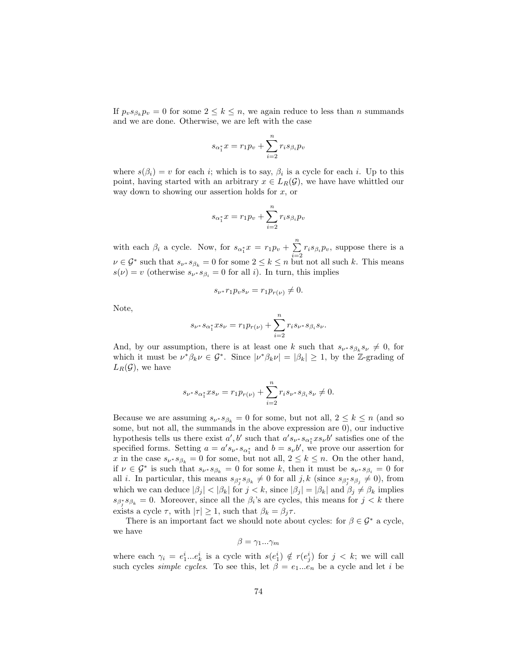If  $p_v s_{\beta_k} p_v = 0$  for some  $2 \leq k \leq n$ , we again reduce to less than n summands and we are done. Otherwise, we are left with the case

$$
s_{\alpha_1^*}x = r_1p_v + \sum_{i=2}^n r_i s_{\beta_i} p_v
$$

where  $s(\beta_i) = v$  for each i; which is to say,  $\beta_i$  is a cycle for each i. Up to this point, having started with an arbitrary  $x \in L_R(\mathcal{G})$ , we have have whittled our way down to showing our assertion holds for  $x$ , or

$$
s_{\alpha_1^*}x = r_1p_v + \sum_{i=2}^n r_i s_{\beta_i} p_v
$$

with each  $\beta_i$  a cycle. Now, for  $s_{\alpha_1^*}x = r_1p_v + \sum_{i=1}^n$  $\sum_{i=2} r_i s_{\beta_i} p_v$ , suppose there is a  $\nu \in \mathcal{G}^*$  such that  $s_{\nu^*} s_{\beta_k} = 0$  for some  $2 \leq k \leq n$  but not all such k. This means  $s(\nu) = v$  (otherwise  $s_{\nu^*} s_{\beta_i} = 0$  for all *i*). In turn, this implies

$$
s_{\nu^*}r_1p_{\nu}s_{\nu}=r_1p_{r(\nu)}\neq 0.
$$

Note,

$$
s_{\nu^*} s_{\alpha_1^*} x s_{\nu} = r_1 p_{r(\nu)} + \sum_{i=2}^n r_i s_{\nu^*} s_{\beta_i} s_{\nu}.
$$

And, by our assumption, there is at least one k such that  $s_{\nu^*} s_{\beta_k} s_{\nu} \neq 0$ , for which it must be  $\nu^*\beta_k \nu \in \mathcal{G}^*$ . Since  $|\nu^*\beta_k \nu| = |\beta_k| \geq 1$ , by the Z-grading of  $L_R(\mathcal{G})$ , we have

$$
s_{\nu^*} s_{\alpha_1^*} x s_{\nu} = r_1 p_{r(\nu)} + \sum_{i=2}^n r_i s_{\nu^*} s_{\beta_i} s_{\nu} \neq 0.
$$

Because we are assuming  $s_{\nu^*} s_{\beta_k} = 0$  for some, but not all,  $2 \leq k \leq n$  (and so some, but not all, the summands in the above expression are 0), our inductive hypothesis tells us there exist  $a', b'$  such that  $a's_{\nu^*} s_{\alpha_1^*} x s_{\nu} b'$  satisfies one of the specified forms. Setting  $a = a's_{\nu} * s_{\alpha_1^*}$  and  $b = s_{\nu} b'$ , we prove our assertion for x in the case  $s_{\nu^*} s_{\beta_k} = 0$  for some, but not all,  $2 \leq k \leq n$ . On the other hand, if  $\nu \in \mathcal{G}^*$  is such that  $s_{\nu^*} s_{\beta_k} = 0$  for some k, then it must be  $s_{\nu^*} s_{\beta_i} = 0$  for all *i*. In particular, this means  $s_{\beta_j^*} s_{\beta_k} \neq 0$  for all *j*, *k* (since  $s_{\beta_j^*} s_{\beta_j} \neq 0$ ), from which we can deduce  $|\beta_j| < |\beta_k|$  for  $j < k$ , since  $|\beta_j| = |\beta_k|$  and  $\beta_j \neq \beta_k$  implies  $s_{\beta_j^*} s_{\beta_k} = 0$ . Moreover, since all the  $\beta_i$ 's are cycles, this means for  $j < k$  there exists a cycle  $\tau$ , with  $|\tau| \geq 1$ , such that  $\beta_k = \beta_j \tau$ .

There is an important fact we should note about cycles: for  $\beta \in \mathcal{G}^*$  a cycle, we have

$$
\beta=\gamma_1...\gamma_m
$$

where each  $\gamma_i = e_1^i...e_k^i$  is a cycle with  $s(e_1^i) \notin r(e_j^i)$  for  $j < k$ ; we will call such cycles *simple cycles*. To see this, let  $\beta = e_1...e_n$  be a cycle and let *i* be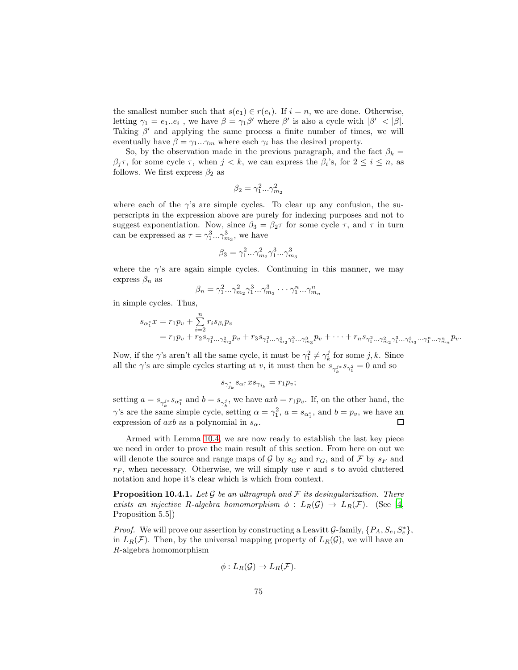the smallest number such that  $s(e_1) \in r(e_i)$ . If  $i = n$ , we are done. Otherwise, letting  $\gamma_1 = e_1...e_i$ , we have  $\beta = \gamma_1 \beta'$  where  $\beta'$  is also a cycle with  $|\beta'| < |\beta|$ . Taking  $\beta'$  and applying the same process a finite number of times, we will eventually have  $\beta = \gamma_1...\gamma_m$  where each  $\gamma_i$  has the desired property.

So, by the observation made in the previous paragraph, and the fact  $\beta_k =$  $\beta_j \tau$ , for some cycle  $\tau$ , when  $j < k$ , we can express the  $\beta_i$ 's, for  $2 \leq i \leq n$ , as follows. We first express  $\beta_2$  as

$$
\beta_2=\gamma_1^2...\gamma_{m_2}^2
$$

where each of the  $\gamma$ 's are simple cycles. To clear up any confusion, the superscripts in the expression above are purely for indexing purposes and not to suggest exponentiation. Now, since  $\beta_3 = \beta_2 \tau$  for some cycle  $\tau$ , and  $\tau$  in turn can be expressed as  $\tau = \gamma_1^3...\gamma_{m_3}^3$ , we have

$$
\beta_3 = \gamma_1^2...\gamma_{m_2}^2 \gamma_1^3...\gamma_{m_3}^3
$$

where the  $\gamma$ 's are again simple cycles. Continuing in this manner, we may express  $\beta_n$  as

$$
\beta_n = \gamma_1^2 \dots \gamma_{m_2}^2 \gamma_1^3 \dots \gamma_{m_3}^3 \dots \gamma_1^n \dots \gamma_{m_n}^n
$$

in simple cycles. Thus,

$$
s_{\alpha_1^*}x = r_1p_v + \sum_{i=2}^n r_i s_{\beta_i} p_v
$$
  
=  $r_1p_v + r_2s_{\gamma_1^2...\gamma_{m_2}^2} p_v + r_3s_{\gamma_1^2...\gamma_{m_2}^2}\gamma_1^3...\gamma_{m_3}^3} p_v + \cdots + r_ns_{\gamma_1^2...\gamma_{m_2}^2}\gamma_1^3...\gamma_{m_3}^3...\gamma_1^n...\gamma_{m_n}^n} p_v.$ 

Now, if the  $\gamma$ 's aren't all the same cycle, it must be  $\gamma_1^2 \neq \gamma_k^j$  for some  $j, k$ . Since all the  $\gamma$ 's are simple cycles starting at v, it must then be  $s_{\gamma_k^{j*}} s_{\gamma_1^2} = 0$  and so

$$
s_{\gamma_{j_k}^*} s_{\alpha_1^*} x s_{\gamma_{j_k}} = r_1 p_v;
$$

setting  $a = s_{\gamma_k^{j*}} s_{\alpha_1^*}$  and  $b = s_{\gamma_k^j}$ , we have  $axb = r_1 p_v$ . If, on the other hand, the  $\gamma$ 's are the same simple cycle, setting  $\alpha = \gamma_1^2$ ,  $a = s_{\alpha_1^*}$ , and  $b = p_v$ , we have an expression of  $axb$  as a polynomial in  $s_{\alpha}$ .  $\Box$ 

Armed with Lemma [10.4,](#page-69-0) we are now ready to establish the last key piece we need in order to prove the main result of this section. From here on out we will denote the source and range maps of G by  $s_G$  and  $r_G$ , and of F by  $s_F$  and  $r_F$ , when necessary. Otherwise, we will simply use r and s to avoid cluttered notation and hope it's clear which is which from context.

<span id="page-74-0"></span>**Proposition 10.4.1.** Let  $\mathcal G$  be an ultragraph and  $\mathcal F$  its desingularization. There exists an injective R-algebra homomorphism  $\phi: L_R(G) \to L_R(F)$ . (See [\[4,](#page-89-0) Proposition 5.5])

*Proof.* We will prove our assertion by constructing a Leavitt G-family,  $\{P_A, S_e, S_e^*\},$ in  $L_R(\mathcal{F})$ . Then, by the universal mapping property of  $L_R(\mathcal{G})$ , we will have an R-algebra homomorphism

$$
\phi: L_R(\mathcal{G}) \to L_R(\mathcal{F}).
$$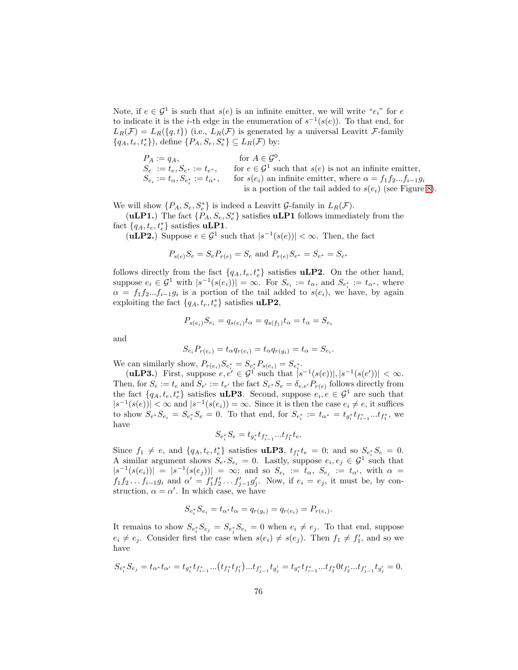Note, if  $e \in \mathcal{G}^1$  is such that  $s(e)$  is an infinite emitter, we will write " $e_i$ " for  $e$ to indicate it is the *i*-th edge in the enumeration of  $s^{-1}(s(e))$ . To that end, for  $L_R(\mathcal{F}) = L_R(\lbrace q, t \rbrace)$  (i.e.,  $L_R(\mathcal{F})$  is generated by a universal Leavitt F-family  $\{q_A, t_e, t_e^*\}$ , define  $\{P_A, S_e, S_e^*\} \subseteq L_R(\mathcal{F})$  by:

$$
P_A := q_A, \qquad \text{for } A \in \mathcal{G}^0,
$$
  
\n
$$
S_e := t_e, S_{e^*} := t_{e^*}, \qquad \text{for } e \in \mathcal{G}^1 \text{ such that } s(e) \text{ is not an infinite emitter,}
$$
  
\n
$$
S_{e_i} := t_\alpha, S_{e_i^*} := t_{\alpha^*}, \qquad \text{for } s(e_i) \text{ an infinite emitter, where } \alpha = f_1 f_2...f_{i-1} g_i
$$
  
\nis a portion of the tail added to  $s(e_i)$  (see Figure 8).

We will show  $\{P_A, S_e, S_e^*\}$  is indeed a Leavitt G-family in  $L_R(\mathcal{F})$ .

(**uLP1.**) The fact  $\{P_A, S_e, S_e^*\}$  satisfies **uLP1** follows immediately from the fact  $\{q_A, t_e, t_e^*\}$  satisfies **uLP1**.

(**uLP2.**) Suppose  $e \in \mathcal{G}^1$  such that  $|s^{-1}(s(e))| < \infty$ . Then, the fact

$$
P_{s(e)}S_e = S_e P_{r(e)} = S_e
$$
 and  $P_{r(e)}S_{e^*} = S_{e^*} = S_{e^*}$ 

follows directly from the fact  $\{q_A, t_e, t_e^*\}$  satisfies **uLP2**. On the other hand, suppose  $e_i \in \mathcal{G}^1$  with  $|s^{-1}(s(e_i))| = \infty$ . For  $S_{e_i} := t_{\alpha}$ , and  $S_{e_i^*} := t_{\alpha^*}$ , where  $\alpha = f_1 f_2 ... f_{i-1} g_i$  is a portion of the tail added to  $s(e_i)$ , we have, by again exploiting the fact  $\{q_A, t_e, t_e^*\}$  satisfies **uLP2**,

$$
P_{s(e_i)}S_{e_i} = q_{s(e_i)}t_{\alpha} = q_{s(f_1)}t_{\alpha} = t_{\alpha} = S_{e_i}
$$

and

$$
S_{e_i}P_{r(e_i)} = t_{\alpha}q_{r(e_i)} = t_{\alpha}q_{r(g_i)} = t_{\alpha} = S_{e_i}.
$$

We can similarly show,  $P_{r(e_i)} S_{e_i^*} = S_{e_i^*} P_{s(e_i)} = S_{e_i^*}$ .

(**uLP3.**) First, suppose  $e, e' \in \mathcal{G}^{\mathcal{I}}$  such that  $|s^{-1}(s(e))|, |s^{-1}(s(e'))| < \infty$ . Then, for  $S_e := t_e$  and  $S_{e'} := t_{e'}$  the fact  $S_{e^*} S_e = \delta_{e,e'} P_{r(e)}$  follows directly from the fact  $\{q_A, t_e, t_e^*\}$  satisfies **uLP3**. Second, suppose  $e_i, e \in \mathcal{G}^1$  are such that  $|s^{-1}(s(e))| < \infty$  and  $|s^{-1}(s(e_i))| = \infty$ . Since it is then the case  $e_i \neq e$ , it suffices to show  $S_{e^*}S_{e_i} = S_{e_i^*}S_e = 0$ . To that end, for  $S_{e_i^*} := t_{\alpha^*} = t_{g_i^*}t_{f_{i-1}^*}...t_{f_1^*}$ , we have

$$
S_{e_i^*} S_e = t_{g_i^*} t_{f_{i-1}^*} ... t_{f_1^*} t_e.
$$

Since  $f_1 \neq e$ , and  $\{q_A, t_e, t_e^*\}$  satisfies **uLP3**,  $t_{f_1^*} t_e = 0$ ; and so  $S_{e_i^*} S_e = 0$ . A similar argument shows  $S_{e^*}S_{e_i} = 0$ . Lastly, suppose  $e_i, e_j \in \mathcal{G}^1$  such that  $|s^{-1}(s(e_i))| = |s^{-1}(s(e_j))| = \infty$ ; and so  $S_{e_i} := t_{\alpha}$ ,  $S_{e_j} := t_{\alpha'}$ , with  $\alpha =$  $f_1f_2...f_{i-1}g_i$  and  $\alpha' = f'_1f'_2...f'_{j-1}g'_j$ . Now, if  $e_i = e_j$ , it must be, by construction,  $\alpha = \alpha'$ . In which case, we have

$$
S_{e_i^*} S_{e_i} = t_{\alpha^*} t_{\alpha} = q_{r(g_i)} = q_{r(e_i)} = P_{r(e_i)}.
$$

It remains to show  $S_{e_i^*} S_{e_j} = S_{e_j^*} S_{e_i} = 0$  when  $e_i \neq e_j$ . To that end, suppose  $e_i \neq e_j$ . Consider first the case when  $s(e_i) \neq s(e_j)$ . Then  $f_1 \neq f'_1$ , and so we have

$$
S_{e_i^*}S_{e_j}=t_{\alpha^*}t_{\alpha'}=t_{g_i^*}t_{f_{i-1}^*}...(t_{f_1^*}t_{f_1'})...t_{f_{j-1}'}t_{g_j'}=t_{g_i^*}t_{f_{i-1}^*}...t_{f_2^*}0t_{f_2'}...t_{f_{j-1}'}t_{g_j'}=0.
$$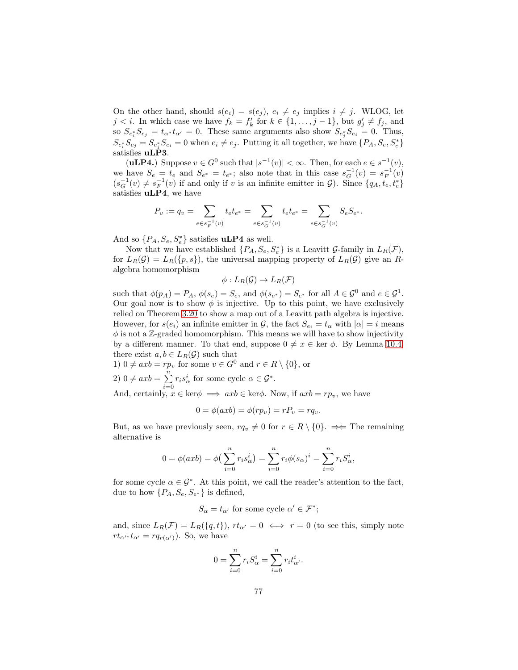On the other hand, should  $s(e_i) = s(e_j)$ ,  $e_i \neq e_j$  implies  $i \neq j$ . WLOG, let  $j < i$ . In which case we have  $f_k = f'_k$  for  $k \in \{1, \ldots, j-1\}$ , but  $g'_j \neq f_j$ , and so  $S_{e_i^*} S_{e_j} = t_{\alpha^*} t_{\alpha'} = 0$ . These same arguments also show  $S_{e_j^*} S_{e_i} = 0$ . Thus,  $S_{e_i^*} S_{e_j} = S_{e_j^*} S_{e_i} = 0$  when  $e_i \neq e_j$ . Putting it all together, we have  $\{P_A, S_e, S_e^*\}$ satisfies uLP3.

(**uLP4.**) Suppose  $v \in G^0$  such that  $|s^{-1}(v)| < \infty$ . Then, for each  $e \in s^{-1}(v)$ , we have  $S_e = t_e$  and  $S_{e^*} = t_{e^*}$ ; also note that in this case  $s_G^{-1}(v) = s_F^{-1}(v)$  $(s_G^{-1}(v) \neq s_F^{-1}(v)$  if and only if v is an infinite emitter in  $\mathcal{G}$ ). Since  $\{q_A, t_e, t_e^*\}$ satisfies uLP4, we have

$$
P_v:=q_v=\sum_{e\in s_F^{-1}(v)}t_e t_{e^*}=\sum_{e\in s_G^{-1}(v)}t_e t_{e^*}=\sum_{e\in s_G^{-1}(v)}S_e S_{e^*}.
$$

And so  $\{P_A, S_e, S_e^*\}$  satisfies **uLP4** as well.

Now that we have established  $\{P_A, S_e, S_e^*\}$  is a Leavitt G-family in  $L_R(\mathcal{F})$ , for  $L_R(\mathcal{G}) = L_R(\lbrace p, s \rbrace)$ , the universal mapping property of  $L_R(\mathcal{G})$  give an Ralgebra homomorphism

$$
\phi: L_R(\mathcal{G}) \to L_R(\mathcal{F})
$$

such that  $\phi(p_A) = P_A$ ,  $\phi(s_e) = S_e$ , and  $\phi(s_{e^*}) = S_{e^*}$  for all  $A \in \mathcal{G}^0$  and  $e \in \mathcal{G}^1$ . Our goal now is to show  $\phi$  is injective. Up to this point, we have exclusively relied on Theorem [3.20](#page-19-0) to show a map out of a Leavitt path algebra is injective. However, for  $s(e_i)$  an infinite emitter in G, the fact  $S_{e_i} = t_\alpha$  with  $|\alpha| = i$  means  $\phi$  is not a Z-graded homomorphism. This means we will have to show injectivity by a different manner. To that end, suppose  $0 \neq x \in \text{ker } \phi$ . By Lemma [10.4,](#page-69-0) there exist  $a, b \in L_R(\mathcal{G})$  such that

1) 
$$
0 \neq axb = rp_v
$$
 for some  $v \in G^0$  and  $r \in R \setminus \{0\}$ , or  
\n2)  $0 \neq axb = \sum_{i=0}^{n} r_i s^i_\alpha$  for some cycle  $\alpha \in G^*$ .  
\nAnd, certainly,  $x \in \text{ker}\phi \implies axb \in \text{ker}\phi$ . Now, if  $axb = rp_v$ , we have

$$
0 = \phi(axb) = \phi(rp_v) = rP_v = rq_v.
$$

But, as we have previously seen,  $rq_v \neq 0$  for  $r \in R \setminus \{0\}$ .  $\Rightarrow$  The remaining alternative is

$$
0 = \phi(axb) = \phi\left(\sum_{i=0}^{n} r_i s_{\alpha}^i\right) = \sum_{i=0}^{n} r_i \phi(s_{\alpha})^i = \sum_{i=0}^{n} r_i S_{\alpha}^i,
$$

for some cycle  $\alpha \in \mathcal{G}^*$ . At this point, we call the reader's attention to the fact, due to how  $\{P_A, S_e, S_{e^*}\}\$ is defined,

$$
S_{\alpha} = t_{\alpha'} \text{ for some cycle } \alpha' \in \mathcal{F}^*;
$$

and, since  $L_R(\mathcal{F}) = L_R(\{q, t\}), r t_{\alpha'} = 0 \iff r = 0$  (to see this, simply note  $rt_{\alpha'}$ <sup>\*</sup> $t_{\alpha'} = rq_{r(\alpha')}$ ). So, we have

$$
0 = \sum_{i=0}^{n} r_i S_{\alpha}^i = \sum_{i=0}^{n} r_i t_{\alpha'}^i.
$$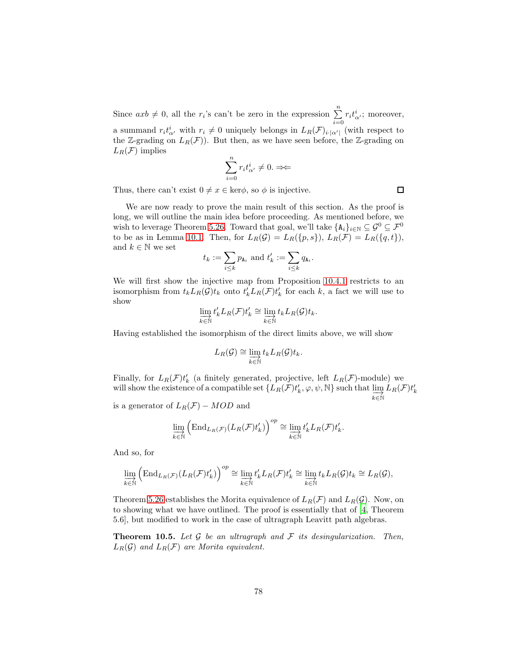Since  $axb \neq 0$ , all the  $r_i$ 's can't be zero in the expression  $\sum_{i=1}^{n}$  $\sum_{i=0} r_i t_{\alpha'}^i$ ; moreover, a summand  $r_i t_{\alpha'}^i$  with  $r_i \neq 0$  uniquely belongs in  $L_R(\mathcal{F})_{i\cdot|\alpha'|}$  (with respect to the Z-grading on  $L_R(\mathcal{F})$ . But then, as we have seen before, the Z-grading on  $L_R(\mathcal{F})$  implies

$$
\sum_{i=0}^n r_i t^i_{\alpha'} \neq 0. \Rightarrow \Leftarrow
$$

Thus, there can't exist  $0 \neq x \in \text{ker}\phi$ , so  $\phi$  is injective.

We are now ready to prove the main result of this section. As the proof is long, we will outline the main idea before proceeding. As mentioned before, we wish to leverage Theorem [5.26.](#page-33-0) Toward that goal, we'll take  $\{A_i\}_{i\in\mathbb{N}}\subseteq \mathcal{G}^0\subseteq \mathcal{F}^0$ to be as in Lemma [10.1.](#page-64-1) Then, for  $L_R(\mathcal{G}) = L_R(\{p, s\}), L_R(\mathcal{F}) = L_R(\{q, t\}),$ and  $k\in\mathbb{N}$  we set

$$
t_k := \sum_{i \leq k} p_{\mathbf{A}_i} \text{ and } t'_k := \sum_{i \leq k} q_{\mathbf{A}_i}.
$$

We will first show the injective map from Proposition [10.4.1](#page-74-0) restricts to an isomorphism from  $t_k L_R(\mathcal{G}) t_k$  onto  $t'_k L_R(\mathcal{F}) t'_k$  for each k, a fact we will use to show

$$
\varinjlim_{k \in \mathbb{N}} t'_{k} L_{R}(\mathcal{F}) t'_{k} \cong \varinjlim_{k \in \mathbb{N}} t_{k} L_{R}(\mathcal{G}) t_{k}.
$$

Having established the isomorphism of the direct limits above, we will show

$$
L_R(\mathcal{G}) \cong \varinjlim_{k \in \mathbb{N}} t_k L_R(\mathcal{G}) t_k.
$$

Finally, for  $L_R(\mathcal{F})t'_{k}$  (a finitely generated, projective, left  $L_R(\mathcal{F})$ -module) we Finally, for  $L_R(\mathcal{F})t_k$  (a limitely generated, projective, left  $L_R(\mathcal{F})t_k$ )-inoduction-<br>will show the existence of a compatible set  $\{L_R(\mathcal{F})t_k', \varphi, \psi, \mathbb{N}\}$  such that  $\lim_{k \in \mathbb{N}}$  $L_R(\mathcal{F}) t'_k$ 

is a generator of  $L_R(\mathcal{F}) - MOD$  and

$$
\varinjlim_{k \in \mathbb{N}} \left( \mathrm{End}_{L_R(\mathcal{F})} (L_R(\mathcal{F}) t'_k) \right)^{op} \cong \varinjlim_{k \in \mathbb{N}} t'_k L_R(\mathcal{F}) t'_k.
$$

And so, for

$$
\varinjlim_{k\in\mathbb{N}}\left(\mathrm{End}_{L_R(\mathcal{F})}(L_R(\mathcal{F})t_k')\right)^{op}\cong \varinjlim_{k\in\mathbb{N}}t_k'L_R(\mathcal{F})t_k'\cong \varinjlim_{k\in\mathbb{N}}t_kL_R(\mathcal{G})t_k\cong L_R(\mathcal{G}),
$$

Theorem [5.26](#page-33-0) establishes the Morita equivalence of  $L_R(\mathcal{F})$  and  $L_R(\mathcal{G})$ . Now, on to showing what we have outlined. The proof is essentially that of [\[4,](#page-89-0) Theorem 5.6], but modified to work in the case of ultragraph Leavitt path algebras.

<span id="page-77-0"></span>**Theorem 10.5.** Let  $G$  be an ultragraph and  $F$  its desingularization. Then,  $L_R(\mathcal{G})$  and  $L_R(\mathcal{F})$  are Morita equivalent.

 $\Box$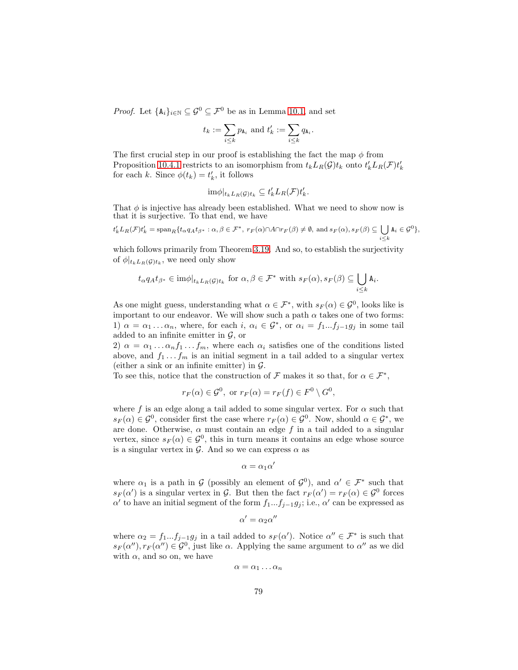*Proof.* Let  $\{A_i\}_{i\in\mathbb{N}} \subseteq \mathcal{G}^0 \subseteq \mathcal{F}^0$  be as in Lemma [10.1,](#page-64-1) and set

$$
t_k := \sum_{i \leq k} p_{\mathbf{A}_i} \text{ and } t'_k := \sum_{i \leq k} q_{\mathbf{A}_i}.
$$

The first crucial step in our proof is establishing the fact the map  $\phi$  from Proposition [10.4.1](#page-74-0) restricts to an isomorphism from  $t_k L_R(G) t_k$  onto  $t'_k L_R(\mathcal{F}) t'_k$ for each k. Since  $\phi(t_k) = t'_k$ , it follows

$$
\mathrm{im}\phi|_{t_k L_R(\mathcal{G}) t_k} \subseteq t'_k L_R(\mathcal{F}) t'_k.
$$

That  $\phi$  is injective has already been established. What we need to show now is that it is surjective. To that end, we have

$$
t'_k L_R(\mathcal{F}) t'_k = \operatorname{span}_R \{ t_\alpha q_A t_{\beta^*} : \alpha, \beta \in \mathcal{F}^*, \ r_F(\alpha) \cap A \cap r_F(\beta) \neq \emptyset, \text{ and } s_F(\alpha), s_F(\beta) \subseteq \bigcup_{i \leq k} A_i \in \mathcal{G}^0 \},
$$

which follows primarily from Theorem [3.19.](#page-18-0) And so, to establish the surjectivity of  $\phi|_{t_kL_R(\mathcal{G})t_k}$ , we need only show

$$
t_{\alpha}q_{A}t_{\beta^*}\in \mathrm{im}\phi|_{t_{k}L_{R}(\mathcal{G})t_{k}}\text{ for }\alpha,\beta\in\mathcal{F}^*\text{ with }s_F(\alpha),s_F(\beta)\subseteq\bigcup_{i\leq k}\mathtt{A}_{i}.
$$

As one might guess, understanding what  $\alpha \in \mathcal{F}^*$ , with  $s_F(\alpha) \in \mathcal{G}^0$ , looks like is important to our endeavor. We will show such a path  $\alpha$  takes one of two forms: 1)  $\alpha = \alpha_1 \dots \alpha_n$ , where, for each i,  $\alpha_i \in \mathcal{G}^*$ , or  $\alpha_i = f_1...f_{j-1}g_j$  in some tail added to an infinite emitter in  $\mathcal{G}$ , or

2)  $\alpha = \alpha_1 \dots \alpha_n f_1 \dots f_m$ , where each  $\alpha_i$  satisfies one of the conditions listed above, and  $f_1 \ldots f_m$  is an initial segment in a tail added to a singular vertex (either a sink or an infinite emitter) in  $\mathcal{G}$ .

To see this, notice that the construction of  $\mathcal F$  makes it so that, for  $\alpha \in \mathcal F^*$ ,

$$
r_F(\alpha) \in \mathcal{G}^0
$$
, or  $r_F(\alpha) = r_F(f) \in F^0 \setminus G^0$ ,

where f is an edge along a tail added to some singular vertex. For  $\alpha$  such that  $s_F(\alpha) \in \mathcal{G}^0$ , consider first the case where  $r_F(\alpha) \in \mathcal{G}^0$ . Now, should  $\alpha \in \mathcal{G}^*$ , we are done. Otherwise,  $\alpha$  must contain an edge f in a tail added to a singular vertex, since  $s_F(\alpha) \in \mathcal{G}^0$ , this in turn means it contains an edge whose source is a singular vertex in  $\mathcal{G}$ . And so we can express  $\alpha$  as

$$
\alpha=\alpha_1\alpha'
$$

where  $\alpha_1$  is a path in G (possibly an element of  $\mathcal{G}^0$ ), and  $\alpha' \in \mathcal{F}^*$  such that  $s_F(\alpha')$  is a singular vertex in G. But then the fact  $r_F(\alpha') = r_F(\alpha) \in \mathcal{G}^0$  forces  $\alpha'$  to have an initial segment of the form  $f_1...f_{j-1}g_j$ ; i.e.,  $\alpha'$  can be expressed as

$$
\alpha' = \alpha_2 \alpha''
$$

where  $\alpha_2 = f_1...f_{j-1}g_j$  in a tail added to  $s_F(\alpha')$ . Notice  $\alpha'' \in \mathcal{F}^*$  is such that  $s_F(\alpha''), r_F(\alpha'') \in \mathcal{G}^0$ , just like  $\alpha$ . Applying the same argument to  $\alpha''$  as we did with  $\alpha$ , and so on, we have

$$
\alpha = \alpha_1 \dots \alpha_n
$$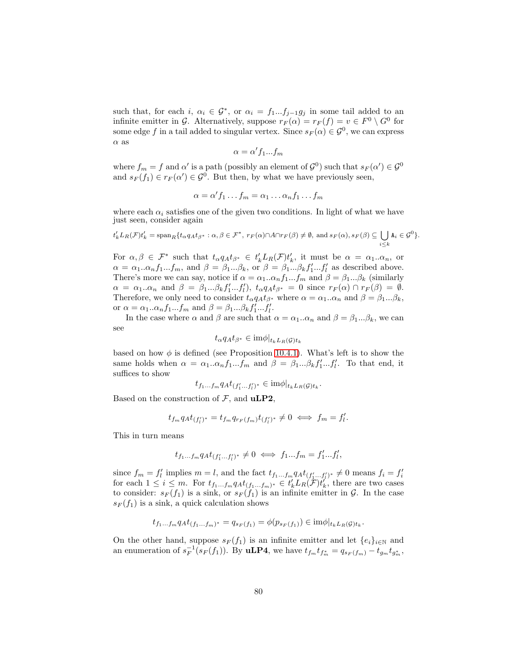such that, for each i,  $\alpha_i \in \mathcal{G}^*$ , or  $\alpha_i = f_1...f_{j-1}g_j$  in some tail added to an infinite emitter in G. Alternatively, suppose  $r_F(\alpha) = r_F(f) = v \in F^0 \setminus G^0$  for some edge f in a tail added to singular vertex. Since  $s_F(\alpha) \in \mathcal{G}^0$ , we can express  $\alpha$  as

$$
\alpha=\alpha'f_1...f_m
$$

where  $f_m = f$  and  $\alpha'$  is a path (possibly an element of  $\mathcal{G}^0$ ) such that  $s_F(\alpha') \in \mathcal{G}^0$ and  $s_F(f_1) \in r_F(\alpha') \in \mathcal{G}^0$ . But then, by what we have previously seen,

$$
\alpha = \alpha' f_1 \dots f_m = \alpha_1 \dots \alpha_n f_1 \dots f_m
$$

where each  $\alpha_i$  satisfies one of the given two conditions. In light of what we have just seen, consider again

$$
t'_k L_R(\mathcal{F}) t'_k = \text{span}_R \{ t_\alpha q_A t_{\beta^*} : \alpha, \beta \in \mathcal{F}^*, \ r_F(\alpha) \cap A \cap r_F(\beta) \neq \emptyset, \text{ and } s_F(\alpha), s_F(\beta) \subseteq \bigcup_{i \leq k} A_i \in \mathcal{G}^0 \}.
$$

For  $\alpha, \beta \in \mathcal{F}^*$  such that  $t_{\alpha} q_A t_{\beta^*} \in t'_k L_R(\mathcal{F}) t'_k$ , it must be  $\alpha = \alpha_1..\alpha_n$ , or  $\alpha = \alpha_1...\alpha_n f_1...f_m$ , and  $\beta = \beta_1...\beta_k$ , or  $\beta = \beta_1...\beta_k f'_1...f'_l$  as described above. There's more we can say, notice if  $\alpha = \alpha_1 \cdot \alpha_n f_1 \cdot \dots f_m$  and  $\beta = \beta_1 \cdot \dots \beta_k$  (similarly  $\alpha = \alpha_1..\alpha_n$  and  $\beta = \beta_1...\beta_k f'_1...f'_l$ ,  $t_{\alpha}q_{A}t_{\beta^*} = 0$  since  $r_F(\alpha) \cap r_F(\beta) = \emptyset$ . Therefore, we only need to consider  $t_{\alpha}q_{A}t_{\beta^*}$  where  $\alpha = \alpha_1..\alpha_n$  and  $\beta = \beta_1...\beta_k$ , or  $\alpha = \alpha_1 \cdot \alpha_n f_1 \cdot \dots f_m$  and  $\beta = \beta_1 \cdot \dots \beta_k f'_1 \cdot \dots f'_l$ .

In the case where  $\alpha$  and  $\beta$  are such that  $\alpha = \alpha_1..\alpha_n$  and  $\beta = \beta_1...\beta_k$ , we can see

$$
t_{\alpha}q_{A}t_{\beta^{*}} \in \mathrm{im}\phi|_{t_{k}L_{R}(\mathcal{G})t_{k}}
$$

based on how  $\phi$  is defined (see Proposition [10.4.1\)](#page-74-0). What's left is to show the same holds when  $\alpha = \alpha_1 \cdot \alpha_n f_1 \cdot \dots f_m$  and  $\beta = \beta_1 \cdot \beta_k f'_1 \cdot \dots f'_l$ . To that end, it suffices to show

$$
t_{f_1\ldots f_m} q_A t_{(f'_1\ldots f'_l)^*} \in \mathrm{im}\phi|_{t_k L_R(\mathcal{G})t_k}.
$$

Based on the construction of  $\mathcal{F}$ , and **uLP2**,

$$
t_{f_m}q_At_{(f'_l)^*}=t_{f_m}q_{r_F(f_m)}t_{(f'_l)^*}\neq 0\iff f_m=f'_l.
$$

This in turn means

$$
t_{f_1\ldots f_m}q_A t_{(f'_1\ldots f'_l)^*} \neq 0 \iff f_1\ldots f_m = f'_1\ldots f'_l,
$$

since  $f_m = f'_l$  implies  $m = l$ , and the fact  $t_{f_1...f_m}q_At_{(f'_1...f'_l)^*} \neq 0$  means  $f_i = f'_i$ for each  $1 \leq i \leq m$ . For  $t_{f_1...f_m} q_A t_{(f_1...f_m)^*} \in t'_k L_R(\mathcal{F}) t'_k$ , there are two cases to consider:  $s_F(f_1)$  is a sink, or  $s_F(f_1)$  is an infinite emitter in  $\mathcal G$ . In the case  $s_F(f_1)$  is a sink, a quick calculation shows

$$
t_{f_1...f_m} q_A t_{(f_1...f_m)^*} = q_{s_F(f_1)} = \phi(p_{s_F(f_1)}) \in \text{im}\phi|_{t_k} L_R(\mathcal{G})_{t_k}.
$$

On the other hand, suppose  $s_F(f_1)$  is an infinite emitter and let  $\{e_i\}_{i\in\mathbb{N}}$  and an enumeration of  $s_F^{-1}(s_F(f_1))$ . By **uLP4**, we have  $t_{f_m}t_{f_m^*} = q_{s_F(f_m)} - t_{g_m}t_{g_m^*}$ ,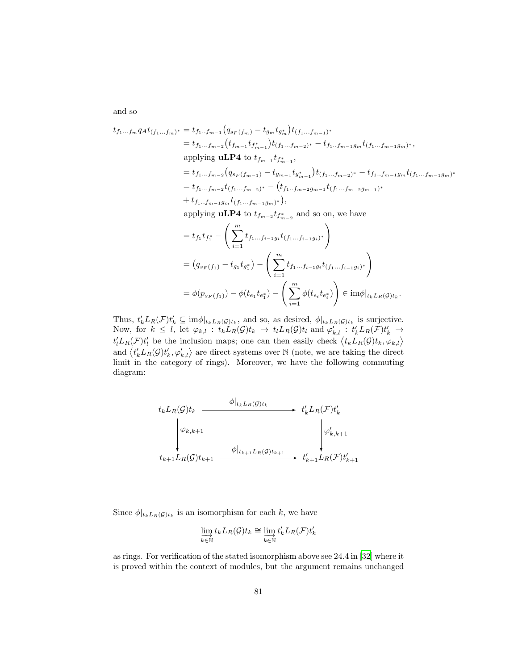and so

$$
t_{f_1...f_m} q_A t_{(f_1...f_m)^*} = t_{f_1...f_{m-1}} (q_{s_F(f_m)} - t_{g_m} t_{g_m^*}) t_{(f_1...f_{m-1})^*}
$$
  
\n
$$
= t_{f_1...f_{m-2}} (t_{f_{m-1}} t_{f_{m-1}^*}) t_{(f_1...f_{m-2})^*} - t_{f_1...f_{m-1}g_m} t_{(f_1...f_{m-1}g_m)^*},
$$
  
\napplying **uLP4** to  $t_{f_{m-1}} t_{f_{m-1}^*},$   
\n
$$
= t_{f_1...f_{m-2}} (q_{s_F(f_{m-1})} - t_{g_{m-1}} t_{g_{m-1}^*}) t_{(f_1...f_{m-2})^*} - t_{f_1...f_{m-1}g_m} t_{(f_1...f_{m-1}g_m)^*}
$$
  
\n
$$
= t_{f_1...f_{m-2}} t_{(f_1...f_{m-2})^*} - (t_{f_1...f_{m-2}g_{m-1}} t_{(f_1...f_{m-2}g_{m-1})^*}
$$
  
\n
$$
+ t_{f_1...f_{m-1}g_m} t_{(f_1...f_{m-1}g_m)^*}),
$$
  
\n
$$
= \text{subting } \mathbf{u} \mathbf{p} \mathbf{A} \mathbf{t} \mathbf{t} + \mathbf{t} \mathbf{t} \mathbf{t} \mathbf{t} + \mathbf{t} \mathbf{t} \mathbf{t} \mathbf{t} \mathbf{t} \mathbf{t} + \mathbf{t} \mathbf{t} \mathbf{t} \mathbf{t} \mathbf{t} \mathbf{t} \mathbf{t} \mathbf{t} \mathbf{t} \mathbf{t} \mathbf{t} \mathbf{t} \mathbf{t} \mathbf{t} \mathbf{t} \mathbf{t} \mathbf{t} \mathbf{t} \mathbf{t} \mathbf{t} \mathbf{t} \mathbf{t} \mathbf{t} \mathbf{t} \mathbf{t} \mathbf{t} \mathbf{t} \mathbf{t} \mathbf{t} \mathbf{t} \mathbf{t} \mathbf{t} \mathbf{t} \mathbf{t} \mathbf
$$

applying **uLP4** to  $t_{f_{m-2}}t_{f_{m-2}^*}$  and so on, we have

$$
= t_{f_1} t_{f_1^*} - \left(\sum_{i=1}^m t_{f_1...f_{i-1}g_i} t_{(f_1...f_{i-1}g_i)^*}\right)
$$
  
=  $(q_{s_F(f_1)} - t_{g_1} t_{g_1^*}) - \left(\sum_{i=1}^m t_{f_1...f_{i-1}g_i} t_{(f_1...f_{i-1}g_i)^*}\right)$   
=  $\phi(p_{s_F(f_1)}) - \phi(t_{e_1} t_{e_1^*}) - \left(\sum_{i=1}^m \phi(t_{e_i} t_{e_i^*})\right) \in \text{im}\phi|_{t_k L_R(G)t_k}.$ 

Thus,  $t'_k L_R(\mathcal{F}) t'_k \subseteq \text{im}\phi|_{t_kL_R(\mathcal{G})t_k}$ , and so, as desired,  $\phi|_{t_kL_R(\mathcal{G})t_k}$  is surjective. Now, for  $k \leq l$ , let  $\varphi_{k,l} : t_k L_R(\mathcal{G}) t_k \to t_l L_R(\mathcal{G}) t_l$  and  $\varphi'_{k,l} : t'_k L_R(\mathcal{F}) t'_k \to$  $t'_l L_R(\mathcal{F}) t'_l$  be the inclusion maps; one can then easily check  $\langle t_k L_R(\mathcal{G}) t_k, \varphi_{k,l} \rangle$ and  $\langle t'_k L_R(\mathcal{G}) t'_k, \varphi'_{k,l} \rangle$  are direct systems over N (note, we are taking the direct limit in the category of rings). Moreover, we have the following commuting diagram:

$$
t_{k}L_{R}(\mathcal{G})t_{k} \longrightarrow t'_{k}L_{R}(\mathcal{F})t'_{k}
$$
\n
$$
\downarrow \varphi_{k,k+1} \qquad \qquad t'_{k}L_{R}(\mathcal{F})t'_{k}
$$
\n
$$
t_{k+1}L_{R}(\mathcal{G})t_{k+1} \longrightarrow t'_{k+1}L_{R}(\mathcal{F})t'_{k+1}
$$
\n
$$
t_{k+1}L_{R}(\mathcal{F})t'_{k+1}
$$

Since  $\phi|_{t_kL_R(\mathcal{G})t_k}$  is an isomorphism for each k, we have

$$
\varinjlim_{k \in \mathbb{N}} t_k L_R(\mathcal{G}) t_k \cong \varinjlim_{k \in \mathbb{N}} t'_k L_R(\mathcal{F}) t'_k
$$

as rings. For verification of the stated isomorphism above see 24.4 in [\[32](#page-91-0)] where it is proved within the context of modules, but the argument remains unchanged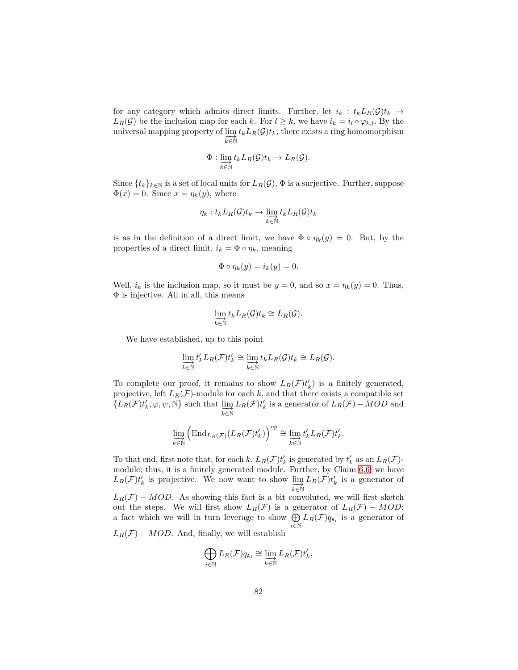for any category which admits direct limits. Further, let  $i_k : t_k L_R(\mathcal{G}) t_k \to$  $L_R(G)$  be the inclusion map for each k. For  $l \geq k$ , we have  $i_k = i_l \circ \varphi_{k,l}$ . By the universal mapping property of  $\lim_{t\to\infty} t_k L_R(\mathcal{G})t_k$ , there exists a ring homomorphism  $k \in \mathbb{N}$ 

$$
\Phi: \varinjlim_{k \in \mathbb{N}} t_k L_R(\mathcal{G}) t_k \to L_R(\mathcal{G}).
$$

Since  $\{t_k\}_{k\in\mathbb{N}}$  is a set of local units for  $L_R(\mathcal{G})$ ,  $\Phi$  is a surjective. Further, suppose  $\Phi(x) = 0$ . Since  $x = \eta_k(y)$ , where

$$
\eta_k: t_k L_R(\mathcal{G}) t_k \to \varinjlim_{k \in \mathbb{N}} t_k L_R(\mathcal{G}) t_k
$$

is as in the definition of a direct limit, we have  $\Phi \circ \eta_k(y) = 0$ . But, by the properties of a direct limit,  $i_k = \Phi \circ \eta_k$ , meaning

$$
\Phi \circ \eta_k(y) = i_k(y) = 0.
$$

Well,  $i_k$  is the inclusion map, so it must be  $y = 0$ , and so  $x = \eta_k(y) = 0$ . Thus,  $\Phi$  is injective. All in all, this means

$$
\varinjlim_{k \in \mathbb{N}} t_k L_R(\mathcal{G}) t_k \cong L_R(\mathcal{G}).
$$

We have established, up to this point

$$
\varinjlim_{k \in \mathbb{N}} t'_{k} L_{R}(\mathcal{F}) t'_{k} \cong \varinjlim_{k \in \mathbb{N}} t_{k} L_{R}(\mathcal{G}) t_{k} \cong L_{R}(\mathcal{G}).
$$

To complete our proof, it remains to show  $L_R(\mathcal{F})t'_k$  is a finitely generated, projective, left  $L_R(\mathcal{F})$ -module for each k, and that there exists a compatible set  ${L_R(\mathcal{F})}t'_{k}, \varphi, \psi, \mathbb{N}$  such that  $\varinjlim_{k \in \mathbb{N}}$  $L_R(\mathcal{F})t'_{k}$  is a generator of  $L_R(\mathcal{F}) - MOD$  and

$$
\varinjlim_{k \in \mathbb{N}} \left( \mathrm{End}_{L_R(\mathcal{F})}(L_R(\mathcal{F})t'_k) \right)^{op} \cong \varinjlim_{k \in \mathbb{N}} t'_k L_R(\mathcal{F})t'_k.
$$

To that end, first note that, for each k,  $L_R(\mathcal{F})t'_{k}$  is generated by  $t'_{k}$  as an  $L_R(\mathcal{F})$ module; thus, it is a finitely generated module. Further, by Claim [6.6,](#page-34-0) we have  $L_R(\mathcal{F})t'_k$  is projective. We now want to show  $\varinjlim_{k \in \mathbb{N}}$  $L_R(\mathcal{F})t'_k$  is a generator of  $L_R(\mathcal{F}) - MOD$ . As showing this fact is a bit convoluted, we will first sketch out the steps. We will first show  $L_R(\mathcal{F})$  is a generator of  $L_R(\mathcal{F}) - MOD;$ a fact which we will in turn leverage to show  $\bigoplus$  $\bigoplus_{i\in\mathbb{N}} L_R(\mathcal{F})q_{\mathbf{A}_i}$  is a generator of  $L_R(\mathcal{F}) - MOD$ . And, finally, we will establish

$$
\bigoplus_{i\in\mathbb{N}} L_R(\mathcal{F})q_{\mathtt{A}_i}\cong \varinjlim_{k\in\mathbb{N}} L_R(\mathcal{F})t_k',
$$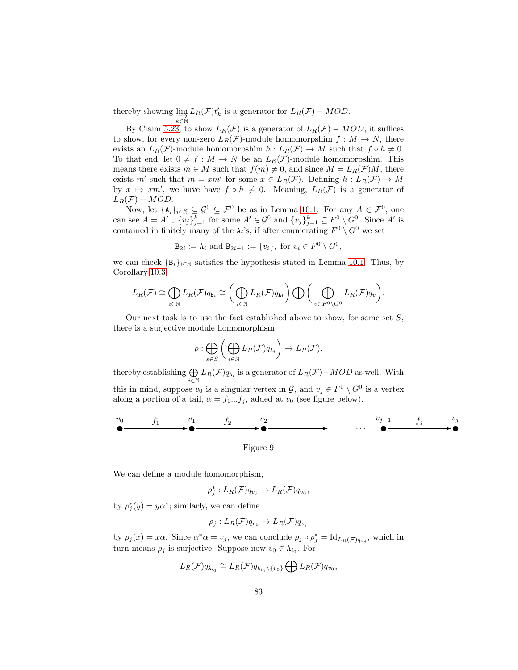thereby showing  $\lim_{k \in \mathbb{N}}$  $L_R(\mathcal{F})t'_k$  is a generator for  $L_R(\mathcal{F}) - MOD$ .

By Claim [5.23,](#page-31-0) to show  $L_R(\mathcal{F})$  is a generator of  $L_R(\mathcal{F}) - MOD$ , it suffices to show, for every non-zero  $L_R(\mathcal{F})$ -module homomorpshim  $f : M \to N$ , there exists an  $L_R(\mathcal{F})$ -module homomorpshim  $h: L_R(\mathcal{F}) \to M$  such that  $f \circ h \neq 0$ . To that end, let  $0 \neq f : M \to N$  be an  $L_R(\mathcal{F})$ -module homomorpshim. This means there exists  $m \in M$  such that  $f(m) \neq 0$ , and since  $M = L_R(\mathcal{F})M$ , there exists m' such that  $m = xm'$  for some  $x \in L_R(\mathcal{F})$ . Defining  $h: L_R(\mathcal{F}) \to M$ by  $x \mapsto xm'$ , we have have  $f \circ h \neq 0$ . Meaning,  $L_R(\mathcal{F})$  is a generator of  $L_R(\mathcal{F}) - MOD.$ 

Now, let  $\{A_i\}_{i\in\mathbb{N}}\subseteq\mathcal{G}^0\subseteq\mathcal{F}^0$  be as in Lemma [10.1.](#page-64-1) For any  $A\in\mathcal{F}^0$ , one can see  $A = A' \cup \{v_j\}_{j=1}^k$  for some  $A' \in \mathcal{G}^0$  and  $\{v_j\}_{j=1}^k \subseteq F^0 \setminus G^0$ . Since A' is contained in finitely many of the  $A_i$ 's, if after enumerating  $F^0 \setminus G^0$  we set

 $B_{2i} := A_i$  and  $B_{2i-1} := \{v_i\}, \text{ for } v_i \in F^0 \setminus G^0,$ 

we can check  $\{B_i\}_{i\in\mathbb{N}}$  satisfies the hypothesis stated in Lemma [10.1.](#page-64-1) Thus, by Corollary [10.3,](#page-67-1)

$$
L_R(\mathcal{F}) \cong \bigoplus_{i \in \mathbb{N}} L_R(\mathcal{F})q_{\mathtt{B}_i} \cong \bigg(\bigoplus_{i \in \mathbb{N}} L_R(\mathcal{F})q_{\mathtt{A}_i}\bigg) \bigoplus \bigg(\bigoplus_{v \in F^0 \backslash G^0} L_R(\mathcal{F})q_v\bigg).
$$

Our next task is to use the fact established above to show, for some set  $S$ , there is a surjective module homomorphism

$$
\rho: \bigoplus_{s\in S}\bigg(\bigoplus_{i\in\mathbb{N}}L_R(\mathcal{F})q_{\mathtt{A}_i}\bigg)\to L_R(\mathcal{F}),
$$

thereby establishing  $\bigoplus$  $\bigoplus_{i\in\mathbb{N}} L_R(\mathcal{F})q_{A_i}$  is a generator of  $L_R(\mathcal{F})-MOD$  as well. With this in mind, suppose  $v_0$  is a singular vertex in  $\mathcal{G}$ , and  $v_j \in F^0 \setminus G^0$  is a vertex along a portion of a tail,  $\alpha = f_1...f_j$ , added at  $v_0$  (see figure below).

v<sup>0</sup> v<sup>1</sup> v<sup>2</sup> <sup>v</sup>j−<sup>1</sup> <sup>v</sup><sup>j</sup> <sup>f</sup><sup>1</sup> <sup>f</sup><sup>2</sup> . . . fj

Figure 9

We can define a module homomorphism,

$$
\rho_j^*: L_R(\mathcal{F})q_{v_j} \to L_R(\mathcal{F})q_{v_0},
$$

by  $\rho_j^*(y) = y\alpha^*$ ; similarly, we can define

$$
\rho_j: L_R(\mathcal{F})q_{v_0} \to L_R(\mathcal{F})q_{v_j}
$$

by  $\rho_j(x) = x\alpha$ . Since  $\alpha^*\alpha = v_j$ , we can conclude  $\rho_j \circ \rho_j^* = \mathrm{Id}_{L_R(\mathcal{F})q_{v_j}}$ , which in turn means  $\rho_j$  is surjective. Suppose now  $v_0 \in A_{i_0}$ . For

$$
L_R(\mathcal{F})q_{\mathbf{A}_{i_0}} \cong L_R(\mathcal{F})q_{\mathbf{A}_{i_0}\backslash\{v_0\}} \bigoplus L_R(\mathcal{F})q_{v_0},
$$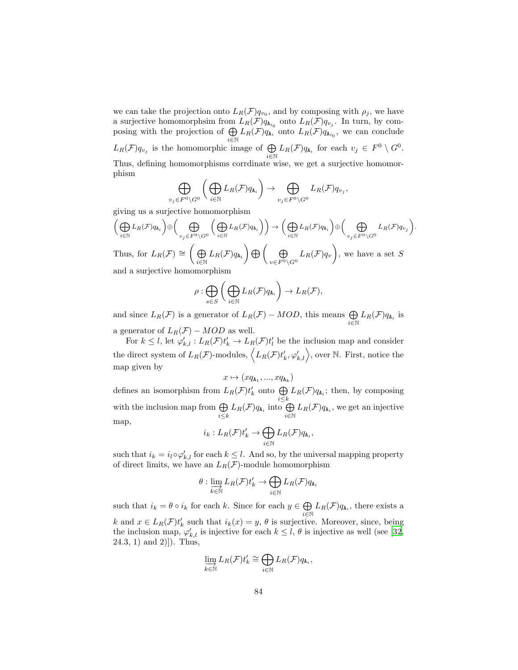we can take the projection onto  $L_R(\mathcal{F})q_{v_0}$ , and by composing with  $\rho_j$ , we have a surjective homomorphsim from  $L_R(\mathcal{F})q_{A_{i_0}}$  onto  $L_R(\mathcal{F})q_{v_j}$ . In turn, by composing with the projection of  $\bigoplus$  $\bigoplus_{i\in\mathbb{N}}L_R(\mathcal{F})q_{A_i}$  onto  $L_R(\mathcal{F})q_{A_{i_0}},$  we can conclude  $L_R(\mathcal{F})q_{v_j}$  is the homomorphic image of  $\bigoplus$  $\bigoplus_{i\in\mathbb{N}} L_R(\mathcal{F})q_{A_i}$  for each  $v_j \in F^0 \setminus G^0$ . Thus, defining homomorphisms corrdinate wise, we get a surjective homomorphism

$$
\bigoplus_{v_j\in F^0\backslash G^0}\bigg(\bigoplus_{i\in\mathbb{N}}L_R(\mathcal{F})q_{\mathtt{A}_i}\bigg)\to \bigoplus_{v_j\in F^0\backslash G^0}L_R(\mathcal{F})q_{v_j},
$$

giving us a surjective homomorphism

$$
\left(\bigoplus_{i\in\mathbb{N}} L_R(\mathcal{F})q_{\mathtt{A}_i}\right) \oplus \left(\bigoplus_{v_j\in F^0\backslash G^0} \left(\bigoplus_{i\in\mathbb{N}} L_R(\mathcal{F})q_{\mathtt{A}_i}\right)\right) \to \left(\bigoplus_{i\in\mathbb{N}} L_R(\mathcal{F})q_{\mathtt{A}_i}\right) \oplus \left(\bigoplus_{v_j\in F^0\backslash G^0} L_R(\mathcal{F})q_{v_j}\right)
$$
  
Thus, for 
$$
L_R(\mathcal{F}) \cong \left(\bigoplus_{i\in\mathbb{N}} L_R(\mathcal{F})q_{\mathtt{A}_i}\right) \bigoplus \left(\bigoplus_{v\in F^0\backslash G^0} L_R(\mathcal{F})q_v\right)
$$
, we have a set  $S$ 

.

and a surjective homomorphism

$$
\rho : \bigoplus_{s \in S} \bigg( \bigoplus_{i \in \mathbb{N}} L_R(\mathcal{F}) q_{\mathtt{A}_i} \bigg) \to L_R(\mathcal{F}),
$$

and since  $L_R(\mathcal{F})$  is a generator of  $L_R(\mathcal{F}) - MOD$ , this means  $\bigoplus_{i \in \mathbb{N}} L_R(\mathcal{F}) q_{A_i}$  is a generator of  $L_R(\mathcal{F}) - MOD$  as well.

For  $k \leq l$ , let  $\varphi'_{k,l} : L_R(\mathcal{F})t'_k \to L_R(\mathcal{F})t'_l$  be the inclusion map and consider

the direct system of  $L_R(\mathcal{F})$ -modules,  $\langle L_R(\mathcal{F})t'_k, \varphi'_{k,l} \rangle$ , over N. First, notice the map given by

$$
x \mapsto (xq_{\mathtt{A}_1},...,xq_{\mathtt{A}_k})
$$

defines an isomorphism from  $L_R(\mathcal{F})t'_k$  onto  $\bigoplus$  $\bigoplus_{i\leq k} L_R(\mathcal{F})q_{\mathbf{A}_i}$ ; then, by composing with the inclusion map from  $\bigoplus$  $\bigoplus_{i\leq k} L_R(\mathcal{F})q_{\mathtt{A}_i}$  into  $\bigoplus_{i\in\mathbb{N}}$  $\bigoplus_{i\in\mathbb{N}} L_R(\mathcal{F})q_{\mathtt{A}_i}$ , we get an injective map,

$$
i_k: L_R(\mathcal{F}) t_k' \to \bigoplus_{i \in \mathbb{N}} L_R(\mathcal{F}) q_{\mathtt{A}_i},
$$

such that  $i_k = i_l \circ \varphi'_{k,l}$  for each  $k \leq l$ . And so, by the universal mapping property of direct limits, we have an  $L_R(\mathcal{F})$ -module homomorphism

$$
\theta: \varinjlim_{k \in \mathbb{N}} L_R(\mathcal{F}) t_k' \to \bigoplus_{i \in \mathbb{N}} L_R(\mathcal{F}) q_{\mathtt{A}_i}
$$

such that  $i_k = \theta \circ i_k$  for each k. Since for each  $y \in \bigoplus$  $\bigoplus_{i\in\mathbb{N}} L_R(\mathcal{F})q_{\mathbf{A}_i}$ , there exists a k and  $x \in L_R(\mathcal{F})t'_{k}$  such that  $i_k(x) = y, \theta$  is surjective. Moreover, since, being the inclusion map,  $\varphi'_{k,l}$  is injective for each  $k \leq l, \theta$  is injective as well (see [\[32,](#page-91-0)  $(24.3, 1)$  and  $(2)]$ ). Thus,

$$
\varinjlim_{k\in\mathbb{N}} L_R(\mathcal{F}) t'_k \cong \bigoplus_{i\in\mathbb{N}} L_R(\mathcal{F}) q_{\mathtt{A}_i},
$$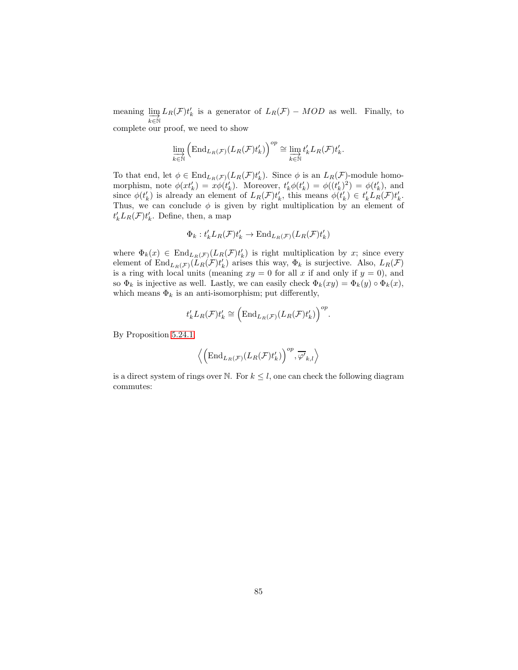meaning  $\lim_{k \in \mathbb{N}}$  $L_R(\mathcal{F})t'_k$  is a generator of  $L_R(\mathcal{F})$  – MOD as well. Finally, to complete our proof, we need to show

$$
\varinjlim_{k \in \mathbb{N}} \left( \mathrm{End}_{L_R(\mathcal{F})} (L_R(\mathcal{F}) t'_k) \right)^{op} \cong \varinjlim_{k \in \mathbb{N}} t'_k L_R(\mathcal{F}) t'_k.
$$

To that end, let  $\phi \in \text{End}_{L_R(\mathcal{F})}(L_R(\mathcal{F})t'_k)$ . Since  $\phi$  is an  $L_R(\mathcal{F})$ -module homomorphism, note  $\phi(xt'_k) = x\phi(t'_k)$ . Moreover,  $t'_k\phi(t'_k) = \phi((t'_k)^2) = \phi(t'_k)$ , and since  $\phi(t'_k)$  is already an element of  $L_R(\mathcal{F})t'_k$ , this means  $\phi(t'_k) \in t'_k L_R(\mathcal{F})t'_k$ . Thus, we can conclude  $\phi$  is given by right multiplication by an element of  $t'_{k}L_{R}(\mathcal{F})t'_{k}$ . Define, then, a map

$$
\Phi_k: t'_k L_R(\mathcal{F}) t'_k \to \text{End}_{L_R(\mathcal{F})}(L_R(\mathcal{F}) t'_k)
$$

where  $\Phi_k(x) \in \text{End}_{L_R(\mathcal{F})}(L_R(\mathcal{F})t'_k)$  is right multiplication by x; since every element of  $\text{End}_{L_R(\mathcal{F})}(L_R(\mathcal{F})t'_k)$  arises this way,  $\Phi_k$  is surjective. Also,  $L_R(\mathcal{F})$ is a ring with local units (meaning  $xy = 0$  for all x if and only if  $y = 0$ ), and so  $\Phi_k$  is injective as well. Lastly, we can easily check  $\Phi_k(xy) = \Phi_k(y) \circ \Phi_k(x)$ , which means  $\Phi_k$  is an anti-isomorphism; put differently,

$$
t'_{k}L_{R}(\mathcal{F})t'_{k} \cong \left(\text{End}_{L_{R}(\mathcal{F})}(L_{R}(\mathcal{F})t'_{k})\right)^{op}.
$$

By Proposition [5.24.1,](#page-32-0)

$$
\left\langle \left(\mathrm{End}_{L_R(\mathcal{F})} (L_R(\mathcal{F}) t_k')\right)^{op}, \overline{\varphi'}_{k,l}\right\rangle
$$

is a direct system of rings over N. For  $k \leq l$ , one can check the following diagram commutes: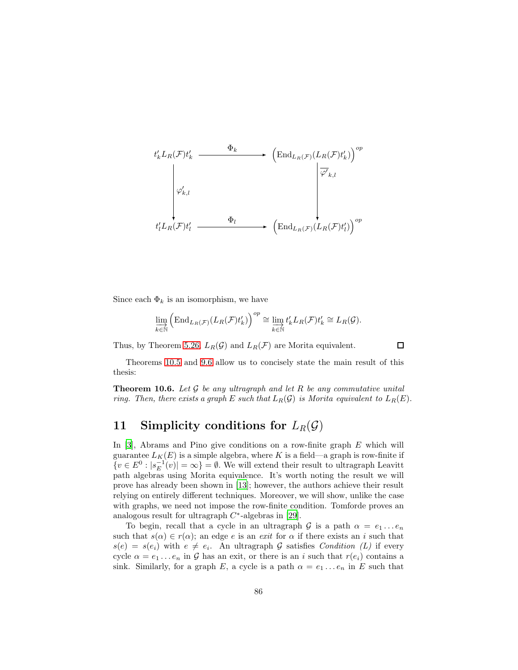$$
t'_{k}L_{R}(\mathcal{F})t'_{k} \longrightarrow \left(\text{End}_{L_{R}(\mathcal{F})}(L_{R}(\mathcal{F})t'_{k})\right)^{op}
$$
  

$$
\downarrow \varphi'_{k,l}
$$
  

$$
t'_{l}L_{R}(\mathcal{F})t'_{l} \longrightarrow \left(\text{End}_{L_{R}(\mathcal{F})}(L_{R}(\mathcal{F})t'_{l})\right)^{op}
$$

Since each  $\Phi_k$  is an isomorphism, we have

$$
\varinjlim_{k \in \mathbb{N}} \left( \mathrm{End}_{L_R(\mathcal{F})}(L_R(\mathcal{F})t'_k) \right)^{op} \cong \varinjlim_{k \in \mathbb{N}} t'_k L_R(\mathcal{F})t'_k \cong L_R(\mathcal{G}).
$$

Thus, by Theorem [5.26,](#page-33-0)  $L_R(\mathcal{G})$  and  $L_R(\mathcal{F})$  are Morita equivalent.

 $\Box$ 

Theorems [10.5](#page-77-0) and [9.6](#page-63-0) allow us to concisely state the main result of this thesis:

**Theorem 10.6.** Let  $\mathcal G$  be any ultragraph and let  $R$  be any commutative unital ring. Then, there exists a graph E such that  $L_R(\mathcal{G})$  is Morita equivalent to  $L_R(E)$ .

## 11 Simplicity conditions for  $L_R(G)$

In  $[3]$ , Abrams and Pino give conditions on a row-finite graph E which will guarantee  $L_K(E)$  is a simple algebra, where K is a field—a graph is row-finite if  $\{v \in E^0 : |s_E^{-1}(v)| = \infty\} = \emptyset$ . We will extend their result to ultragraph Leavitt path algebras using Morita equivalence. It's worth noting the result we will prove has already been shown in [\[13\]](#page-90-0); however, the authors achieve their result relying on entirely different techniques. Moreover, we will show, unlike the case with graphs, we need not impose the row-finite condition. Tomforde proves an analogous result for ultragraph  $C^*$ -algebras in [\[29\]](#page-91-1).

To begin, recall that a cycle in an ultragraph G is a path  $\alpha = e_1 \dots e_n$ such that  $s(\alpha) \in r(\alpha)$ ; an edge e is an exit for  $\alpha$  if there exists an i such that  $s(e) = s(e_i)$  with  $e \neq e_i$ . An ultragraph G satisfies Condition (L) if every cycle  $\alpha = e_1 \dots e_n$  in G has an exit, or there is an i such that  $r(e_i)$  contains a sink. Similarly, for a graph E, a cycle is a path  $\alpha = e_1 \dots e_n$  in E such that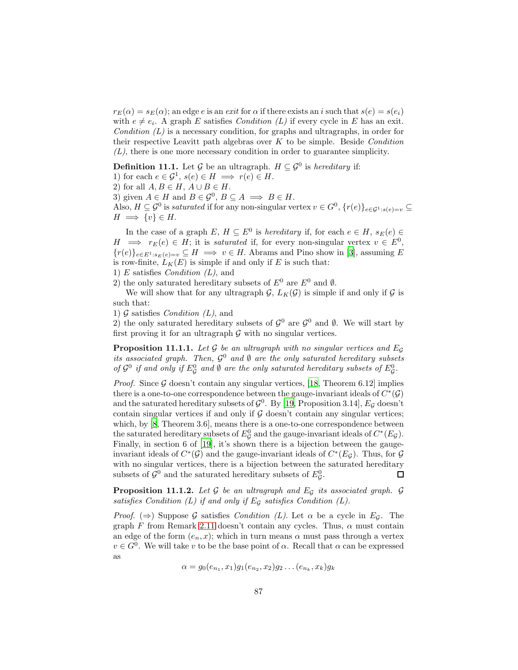$r_E(\alpha) = s_E(\alpha)$ ; an edge e is an exit for  $\alpha$  if there exists an i such that  $s(e) = s(e_i)$ with  $e \neq e_i$ . A graph E satisfies *Condition* (L) if every cycle in E has an exit. Condition  $(L)$  is a necessary condition, for graphs and ultragraphs, in order for their respective Leavitt path algebras over  $K$  to be simple. Beside *Condition*  $(L)$ , there is one more necessary condition in order to guarantee simplicity.

**Definition 11.1.** Let  $\mathcal{G}$  be an ultragraph.  $H \subseteq \mathcal{G}^0$  is hereditary if:

1) for each  $e \in \mathcal{G}^1$ ,  $s(e) \in H \implies r(e) \in H$ .

2) for all  $A, B \in H$ ,  $A \cup B \in H$ .

3) given  $A \in H$  and  $B \in \mathcal{G}^0$ ,  $B \subseteq A \implies B \in H$ .

Also,  $H \subseteq \mathcal{G}^0$  is saturated if for any non-singular vertex  $v \in G^0$ ,  $\{r(e)\}_{e \in \mathcal{G}^1 : s(e)=v} \subseteq$  $H \implies \{v\} \in H.$ 

In the case of a graph  $E, H \subseteq E^0$  is *hereditary* if, for each  $e \in H$ ,  $s_E(e) \in$  $H \implies r_E(e) \in H$ ; it is saturated if, for every non-singular vertex  $v \in E^0$ ,  ${r(e)}_{e\in E^{1}:s_{E}(e)=v} \subseteq H \implies v \in H$ . Abrams and Pino show in [\[3\]](#page-89-1), assuming E is row-finite,  $L_K(E)$  is simple if and only if E is such that:

1) E satisfies *Condition*  $(L)$ , and

2) the only saturated hereditary subsets of  $E^0$  are  $E^0$  and  $\emptyset$ .

We will show that for any ultragraph  $\mathcal{G}, L_K(\mathcal{G})$  is simple if and only if  $\mathcal{G}$  is such that:

1)  $\mathcal G$  satisfies *Condition* (*L*), and

2) the only saturated hereditary subsets of  $\mathcal{G}^0$  are  $\mathcal{G}^0$  and  $\emptyset$ . We will start by first proving it for an ultragraph  $G$  with no singular vertices.

<span id="page-86-0"></span>**Proposition 11.1.1.** Let G be an ultragraph with no singular vertices and  $E_G$ its associated graph. Then,  $\mathcal{G}^0$  and  $\emptyset$  are the only saturated hereditary subsets of  $\mathcal{G}^0$  if and only if  $E^0_{\mathcal{G}}$  and  $\emptyset$  are the only saturated hereditary subsets of  $E^0_{\mathcal{G}}$ .

*Proof.* Since  $\mathcal G$  doesn't contain any singular vertices, [\[18](#page-90-1), Theorem 6.12] implies there is a one-to-one correspondence between the gauge-invariant ideals of  $C^*(\mathcal{G})$ and the saturated hereditary subsets of  $\mathcal{G}^0$ . By [\[19](#page-90-2), Proposition 3.14],  $E_{\mathcal{G}}$  doesn't contain singular vertices if and only if  $G$  doesn't contain any singular vertices; which, by [\[8,](#page-90-3) Theorem 3.6], means there is a one-to-one correspondence between the saturated hereditary subsets of  $E_{\mathcal{G}}^0$  and the gauge-invariant ideals of  $C^*(E_{\mathcal{G}})$ . Finally, in section 6 of [\[19](#page-90-2)], it's shown there is a bijection between the gaugeinvariant ideals of  $C^*(\mathcal{G})$  and the gauge-invariant ideals of  $C^*(E_{\mathcal{G}})$ . Thus, for  $\mathcal{G}$ with no singular vertices, there is a bijection between the saturated hereditary subsets of  $\mathcal{G}^0$  and the saturated hereditary subsets of  $E^0_{\mathcal{G}}$ .  $\Box$ 

<span id="page-86-1"></span>**Proposition 11.1.2.** Let  $\mathcal G$  be an ultragraph and  $E_{\mathcal G}$  its associated graph.  $\mathcal G$ satisfies Condition  $(L)$  if and only if  $E_G$  satisfies Condition  $(L)$ .

*Proof.* ( $\Rightarrow$ ) Suppose G satisfies *Condition (L)*. Let  $\alpha$  be a cycle in Eq. The graph F from Remark [2.11](#page-6-0) doesn't contain any cycles. Thus,  $\alpha$  must contain an edge of the form  $(e_n, x)$ ; which in turn means  $\alpha$  must pass through a vertex  $v \in G^0$ . We will take v to be the base point of  $\alpha$ . Recall that  $\alpha$  can be expressed as

$$
\alpha = g_0(e_{n_1}, x_1)g_1(e_{n_2}, x_2)g_2 \dots (e_{n_k}, x_k)g_k
$$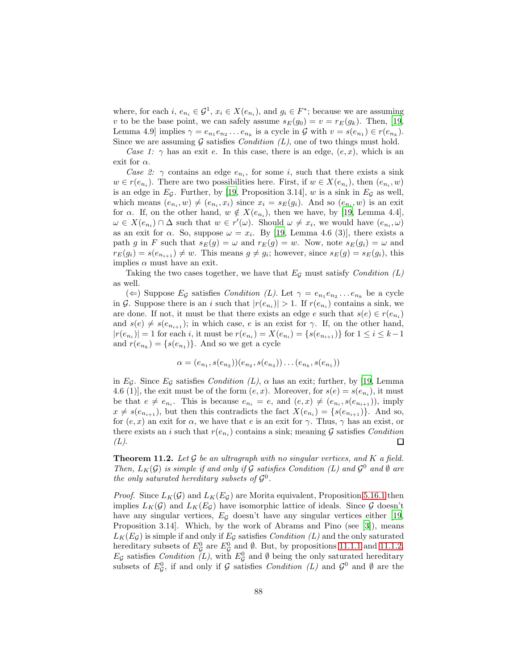where, for each  $i, e_{n_i} \in \mathcal{G}^1$ ,  $x_i \in X(e_{n_i})$ , and  $g_i \in F^*$ ; because we are assuming v to be the base point, we can safely assume  $s_E(g_0) = v = r_E(g_k)$ . Then, [\[19,](#page-90-2) Lemma 4.9 implies  $\gamma = e_{n_1}e_{n_2} \dots e_{n_k}$  is a cycle in  $\mathcal G$  with  $v = s(e_{n_1}) \in r(e_{n_k})$ . Since we are assuming G satisfies *Condition*  $(L)$ , one of two things must hold.

Case 1:  $\gamma$  has an exit e. In this case, there is an edge,  $(e, x)$ , which is an exit for  $\alpha$ .

Case 2:  $\gamma$  contains an edge  $e_{n_i}$ , for some i, such that there exists a sink  $w \in r(e_{n_i})$ . There are two possibilities here. First, if  $w \in X(e_{n_i})$ , then  $(e_{n_i}, w)$ is an edge in  $E_{\mathcal{G}}$ . Further, by [\[19,](#page-90-2) Proposition 3.14], w is a sink in  $E_{\mathcal{G}}$  as well, which means  $(e_{n_i}, w) \neq (e_{n_i}, x_i)$  since  $x_i = s_E(g_i)$ . And so  $(e_{n_i}, w)$  is an exit for  $\alpha$ . If, on the other hand,  $w \notin X(e_{n_i})$ , then we have, by [\[19](#page-90-2), Lemma 4.4],  $\omega \in X(e_{n_i}) \cap \Delta$  such that  $w \in r'(\omega)$ . Should  $\omega \neq x_i$ , we would have  $(e_{n_i}, \omega)$ as an exit for  $\alpha$ . So, suppose  $\omega = x_i$ . By [\[19,](#page-90-2) Lemma 4.6 (3)], there exists a path g in F such that  $s_E(g) = \omega$  and  $r_E(g) = w$ . Now, note  $s_E(g_i) = \omega$  and  $r_E(g_i) = s(e_{n_{i+1}}) \neq w$ . This means  $g \neq g_i$ ; however, since  $s_E(g) = s_E(g_i)$ , this implies  $\alpha$  must have an exit.

Taking the two cases together, we have that  $E_{\mathcal{G}}$  must satisfy *Condition* (L) as well.

( $\Leftarrow$ ) Suppose  $E_{\mathcal{G}}$  satisfies *Condition (L)*. Let  $\gamma = e_{n_1}e_{n_2} \dots e_{n_k}$  be a cycle in G. Suppose there is an i such that  $|r(e_{n_i})| > 1$ . If  $r(e_{n_i})$  contains a sink, we are done. If not, it must be that there exists an edge e such that  $s(e) \in r(e_{n_i})$ and  $s(e) \neq s(e_{n_{i+1}})$ ; in which case, e is an exist for  $\gamma$ . If, on the other hand,  $|r(e_{n_i})| = 1$  for each *i*, it must be  $r(e_{n_i}) = X(e_{n_i}) = \{s(e_{n_{i+1}})\}\$  for  $1 \le i \le k-1$ and  $r(e_{n_k}) = \{s(e_{n_1})\}$ . And so we get a cycle

$$
\alpha = (e_{n_1}, s(e_{n_2})) (e_{n_2}, s(e_{n_3})) \dots (e_{n_k}, s(e_{n_1}))
$$

in Eg. Since Eg satisfies Condition  $(L)$ ,  $\alpha$  has an exit; further, by [\[19](#page-90-2), Lemma 4.6 (1)], the exit must be of the form  $(e, x)$ . Moreover, for  $s(e) = s(e_{n_i})$ , it must be that  $e \neq e_{n_i}$ . This is because  $e_{n_i} = e$ , and  $(e, x) \neq (e_{n_i}, s(e_{n_{i+1}}))$ , imply  $x \neq s(e_{n_{i+1}})$ , but then this contradicts the fact  $X(e_{n_i}) = \{s(e_{n_{i+1}})\}\$ . And so, for  $(e, x)$  an exit for  $\alpha$ , we have that e is an exit for  $\gamma$ . Thus,  $\gamma$  has an exist, or there exists an *i* such that  $r(e_{n_i})$  contains a sink; meaning G satisfies Condition  $(L).$ □

<span id="page-87-0"></span>**Theorem 11.2.** Let  $\mathcal G$  be an ultragraph with no singular vertices, and  $K$  a field. Then,  $L_K(G)$  is simple if and only if G satisfies Condition (L) and  $\mathcal{G}^0$  and  $\emptyset$  are the only saturated hereditary subsets of  $\mathcal{G}^0$ .

*Proof.* Since  $L_K(\mathcal{G})$  and  $L_K(E_{\mathcal{G}})$  are Morita equivalent, Proposition [5.16.1](#page-29-0) then implies  $L_K(\mathcal{G})$  and  $L_K(E_\mathcal{G})$  have isomorphic lattice of ideals. Since  $\mathcal G$  doesn't have any singular vertices,  $E_{\mathcal{G}}$  doesn't have any singular vertices either [\[19,](#page-90-2) Proposition 3.14]. Which, by the work of Abrams and Pino (see [\[3](#page-89-1)]), means  $L_K(E_G)$  is simple if and only if  $E_G$  satisfies *Condition* (L) and the only saturated hereditary subsets of  $E_{\mathcal{G}}^0$  are  $E_{\mathcal{G}}^0$  and  $\emptyset$ . But, by propositions [11.1.1](#page-86-0) and [11.1.2,](#page-86-1)  $E_{\mathcal{G}}$  satisfies *Condition* (L), with  $E_{\mathcal{G}}^0$  and  $\emptyset$  being the only saturated hereditary subsets of  $E_{\mathcal{G}}^0$ , if and only if  $\mathcal G$  satisfies *Condition* (*L*) and  $\mathcal{G}^0$  and  $\emptyset$  are the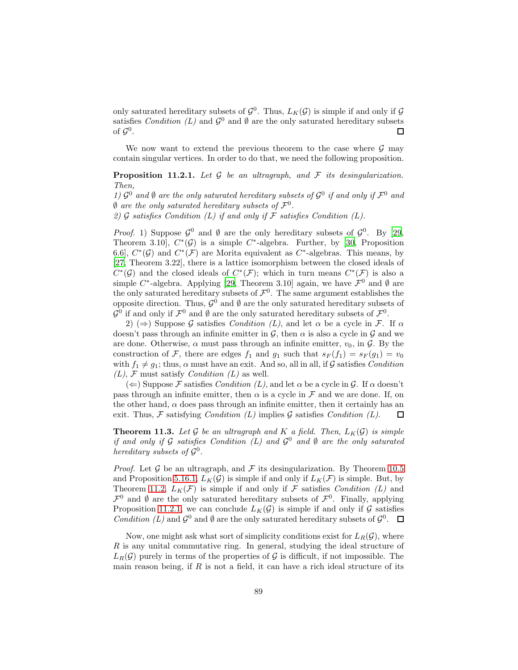only saturated hereditary subsets of  $\mathcal{G}^0$ . Thus,  $L_K(\mathcal{G})$  is simple if and only if  $\mathcal G$ satisfies Condition (L) and  $\mathcal{G}^0$  and  $\emptyset$  are the only saturated hereditary subsets of  $\mathcal{G}^0.$ □

We now want to extend the previous theorem to the case where  $\mathcal G$  may contain singular vertices. In order to do that, we need the following proposition.

<span id="page-88-0"></span>**Proposition 11.2.1.** Let  $\mathcal G$  be an ultragraph, and  $\mathcal F$  its desingularization. Then,

1)  $\mathcal{G}^0$  and  $\emptyset$  are the only saturated hereditary subsets of  $\mathcal{G}^0$  if and only if  $\mathcal{F}^0$  and  $\emptyset$  are the only saturated hereditary subsets of  $\mathcal{F}^0$ .

2)  $\mathcal G$  satisfies Condition (L) if and only if  $\mathcal F$  satisfies Condition (L).

*Proof.* 1) Suppose  $\mathcal{G}^0$  and  $\emptyset$  are the only hereditary subsets of  $\mathcal{G}^0$ . By [\[29,](#page-91-1) Theorem 3.10],  $C^*(\mathcal{G})$  is a simple  $C^*$ -algebra. Further, by [\[30](#page-91-2), Proposition 6.6,  $C^*(\mathcal{G})$  and  $C^*(\mathcal{F})$  are Morita equivalent as  $C^*$ -algebras. This means, by [\[27,](#page-91-3) Theorem 3.22], there is a lattice isomorphism between the closed ideals of  $C^*(\mathcal{G})$  and the closed ideals of  $C^*(\mathcal{F})$ ; which in turn means  $C^*(\mathcal{F})$  is also a simple C<sup>\*</sup>-algebra. Applying [\[29,](#page-91-1) Theorem 3.10] again, we have  $\mathcal{F}^0$  and  $\emptyset$  are the only saturated hereditary subsets of  $\mathcal{F}^0$ . The same argument establishes the opposite direction. Thus,  $\mathcal{G}^0$  and  $\emptyset$  are the only saturated hereditary subsets of  $\mathcal{G}^0$  if and only if  $\mathcal{F}^0$  and  $\emptyset$  are the only saturated hereditary subsets of  $\mathcal{F}^0$ .

2) ( $\Rightarrow$ ) Suppose G satisfies Condition (L), and let  $\alpha$  be a cycle in F. If  $\alpha$ doesn't pass through an infinite emitter in  $\mathcal{G}$ , then  $\alpha$  is also a cycle in  $\mathcal{G}$  and we are done. Otherwise,  $\alpha$  must pass through an infinite emitter,  $v_0$ , in  $\mathcal{G}$ . By the construction of F, there are edges  $f_1$  and  $g_1$  such that  $s_F(f_1) = s_F(g_1) = v_0$ with  $f_1 \neq g_1$ ; thus,  $\alpha$  must have an exit. And so, all in all, if G satisfies Condition  $(L)$ , F must satisfy *Condition*  $(L)$  as well.

 $(\Leftarrow)$  Suppose F satisfies Condition (L), and let  $\alpha$  be a cycle in G. If  $\alpha$  doesn't pass through an infinite emitter, then  $\alpha$  is a cycle in  $\mathcal F$  and we are done. If, on the other hand,  $\alpha$  does pass through an infinite emitter, then it certainly has an exit. Thus,  $\mathcal F$  satisfying *Condition* (L) implies  $\mathcal G$  satisfies *Condition* (L).  $\Box$ 

**Theorem 11.3.** Let G be an ultragraph and K a field. Then,  $L_K(\mathcal{G})$  is simple if and only if G satisfies Condition (L) and  $\mathcal{G}^0$  and  $\emptyset$  are the only saturated hereditary subsets of  $\mathcal{G}^0$ .

*Proof.* Let G be an ultragraph, and F its desingularization. By Theorem [10.5](#page-77-0) and Proposition [5.16.1,](#page-29-0)  $L_K(\mathcal{G})$  is simple if and only if  $L_K(\mathcal{F})$  is simple. But, by Theorem [11.2,](#page-87-0)  $L_K(\mathcal{F})$  is simple if and only if  $\mathcal F$  satisfies *Condition* (L) and  $\mathcal{F}^0$  and  $\emptyset$  are the only saturated hereditary subsets of  $\mathcal{F}^0$ . Finally, applying Proposition [11.2.1,](#page-88-0) we can conclude  $L_K(\mathcal{G})$  is simple if and only if  $\mathcal G$  satisfies Condition (L) and  $\mathcal{G}^0$  and  $\emptyset$  are the only saturated hereditary subsets of  $\mathcal{G}^0$ .

Now, one might ask what sort of simplicity conditions exist for  $L_R(\mathcal{G})$ , where  $R$  is any unital commutative ring. In general, studying the ideal structure of  $L_R(\mathcal{G})$  purely in terms of the properties of  $\mathcal{G}$  is difficult, if not impossible. The main reason being, if  $R$  is not a field, it can have a rich ideal structure of its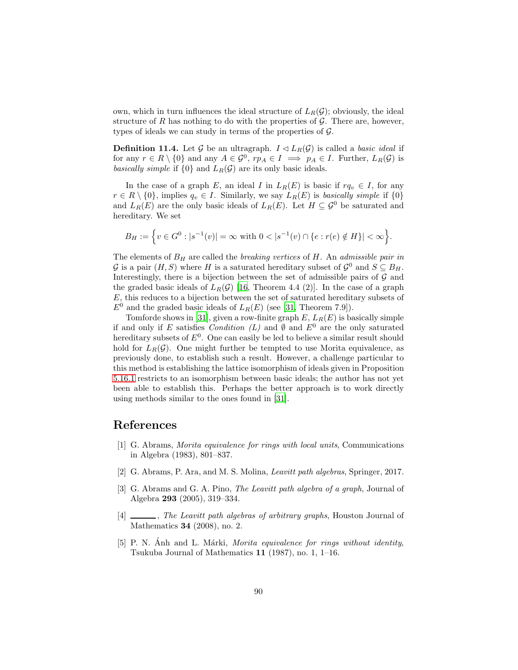own, which in turn influences the ideal structure of  $L_R(\mathcal{G})$ ; obviously, the ideal structure of  $R$  has nothing to do with the properties of  $G$ . There are, however, types of ideals we can study in terms of the properties of  $\mathcal{G}$ .

**Definition 11.4.** Let G be an ultragraph.  $I \triangleleft L_R(G)$  is called a *basic ideal* if for any  $r \in R \setminus \{0\}$  and any  $A \in \mathcal{G}^0$ ,  $rp_A \in I \implies p_A \in I$ . Further,  $L_R(\mathcal{G})$  is basically simple if  $\{0\}$  and  $L_R(\mathcal{G})$  are its only basic ideals.

In the case of a graph E, an ideal I in  $L_R(E)$  is basic if  $rq_v \in I$ , for any  $r \in R \setminus \{0\}$ , implies  $q_v \in I$ . Similarly, we say  $L_R(E)$  is basically simple if  $\{0\}$ and  $L_R(E)$  are the only basic ideals of  $L_R(E)$ . Let  $H \subseteq \mathcal{G}^0$  be saturated and hereditary. We set

$$
B_H := \Big\{ v \in G^0 : |s^{-1}(v)| = \infty \text{ with } 0 < |s^{-1}(v) \cap \{e : r(e) \notin H\}| < \infty \Big\}.
$$

The elements of  $B_H$  are called the *breaking vertices* of  $H$ . An *admissible pair in* G is a pair  $(H, S)$  where H is a saturated hereditary subset of  $\mathcal{G}^0$  and  $S \subseteq B_H$ . Interestingly, there is a bijection between the set of admissible pairs of  $\mathcal G$  and the graded basic ideals of  $L_R(\mathcal{G})$  [\[16,](#page-90-4) Theorem 4.4 (2)]. In the case of a graph  $E$ , this reduces to a bijection between the set of saturated hereditary subsets of  $E^0$  and the graded basic ideals of  $L_R(E)$  (see [\[31,](#page-91-4) Theorem 7.9]).

Tomforde shows in [\[31\]](#page-91-4), given a row-finite graph  $E, L_R(E)$  is basically simple if and only if E satisfies Condition (L) and  $\emptyset$  and  $E^0$  are the only saturated hereditary subsets of  $E^0$ . One can easily be led to believe a similar result should hold for  $L_R(\mathcal{G})$ . One might further be tempted to use Morita equivalence, as previously done, to establish such a result. However, a challenge particular to this method is establishing the lattice isomorphism of ideals given in Proposition [5.16.1](#page-29-0) restricts to an isomorphism between basic ideals; the author has not yet been able to establish this. Perhaps the better approach is to work directly using methods similar to the ones found in [\[31\]](#page-91-4).

## References

- [1] G. Abrams, Morita equivalence for rings with local units, Communications in Algebra (1983), 801–837.
- [2] G. Abrams, P. Ara, and M. S. Molina, Leavitt path algebras, Springer, 2017.
- <span id="page-89-1"></span>[3] G. Abrams and G. A. Pino, The Leavitt path algebra of a graph, Journal of Algebra 293 (2005), 319–334.
- <span id="page-89-0"></span>[4] \_\_\_\_, The Leavitt path algebras of arbitrary graphs, Houston Journal of Mathematics 34 (2008), no. 2.
- [5] P. N. Anh and L. Márki, *Morita equivalence for rings without identity*, Tsukuba Journal of Mathematics 11 (1987), no. 1, 1–16.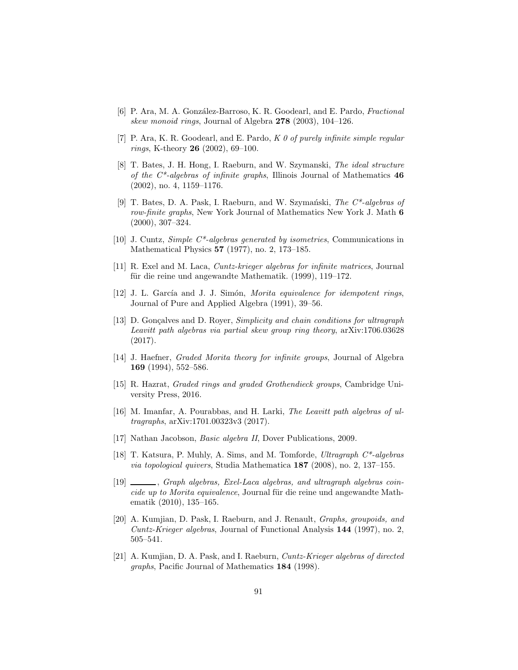- [6] P. Ara, M. A. González-Barroso, K. R. Goodearl, and E. Pardo, Fractional skew monoid rings, Journal of Algebra 278 (2003), 104–126.
- [7] P. Ara, K. R. Goodearl, and E. Pardo,  $K \theta$  of purely infinite simple regular rings, K-theory 26 (2002), 69–100.
- <span id="page-90-3"></span>[8] T. Bates, J. H. Hong, I. Raeburn, and W. Szymanski, The ideal structure of the  $C^*$ -algebras of infinite graphs, Illinois Journal of Mathematics  $46$ (2002), no. 4, 1159–1176.
- [9] T. Bates, D. A. Pask, I. Raeburn, and W. Szymański, The  $C^*$ -algebras of row-finite graphs, New York Journal of Mathematics New York J. Math 6 (2000), 307–324.
- [10] J. Cuntz, Simple C\*-algebras generated by isometries, Communications in Mathematical Physics 57 (1977), no. 2, 173–185.
- [11] R. Exel and M. Laca, Cuntz-krieger algebras for infinite matrices, Journal für die reine und angewandte Mathematik. (1999), 119–172.
- [12] J. L. García and J. J. Simón, Morita equivalence for idempotent rings, Journal of Pure and Applied Algebra (1991), 39–56.
- <span id="page-90-0"></span>[13] D. Gonçalves and D. Royer, Simplicity and chain conditions for ultragraph Leavitt path algebras via partial skew group ring theory, arXiv:1706.03628 (2017).
- [14] J. Haefner, Graded Morita theory for infinite groups, Journal of Algebra 169 (1994), 552–586.
- [15] R. Hazrat, Graded rings and graded Grothendieck groups, Cambridge University Press, 2016.
- <span id="page-90-4"></span>[16] M. Imanfar, A. Pourabbas, and H. Larki, The Leavitt path algebras of ultragraphs, arXiv:1701.00323v3 (2017).
- [17] Nathan Jacobson, Basic algebra II, Dover Publications, 2009.
- <span id="page-90-1"></span>[18] T. Katsura, P. Muhly, A. Sims, and M. Tomforde, Ultragraph C\*-algebras via topological quivers, Studia Mathematica 187 (2008), no. 2, 137–155.
- <span id="page-90-2"></span>[19]  $\_\_\_\_\$ graph algebras, Exel-Laca algebras, and ultragraph algebras coincide up to Morita equivalence, Journal für die reine und angewandte Mathematik (2010), 135–165.
- [20] A. Kumjian, D. Pask, I. Raeburn, and J. Renault, Graphs, groupoids, and Cuntz-Krieger algebras, Journal of Functional Analysis 144 (1997), no. 2, 505–541.
- [21] A. Kumjian, D. A. Pask, and I. Raeburn, Cuntz-Krieger algebras of directed graphs, Pacific Journal of Mathematics 184 (1998).